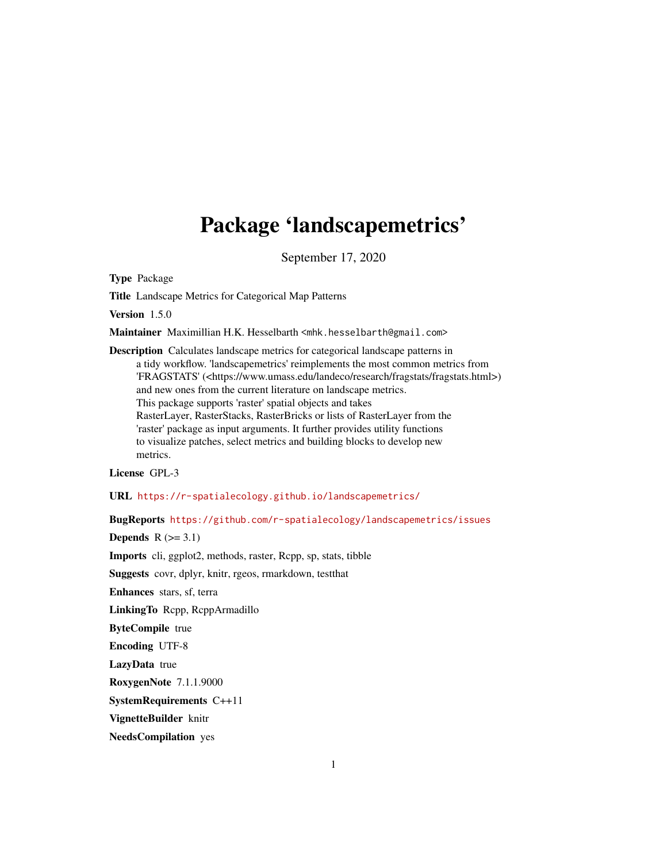# Package 'landscapemetrics'

September 17, 2020

Type Package

Title Landscape Metrics for Categorical Map Patterns

Version 1.5.0

Maintainer Maximillian H.K. Hesselbarth <mhk.hesselbarth@gmail.com>

Description Calculates landscape metrics for categorical landscape patterns in a tidy workflow. 'landscapemetrics' reimplements the most common metrics from 'FRAGSTATS' (<https://www.umass.edu/landeco/research/fragstats/fragstats.html>) and new ones from the current literature on landscape metrics. This package supports 'raster' spatial objects and takes RasterLayer, RasterStacks, RasterBricks or lists of RasterLayer from the 'raster' package as input arguments. It further provides utility functions to visualize patches, select metrics and building blocks to develop new metrics.

License GPL-3

URL <https://r-spatialecology.github.io/landscapemetrics/>

BugReports <https://github.com/r-spatialecology/landscapemetrics/issues>

Depends  $R$  ( $>= 3.1$ )

Imports cli, ggplot2, methods, raster, Rcpp, sp, stats, tibble

Suggests covr, dplyr, knitr, rgeos, rmarkdown, testthat

Enhances stars, sf, terra

LinkingTo Rcpp, RcppArmadillo

ByteCompile true

Encoding UTF-8

LazyData true

RoxygenNote 7.1.1.9000

SystemRequirements C++11

VignetteBuilder knitr

NeedsCompilation yes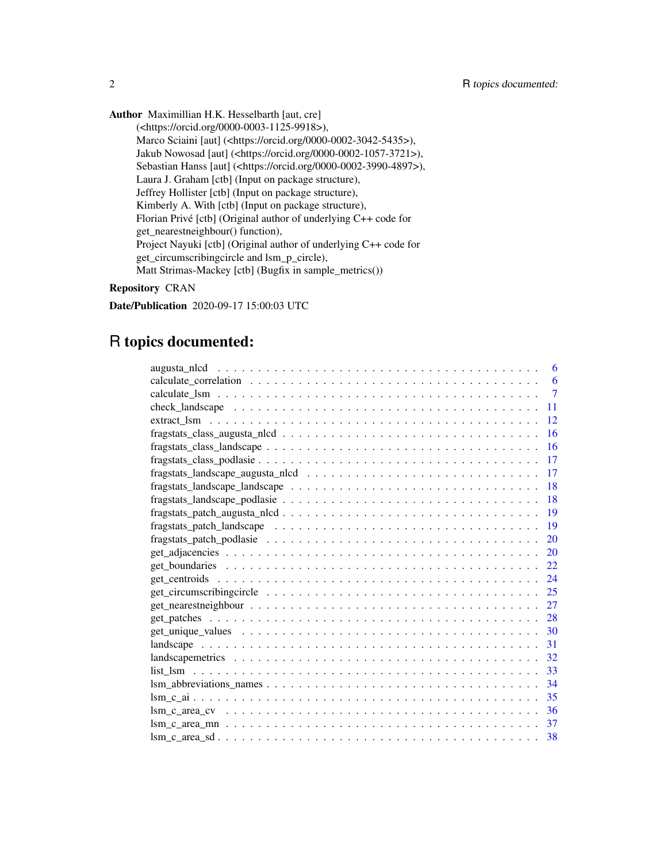Author Maximillian H.K. Hesselbarth [aut, cre]

(<https://orcid.org/0000-0003-1125-9918>), Marco Sciaini [aut] (<https://orcid.org/0000-0002-3042-5435>), Jakub Nowosad [aut] (<https://orcid.org/0000-0002-1057-3721>), Sebastian Hanss [aut] (<https://orcid.org/0000-0002-3990-4897>), Laura J. Graham [ctb] (Input on package structure), Jeffrey Hollister [ctb] (Input on package structure), Kimberly A. With [ctb] (Input on package structure), Florian Privé [ctb] (Original author of underlying C++ code for get\_nearestneighbour() function), Project Nayuki [ctb] (Original author of underlying C++ code for get\_circumscribingcircle and lsm\_p\_circle), Matt Strimas-Mackey [ctb] (Bugfix in sample\_metrics())

# Repository CRAN

Date/Publication 2020-09-17 15:00:03 UTC

# R topics documented:

| 6                                                                                                                      |
|------------------------------------------------------------------------------------------------------------------------|
| 6                                                                                                                      |
| $\overline{7}$                                                                                                         |
| 11                                                                                                                     |
| 12                                                                                                                     |
| 16                                                                                                                     |
| 16                                                                                                                     |
| 17                                                                                                                     |
| 17                                                                                                                     |
| 18                                                                                                                     |
| 18                                                                                                                     |
| -19                                                                                                                    |
| fragstats_patch_landscape $\ldots \ldots \ldots \ldots \ldots \ldots \ldots \ldots \ldots \ldots \ldots \ldots$<br>19  |
| 20                                                                                                                     |
| 20                                                                                                                     |
| 22                                                                                                                     |
| 24                                                                                                                     |
| 25                                                                                                                     |
| 27<br>$get\_nearestneighbor \dots \dots \dots \dots \dots \dots \dots \dots \dots \dots \dots \dots \dots \dots \dots$ |
| 28                                                                                                                     |
| -30                                                                                                                    |
| -31                                                                                                                    |
| 32                                                                                                                     |
| 33                                                                                                                     |
| 34                                                                                                                     |
| 35                                                                                                                     |
| -36                                                                                                                    |
| 37                                                                                                                     |
| -38                                                                                                                    |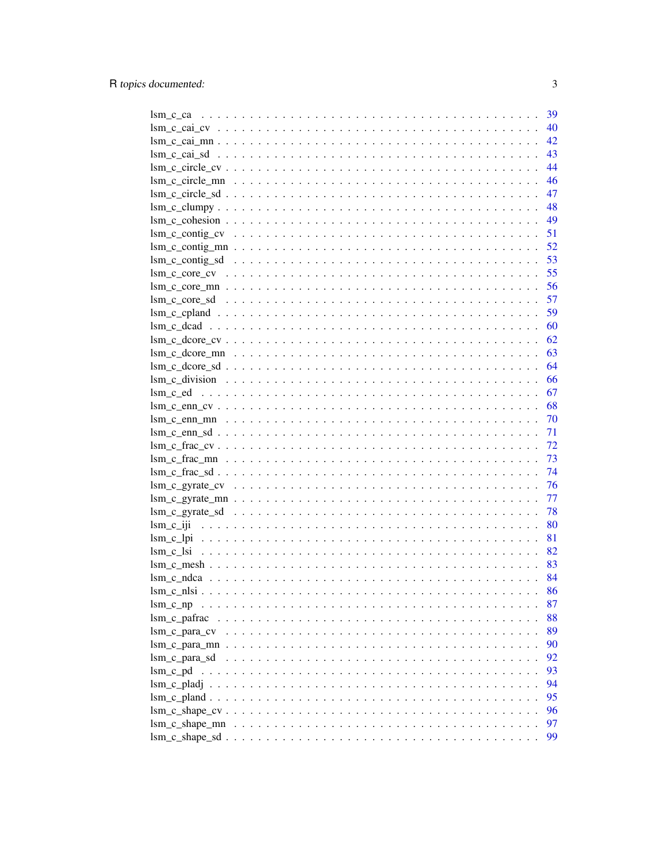|                                                                                                                               |  |  |  |  |  |  |  |  |  |  | 39  |
|-------------------------------------------------------------------------------------------------------------------------------|--|--|--|--|--|--|--|--|--|--|-----|
|                                                                                                                               |  |  |  |  |  |  |  |  |  |  | 40  |
|                                                                                                                               |  |  |  |  |  |  |  |  |  |  | 42  |
|                                                                                                                               |  |  |  |  |  |  |  |  |  |  | 43  |
|                                                                                                                               |  |  |  |  |  |  |  |  |  |  | 44  |
|                                                                                                                               |  |  |  |  |  |  |  |  |  |  | 46  |
|                                                                                                                               |  |  |  |  |  |  |  |  |  |  | 47  |
|                                                                                                                               |  |  |  |  |  |  |  |  |  |  | 48  |
|                                                                                                                               |  |  |  |  |  |  |  |  |  |  | 49  |
|                                                                                                                               |  |  |  |  |  |  |  |  |  |  | 51  |
|                                                                                                                               |  |  |  |  |  |  |  |  |  |  | 52  |
|                                                                                                                               |  |  |  |  |  |  |  |  |  |  | 53  |
| $lsm_c_{core\_cv} \ldots \ldots \ldots \ldots \ldots \ldots \ldots \ldots \ldots \ldots \ldots \ldots \ldots$                 |  |  |  |  |  |  |  |  |  |  | 55  |
|                                                                                                                               |  |  |  |  |  |  |  |  |  |  | 56  |
|                                                                                                                               |  |  |  |  |  |  |  |  |  |  |     |
|                                                                                                                               |  |  |  |  |  |  |  |  |  |  | 59  |
|                                                                                                                               |  |  |  |  |  |  |  |  |  |  | 60  |
|                                                                                                                               |  |  |  |  |  |  |  |  |  |  | 62  |
|                                                                                                                               |  |  |  |  |  |  |  |  |  |  | 63  |
|                                                                                                                               |  |  |  |  |  |  |  |  |  |  | 64  |
|                                                                                                                               |  |  |  |  |  |  |  |  |  |  | 66  |
|                                                                                                                               |  |  |  |  |  |  |  |  |  |  | 67  |
|                                                                                                                               |  |  |  |  |  |  |  |  |  |  | 68  |
|                                                                                                                               |  |  |  |  |  |  |  |  |  |  | -70 |
|                                                                                                                               |  |  |  |  |  |  |  |  |  |  | 71  |
|                                                                                                                               |  |  |  |  |  |  |  |  |  |  | 72  |
|                                                                                                                               |  |  |  |  |  |  |  |  |  |  | 73  |
|                                                                                                                               |  |  |  |  |  |  |  |  |  |  | 74  |
|                                                                                                                               |  |  |  |  |  |  |  |  |  |  | 76  |
|                                                                                                                               |  |  |  |  |  |  |  |  |  |  | 77  |
|                                                                                                                               |  |  |  |  |  |  |  |  |  |  | 78  |
|                                                                                                                               |  |  |  |  |  |  |  |  |  |  | 80  |
|                                                                                                                               |  |  |  |  |  |  |  |  |  |  | 81  |
|                                                                                                                               |  |  |  |  |  |  |  |  |  |  |     |
|                                                                                                                               |  |  |  |  |  |  |  |  |  |  | 82  |
| $\text{lsm } c \text{ mesh } \ldots \ldots \ldots \ldots \ldots \ldots \ldots \ldots \ldots \ldots \ldots \ldots \ldots$      |  |  |  |  |  |  |  |  |  |  | 83  |
|                                                                                                                               |  |  |  |  |  |  |  |  |  |  | 84  |
|                                                                                                                               |  |  |  |  |  |  |  |  |  |  | 86  |
| $\text{lsm}$ c $\text{np}$                                                                                                    |  |  |  |  |  |  |  |  |  |  | 87  |
|                                                                                                                               |  |  |  |  |  |  |  |  |  |  | 88  |
|                                                                                                                               |  |  |  |  |  |  |  |  |  |  | 89  |
|                                                                                                                               |  |  |  |  |  |  |  |  |  |  | 90  |
|                                                                                                                               |  |  |  |  |  |  |  |  |  |  | 92  |
| lsm c pd                                                                                                                      |  |  |  |  |  |  |  |  |  |  | 93  |
|                                                                                                                               |  |  |  |  |  |  |  |  |  |  | 94  |
|                                                                                                                               |  |  |  |  |  |  |  |  |  |  | 95  |
|                                                                                                                               |  |  |  |  |  |  |  |  |  |  | 96  |
| $\text{lsm } c \text{ shape } \text{mn } \dots \dots \dots \dots \dots \dots \dots \dots \dots \dots \dots \dots \dots \dots$ |  |  |  |  |  |  |  |  |  |  | 97  |
|                                                                                                                               |  |  |  |  |  |  |  |  |  |  | 99  |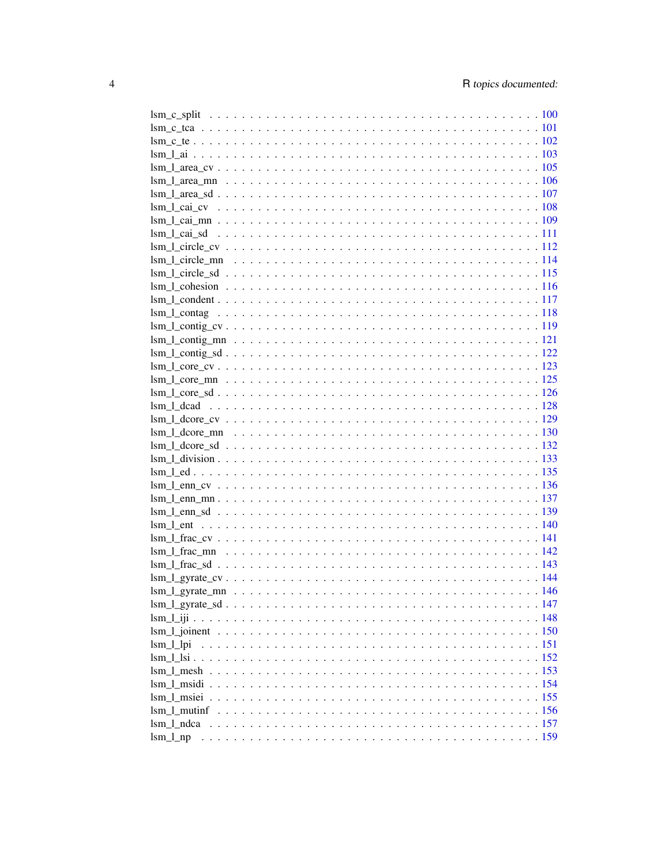| $\text{lsm_cte102}$                           |  |  |  |  |  |  |  |  |
|-----------------------------------------------|--|--|--|--|--|--|--|--|
|                                               |  |  |  |  |  |  |  |  |
|                                               |  |  |  |  |  |  |  |  |
|                                               |  |  |  |  |  |  |  |  |
|                                               |  |  |  |  |  |  |  |  |
|                                               |  |  |  |  |  |  |  |  |
|                                               |  |  |  |  |  |  |  |  |
|                                               |  |  |  |  |  |  |  |  |
|                                               |  |  |  |  |  |  |  |  |
|                                               |  |  |  |  |  |  |  |  |
|                                               |  |  |  |  |  |  |  |  |
|                                               |  |  |  |  |  |  |  |  |
|                                               |  |  |  |  |  |  |  |  |
|                                               |  |  |  |  |  |  |  |  |
|                                               |  |  |  |  |  |  |  |  |
|                                               |  |  |  |  |  |  |  |  |
|                                               |  |  |  |  |  |  |  |  |
|                                               |  |  |  |  |  |  |  |  |
|                                               |  |  |  |  |  |  |  |  |
|                                               |  |  |  |  |  |  |  |  |
| $\text{Im } 1 \text{ dead }              128$ |  |  |  |  |  |  |  |  |
|                                               |  |  |  |  |  |  |  |  |
|                                               |  |  |  |  |  |  |  |  |
|                                               |  |  |  |  |  |  |  |  |
|                                               |  |  |  |  |  |  |  |  |
|                                               |  |  |  |  |  |  |  |  |
| $\text{lsm\_led}$                             |  |  |  |  |  |  |  |  |
|                                               |  |  |  |  |  |  |  |  |
|                                               |  |  |  |  |  |  |  |  |
|                                               |  |  |  |  |  |  |  |  |
|                                               |  |  |  |  |  |  |  |  |
|                                               |  |  |  |  |  |  |  |  |
|                                               |  |  |  |  |  |  |  |  |
|                                               |  |  |  |  |  |  |  |  |
|                                               |  |  |  |  |  |  |  |  |
|                                               |  |  |  |  |  |  |  |  |
|                                               |  |  |  |  |  |  |  |  |
|                                               |  |  |  |  |  |  |  |  |
|                                               |  |  |  |  |  |  |  |  |
| $\text{lsm\_l\_lpi}$                          |  |  |  |  |  |  |  |  |
|                                               |  |  |  |  |  |  |  |  |
|                                               |  |  |  |  |  |  |  |  |
|                                               |  |  |  |  |  |  |  |  |
|                                               |  |  |  |  |  |  |  |  |
|                                               |  |  |  |  |  |  |  |  |
|                                               |  |  |  |  |  |  |  |  |
|                                               |  |  |  |  |  |  |  |  |
|                                               |  |  |  |  |  |  |  |  |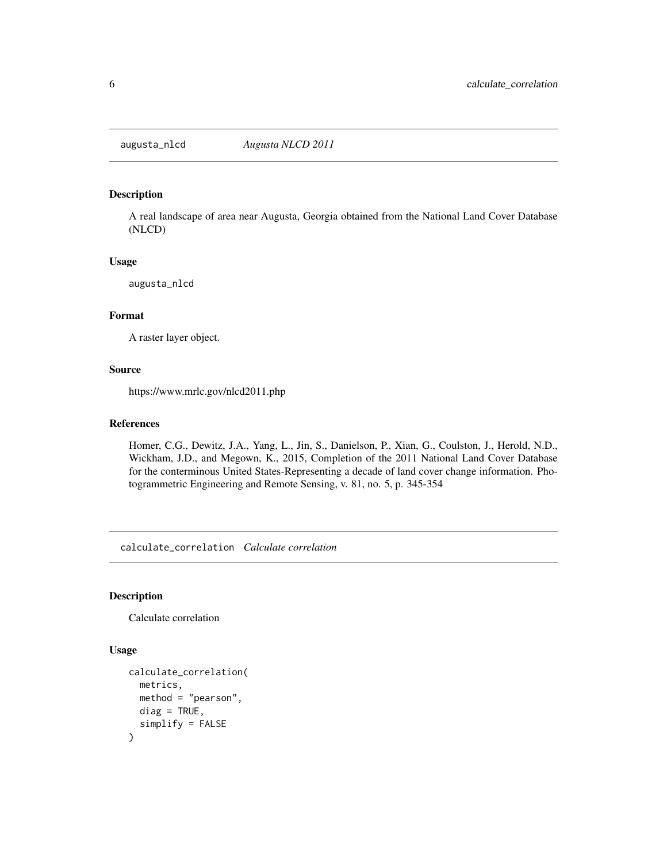<span id="page-5-0"></span>

### Description

A real landscape of area near Augusta, Georgia obtained from the National Land Cover Database (NLCD)

#### Usage

augusta\_nlcd

### Format

A raster layer object.

### Source

https://www.mrlc.gov/nlcd2011.php

# References

Homer, C.G., Dewitz, J.A., Yang, L., Jin, S., Danielson, P., Xian, G., Coulston, J., Herold, N.D., Wickham, J.D., and Megown, K., 2015, Completion of the 2011 National Land Cover Database for the conterminous United States-Representing a decade of land cover change information. Photogrammetric Engineering and Remote Sensing, v. 81, no. 5, p. 345-354

calculate\_correlation *Calculate correlation*

#### Description

Calculate correlation

```
calculate_correlation(
 metrics,
 method = "pearson",
 diag = TRUE,simplify = FALSE
)
```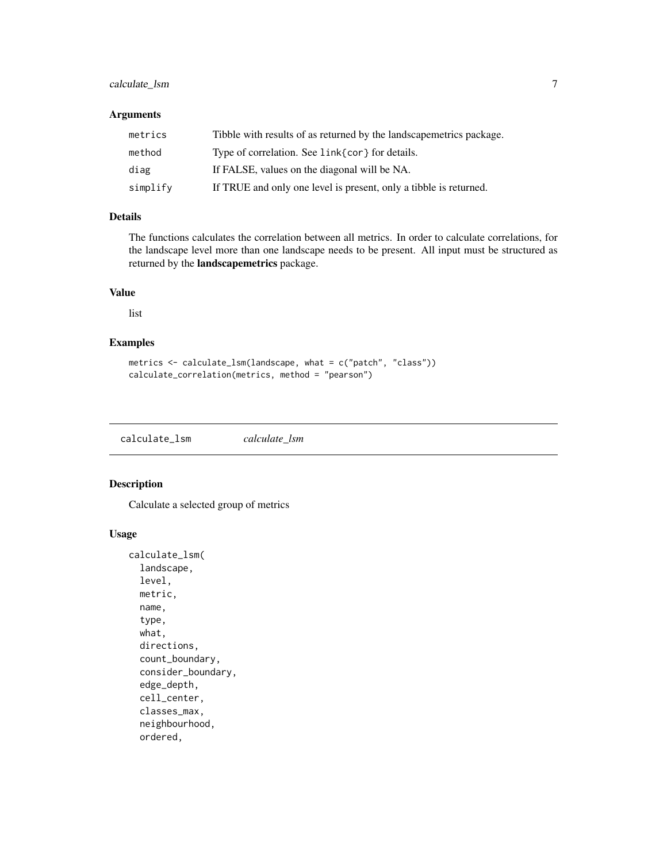# <span id="page-6-0"></span>calculate\_lsm  $\frac{7}{2}$

# Arguments

| metrics  | Tibble with results of as returned by the landscapemetrics package. |
|----------|---------------------------------------------------------------------|
| method   | Type of correlation. See link{cor} for details.                     |
| diag     | If FALSE, values on the diagonal will be NA.                        |
| simplify | If TRUE and only one level is present, only a tibble is returned.   |

# Details

The functions calculates the correlation between all metrics. In order to calculate correlations, for the landscape level more than one landscape needs to be present. All input must be structured as returned by the landscapemetrics package.

## Value

list

# Examples

```
metrics <- calculate_lsm(landscape, what = c("patch", "class"))
calculate_correlation(metrics, method = "pearson")
```
<span id="page-6-1"></span>calculate\_lsm *calculate\_lsm*

# Description

Calculate a selected group of metrics

```
calculate_lsm(
  landscape,
  level,
 metric,
 name,
  type,
  what,
  directions,
  count_boundary,
  consider_boundary,
  edge_depth,
  cell_center,
  classes_max,
  neighbourhood,
  ordered,
```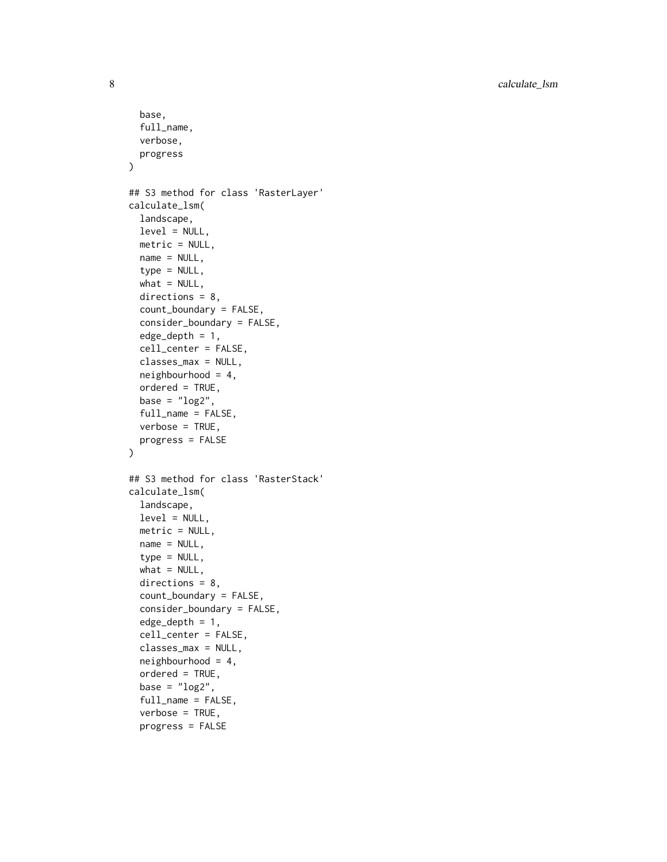8 calculate\_lsm

```
base,
  full_name,
  verbose,
 progress
\lambda## S3 method for class 'RasterLayer'
calculate_lsm(
  landscape,
  level = NULL,metric = NULL,
 name = NULL,type = NULL,
  what = NULL,directions = 8,
  count_boundary = FALSE,
  consider_boundary = FALSE,
  edge\_depth = 1,
  cell_center = FALSE,
  classes_max = NULL,
  neighbourhood = 4,
  ordered = TRUE,
  base = "log2",
  full_name = FALSE,
  verbose = TRUE,
 progress = FALSE
\mathcal{L}## S3 method for class 'RasterStack'
calculate_lsm(
  landscape,
  level = NULL,
  metric = NULL,
  name = NULL,
  type = NULL,
  what = NULL,directions = 8,
  count_boundary = FALSE,
  consider_boundary = FALSE,
  edge_depth = 1,
  cell_center = FALSE,
  classes_max = NULL,
  neighbourhood = 4,
  ordered = TRUE,
  base = "log2",
  full_name = FALSE,
  verbose = TRUE,
  progress = FALSE
```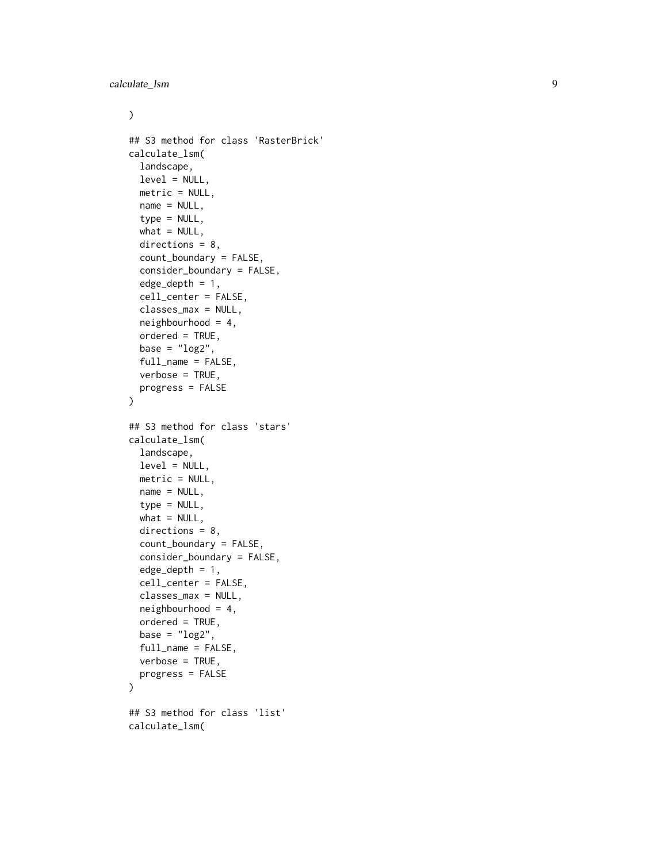# $\mathcal{L}$

```
## S3 method for class 'RasterBrick'
calculate_lsm(
  landscape,
  level = NULL,
  metric = NULL,
 name = NULL,type = NULL,
  what = NULL,directions = 8,
  count_boundary = FALSE,
  consider_boundary = FALSE,
  edge\_depth = 1,
  cell_center = FALSE,
  classes_max = NULL,
  neighbourhood = 4,
  ordered = TRUE,
 base = "log2",
  full_name = FALSE,
  verbose = TRUE,
 progress = FALSE
\mathcal{L}## S3 method for class 'stars'
calculate_lsm(
  landscape,
  level = NULL,
 metric = NULL,
 name = NULL,type = NULL,what = NULL,directions = 8,count_boundary = FALSE,
  consider_boundary = FALSE,
  edge_depth = 1,
  cell_center = FALSE,
  classes_max = NULL,
  neighbourhood = 4,
  ordered = TRUE,
  base = "log2",
  full_name = FALSE,
  verbose = TRUE,
 progress = FALSE
\lambda## S3 method for class 'list'
calculate_lsm(
```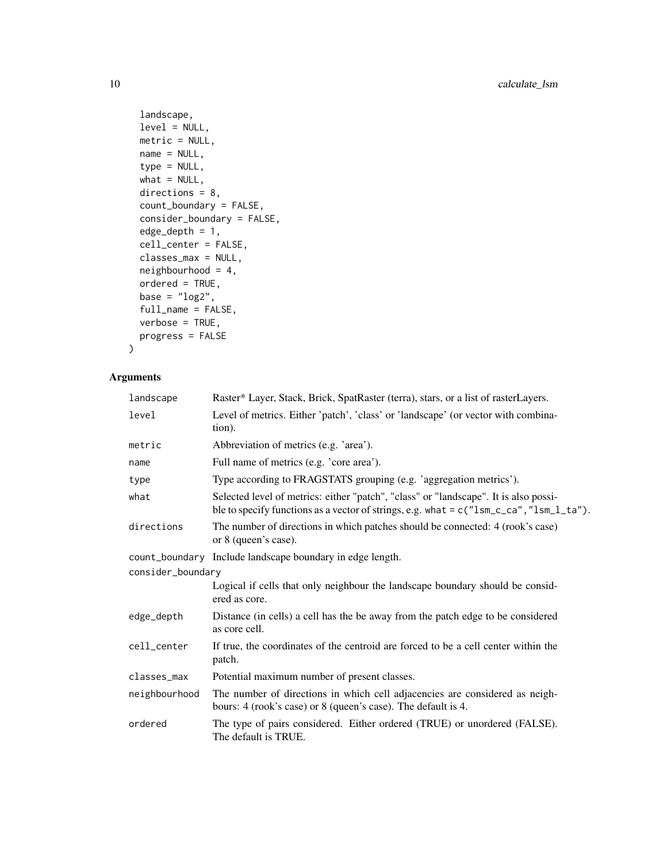```
landscape,
  level = NULL,
 metric = NULL,
 name = NULL,type = NULL,
 what = NULL,directions = 8,
  count_boundary = FALSE,
  consider_boundary = FALSE,
  edge_depth = 1,
  cell_center = FALSE,
  classes_max = NULL,
 neighbourhood = 4,
 ordered = TRUE,
 base = "log2",
  full_name = FALSE,
 verbose = TRUE,
 progress = FALSE
\mathcal{L}
```
# Arguments

| landscape         | Raster* Layer, Stack, Brick, SpatRaster (terra), stars, or a list of rasterLayers.                                                                                                |
|-------------------|-----------------------------------------------------------------------------------------------------------------------------------------------------------------------------------|
| level             | Level of metrics. Either 'patch', 'class' or 'landscape' (or vector with combina-<br>tion).                                                                                       |
| metric            | Abbreviation of metrics (e.g. 'area').                                                                                                                                            |
| name              | Full name of metrics (e.g. 'core area').                                                                                                                                          |
| type              | Type according to FRAGSTATS grouping (e.g. 'aggregation metrics').                                                                                                                |
| what              | Selected level of metrics: either "patch", "class" or "landscape". It is also possi-<br>ble to specify functions as a vector of strings, e.g. what = $c("lsm_cca", "lsm_l_t'a").$ |
| directions        | The number of directions in which patches should be connected: 4 (rook's case)<br>or 8 (queen's case).                                                                            |
|                   | count_boundary Include landscape boundary in edge length.                                                                                                                         |
| consider_boundary |                                                                                                                                                                                   |
|                   | Logical if cells that only neighbour the landscape boundary should be consid-<br>ered as core.                                                                                    |
| edge_depth        | Distance (in cells) a cell has the be away from the patch edge to be considered<br>as core cell.                                                                                  |
| cell_center       | If true, the coordinates of the centroid are forced to be a cell center within the<br>patch.                                                                                      |
| classes_max       | Potential maximum number of present classes.                                                                                                                                      |
| neighbourhood     | The number of directions in which cell adjacencies are considered as neigh-<br>bours: 4 (rook's case) or 8 (queen's case). The default is 4.                                      |
| ordered           | The type of pairs considered. Either ordered (TRUE) or unordered (FALSE).<br>The default is TRUE.                                                                                 |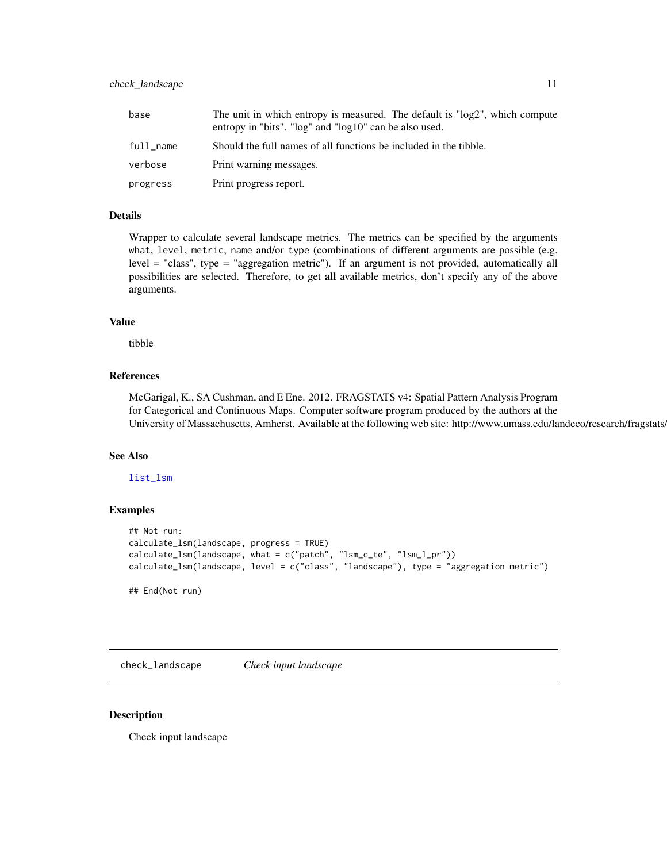# <span id="page-10-0"></span>check\_landscape 11

| base      | The unit in which entropy is measured. The default is "log2", which compute<br>entropy in "bits". "log" and "log10" can be also used. |
|-----------|---------------------------------------------------------------------------------------------------------------------------------------|
| full name | Should the full names of all functions be included in the tibble.                                                                     |
| verbose   | Print warning messages.                                                                                                               |
| progress  | Print progress report.                                                                                                                |

# Details

Wrapper to calculate several landscape metrics. The metrics can be specified by the arguments what, level, metric, name and/or type (combinations of different arguments are possible (e.g. level = "class", type = "aggregation metric"). If an argument is not provided, automatically all possibilities are selected. Therefore, to get all available metrics, don't specify any of the above arguments.

# Value

tibble

### References

McGarigal, K., SA Cushman, and E Ene. 2012. FRAGSTATS v4: Spatial Pattern Analysis Program for Categorical and Continuous Maps. Computer software program produced by the authors at the University of Massachusetts, Amherst. Available at the following web site: http://www.umass.edu/landeco/research/fragstats/

# See Also

[list\\_lsm](#page-32-1)

# Examples

```
## Not run:
calculate_lsm(landscape, progress = TRUE)
calculate_lsm(landscape, what = c("patch", "lsm_c_te", "lsm_l_pr"))
calculate_lsm(landscape, level = c("class", "landscape"), type = "aggregation metric")
## End(Not run)
```
check\_landscape *Check input landscape*

### Description

Check input landscape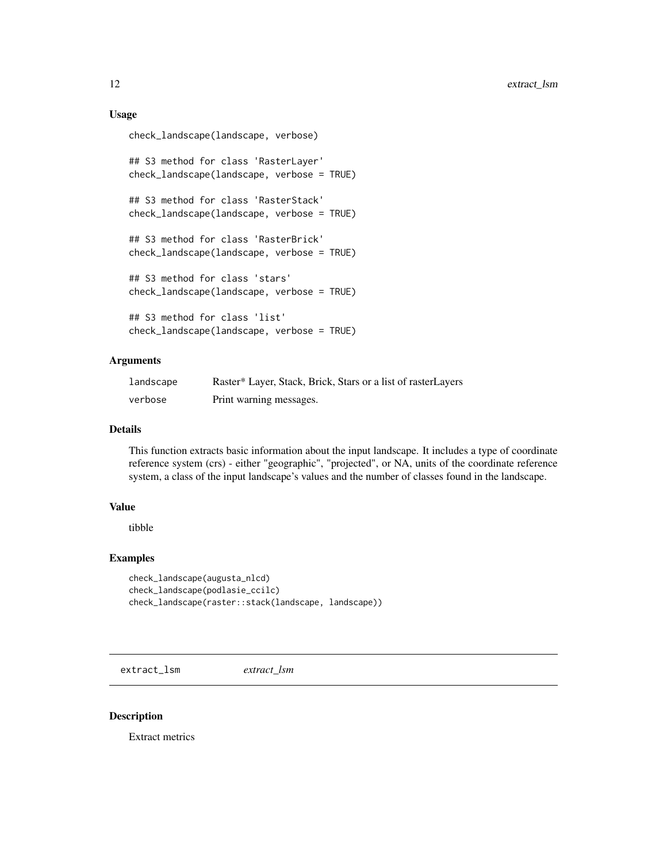# Usage

```
check_landscape(landscape, verbose)
```

```
## S3 method for class 'RasterLayer'
check_landscape(landscape, verbose = TRUE)
## S3 method for class 'RasterStack'
check_landscape(landscape, verbose = TRUE)
## S3 method for class 'RasterBrick'
check_landscape(landscape, verbose = TRUE)
## S3 method for class 'stars'
check_landscape(landscape, verbose = TRUE)
## S3 method for class 'list'
check_landscape(landscape, verbose = TRUE)
```
### Arguments

| landscape | Raster* Layer, Stack, Brick, Stars or a list of raster Layers |
|-----------|---------------------------------------------------------------|
| verbose   | Print warning messages.                                       |

### Details

This function extracts basic information about the input landscape. It includes a type of coordinate reference system (crs) - either "geographic", "projected", or NA, units of the coordinate reference system, a class of the input landscape's values and the number of classes found in the landscape.

# Value

tibble

# Examples

```
check_landscape(augusta_nlcd)
check_landscape(podlasie_ccilc)
check_landscape(raster::stack(landscape, landscape))
```
extract\_lsm *extract\_lsm*

# Description

Extract metrics

<span id="page-11-0"></span>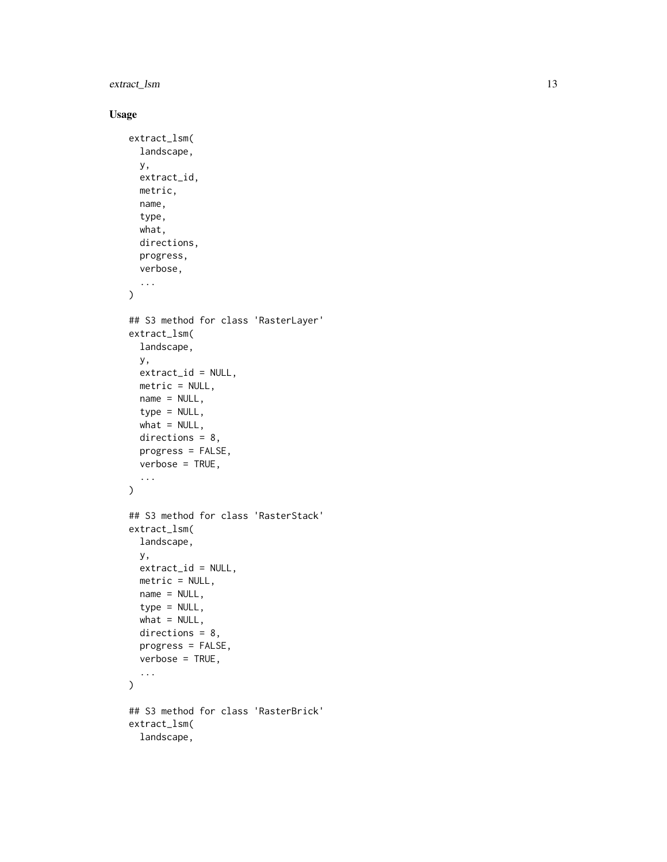extract\_lsm 13

```
extract_lsm(
  landscape,
  y,
  extract_id,
  metric,
  name,
  type,
  what,
  directions,
  progress,
  verbose,
  ...
\mathcal{L}## S3 method for class 'RasterLayer'
extract_lsm(
  landscape,
  y,
  extract_id = NULL,metric = NULL,
  name = NULL,type = NULL,
  what = NULL,directions = 8,
  progress = FALSE,
  verbose = TRUE,
  ...
\mathcal{L}## S3 method for class 'RasterStack'
extract_lsm(
  landscape,
  y,
  extract_id = NULL,
  metric = NULL,
  name = NULL,type = NULL,
  what = NULL,directions = 8,
  progress = FALSE,
  verbose = TRUE,
  ...
\mathcal{L}## S3 method for class 'RasterBrick'
extract_lsm(
  landscape,
```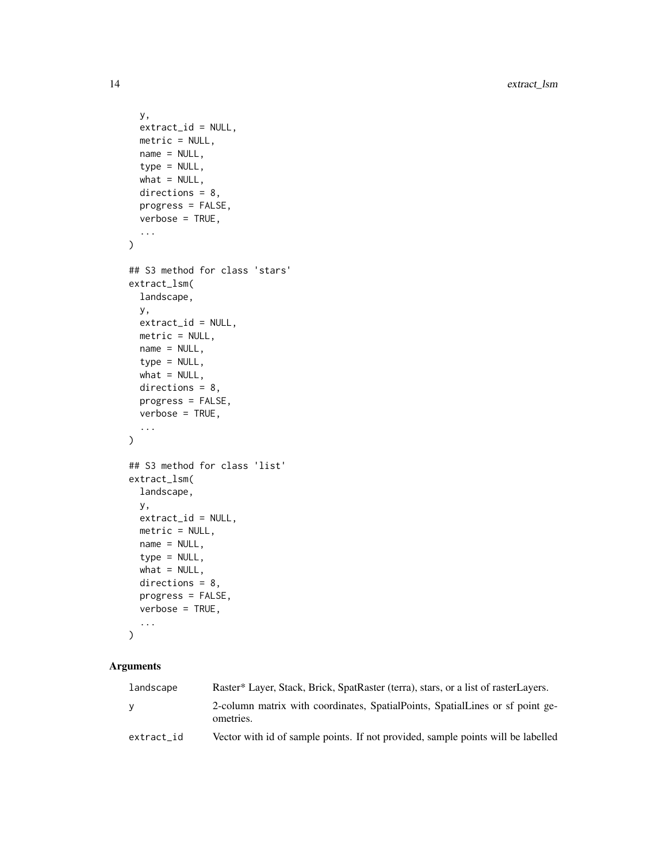```
y,
 extract_id = NULL,
 metric = NULL,
 name = NULL,type = NULL,
 what = NULL,directions = 8,
 progress = FALSE,
 verbose = TRUE,
  ...
\mathcal{L}## S3 method for class 'stars'
extract_lsm(
 landscape,
 y,
 extract_id = NULL,
 metric = NULL,
 name = NULL,type = NULL,
 what = NULL,directions = 8,progress = FALSE,
 verbose = TRUE,
  ...
\mathcal{L}## S3 method for class 'list'
extract_lsm(
 landscape,
 y,
 extract_id = NULL,
 metric = NULL,name = NULL,type = NULL,
 what = NULL,directions = 8,
 progress = FALSE,
 verbose = TRUE,
  ...
\mathcal{L}
```
# Arguments

| landscape  | Raster* Layer, Stack, Brick, SpatRaster (terra), stars, or a list of rasterLayers.         |
|------------|--------------------------------------------------------------------------------------------|
| y.         | 2-column matrix with coordinates, SpatialPoints, SpatialLines or sf point ge-<br>ometries. |
| extract_id | Vector with id of sample points. If not provided, sample points will be labelled           |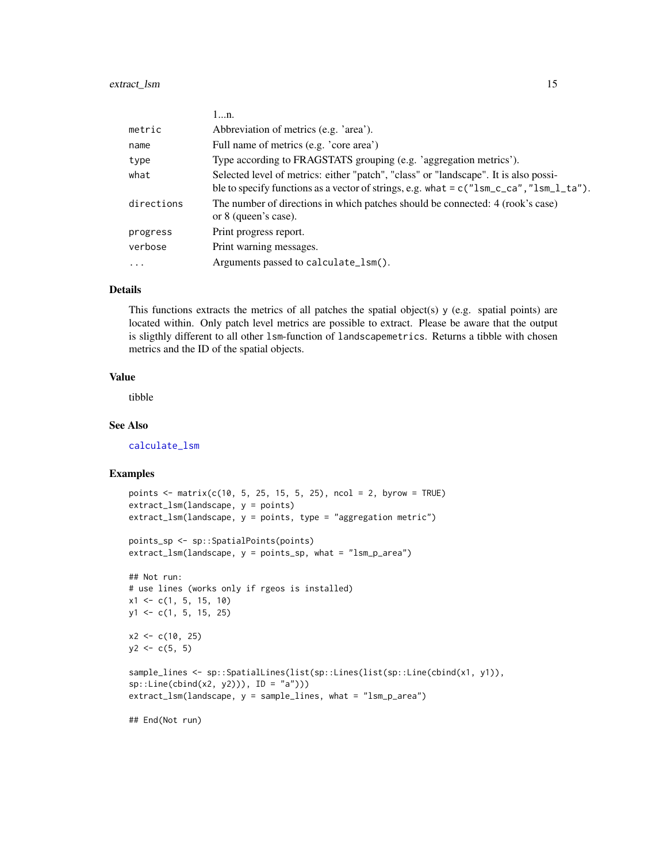|            | 1n.                                                                                                                                                                               |
|------------|-----------------------------------------------------------------------------------------------------------------------------------------------------------------------------------|
| metric     | Abbreviation of metrics (e.g. 'area').                                                                                                                                            |
| name       | Full name of metrics (e.g. 'core area')                                                                                                                                           |
| type       | Type according to FRAGSTATS grouping (e.g. 'aggregation metrics').                                                                                                                |
| what       | Selected level of metrics: either "patch", "class" or "landscape". It is also possi-<br>ble to specify functions as a vector of strings, e.g. what = $c("lsm_cca", "lsm_l_ta")$ . |
| directions | The number of directions in which patches should be connected: 4 (rook's case)<br>or 8 (queen's case).                                                                            |
| progress   | Print progress report.                                                                                                                                                            |
| verbose    | Print warning messages.                                                                                                                                                           |
| $\cdots$   | Arguments passed to calculate_lsm().                                                                                                                                              |

#### Details

This functions extracts the metrics of all patches the spatial object(s)  $y$  (e.g. spatial points) are located within. Only patch level metrics are possible to extract. Please be aware that the output is sligthly different to all other lsm-function of landscapemetrics. Returns a tibble with chosen metrics and the ID of the spatial objects.

# Value

tibble

### See Also

[calculate\\_lsm](#page-6-1)

### Examples

```
points \le matrix(c(10, 5, 25, 15, 5, 25), ncol = 2, byrow = TRUE)
extract_lsm(landscape, y = points)
extract_lsm(landscape, y = points, type = "aggregation metric")
points_sp <- sp::SpatialPoints(points)
extract_lsm(landscape, y = points_sp, what = "lsm_p_area")
## Not run:
# use lines (works only if rgeos is installed)
x1 \leftarrow c(1, 5, 15, 10)y1 <- c(1, 5, 15, 25)
x2 \leq -c(10, 25)y2 \leq -c(5, 5)sample_lines <- sp::SpatialLines(list(sp::Lines(list(sp::Line(cbind(x1, y1)),
sp::Line(cbind(x2, y2))), ID = "a")))
extract_lsm(landscape, y = sample_lines, what = "lsm_p_area")
```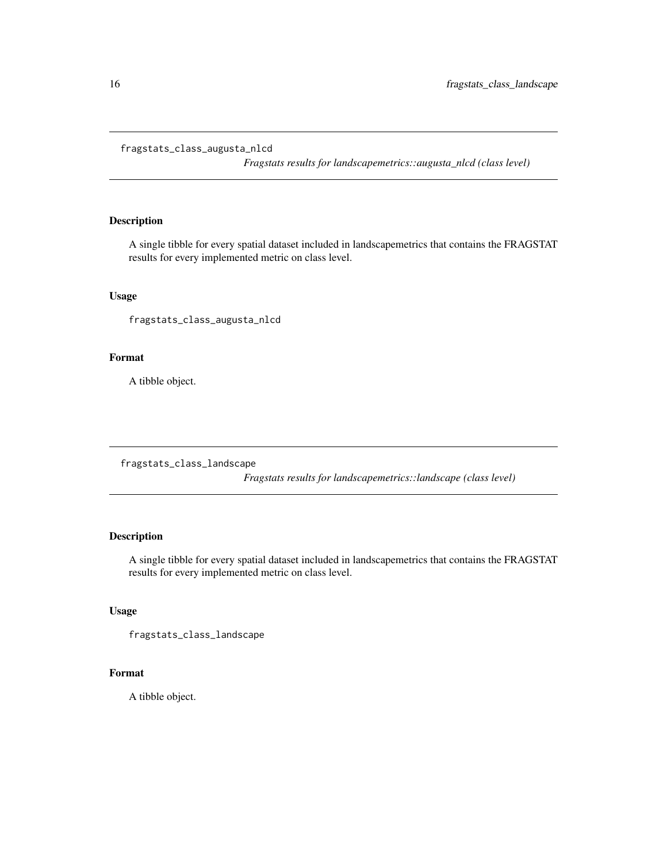#### <span id="page-15-0"></span>fragstats\_class\_augusta\_nlcd

*Fragstats results for landscapemetrics::augusta\_nlcd (class level)*

# Description

A single tibble for every spatial dataset included in landscapemetrics that contains the FRAGSTAT results for every implemented metric on class level.

### Usage

fragstats\_class\_augusta\_nlcd

### Format

A tibble object.

fragstats\_class\_landscape

*Fragstats results for landscapemetrics::landscape (class level)*

# Description

A single tibble for every spatial dataset included in landscapemetrics that contains the FRAGSTAT results for every implemented metric on class level.

# Usage

```
fragstats_class_landscape
```
# Format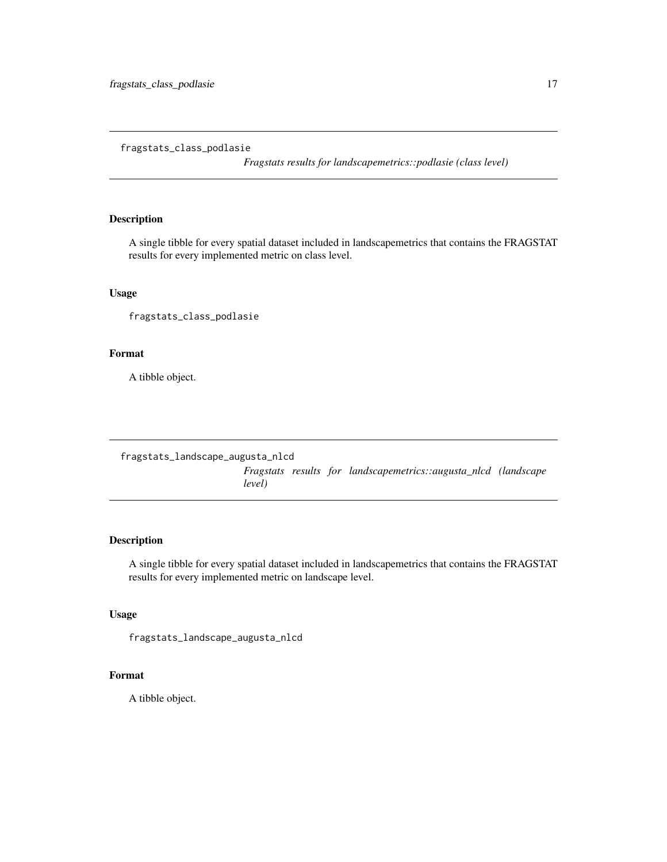<span id="page-16-0"></span>fragstats\_class\_podlasie

*Fragstats results for landscapemetrics::podlasie (class level)*

# Description

A single tibble for every spatial dataset included in landscapemetrics that contains the FRAGSTAT results for every implemented metric on class level.

# Usage

fragstats\_class\_podlasie

# Format

A tibble object.

fragstats\_landscape\_augusta\_nlcd

*Fragstats results for landscapemetrics::augusta\_nlcd (landscape level)*

### Description

A single tibble for every spatial dataset included in landscapemetrics that contains the FRAGSTAT results for every implemented metric on landscape level.

# Usage

```
fragstats_landscape_augusta_nlcd
```
#### Format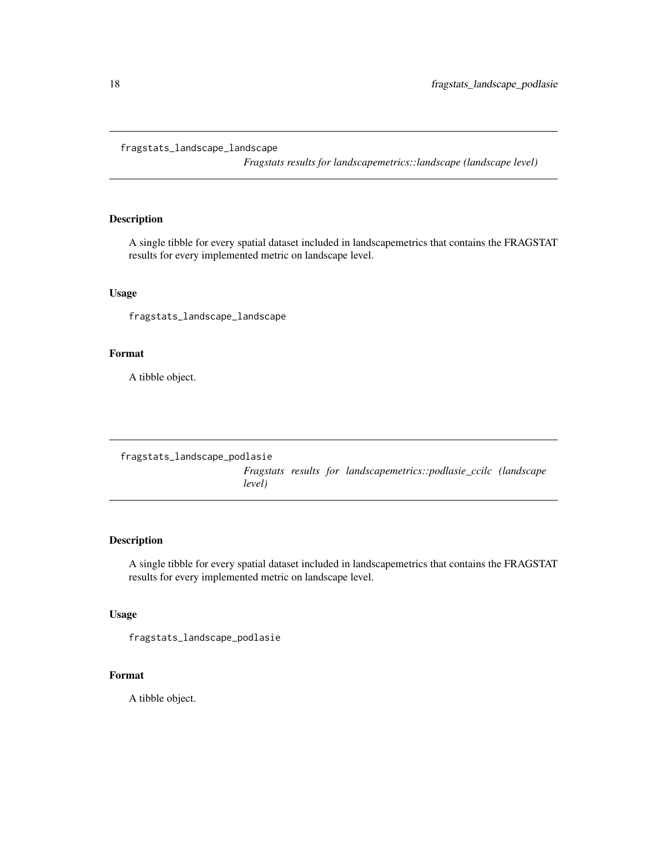#### <span id="page-17-0"></span>fragstats\_landscape\_landscape

*Fragstats results for landscapemetrics::landscape (landscape level)*

# Description

A single tibble for every spatial dataset included in landscapemetrics that contains the FRAGSTAT results for every implemented metric on landscape level.

# Usage

fragstats\_landscape\_landscape

# Format

A tibble object.

fragstats\_landscape\_podlasie

*Fragstats results for landscapemetrics::podlasie\_ccilc (landscape level)*

### Description

A single tibble for every spatial dataset included in landscapemetrics that contains the FRAGSTAT results for every implemented metric on landscape level.

# Usage

```
fragstats_landscape_podlasie
```
### Format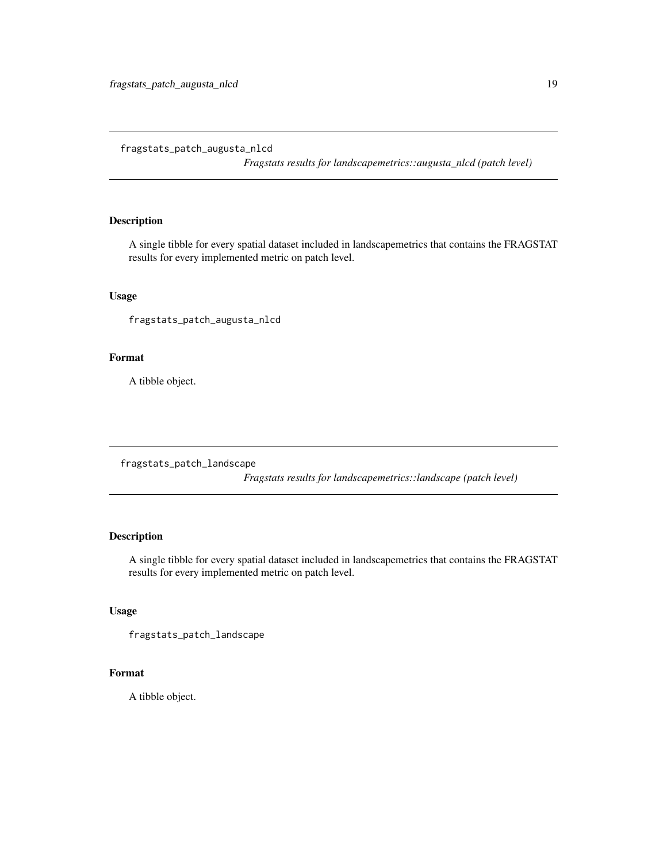<span id="page-18-0"></span>fragstats\_patch\_augusta\_nlcd

*Fragstats results for landscapemetrics::augusta\_nlcd (patch level)*

# Description

A single tibble for every spatial dataset included in landscapemetrics that contains the FRAGSTAT results for every implemented metric on patch level.

### Usage

fragstats\_patch\_augusta\_nlcd

# Format

A tibble object.

fragstats\_patch\_landscape

*Fragstats results for landscapemetrics::landscape (patch level)*

# Description

A single tibble for every spatial dataset included in landscapemetrics that contains the FRAGSTAT results for every implemented metric on patch level.

# Usage

```
fragstats_patch_landscape
```
# Format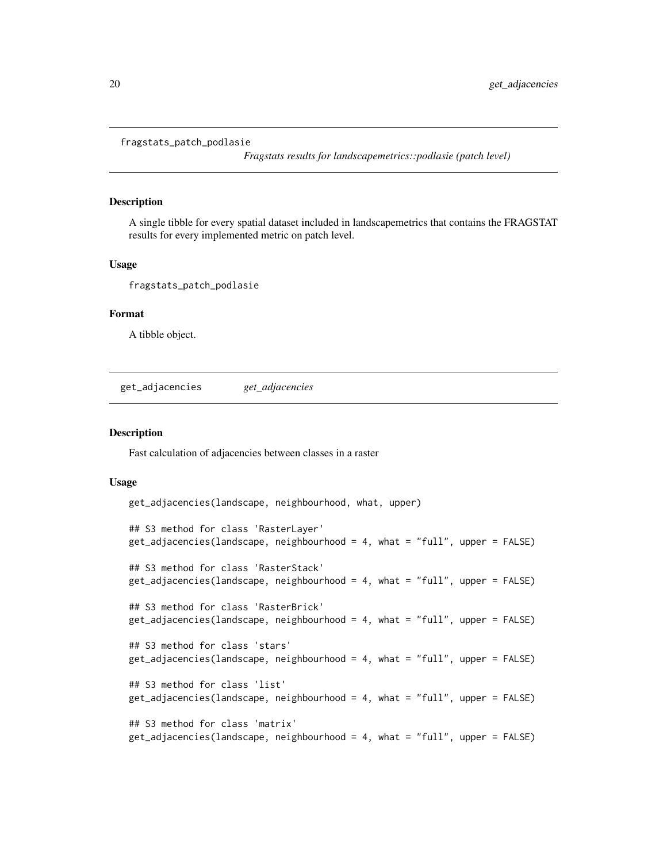<span id="page-19-0"></span>fragstats\_patch\_podlasie

*Fragstats results for landscapemetrics::podlasie (patch level)*

#### Description

A single tibble for every spatial dataset included in landscapemetrics that contains the FRAGSTAT results for every implemented metric on patch level.

### Usage

fragstats\_patch\_podlasie

#### Format

A tibble object.

get\_adjacencies *get\_adjacencies*

#### **Description**

Fast calculation of adjacencies between classes in a raster

```
get_adjacencies(landscape, neighbourhood, what, upper)
## S3 method for class 'RasterLayer'
get\_adjacencies(landscope, neighbourhood = 4, what = "full", upper = FALSE)## S3 method for class 'RasterStack'
get_adjacencies(landscape, neighbourhood = 4, what = "full", upper = FALSE)
## S3 method for class 'RasterBrick'
get\_adjacencies(landscope, neighbourhood = 4, what = "full", upper = FALSE)## S3 method for class 'stars'
get_adjacencies(landscape, neighbourhood = 4, what = "full", upper = FALSE)
## S3 method for class 'list'
get\_adjacencies(landscope, neighbourhood = 4, what = "full", upper = FALSE)## S3 method for class 'matrix'
get_adjacencies(landscape, neighbourhood = 4, what = "full", upper = FALSE)
```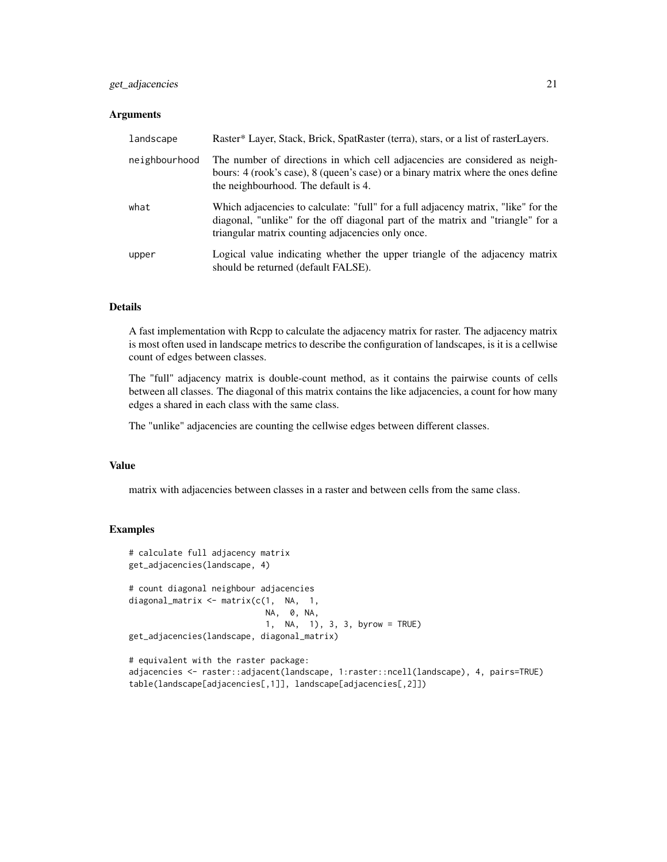# get\_adjacencies 21

## Arguments

| landscape     | Raster* Layer, Stack, Brick, SpatRaster (terra), stars, or a list of rasterLayers.                                                                                                                                         |
|---------------|----------------------------------------------------------------------------------------------------------------------------------------------------------------------------------------------------------------------------|
| neighbourhood | The number of directions in which cell adjacencies are considered as neigh-<br>bours: 4 (rook's case), 8 (queen's case) or a binary matrix where the ones define<br>the neighbourhood. The default is 4.                   |
| what          | Which adjacencies to calculate: "full" for a full adjacency matrix, "like" for the<br>diagonal, "unlike" for the off diagonal part of the matrix and "triangle" for a<br>triangular matrix counting adjacencies only once. |
| upper         | Logical value indicating whether the upper triangle of the adjacency matrix<br>should be returned (default FALSE).                                                                                                         |

### Details

A fast implementation with Rcpp to calculate the adjacency matrix for raster. The adjacency matrix is most often used in landscape metrics to describe the configuration of landscapes, is it is a cellwise count of edges between classes.

The "full" adjacency matrix is double-count method, as it contains the pairwise counts of cells between all classes. The diagonal of this matrix contains the like adjacencies, a count for how many edges a shared in each class with the same class.

The "unlike" adjacencies are counting the cellwise edges between different classes.

#### Value

matrix with adjacencies between classes in a raster and between cells from the same class.

#### Examples

```
# calculate full adjacency matrix
get_adjacencies(landscape, 4)
# count diagonal neighbour adjacencies
diagonal_matrix <- matrix(c(1, NA, 1,
                           NA, 0, NA,
                           1, NA, 1), 3, 3, byrow = TRUE)
get_adjacencies(landscape, diagonal_matrix)
# equivalent with the raster package:
```
adjacencies <- raster::adjacent(landscape, 1:raster::ncell(landscape), 4, pairs=TRUE) table(landscape[adjacencies[,1]], landscape[adjacencies[,2]])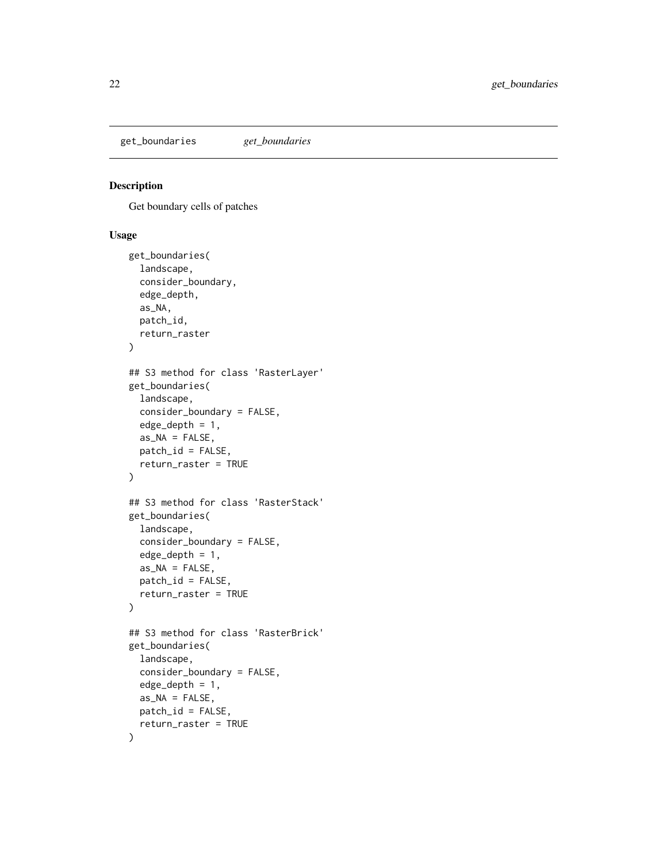<span id="page-21-0"></span>get\_boundaries *get\_boundaries*

# Description

Get boundary cells of patches

```
get_boundaries(
  landscape,
  consider_boundary,
  edge_depth,
  as_NA,
  patch_id,
  return_raster
)
## S3 method for class 'RasterLayer'
get_boundaries(
  landscape,
  consider_boundary = FALSE,
  edge\_depth = 1,
  as_NA = FALSE,
 patch_id = FALSE,return_raster = TRUE
)
## S3 method for class 'RasterStack'
get_boundaries(
  landscape,
  consider_boundary = FALSE,
  edge\_depth = 1,
  as_N = FALSE,patch_id = FALSE,
  return_raster = TRUE
)
## S3 method for class 'RasterBrick'
get_boundaries(
  landscape,
  consider_boundary = FALSE,
  edge_depth = 1,
  as_N = FALSE,
 patch_id = FALSE,
  return_raster = TRUE
\mathcal{E}
```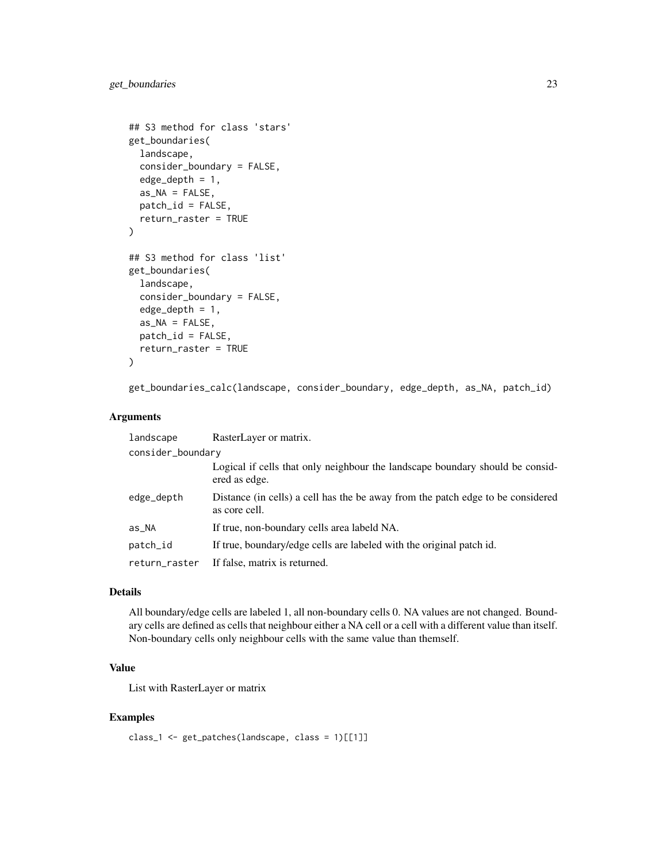```
## S3 method for class 'stars'
get_boundaries(
  landscape,
  consider_boundary = FALSE,
  edge\_depth = 1,
  as_N = FALSE,patch_id = FALSE,
  return_raster = TRUE
)
## S3 method for class 'list'
get_boundaries(
 landscape,
 consider_boundary = FALSE,
  edge\_depth = 1,
  as_NA = FALSE,
 patch_id = FALSE,return_raster = TRUE
)
```
get\_boundaries\_calc(landscape, consider\_boundary, edge\_depth, as\_NA, patch\_id)

### Arguments

| landscape         | RasterLayer or matrix.                                                                            |
|-------------------|---------------------------------------------------------------------------------------------------|
| consider_boundary |                                                                                                   |
|                   | Logical if cells that only neighbour the landscape boundary should be considered<br>ered as edge. |
| edge_depth        | Distance (in cells) a cell has the be away from the patch edge to be considered<br>as core cell.  |
| as_NA             | If true, non-boundary cells area labeld NA.                                                       |
| patch_id          | If true, boundary/edge cells are labeled with the original patch id.                              |
| return_raster     | If false, matrix is returned.                                                                     |

# Details

All boundary/edge cells are labeled 1, all non-boundary cells 0. NA values are not changed. Boundary cells are defined as cells that neighbour either a NA cell or a cell with a different value than itself. Non-boundary cells only neighbour cells with the same value than themself.

# Value

List with RasterLayer or matrix

# Examples

class\_1 <- get\_patches(landscape, class = 1)[[1]]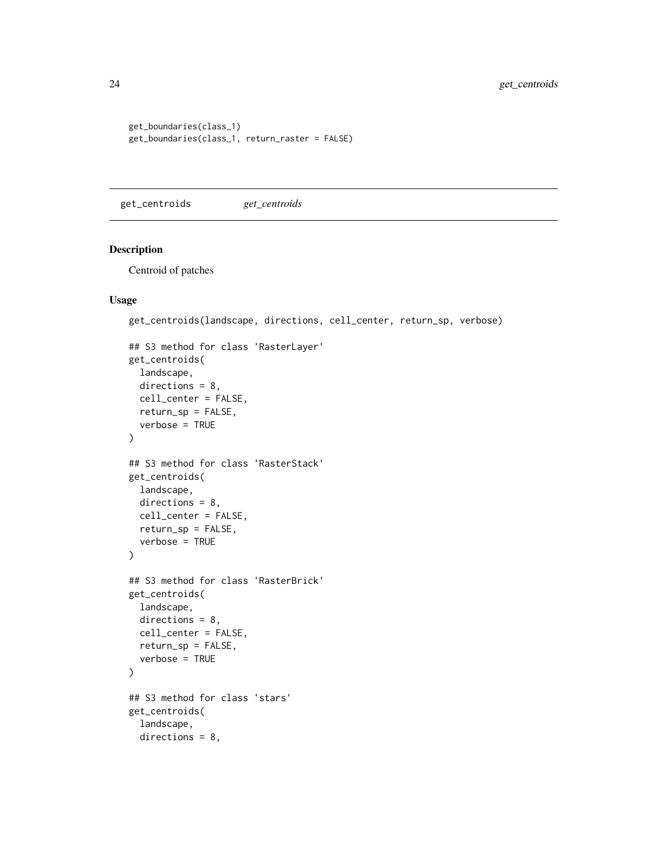```
get_boundaries(class_1)
get_boundaries(class_1, return_raster = FALSE)
```
get\_centroids *get\_centroids*

#### Description

Centroid of patches

```
get_centroids(landscape, directions, cell_center, return_sp, verbose)
```

```
## S3 method for class 'RasterLayer'
get_centroids(
  landscape,
 directions = 8,
 cell_center = FALSE,
 return_sp = FALSE,
  verbose = TRUE
\mathcal{L}## S3 method for class 'RasterStack'
get_centroids(
 landscape,
 directions = 8,cell_center = FALSE,
 return_sp = FALSE,
  verbose = TRUE
\lambda## S3 method for class 'RasterBrick'
get_centroids(
 landscape,
 directions = 8,
 cell_center = FALSE,
  return_sp = FALSE,
  verbose = TRUE
\mathcal{L}## S3 method for class 'stars'
get_centroids(
  landscape,
 directions = 8,
```
<span id="page-23-0"></span>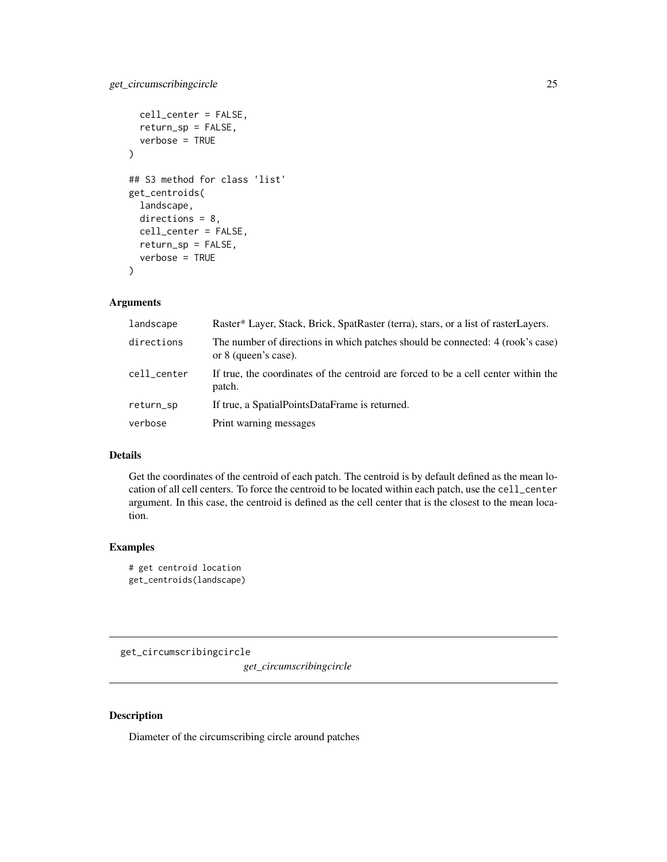```
cell_center = FALSE,
  return_sp = FALSE,
  verbose = TRUE
\mathcal{L}## S3 method for class 'list'
get_centroids(
  landscape,
 directions = 8,
  cell_center = FALSE,
  return_sp = FALSE,
  verbose = TRUE
)
```
# Arguments

| landscape   | Raster* Layer, Stack, Brick, SpatRaster (terra), stars, or a list of rasterLayers.                     |
|-------------|--------------------------------------------------------------------------------------------------------|
| directions  | The number of directions in which patches should be connected: 4 (rook's case)<br>or 8 (queen's case). |
| cell_center | If true, the coordinates of the centroid are forced to be a cell center within the<br>patch.           |
| return_sp   | If true, a SpatialPointsDataFrame is returned.                                                         |
| verbose     | Print warning messages                                                                                 |

# Details

Get the coordinates of the centroid of each patch. The centroid is by default defined as the mean location of all cell centers. To force the centroid to be located within each patch, use the cell\_center argument. In this case, the centroid is defined as the cell center that is the closest to the mean location.

# Examples

```
# get centroid location
get_centroids(landscape)
```
get\_circumscribingcircle

*get\_circumscribingcircle*

### Description

Diameter of the circumscribing circle around patches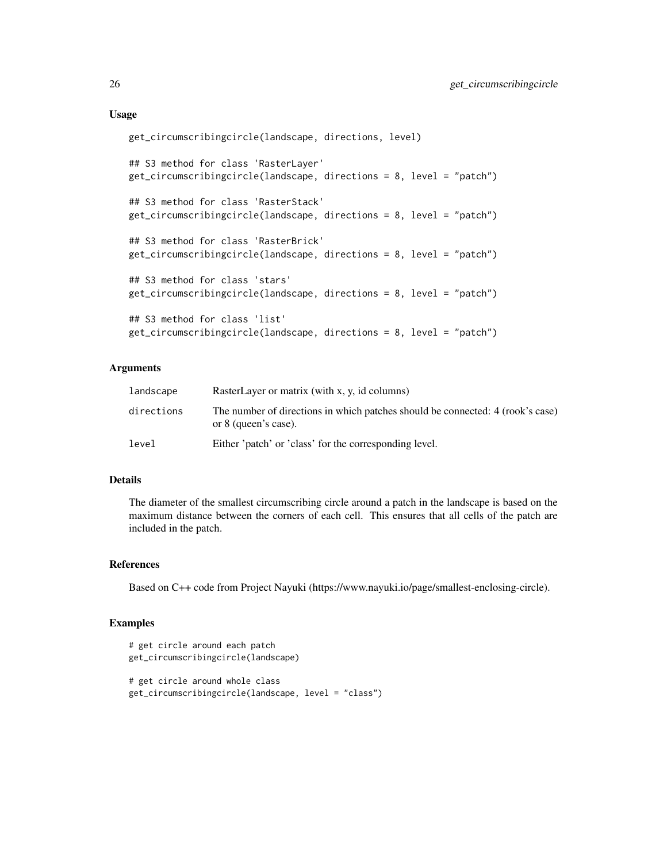### Usage

```
get_circumscribingcircle(landscape, directions, level)
## S3 method for class 'RasterLayer'
get_circumscribingcircle(landscape, directions = 8, level = "patch")
## S3 method for class 'RasterStack'
get_circumscribingcircle(landscape, directions = 8, level = "patch")
## S3 method for class 'RasterBrick'
get_circumscribingcircle(landscape, directions = 8, level = "patch")
## S3 method for class 'stars'
get_circumscribingcircle(landscape, directions = 8, level = "patch")
## S3 method for class 'list'
get_circumscribingcircle(landscape, directions = 8, level = "patch")
```
# Arguments

| landscape  | RasterLayer or matrix (with x, y, id columns)                                                          |
|------------|--------------------------------------------------------------------------------------------------------|
| directions | The number of directions in which patches should be connected: 4 (rook's case)<br>or 8 (queen's case). |
| level      | Either 'patch' or 'class' for the corresponding level.                                                 |

# Details

The diameter of the smallest circumscribing circle around a patch in the landscape is based on the maximum distance between the corners of each cell. This ensures that all cells of the patch are included in the patch.

# References

Based on C++ code from Project Nayuki (https://www.nayuki.io/page/smallest-enclosing-circle).

### Examples

```
# get circle around each patch
get_circumscribingcircle(landscape)
# get circle around whole class
get_circumscribingcircle(landscape, level = "class")
```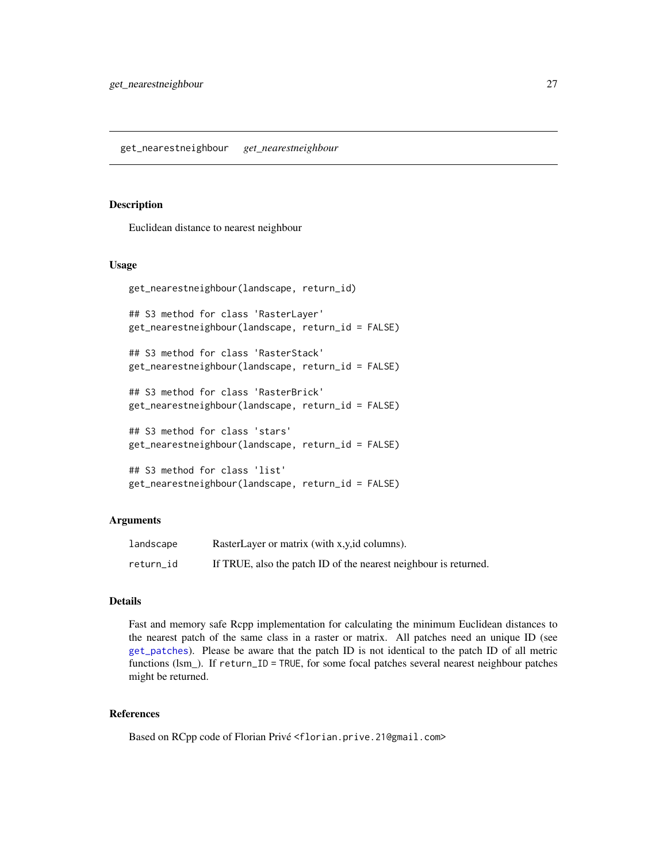### <span id="page-26-0"></span>Description

Euclidean distance to nearest neighbour

### Usage

```
get_nearestneighbour(landscape, return_id)
```
## S3 method for class 'RasterLayer' get\_nearestneighbour(landscape, return\_id = FALSE)

```
## S3 method for class 'RasterStack'
get_nearestneighbour(landscape, return_id = FALSE)
```

```
## S3 method for class 'RasterBrick'
get_nearestneighbour(landscape, return_id = FALSE)
```

```
## S3 method for class 'stars'
get_nearestneighbour(landscape, return_id = FALSE)
```

```
## S3 method for class 'list'
get_nearestneighbour(landscape, return_id = FALSE)
```
# Arguments

| landscape | RasterLayer or matrix (with x,y, id columns).                    |
|-----------|------------------------------------------------------------------|
| return_id | If TRUE, also the patch ID of the nearest neighbour is returned. |

# **Details**

Fast and memory safe Rcpp implementation for calculating the minimum Euclidean distances to the nearest patch of the same class in a raster or matrix. All patches need an unique ID (see [get\\_patches](#page-27-1)). Please be aware that the patch ID is not identical to the patch ID of all metric functions (lsm\_). If return\_ID = TRUE, for some focal patches several nearest neighbour patches might be returned.

# References

Based on RCpp code of Florian Privé <florian.prive.21@gmail.com>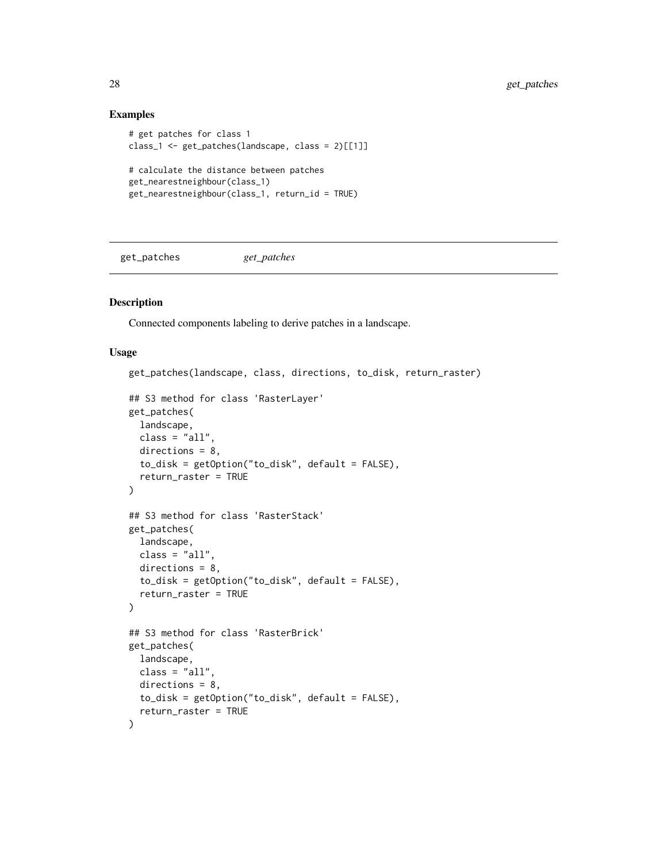### Examples

```
# get patches for class 1
class_1 <- get_patches(landscape, class = 2)[[1]]
# calculate the distance between patches
get_nearestneighbour(class_1)
get_nearestneighbour(class_1, return_id = TRUE)
```
<span id="page-27-1"></span>get\_patches *get\_patches*

### Description

Connected components labeling to derive patches in a landscape.

```
get_patches(landscape, class, directions, to_disk, return_raster)
## S3 method for class 'RasterLayer'
get_patches(
  landscape,
 class = "all",directions = 8,
  to_disk = getOption("to_disk", default = FALSE),
  return_raster = TRUE
)
## S3 method for class 'RasterStack'
get_patches(
 landscape,
 class = "all",
  directions = 8,
  to_disk = getOption("to_disk", default = FALSE),
  return_raster = TRUE
)
## S3 method for class 'RasterBrick'
get_patches(
  landscape,
 class = "all".
 directions = 8,
  to_disk = getOption("to_disk", default = FALSE),
  return_raster = TRUE
\lambda
```
<span id="page-27-0"></span>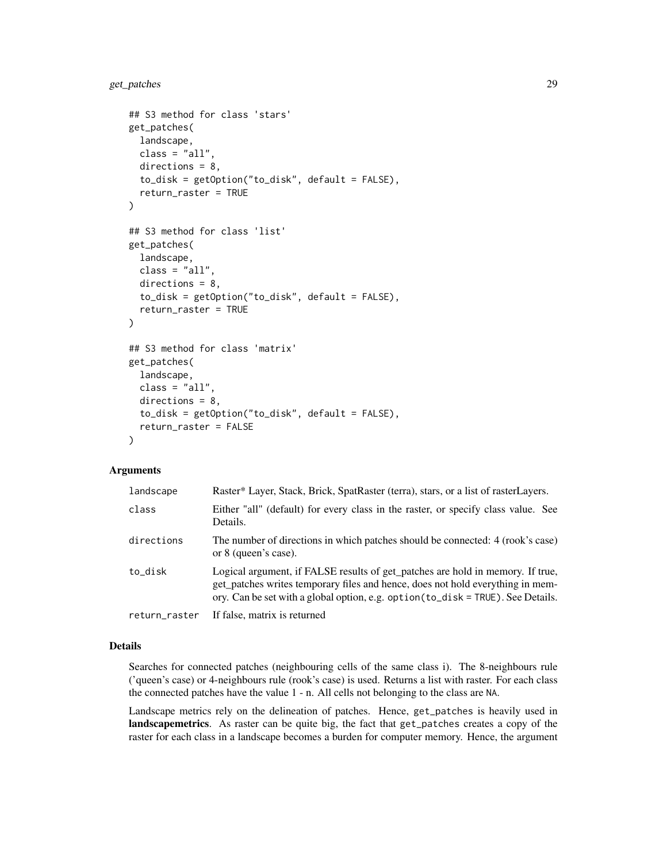```
## S3 method for class 'stars'
get_patches(
 landscape,
 class = "all",
 directions = 8,
  to_disk = getOption("to_disk", default = FALSE),
  return_raster = TRUE
\lambda## S3 method for class 'list'
get_patches(
  landscape,
 class = "all",directions = 8,
  to_disk = getOption("to_disk", default = FALSE),
  return_raster = TRUE
)
## S3 method for class 'matrix'
get_patches(
 landscape,
 class = "all",
 directions = 8,
  to_disk = getOption("to_disk", default = FALSE),
  return_raster = FALSE
\lambda
```
### Arguments

| landscape     | Raster* Layer, Stack, Brick, SpatRaster (terra), stars, or a list of rasterLayers.                                                                                                                                                                   |  |
|---------------|------------------------------------------------------------------------------------------------------------------------------------------------------------------------------------------------------------------------------------------------------|--|
| class         | Either "all" (default) for every class in the raster, or specify class value. See<br>Details.                                                                                                                                                        |  |
| directions    | The number of directions in which patches should be connected: 4 (rook's case)<br>or 8 (queen's case).                                                                                                                                               |  |
| to_disk       | Logical argument, if FALSE results of get_patches are hold in memory. If true,<br>get_patches writes temporary files and hence, does not hold everything in mem-<br>ory. Can be set with a global option, e.g. option (to_disk = TRUE). See Details. |  |
| return_raster | If false, matrix is returned                                                                                                                                                                                                                         |  |

#### Details

Searches for connected patches (neighbouring cells of the same class i). The 8-neighbours rule ('queen's case) or 4-neighbours rule (rook's case) is used. Returns a list with raster. For each class the connected patches have the value 1 - n. All cells not belonging to the class are NA.

Landscape metrics rely on the delineation of patches. Hence, get\_patches is heavily used in landscapemetrics. As raster can be quite big, the fact that get\_patches creates a copy of the raster for each class in a landscape becomes a burden for computer memory. Hence, the argument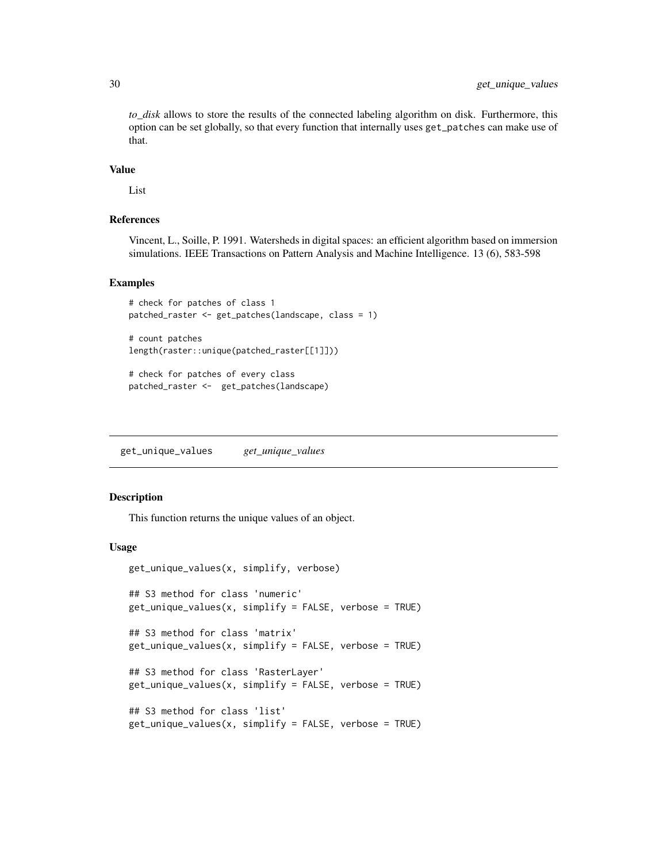*to\_disk* allows to store the results of the connected labeling algorithm on disk. Furthermore, this option can be set globally, so that every function that internally uses get\_patches can make use of that.

### Value

List

### References

Vincent, L., Soille, P. 1991. Watersheds in digital spaces: an efficient algorithm based on immersion simulations. IEEE Transactions on Pattern Analysis and Machine Intelligence. 13 (6), 583-598

# Examples

```
# check for patches of class 1
patched_raster <- get_patches(landscape, class = 1)
```

```
# count patches
length(raster::unique(patched_raster[[1]]))
```

```
# check for patches of every class
patched_raster <- get_patches(landscape)
```
get\_unique\_values *get\_unique\_values*

### Description

This function returns the unique values of an object.

```
get_unique_values(x, simplify, verbose)
## S3 method for class 'numeric'
get_unique_values(x, simplify = FALSE, verbose = TRUE)
## S3 method for class 'matrix'
get_unique_values(x, simplify = FALSE, verbose = TRUE)
## S3 method for class 'RasterLayer'
get\_unique\_values(x, simplify = FALSE, verbose = TRUE)## S3 method for class 'list'
get_unique_values(x, simplify = FALSE, verbose = TRUE)
```
<span id="page-29-0"></span>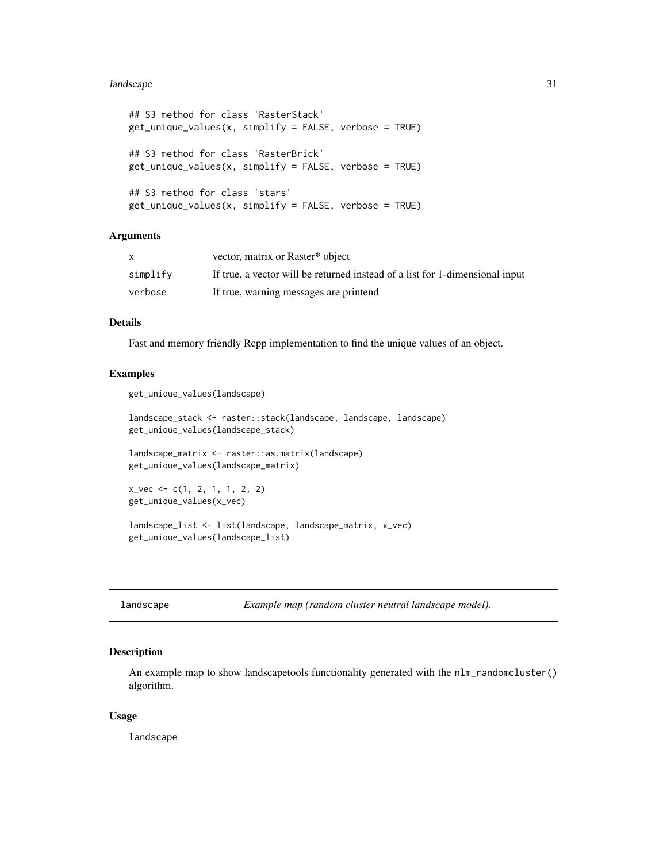#### <span id="page-30-0"></span>landscape 31 and 32 and 32 and 32 and 32 and 32 and 32 and 32 and 32 and 32 and 32 and 32 and 32 and 32 and 32

```
## S3 method for class 'RasterStack'
get\_unique\_values(x, simply = FALSE, verbose = TRUE)## S3 method for class 'RasterBrick'
get\_unique\_values(x, simplify = FALSE, verbose = TRUE)## S3 method for class 'stars'
get_unique_values(x, simplify = FALSE, verbose = TRUE)
```
### Arguments

|          | vector, matrix or Raster* object                                             |
|----------|------------------------------------------------------------------------------|
| simplify | If true, a vector will be returned instead of a list for 1-dimensional input |
| verbose  | If true, warning messages are printend                                       |

### Details

Fast and memory friendly Rcpp implementation to find the unique values of an object.

#### Examples

get\_unique\_values(landscape)

```
landscape_stack <- raster::stack(landscape, landscape, landscape)
get_unique_values(landscape_stack)
```
landscape\_matrix <- raster::as.matrix(landscape) get\_unique\_values(landscape\_matrix)

```
x_vec <- c(1, 2, 1, 1, 2, 2)
get_unique_values(x_vec)
```
landscape\_list <- list(landscape, landscape\_matrix, x\_vec) get\_unique\_values(landscape\_list)

|  |  | landscape |
|--|--|-----------|
|  |  |           |

Example map (random cluster neutral landscape model).

### Description

An example map to show landscapetools functionality generated with the nlm\_randomcluster() algorithm.

#### Usage

landscape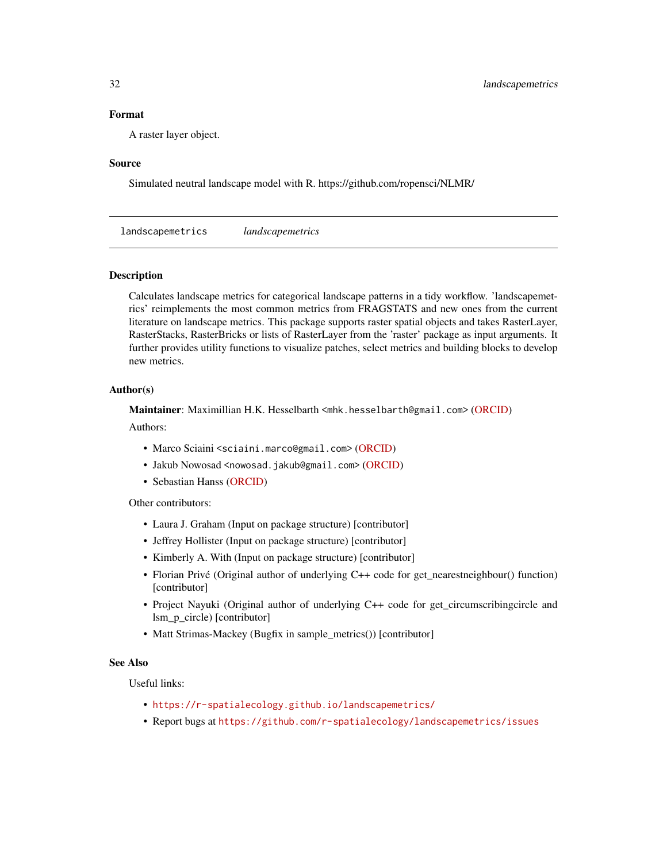### <span id="page-31-0"></span>Format

A raster layer object.

#### Source

Simulated neutral landscape model with R. https://github.com/ropensci/NLMR/

landscapemetrics *landscapemetrics*

### Description

Calculates landscape metrics for categorical landscape patterns in a tidy workflow. 'landscapemetrics' reimplements the most common metrics from FRAGSTATS and new ones from the current literature on landscape metrics. This package supports raster spatial objects and takes RasterLayer, RasterStacks, RasterBricks or lists of RasterLayer from the 'raster' package as input arguments. It further provides utility functions to visualize patches, select metrics and building blocks to develop new metrics.

### Author(s)

Maintainer: Maximillian H.K. Hesselbarth <mhk.hesselbarth@gmail.com> [\(ORCID\)](https://orcid.org/0000-0003-1125-9918)

Authors:

- Marco Sciaini <sciaini.marco@gmail.com> [\(ORCID\)](https://orcid.org/0000-0002-3042-5435)
- Jakub Nowosad <nowosad.jakub@gmail.com> [\(ORCID\)](https://orcid.org/0000-0002-1057-3721)
- Sebastian Hanss [\(ORCID\)](https://orcid.org/0000-0002-3990-4897)

# Other contributors:

- Laura J. Graham (Input on package structure) [contributor]
- Jeffrey Hollister (Input on package structure) [contributor]
- Kimberly A. With (Input on package structure) [contributor]
- Florian Privé (Original author of underlying C++ code for get\_nearestneighbour() function) [contributor]
- Project Nayuki (Original author of underlying C++ code for get\_circumscribingcircle and lsm\_p\_circle) [contributor]
- Matt Strimas-Mackey (Bugfix in sample\_metrics()) [contributor]

# See Also

Useful links:

- <https://r-spatialecology.github.io/landscapemetrics/>
- Report bugs at <https://github.com/r-spatialecology/landscapemetrics/issues>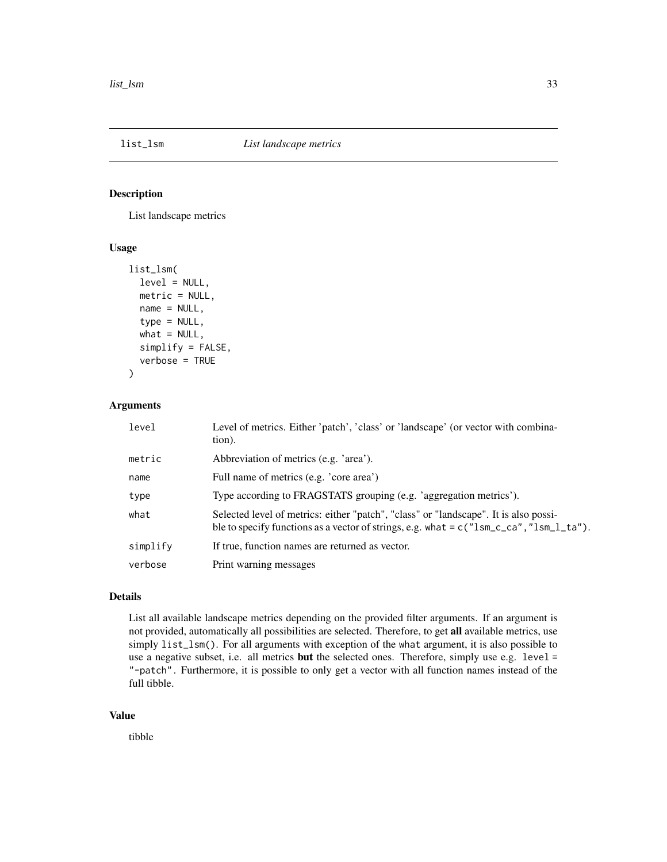<span id="page-32-1"></span><span id="page-32-0"></span>

### Description

List landscape metrics

### Usage

```
list_lsm(
  level = NULL,
  metric = NULL,
 name = NULL,type = NULL,
  what = NULL,simplify = FALSE,
  verbose = TRUE
)
```
### Arguments

| level    | Level of metrics. Either 'patch', 'class' or 'landscape' (or vector with combina-<br>tion).                                                                                       |
|----------|-----------------------------------------------------------------------------------------------------------------------------------------------------------------------------------|
| metric   | Abbreviation of metrics (e.g. 'area').                                                                                                                                            |
| name     | Full name of metrics (e.g. 'core area')                                                                                                                                           |
| type     | Type according to FRAGSTATS grouping (e.g. 'aggregation metrics').                                                                                                                |
| what     | Selected level of metrics: either "patch", "class" or "landscape". It is also possi-<br>ble to specify functions as a vector of strings, e.g. what = $c("lsm_cca", "lsm_l_t'a").$ |
| simplify | If true, function names are returned as vector.                                                                                                                                   |
| verbose  | Print warning messages                                                                                                                                                            |

# Details

List all available landscape metrics depending on the provided filter arguments. If an argument is not provided, automatically all possibilities are selected. Therefore, to get all available metrics, use simply list\_lsm(). For all arguments with exception of the what argument, it is also possible to use a negative subset, i.e. all metrics **but** the selected ones. Therefore, simply use e.g. level = "-patch". Furthermore, it is possible to only get a vector with all function names instead of the full tibble.

### Value

tibble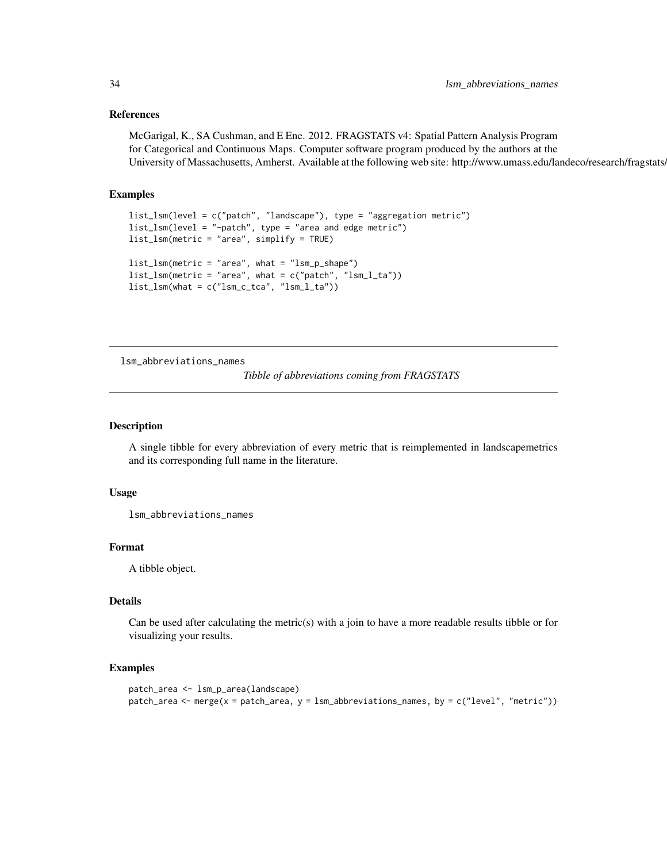### <span id="page-33-0"></span>References

McGarigal, K., SA Cushman, and E Ene. 2012. FRAGSTATS v4: Spatial Pattern Analysis Program for Categorical and Continuous Maps. Computer software program produced by the authors at the University of Massachusetts, Amherst. Available at the following web site: http://www.umass.edu/landeco/research/fragstats.

#### Examples

```
list_lsm(level = c("patch", "landscape"), type = "aggregation metric")
list_lsm(level = "-patch", type = "area and edge metric")
list_lsm(metric = "area", simplify = TRUE)
list_lsm(metric = "area", what = "lsm_p_shape")
list_lsm(metric = "area", what = c("patch", "lsm_l_ta"))
list_lsm(what = c("lsm_c_tca", "lsm_l_ta"))
```
lsm\_abbreviations\_names

*Tibble of abbreviations coming from FRAGSTATS*

# Description

A single tibble for every abbreviation of every metric that is reimplemented in landscapemetrics and its corresponding full name in the literature.

#### Usage

```
lsm_abbreviations_names
```
#### Format

A tibble object.

# **Details**

Can be used after calculating the metric(s) with a join to have a more readable results tibble or for visualizing your results.

#### Examples

```
patch_area <- lsm_p_area(landscape)
patch_area <- merge(x = patch_area, y = lsm_abbreviations_names, by = c("level", "metric"))
```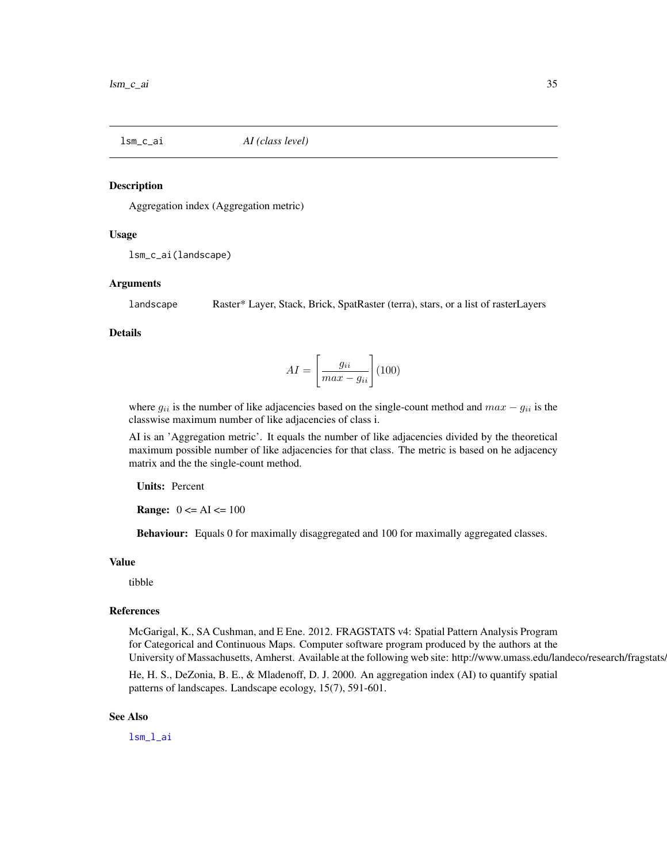<span id="page-34-0"></span>

### Description

Aggregation index (Aggregation metric)

#### Usage

```
lsm_c_ai(landscape)
```
### Arguments

landscape Raster\* Layer, Stack, Brick, SpatRaster (terra), stars, or a list of rasterLayers

#### Details

$$
AI = \left[\frac{g_{ii}}{max - g_{ii}}\right] (100)
$$

where  $g_{ii}$  is the number of like adjacencies based on the single-count method and  $max - g_{ii}$  is the classwise maximum number of like adjacencies of class i.

AI is an 'Aggregation metric'. It equals the number of like adjacencies divided by the theoretical maximum possible number of like adjacencies for that class. The metric is based on he adjacency matrix and the the single-count method.

Units: Percent

**Range:**  $0 \leq A I \leq 100$ 

Behaviour: Equals 0 for maximally disaggregated and 100 for maximally aggregated classes.

#### Value

tibble

#### References

McGarigal, K., SA Cushman, and E Ene. 2012. FRAGSTATS v4: Spatial Pattern Analysis Program for Categorical and Continuous Maps. Computer software program produced by the authors at the University of Massachusetts, Amherst. Available at the following web site: http://www.umass.edu/landeco/research/fragstats.

He, H. S., DeZonia, B. E., & Mladenoff, D. J. 2000. An aggregation index (AI) to quantify spatial patterns of landscapes. Landscape ecology, 15(7), 591-601.

### See Also

[lsm\\_l\\_ai](#page-102-1)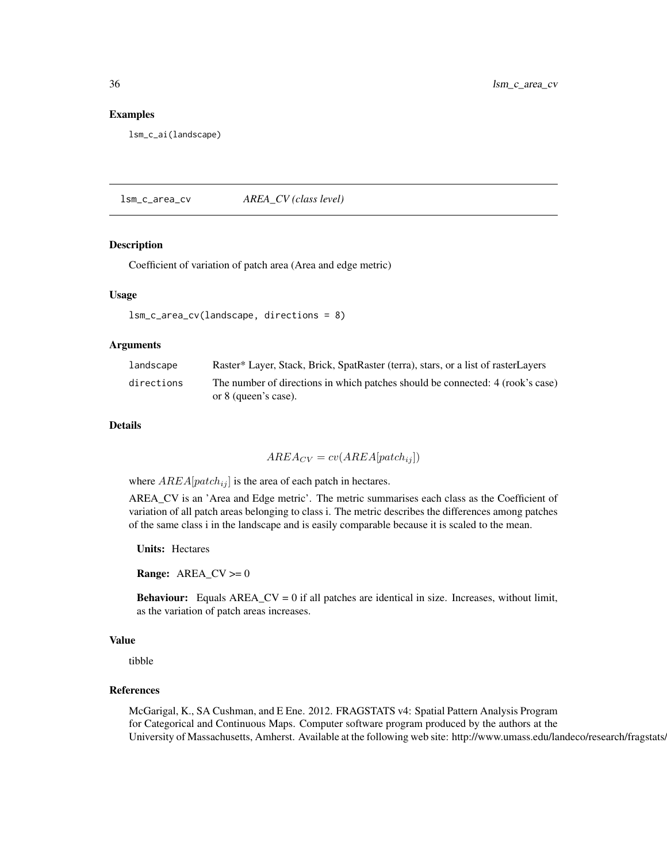#### Examples

lsm\_c\_ai(landscape)

lsm\_c\_area\_cv *AREA\_CV (class level)*

### Description

Coefficient of variation of patch area (Area and edge metric)

### Usage

```
lsm_c_area_cv(landscape, directions = 8)
```
### Arguments

| landscape  | Raster* Layer, Stack, Brick, SpatRaster (terra), stars, or a list of rasterLayers |
|------------|-----------------------------------------------------------------------------------|
| directions | The number of directions in which patches should be connected: 4 (rook's case)    |
|            | or 8 (queen's case).                                                              |

### Details

 $AREA_{CV} = cv(AREA[patch_{ij}])$ 

where  $AREA[patch_{ij}]$  is the area of each patch in hectares.

AREA\_CV is an 'Area and Edge metric'. The metric summarises each class as the Coefficient of variation of all patch areas belonging to class i. The metric describes the differences among patches of the same class i in the landscape and is easily comparable because it is scaled to the mean.

Units: Hectares

**Range:**  $AREA_CV \ge 0$ 

**Behaviour:** Equals  $AREA_CV = 0$  if all patches are identical in size. Increases, without limit, as the variation of patch areas increases.

### Value

tibble

## References

McGarigal, K., SA Cushman, and E Ene. 2012. FRAGSTATS v4: Spatial Pattern Analysis Program for Categorical and Continuous Maps. Computer software program produced by the authors at the University of Massachusetts, Amherst. Available at the following web site: http://www.umass.edu/landeco/research/fragstats.

<span id="page-35-0"></span>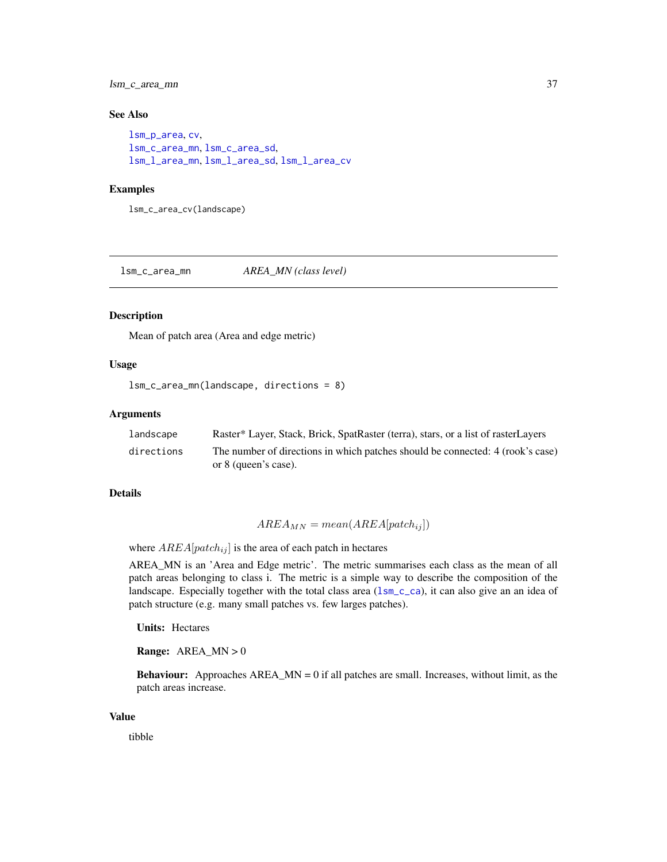lsm\_c\_area\_mn 37

# See Also

```
lsm_p_area, cv,
lsm_c_area_mn, lsm_c_area_sd,
lsm_l_area_mn, lsm_l_area_sd, lsm_l_area_cv
```
## Examples

lsm\_c\_area\_cv(landscape)

<span id="page-36-0"></span>lsm\_c\_area\_mn *AREA\_MN (class level)*

#### Description

Mean of patch area (Area and edge metric)

# Usage

```
lsm_c_area_mn(landscape, directions = 8)
```
#### Arguments

| landscape  | Raster* Layer, Stack, Brick, SpatRaster (terra), stars, or a list of rasterLayers |
|------------|-----------------------------------------------------------------------------------|
| directions | The number of directions in which patches should be connected: 4 (rook's case)    |
|            | or 8 (queen's case).                                                              |

## Details

$$
AREA_{MN} = mean(AREA[patch_{ij}])
$$

where  $AREA[patch_{ij}]$  is the area of each patch in hectares

AREA\_MN is an 'Area and Edge metric'. The metric summarises each class as the mean of all patch areas belonging to class i. The metric is a simple way to describe the composition of the landscape. Especially together with the total class area (1sm\_c\_ca), it can also give an an idea of patch structure (e.g. many small patches vs. few larges patches).

Units: Hectares

**Range:**  $AREA_MN > 0$ 

**Behaviour:** Approaches  $AREA_MN = 0$  if all patches are small. Increases, without limit, as the patch areas increase.

## Value

tibble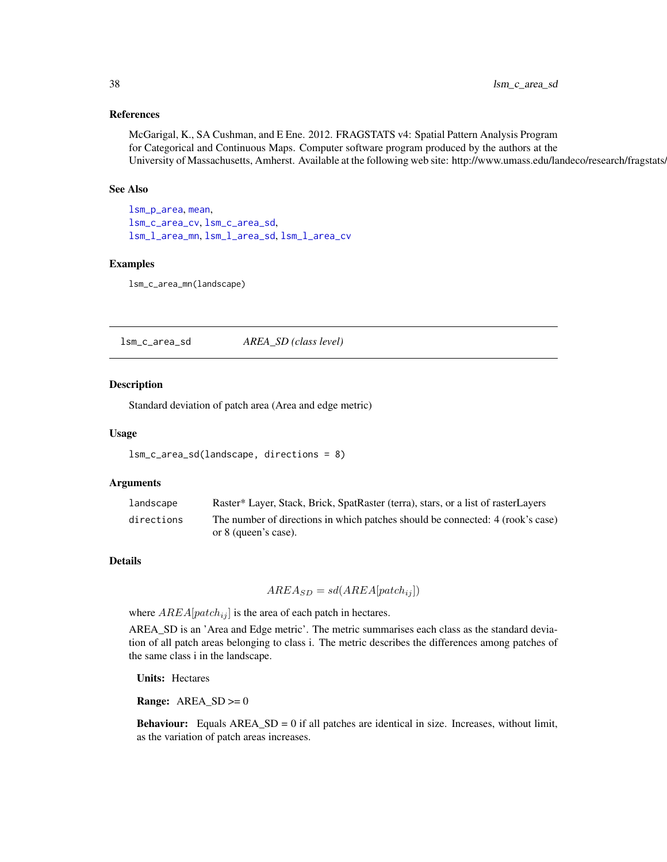# References

McGarigal, K., SA Cushman, and E Ene. 2012. FRAGSTATS v4: Spatial Pattern Analysis Program for Categorical and Continuous Maps. Computer software program produced by the authors at the University of Massachusetts, Amherst. Available at the following web site: http://www.umass.edu/landeco/research/fragstats.

#### See Also

[lsm\\_p\\_area](#page-183-0), [mean](#page-0-0), [lsm\\_c\\_area\\_cv](#page-35-0), [lsm\\_c\\_area\\_sd](#page-37-0), [lsm\\_l\\_area\\_mn](#page-105-0), [lsm\\_l\\_area\\_sd](#page-106-0), [lsm\\_l\\_area\\_cv](#page-104-0)

## Examples

lsm\_c\_area\_mn(landscape)

<span id="page-37-0"></span>lsm\_c\_area\_sd *AREA\_SD (class level)*

#### **Description**

Standard deviation of patch area (Area and edge metric)

#### Usage

```
lsm_c_area_sd(landscape, directions = 8)
```
#### Arguments

| landscape  | Raster* Layer, Stack, Brick, SpatRaster (terra), stars, or a list of rasterLayers |
|------------|-----------------------------------------------------------------------------------|
| directions | The number of directions in which patches should be connected: 4 (rook's case)    |
|            | or 8 (queen's case).                                                              |

#### Details

 $AREA_{SD} = sd(AREA[patch_{ij}])$ 

where  $AREA[patch_{ij}]$  is the area of each patch in hectares.

AREA\_SD is an 'Area and Edge metric'. The metric summarises each class as the standard deviation of all patch areas belonging to class i. The metric describes the differences among patches of the same class i in the landscape.

Units: Hectares

**Range:**  $AREA_SD \ge 0$ 

**Behaviour:** Equals  $AREA\_SD = 0$  if all patches are identical in size. Increases, without limit, as the variation of patch areas increases.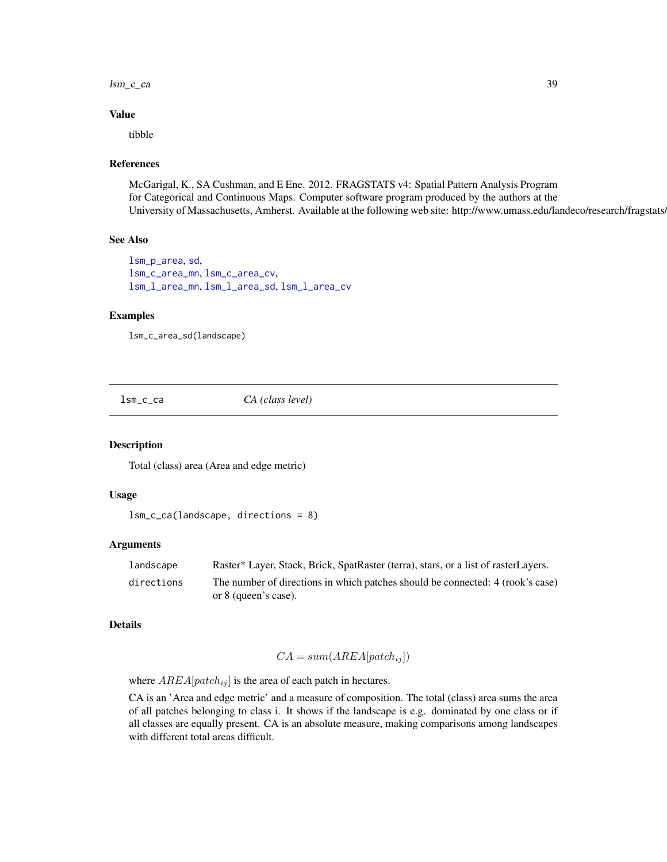$lsm_cca$  39

#### Value

tibble

## References

McGarigal, K., SA Cushman, and E Ene. 2012. FRAGSTATS v4: Spatial Pattern Analysis Program for Categorical and Continuous Maps. Computer software program produced by the authors at the University of Massachusetts, Amherst. Available at the following web site: http://www.umass.edu/landeco/research/fragstats.

# See Also

```
lsm_p_area, sd,
lsm_c_area_mn, lsm_c_area_cv,
lsm_l_area_mn, lsm_l_area_sd, lsm_l_area_cv
```
## Examples

```
lsm_c_area_sd(landscape)
```
<span id="page-38-0"></span>lsm\_c\_ca *CA (class level)*

#### Description

Total (class) area (Area and edge metric)

## Usage

```
lsm_c_ca(landscape, directions = 8)
```
## Arguments

| landscape  | Raster* Layer, Stack, Brick, SpatRaster (terra), stars, or a list of rasterLayers. |
|------------|------------------------------------------------------------------------------------|
| directions | The number of directions in which patches should be connected: 4 (rook's case)     |
|            | or 8 (queen's case).                                                               |

## Details

$$
CA = sum(AREA[patch_{ij}])
$$

where  $AREA[patch_{ij}]$  is the area of each patch in hectares.

CA is an 'Area and edge metric' and a measure of composition. The total (class) area sums the area of all patches belonging to class i. It shows if the landscape is e.g. dominated by one class or if all classes are equally present. CA is an absolute measure, making comparisons among landscapes with different total areas difficult.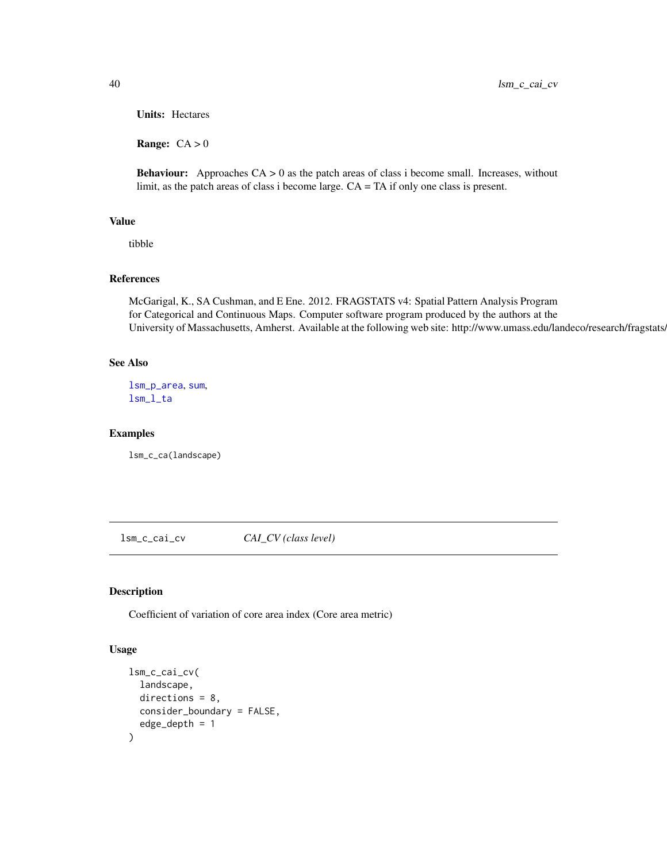Units: Hectares

Range:  $CA > 0$ 

**Behaviour:** Approaches  $CA > 0$  as the patch areas of class i become small. Increases, without limit, as the patch areas of class i become large. CA = TA if only one class is present.

# Value

tibble

## References

McGarigal, K., SA Cushman, and E Ene. 2012. FRAGSTATS v4: Spatial Pattern Analysis Program for Categorical and Continuous Maps. Computer software program produced by the authors at the University of Massachusetts, Amherst. Available at the following web site: http://www.umass.edu/landeco/research/fragstats.

# See Also

[lsm\\_p\\_area](#page-183-0), [sum](#page-0-0), [lsm\\_l\\_ta](#page-179-0)

#### Examples

lsm\_c\_ca(landscape)

<span id="page-39-0"></span>lsm\_c\_cai\_cv *CAI\_CV (class level)*

# Description

Coefficient of variation of core area index (Core area metric)

#### Usage

```
lsm_c_cai_cv(
 landscape,
  directions = 8,
 consider_boundary = FALSE,
  edge_depth = 1
)
```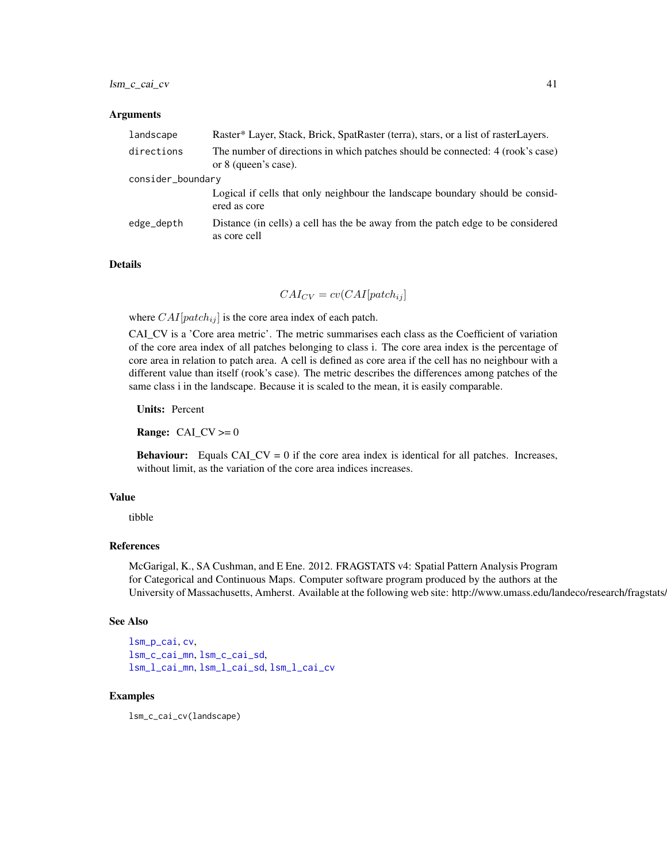#### Arguments

| landscape         | Raster* Layer, Stack, Brick, SpatRaster (terra), stars, or a list of rasterLayers.                     |  |
|-------------------|--------------------------------------------------------------------------------------------------------|--|
| directions        | The number of directions in which patches should be connected: 4 (rook's case)<br>or 8 (queen's case). |  |
| consider_boundary |                                                                                                        |  |
|                   | Logical if cells that only neighbour the landscape boundary should be consid-<br>ered as core          |  |
| edge_depth        | Distance (in cells) a cell has the be away from the patch edge to be considered<br>as core cell        |  |

#### Details

 $CAI_{CV} = cv(CAI[patch_{ij}]$ 

where  $CAI[patch_{ij}]$  is the core area index of each patch.

CAI\_CV is a 'Core area metric'. The metric summarises each class as the Coefficient of variation of the core area index of all patches belonging to class i. The core area index is the percentage of core area in relation to patch area. A cell is defined as core area if the cell has no neighbour with a different value than itself (rook's case). The metric describes the differences among patches of the same class i in the landscape. Because it is scaled to the mean, it is easily comparable.

Units: Percent

**Range:**  $CAI_CV \ge 0$ 

**Behaviour:** Equals CAI\_CV = 0 if the core area index is identical for all patches. Increases, without limit, as the variation of the core area indices increases.

#### Value

tibble

# References

McGarigal, K., SA Cushman, and E Ene. 2012. FRAGSTATS v4: Spatial Pattern Analysis Program for Categorical and Continuous Maps. Computer software program produced by the authors at the University of Massachusetts, Amherst. Available at the following web site: http://www.umass.edu/landeco/research/fragstats/

#### See Also

[lsm\\_p\\_cai](#page-184-0), [cv](#page-0-0), [lsm\\_c\\_cai\\_mn](#page-41-0), [lsm\\_c\\_cai\\_sd](#page-42-0), [lsm\\_l\\_cai\\_mn](#page-108-0), [lsm\\_l\\_cai\\_sd](#page-110-0), [lsm\\_l\\_cai\\_cv](#page-107-0)

## Examples

lsm\_c\_cai\_cv(landscape)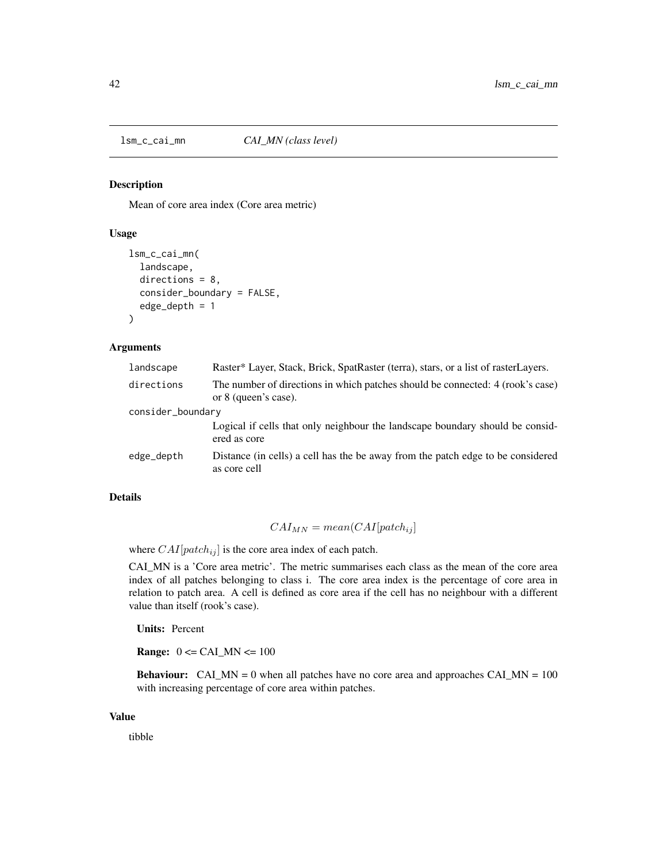<span id="page-41-0"></span>lsm\_c\_cai\_mn *CAI\_MN (class level)*

#### Description

Mean of core area index (Core area metric)

# Usage

```
lsm_c_cai_mn(
  landscape,
  directions = 8,
  consider_boundary = FALSE,
  edge_depth = 1
)
```
#### Arguments

| landscape         | Raster* Layer, Stack, Brick, SpatRaster (terra), stars, or a list of rasterLayers.                     |
|-------------------|--------------------------------------------------------------------------------------------------------|
| directions        | The number of directions in which patches should be connected: 4 (rook's case)<br>or 8 (queen's case). |
| consider_boundary |                                                                                                        |
|                   | Logical if cells that only neighbour the landscape boundary should be consid-<br>ered as core          |
| edge_depth        | Distance (in cells) a cell has the be away from the patch edge to be considered<br>as core cell        |

# Details

$$
CAI_{MN} = mean(CAI[patch_{ij}]
$$

where  $CAI[patch_{ij}]$  is the core area index of each patch.

CAI\_MN is a 'Core area metric'. The metric summarises each class as the mean of the core area index of all patches belonging to class i. The core area index is the percentage of core area in relation to patch area. A cell is defined as core area if the cell has no neighbour with a different value than itself (rook's case).

Units: Percent

**Range:**  $0 \leq CAI$  MN  $\leq 100$ 

**Behaviour:** CAI\_MN = 0 when all patches have no core area and approaches CAI\_MN =  $100$ with increasing percentage of core area within patches.

## Value

tibble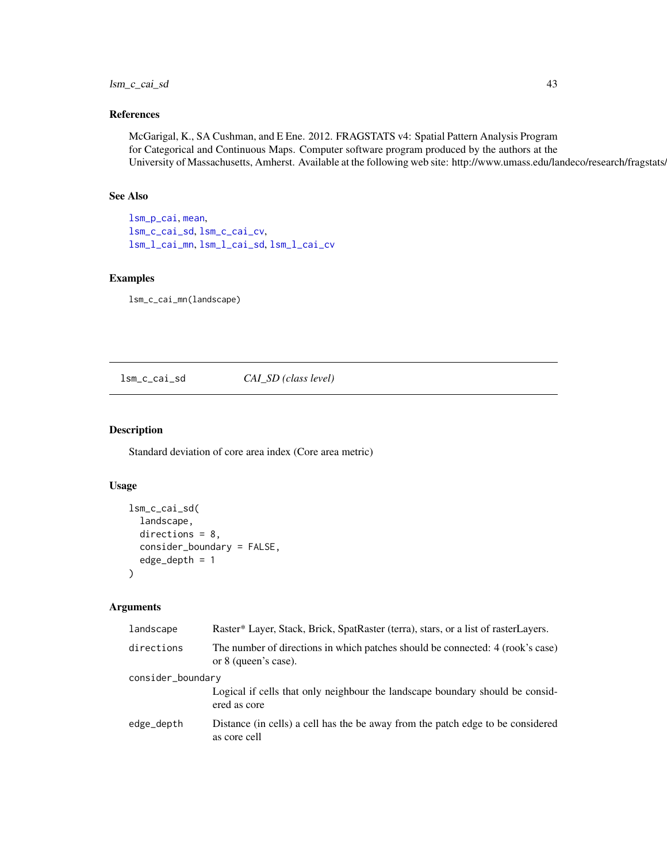# lsm\_c\_cai\_sd 43

# References

McGarigal, K., SA Cushman, and E Ene. 2012. FRAGSTATS v4: Spatial Pattern Analysis Program for Categorical and Continuous Maps. Computer software program produced by the authors at the University of Massachusetts, Amherst. Available at the following web site: http://www.umass.edu/landeco/research/fragstats.

# See Also

[lsm\\_p\\_cai](#page-184-0), [mean](#page-0-0), [lsm\\_c\\_cai\\_sd](#page-42-0), [lsm\\_c\\_cai\\_cv](#page-39-0), [lsm\\_l\\_cai\\_mn](#page-108-0), [lsm\\_l\\_cai\\_sd](#page-110-0), [lsm\\_l\\_cai\\_cv](#page-107-0)

## Examples

lsm\_c\_cai\_mn(landscape)

# <span id="page-42-0"></span>lsm\_c\_cai\_sd *CAI\_SD (class level)*

# Description

Standard deviation of core area index (Core area metric)

# Usage

```
lsm_c_cai_sd(
  landscape,
  directions = 8,
  consider_boundary = FALSE,
  edge_depth = 1
)
```
## Arguments

| landscape         | Raster* Layer, Stack, Brick, SpatRaster (terra), stars, or a list of rasterLayers.                     |  |
|-------------------|--------------------------------------------------------------------------------------------------------|--|
| directions        | The number of directions in which patches should be connected: 4 (rook's case)<br>or 8 (queen's case). |  |
| consider_boundary |                                                                                                        |  |
|                   | Logical if cells that only neighbour the landscape boundary should be considered<br>ered as core       |  |
| edge_depth        | Distance (in cells) a cell has the be away from the patch edge to be considered<br>as core cell        |  |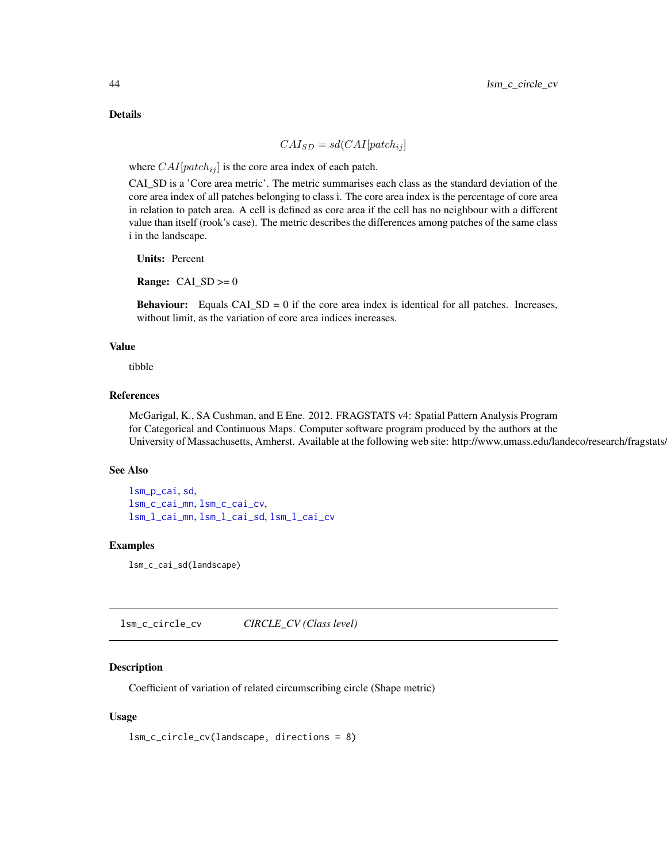Details

$$
CAI_{SD} = sd(CAI[patch_{ij}]
$$

where  $CAI[patch_{ij}]$  is the core area index of each patch.

CAI\_SD is a 'Core area metric'. The metric summarises each class as the standard deviation of the core area index of all patches belonging to class i. The core area index is the percentage of core area in relation to patch area. A cell is defined as core area if the cell has no neighbour with a different value than itself (rook's case). The metric describes the differences among patches of the same class i in the landscape.

Units: Percent

**Range:**  $CAI$ <sub>\_SD</sub> $> = 0$ 

**Behaviour:** Equals  $CAI\_SD = 0$  if the core area index is identical for all patches. Increases, without limit, as the variation of core area indices increases.

## Value

tibble

## References

McGarigal, K., SA Cushman, and E Ene. 2012. FRAGSTATS v4: Spatial Pattern Analysis Program for Categorical and Continuous Maps. Computer software program produced by the authors at the University of Massachusetts, Amherst. Available at the following web site: http://www.umass.edu/landeco/research/fragstats.

#### See Also

```
lsm_p_cai, sd,
lsm_c_cai_mn, lsm_c_cai_cv,
lsm_l_cai_mn, lsm_l_cai_sd, lsm_l_cai_cv
```
## Examples

lsm\_c\_cai\_sd(landscape)

<span id="page-43-0"></span>lsm\_c\_circle\_cv *CIRCLE\_CV (Class level)*

## **Description**

Coefficient of variation of related circumscribing circle (Shape metric)

## Usage

```
lsm_c_circle_cv(landscape, directions = 8)
```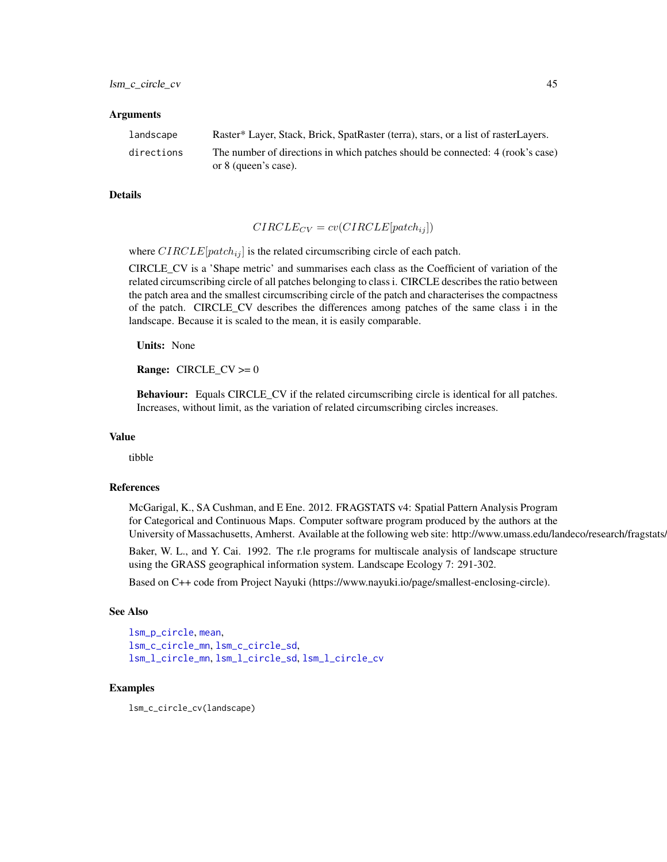#### Arguments

| landscape  | Raster* Layer, Stack, Brick, SpatRaster (terra), stars, or a list of rasterLayers. |
|------------|------------------------------------------------------------------------------------|
| directions | The number of directions in which patches should be connected: 4 (rook's case)     |
|            | or 8 (queen's case).                                                               |

#### Details

$$
CIRCLE_{CV} = cv(CIRCLE[patch_{ij}])
$$

where  $CIRCLE[patch_{ij}]$  is the related circumscribing circle of each patch.

CIRCLE\_CV is a 'Shape metric' and summarises each class as the Coefficient of variation of the related circumscribing circle of all patches belonging to class i. CIRCLE describes the ratio between the patch area and the smallest circumscribing circle of the patch and characterises the compactness of the patch. CIRCLE\_CV describes the differences among patches of the same class i in the landscape. Because it is scaled to the mean, it is easily comparable.

Units: None

**Range:** CIRCLE\_CV  $>= 0$ 

Behaviour: Equals CIRCLE\_CV if the related circumscribing circle is identical for all patches. Increases, without limit, as the variation of related circumscribing circles increases.

# Value

tibble

#### References

McGarigal, K., SA Cushman, and E Ene. 2012. FRAGSTATS v4: Spatial Pattern Analysis Program for Categorical and Continuous Maps. Computer software program produced by the authors at the University of Massachusetts, Amherst. Available at the following web site: http://www.umass.edu/landeco/research/fragstats.

Baker, W. L., and Y. Cai. 1992. The r.le programs for multiscale analysis of landscape structure using the GRASS geographical information system. Landscape Ecology 7: 291-302.

Based on C++ code from Project Nayuki (https://www.nayuki.io/page/smallest-enclosing-circle).

#### See Also

```
lsm_p_circle, mean,
lsm_c_circle_mn, lsm_c_circle_sd,
lsm_l_circle_mn, lsm_l_circle_sd, lsm_l_circle_cv
```
#### Examples

lsm\_c\_circle\_cv(landscape)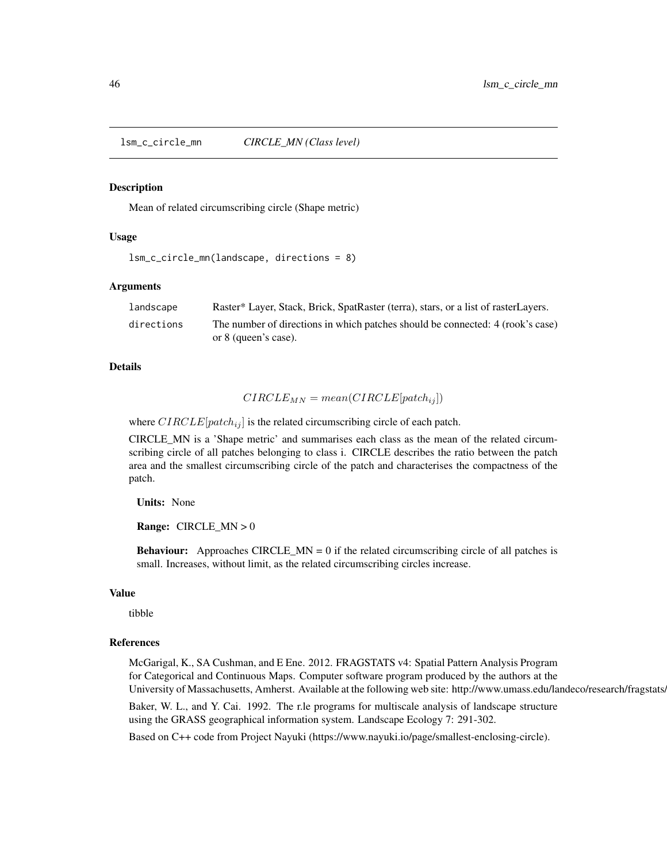<span id="page-45-0"></span>lsm\_c\_circle\_mn *CIRCLE\_MN (Class level)*

#### **Description**

Mean of related circumscribing circle (Shape metric)

#### Usage

```
lsm_c_circle_mn(landscape, directions = 8)
```
#### Arguments

| landscape  | Raster* Layer, Stack, Brick, SpatRaster (terra), stars, or a list of rasterLayers.                     |
|------------|--------------------------------------------------------------------------------------------------------|
| directions | The number of directions in which patches should be connected: 4 (rook's case)<br>or 8 (queen's case). |

# Details

$$
CIRCLE_{MN} = mean(CIRCLE[patch_{ij}])
$$

where  $CIRCLE[patch_{ij}]$  is the related circumscribing circle of each patch.

CIRCLE\_MN is a 'Shape metric' and summarises each class as the mean of the related circumscribing circle of all patches belonging to class i. CIRCLE describes the ratio between the patch area and the smallest circumscribing circle of the patch and characterises the compactness of the patch.

Units: None

Range: CIRCLE\_MN > 0

**Behaviour:** Approaches CIRCLE\_MN =  $0$  if the related circumscribing circle of all patches is small. Increases, without limit, as the related circumscribing circles increase.

## Value

tibble

#### References

McGarigal, K., SA Cushman, and E Ene. 2012. FRAGSTATS v4: Spatial Pattern Analysis Program for Categorical and Continuous Maps. Computer software program produced by the authors at the University of Massachusetts, Amherst. Available at the following web site: http://www.umass.edu/landeco/research/fragstats.

Baker, W. L., and Y. Cai. 1992. The r.le programs for multiscale analysis of landscape structure using the GRASS geographical information system. Landscape Ecology 7: 291-302.

Based on C++ code from Project Nayuki (https://www.nayuki.io/page/smallest-enclosing-circle).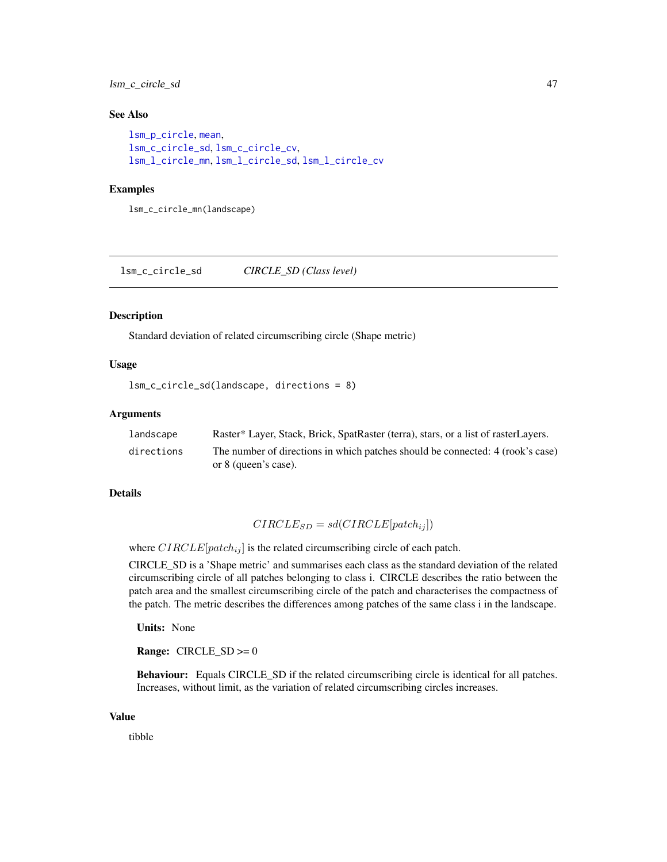lsm\_c\_circle\_sd 47

#### See Also

```
lsm_p_circle, mean,
lsm_c_circle_sd, lsm_c_circle_cv,
lsm_l_circle_mn, lsm_l_circle_sd, lsm_l_circle_cv
```
#### Examples

lsm\_c\_circle\_mn(landscape)

<span id="page-46-0"></span>lsm\_c\_circle\_sd *CIRCLE\_SD (Class level)*

#### Description

Standard deviation of related circumscribing circle (Shape metric)

# Usage

```
lsm_c_circle_sd(landscape, directions = 8)
```
#### **Arguments**

| landscape  | Raster* Layer, Stack, Brick, SpatRaster (terra), stars, or a list of rasterLayers. |
|------------|------------------------------------------------------------------------------------|
| directions | The number of directions in which patches should be connected: 4 (rook's case)     |
|            | or 8 (queen's case).                                                               |

## Details

$$
CIRCLE_{SD} = sd(CIRCLE[patch_{ij}])
$$

where  $CIRCLE[patch_{ij}]$  is the related circumscribing circle of each patch.

CIRCLE\_SD is a 'Shape metric' and summarises each class as the standard deviation of the related circumscribing circle of all patches belonging to class i. CIRCLE describes the ratio between the patch area and the smallest circumscribing circle of the patch and characterises the compactness of the patch. The metric describes the differences among patches of the same class i in the landscape.

Units: None

**Range:**  $CIRCLE\_SD \ge 0$ 

Behaviour: Equals CIRCLE\_SD if the related circumscribing circle is identical for all patches. Increases, without limit, as the variation of related circumscribing circles increases.

#### Value

tibble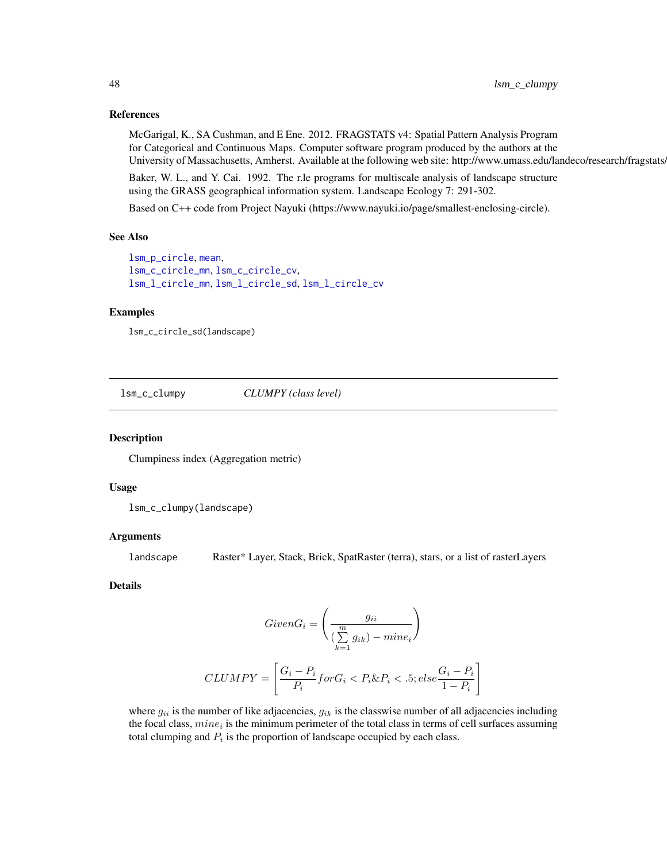# References

McGarigal, K., SA Cushman, and E Ene. 2012. FRAGSTATS v4: Spatial Pattern Analysis Program for Categorical and Continuous Maps. Computer software program produced by the authors at the University of Massachusetts, Amherst. Available at the following web site: http://www.umass.edu/landeco/research/fragstats.

Baker, W. L., and Y. Cai. 1992. The r.le programs for multiscale analysis of landscape structure using the GRASS geographical information system. Landscape Ecology 7: 291-302.

Based on C++ code from Project Nayuki (https://www.nayuki.io/page/smallest-enclosing-circle).

#### See Also

```
lsm_p_circle, mean,
lsm_c_circle_mn, lsm_c_circle_cv,
lsm_l_circle_mn, lsm_l_circle_sd, lsm_l_circle_cv
```
## Examples

```
lsm_c_circle_sd(landscape)
```
lsm\_c\_clumpy *CLUMPY (class level)*

#### **Description**

Clumpiness index (Aggregation metric)

## Usage

lsm\_c\_clumpy(landscape)

#### Arguments

landscape Raster\* Layer, Stack, Brick, SpatRaster (terra), stars, or a list of rasterLayers

## Details

$$
GivenG_i = \left(\frac{g_{ii}}{\left(\sum_{k=1}^{m} g_{ik}\right) - mine_i}\right)
$$

$$
CLUMPY = \left[\frac{G_i - P_i}{P_i} for G_i < P_i \& P_i < .5; else \frac{G_i - P_i}{1 - P_i}\right]
$$

where  $g_{ii}$  is the number of like adjacencies,  $g_{ik}$  is the classwise number of all adjacencies including the focal class,  $mine_i$  is the minimum perimeter of the total class in terms of cell surfaces assuming total clumping and  $P_i$  is the proportion of landscape occupied by each class.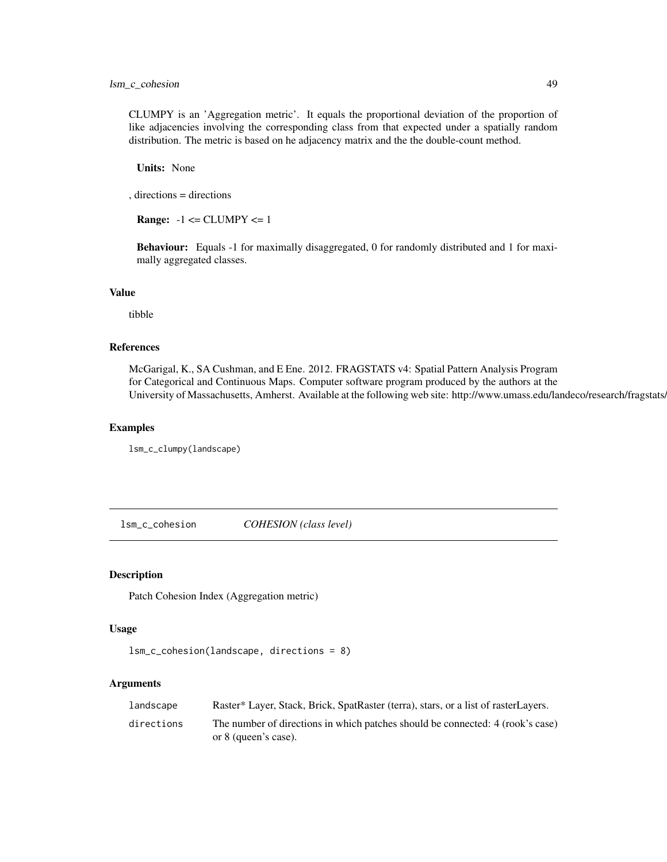CLUMPY is an 'Aggregation metric'. It equals the proportional deviation of the proportion of like adjacencies involving the corresponding class from that expected under a spatially random distribution. The metric is based on he adjacency matrix and the the double-count method.

Units: None

, directions = directions

**Range:**  $-1 \leq CLUMPY \leq 1$ 

Behaviour: Equals -1 for maximally disaggregated, 0 for randomly distributed and 1 for maximally aggregated classes.

## Value

tibble

#### References

McGarigal, K., SA Cushman, and E Ene. 2012. FRAGSTATS v4: Spatial Pattern Analysis Program for Categorical and Continuous Maps. Computer software program produced by the authors at the University of Massachusetts, Amherst. Available at the following web site: http://www.umass.edu/landeco/research/fragstats/

#### Examples

lsm\_c\_clumpy(landscape)

lsm\_c\_cohesion *COHESION (class level)*

# Description

Patch Cohesion Index (Aggregation metric)

## Usage

```
lsm_c_cohesion(landscape, directions = 8)
```
#### Arguments

| landscape  | Raster* Layer, Stack, Brick, SpatRaster (terra), stars, or a list of rasterLayers.                     |
|------------|--------------------------------------------------------------------------------------------------------|
| directions | The number of directions in which patches should be connected: 4 (rook's case)<br>or 8 (queen's case). |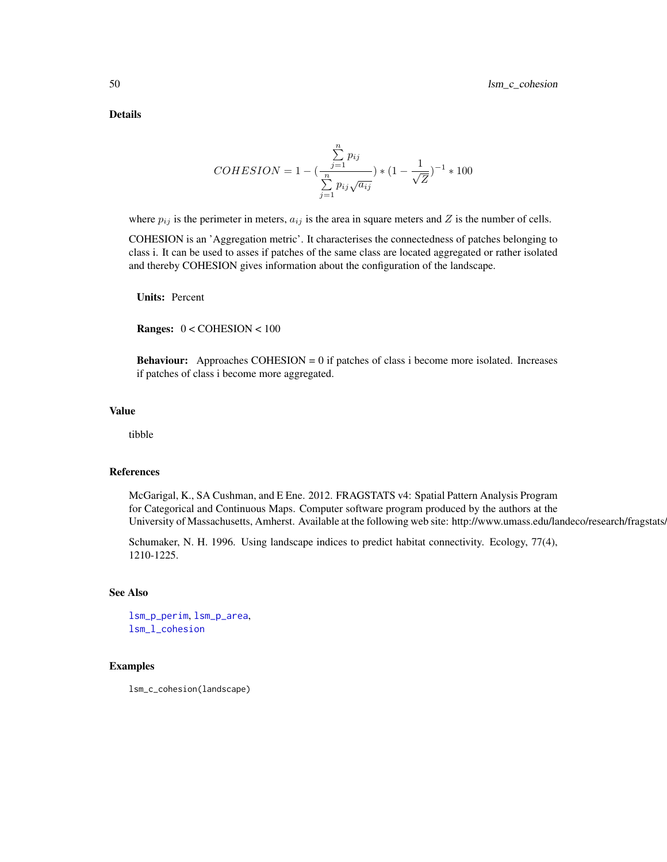Details

$$
COHESION = 1 - \left(\frac{\sum_{j=1}^{n} p_{ij}}{\sum_{j=1}^{n} p_{ij} \sqrt{a_{ij}}}\right) * (1 - \frac{1}{\sqrt{Z}})^{-1} * 100
$$

where  $p_{ij}$  is the perimeter in meters,  $a_{ij}$  is the area in square meters and Z is the number of cells.

COHESION is an 'Aggregation metric'. It characterises the connectedness of patches belonging to class i. It can be used to asses if patches of the same class are located aggregated or rather isolated and thereby COHESION gives information about the configuration of the landscape.

Units: Percent

Ranges: 0 < COHESION < 100

**Behaviour:** Approaches COHESION  $= 0$  if patches of class i become more isolated. Increases if patches of class i become more aggregated.

#### Value

tibble

# References

McGarigal, K., SA Cushman, and E Ene. 2012. FRAGSTATS v4: Spatial Pattern Analysis Program for Categorical and Continuous Maps. Computer software program produced by the authors at the University of Massachusetts, Amherst. Available at the following web site: http://www.umass.edu/landeco/research/fragstats.

Schumaker, N. H. 1996. Using landscape indices to predict habitat connectivity. Ecology, 77(4), 1210-1225.

## See Also

[lsm\\_p\\_perim](#page-195-0), [lsm\\_p\\_area](#page-183-0), [lsm\\_l\\_cohesion](#page-115-0)

## Examples

lsm\_c\_cohesion(landscape)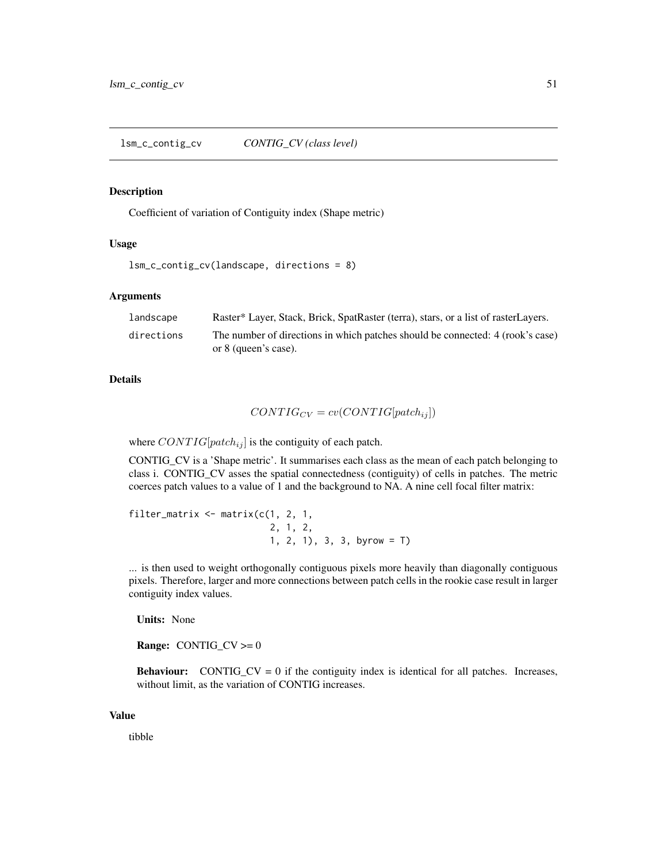# <span id="page-50-0"></span>Description

Coefficient of variation of Contiguity index (Shape metric)

#### Usage

```
lsm_c_contig_cv(landscape, directions = 8)
```
## Arguments

| landscape  | Raster* Layer, Stack, Brick, SpatRaster (terra), stars, or a list of rasterLayers.                     |
|------------|--------------------------------------------------------------------------------------------------------|
| directions | The number of directions in which patches should be connected: 4 (rook's case)<br>or 8 (queen's case). |

#### Details

$$
CONTIG_{CV} = cv (CONTIG[patch_{ij}])
$$

where  $CONTIG[patch_{ij}]$  is the contiguity of each patch.

CONTIG\_CV is a 'Shape metric'. It summarises each class as the mean of each patch belonging to class i. CONTIG\_CV asses the spatial connectedness (contiguity) of cells in patches. The metric coerces patch values to a value of 1 and the background to NA. A nine cell focal filter matrix:

```
filter_matrix \leq matrix(c(1, 2, 1, 1)2, 1, 2,
                           1, 2, 1), 3, 3, byrow = T)
```
... is then used to weight orthogonally contiguous pixels more heavily than diagonally contiguous pixels. Therefore, larger and more connections between patch cells in the rookie case result in larger contiguity index values.

Units: None

**Range:** CONTIG\_CV  $>= 0$ 

**Behaviour:** CONTIG CV = 0 if the contiguity index is identical for all patches. Increases, without limit, as the variation of CONTIG increases.

#### Value

tibble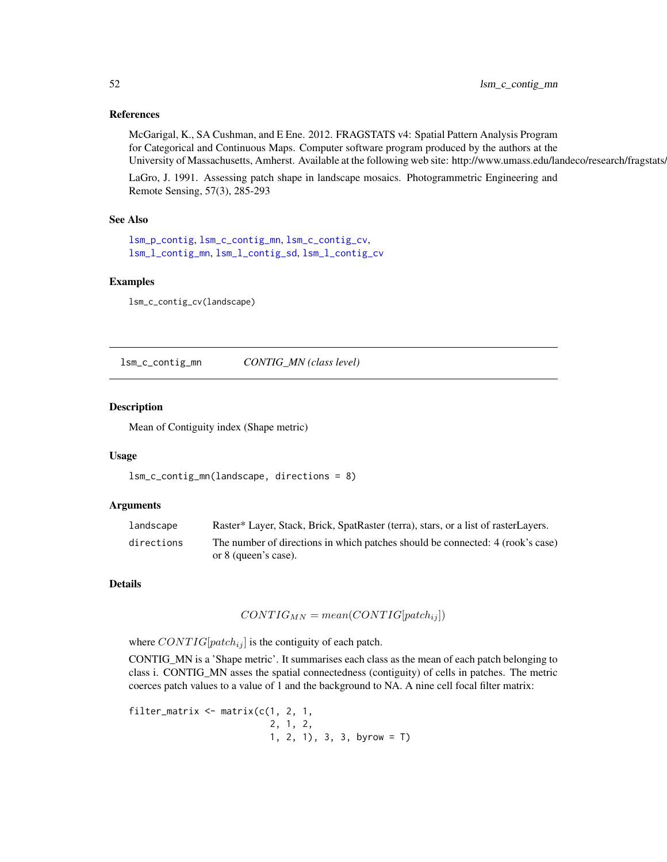## References

McGarigal, K., SA Cushman, and E Ene. 2012. FRAGSTATS v4: Spatial Pattern Analysis Program for Categorical and Continuous Maps. Computer software program produced by the authors at the University of Massachusetts, Amherst. Available at the following web site: http://www.umass.edu/landeco/research/fragstats.

LaGro, J. 1991. Assessing patch shape in landscape mosaics. Photogrammetric Engineering and Remote Sensing, 57(3), 285-293

## See Also

```
lsm_p_contig, lsm_c_contig_mn, lsm_c_contig_cv,
lsm_l_contig_mn, lsm_l_contig_sd, lsm_l_contig_cv
```
#### Examples

```
lsm_c_contig_cv(landscape)
```
<span id="page-51-0"></span>lsm\_c\_contig\_mn *CONTIG\_MN (class level)*

#### Description

Mean of Contiguity index (Shape metric)

#### Usage

```
lsm_c_contig_mn(landscape, directions = 8)
```
#### Arguments

| landscape  | Raster* Layer, Stack, Brick, SpatRaster (terra), stars, or a list of rasterLayers. |
|------------|------------------------------------------------------------------------------------|
| directions | The number of directions in which patches should be connected: 4 (rook's case)     |
|            | or 8 (queen's case).                                                               |

## Details

$$
CONTIG_{MN} = mean(CONTIG[patch_{ij}])
$$

where  $CONTIG[patch_{ij}]$  is the contiguity of each patch.

CONTIG\_MN is a 'Shape metric'. It summarises each class as the mean of each patch belonging to class i. CONTIG\_MN asses the spatial connectedness (contiguity) of cells in patches. The metric coerces patch values to a value of 1 and the background to NA. A nine cell focal filter matrix:

filter\_matrix  $\leq$  matrix( $c(1, 2, 1, 1)$ 2, 1, 2, 1, 2, 1), 3, 3, byrow = T)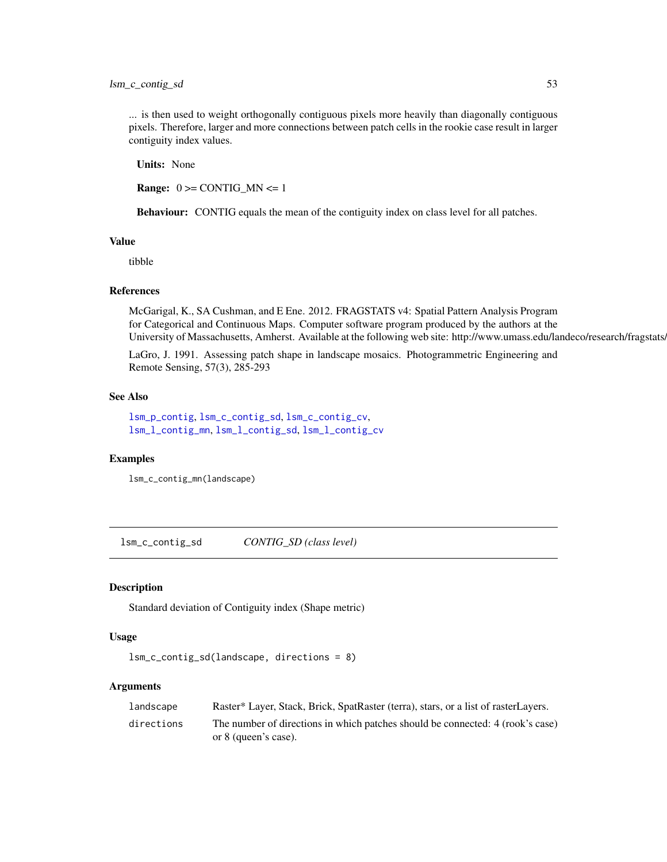... is then used to weight orthogonally contiguous pixels more heavily than diagonally contiguous pixels. Therefore, larger and more connections between patch cells in the rookie case result in larger contiguity index values.

Units: None

**Range:**  $0 \geq CONTIG_MN \leq 1$ 

Behaviour: CONTIG equals the mean of the contiguity index on class level for all patches.

#### Value

tibble

#### References

McGarigal, K., SA Cushman, and E Ene. 2012. FRAGSTATS v4: Spatial Pattern Analysis Program for Categorical and Continuous Maps. Computer software program produced by the authors at the University of Massachusetts, Amherst. Available at the following web site: http://www.umass.edu/landeco/research/fragstats.

LaGro, J. 1991. Assessing patch shape in landscape mosaics. Photogrammetric Engineering and Remote Sensing, 57(3), 285-293

#### See Also

[lsm\\_p\\_contig](#page-186-0), [lsm\\_c\\_contig\\_sd](#page-52-0), [lsm\\_c\\_contig\\_cv](#page-50-0), [lsm\\_l\\_contig\\_mn](#page-120-0), [lsm\\_l\\_contig\\_sd](#page-121-0), [lsm\\_l\\_contig\\_cv](#page-118-0)

#### Examples

```
lsm_c_contig_mn(landscape)
```
<span id="page-52-0"></span>lsm\_c\_contig\_sd *CONTIG\_SD (class level)*

#### Description

Standard deviation of Contiguity index (Shape metric)

#### Usage

```
lsm_c_contig_sd(landscape, directions = 8)
```
#### Arguments

| landscape  | Raster* Layer, Stack, Brick, SpatRaster (terra), stars, or a list of rasterLayers. |
|------------|------------------------------------------------------------------------------------|
| directions | The number of directions in which patches should be connected: 4 (rook's case)     |
|            | or 8 (queen's case).                                                               |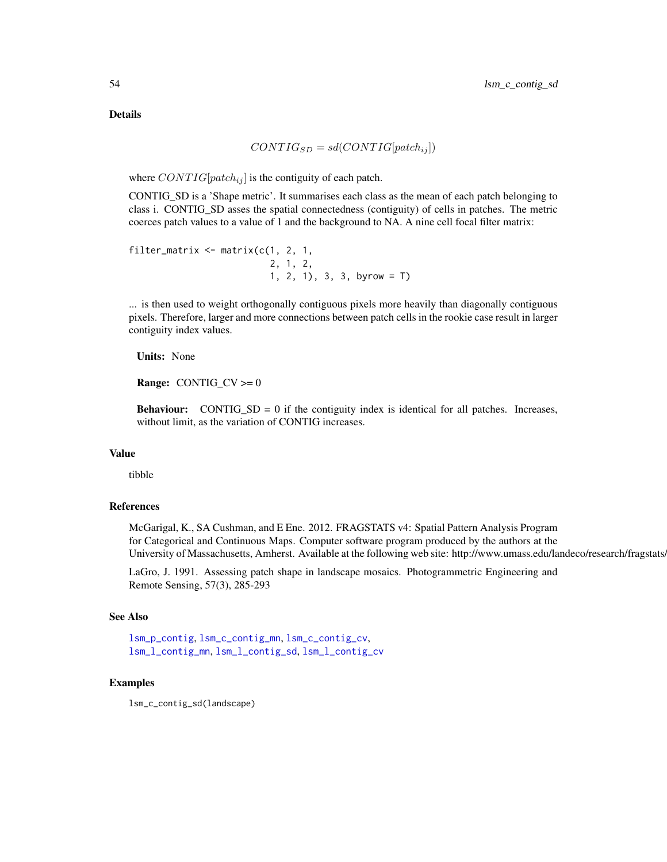Details

$$
CONTIG_{SD} = sd(CONTIG[patch_{ij}])
$$

where  $CONTIG[patch_{ij}]$  is the contiguity of each patch.

CONTIG\_SD is a 'Shape metric'. It summarises each class as the mean of each patch belonging to class i. CONTIG\_SD asses the spatial connectedness (contiguity) of cells in patches. The metric coerces patch values to a value of 1 and the background to NA. A nine cell focal filter matrix:

```
filter_matrix <- matrix(c(1, 2, 1,2, 1, 2,
                         1, 2, 1), 3, 3, byrow = T)
```
... is then used to weight orthogonally contiguous pixels more heavily than diagonally contiguous pixels. Therefore, larger and more connections between patch cells in the rookie case result in larger contiguity index values.

Units: None

**Range:** CONTIG\_CV  $>= 0$ 

**Behaviour:** CONTIG\_SD = 0 if the contiguity index is identical for all patches. Increases, without limit, as the variation of CONTIG increases.

#### Value

tibble

## References

McGarigal, K., SA Cushman, and E Ene. 2012. FRAGSTATS v4: Spatial Pattern Analysis Program for Categorical and Continuous Maps. Computer software program produced by the authors at the University of Massachusetts, Amherst. Available at the following web site: http://www.umass.edu/landeco/research/fragstats.

LaGro, J. 1991. Assessing patch shape in landscape mosaics. Photogrammetric Engineering and Remote Sensing, 57(3), 285-293

# See Also

[lsm\\_p\\_contig](#page-186-0), [lsm\\_c\\_contig\\_mn](#page-51-0), [lsm\\_c\\_contig\\_cv](#page-50-0), [lsm\\_l\\_contig\\_mn](#page-120-0), [lsm\\_l\\_contig\\_sd](#page-121-0), [lsm\\_l\\_contig\\_cv](#page-118-0)

## Examples

lsm\_c\_contig\_sd(landscape)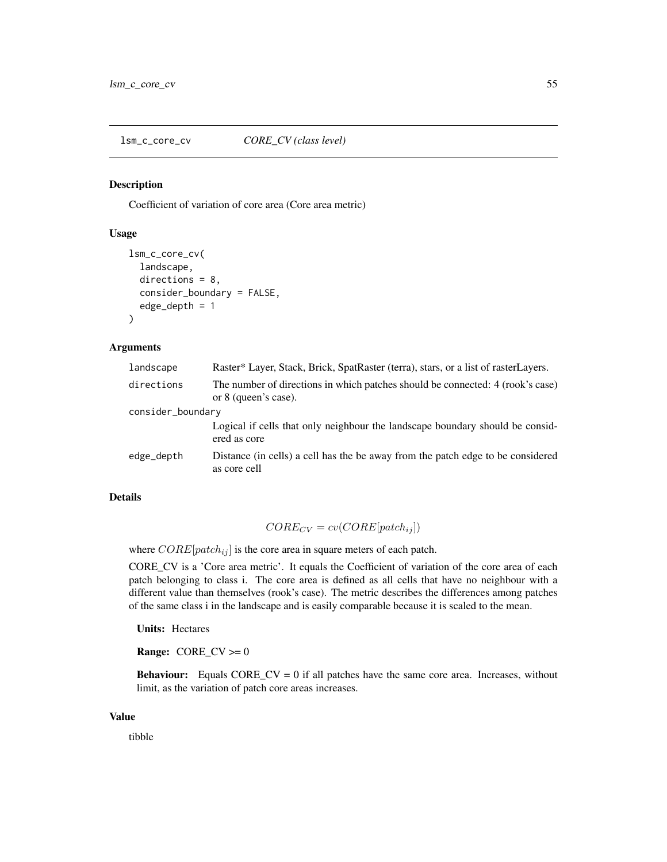<span id="page-54-0"></span>lsm\_c\_core\_cv *CORE\_CV (class level)*

#### Description

Coefficient of variation of core area (Core area metric)

# Usage

```
lsm_c_core_cv(
  landscape,
  directions = 8,
  consider_boundary = FALSE,
  edge_depth = 1
)
```
#### Arguments

| landscape         | Raster* Layer, Stack, Brick, SpatRaster (terra), stars, or a list of rasterLayers.                     |  |
|-------------------|--------------------------------------------------------------------------------------------------------|--|
| directions        | The number of directions in which patches should be connected: 4 (rook's case)<br>or 8 (queen's case). |  |
| consider_boundary |                                                                                                        |  |
|                   | Logical if cells that only neighbour the landscape boundary should be considered<br>ered as core       |  |
| edge_depth        | Distance (in cells) a cell has the be away from the patch edge to be considered<br>as core cell        |  |

# Details

$$
CORE_{CV} = cv(CORE[patch_{ij}])
$$

where  $CORE[patch_{ij}]$  is the core area in square meters of each patch.

CORE\_CV is a 'Core area metric'. It equals the Coefficient of variation of the core area of each patch belonging to class i. The core area is defined as all cells that have no neighbour with a different value than themselves (rook's case). The metric describes the differences among patches of the same class i in the landscape and is easily comparable because it is scaled to the mean.

Units: Hectares

Range:  $CORE_C V \ge 0$ 

**Behaviour:** Equals  $CORE_C V = 0$  if all patches have the same core area. Increases, without limit, as the variation of patch core areas increases.

#### Value

tibble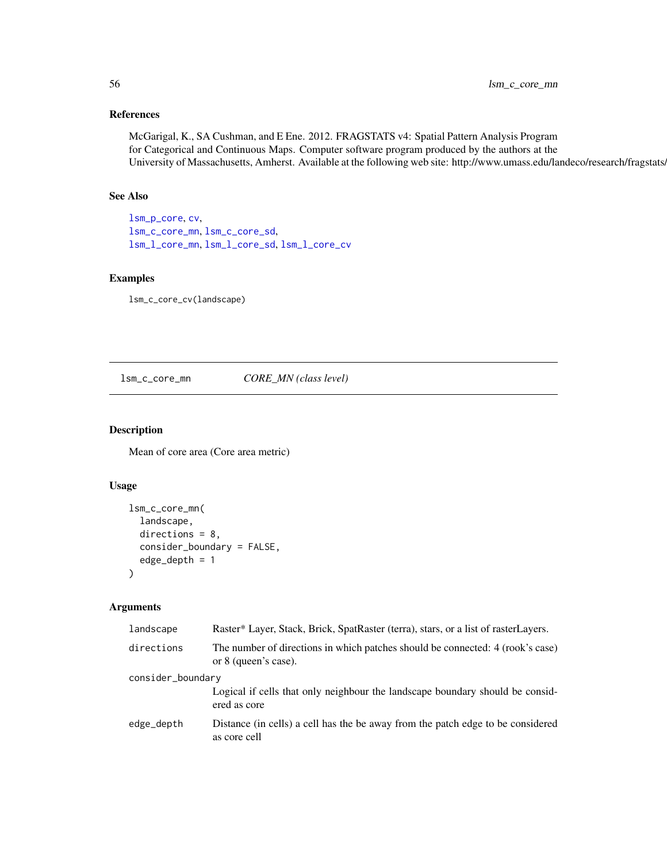# References

McGarigal, K., SA Cushman, and E Ene. 2012. FRAGSTATS v4: Spatial Pattern Analysis Program for Categorical and Continuous Maps. Computer software program produced by the authors at the University of Massachusetts, Amherst. Available at the following web site: http://www.umass.edu/landeco/research/fragstats.

# See Also

[lsm\\_p\\_core](#page-188-0), [cv](#page-0-0), [lsm\\_c\\_core\\_mn](#page-55-0), [lsm\\_c\\_core\\_sd](#page-56-0), [lsm\\_l\\_core\\_mn](#page-124-0), [lsm\\_l\\_core\\_sd](#page-125-0), [lsm\\_l\\_core\\_cv](#page-122-0)

## Examples

lsm\_c\_core\_cv(landscape)

<span id="page-55-0"></span>lsm\_c\_core\_mn *CORE\_MN (class level)*

# Description

Mean of core area (Core area metric)

# Usage

```
lsm_c_core_mn(
  landscape,
  directions = 8,
  consider_boundary = FALSE,
  edge_depth = 1
)
```
## Arguments

| landscape         | Raster* Layer, Stack, Brick, SpatRaster (terra), stars, or a list of rasterLayers.                     |  |
|-------------------|--------------------------------------------------------------------------------------------------------|--|
| directions        | The number of directions in which patches should be connected: 4 (rook's case)<br>or 8 (queen's case). |  |
| consider_boundary |                                                                                                        |  |
|                   | Logical if cells that only neighbour the landscape boundary should be consid-<br>ered as core          |  |
| edge_depth        | Distance (in cells) a cell has the be away from the patch edge to be considered<br>as core cell        |  |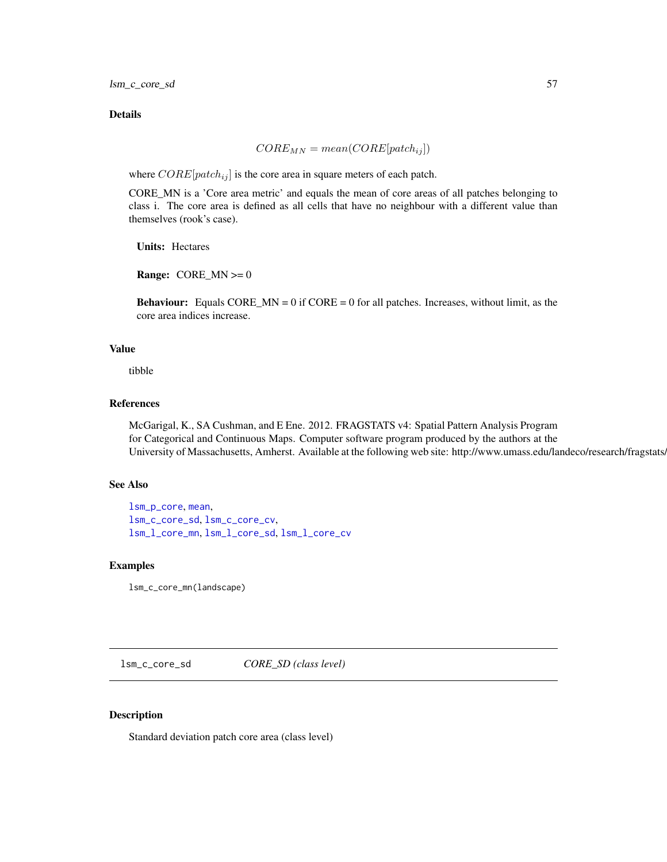lsm\_c\_core\_sd 57

# Details

$$
CORE_{MN} = mean(CORE[patch_{ij}])
$$

where  $CORE[patch_{ij}]$  is the core area in square meters of each patch.

CORE\_MN is a 'Core area metric' and equals the mean of core areas of all patches belonging to class i. The core area is defined as all cells that have no neighbour with a different value than themselves (rook's case).

Units: Hectares

**Range:** CORE\_MN  $>= 0$ 

**Behaviour:** Equals CORE\_MN =  $0$  if CORE =  $0$  for all patches. Increases, without limit, as the core area indices increase.

# Value

tibble

## References

McGarigal, K., SA Cushman, and E Ene. 2012. FRAGSTATS v4: Spatial Pattern Analysis Program for Categorical and Continuous Maps. Computer software program produced by the authors at the University of Massachusetts, Amherst. Available at the following web site: http://www.umass.edu/landeco/research/fragstats/

#### See Also

[lsm\\_p\\_core](#page-188-0), [mean](#page-0-0), [lsm\\_c\\_core\\_sd](#page-56-0), [lsm\\_c\\_core\\_cv](#page-54-0), [lsm\\_l\\_core\\_mn](#page-124-0), [lsm\\_l\\_core\\_sd](#page-125-0), [lsm\\_l\\_core\\_cv](#page-122-0)

#### Examples

lsm\_c\_core\_mn(landscape)

<span id="page-56-0"></span>lsm\_c\_core\_sd *CORE\_SD (class level)*

## Description

Standard deviation patch core area (class level)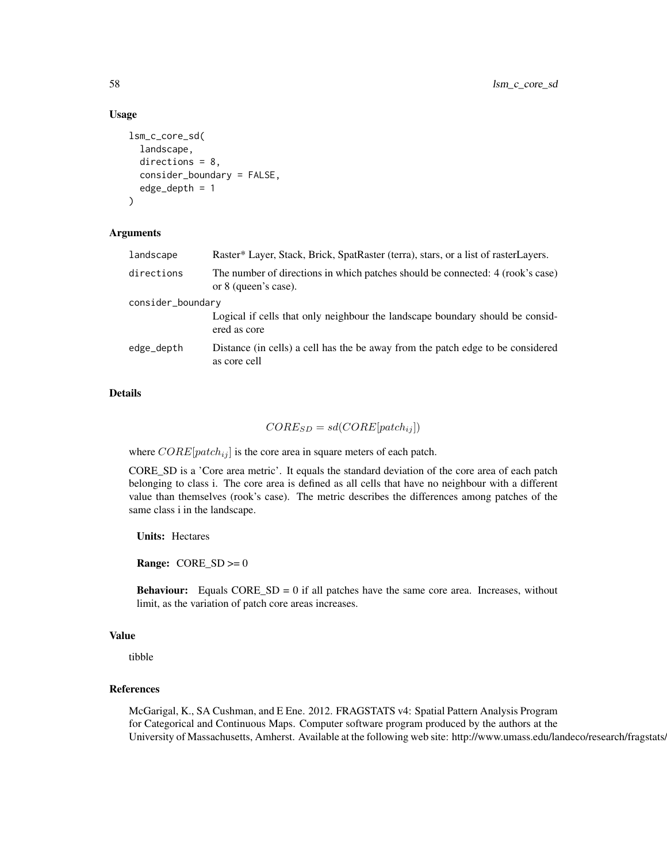## Usage

```
lsm_c_core_sd(
  landscape,
  directions = 8,
  consider_boundary = FALSE,
  edge_depth = 1
)
```
## Arguments

| landscape         | Raster* Layer, Stack, Brick, SpatRaster (terra), stars, or a list of rasterLayers.                     |  |
|-------------------|--------------------------------------------------------------------------------------------------------|--|
| directions        | The number of directions in which patches should be connected: 4 (rook's case)<br>or 8 (queen's case). |  |
| consider_boundary |                                                                                                        |  |
|                   | Logical if cells that only neighbour the landscape boundary should be consid-<br>ered as core          |  |
| edge_depth        | Distance (in cells) a cell has the be away from the patch edge to be considered<br>as core cell        |  |
|                   |                                                                                                        |  |

# Details

# $CORE_{SD} = sd(CORE[patch_{ij}])$

where  $CORE[patch_{ij}]$  is the core area in square meters of each patch.

CORE\_SD is a 'Core area metric'. It equals the standard deviation of the core area of each patch belonging to class i. The core area is defined as all cells that have no neighbour with a different value than themselves (rook's case). The metric describes the differences among patches of the same class i in the landscape.

Units: Hectares

**Range:**  $CORE_SD \ge 0$ 

**Behaviour:** Equals  $CORE_{SD} = 0$  if all patches have the same core area. Increases, without limit, as the variation of patch core areas increases.

# Value

tibble

#### References

McGarigal, K., SA Cushman, and E Ene. 2012. FRAGSTATS v4: Spatial Pattern Analysis Program for Categorical and Continuous Maps. Computer software program produced by the authors at the University of Massachusetts, Amherst. Available at the following web site: http://www.umass.edu/landeco/research/fragstats.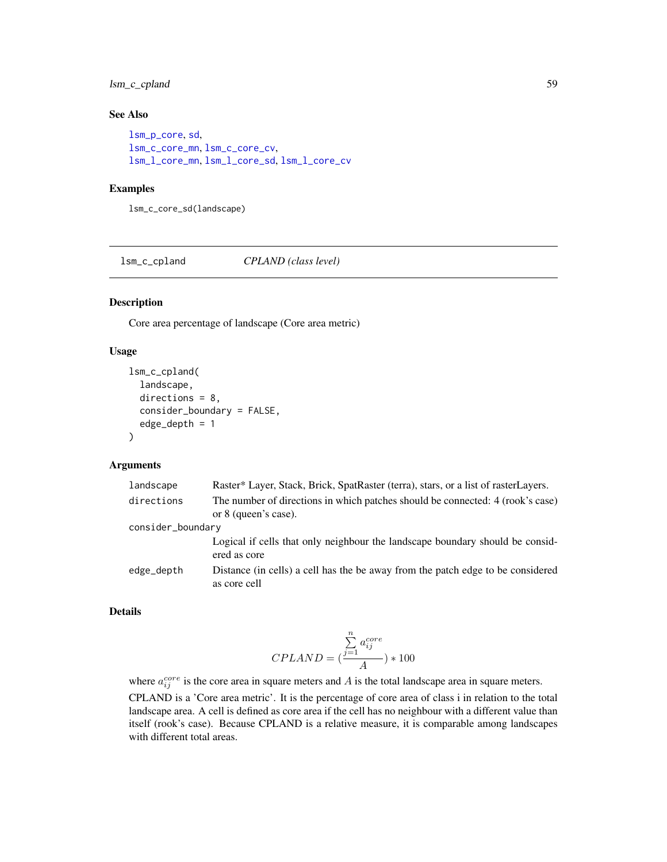# lsm\_c\_cpland 59

# See Also

```
lsm_p_core, sd,
lsm_c_core_mn, lsm_c_core_cv,
lsm_l_core_mn, lsm_l_core_sd, lsm_l_core_cv
```
#### Examples

lsm\_c\_core\_sd(landscape)

lsm\_c\_cpland *CPLAND (class level)*

## Description

Core area percentage of landscape (Core area metric)

## Usage

```
lsm_c_cpland(
  landscape,
 directions = 8,
  consider_boundary = FALSE,
  edge_depth = 1
)
```
#### Arguments

| landscape         | Raster* Layer, Stack, Brick, SpatRaster (terra), stars, or a list of rasterLayers.                     |
|-------------------|--------------------------------------------------------------------------------------------------------|
| directions        | The number of directions in which patches should be connected: 4 (rook's case)<br>or 8 (queen's case). |
| consider_boundary |                                                                                                        |
|                   | Logical if cells that only neighbour the landscape boundary should be considered<br>ered as core       |
| edge_depth        | Distance (in cells) a cell has the be away from the patch edge to be considered<br>as core cell        |

# Details

$$
CPLAND = (\frac{\overset{n}{\underset{i=1}{\sum}}\,a_{ij}^{core}}{A}) * 100
$$

where  $a_{ij}^{core}$  is the core area in square meters and A is the total landscape area in square meters. CPLAND is a 'Core area metric'. It is the percentage of core area of class i in relation to the total landscape area. A cell is defined as core area if the cell has no neighbour with a different value than itself (rook's case). Because CPLAND is a relative measure, it is comparable among landscapes with different total areas.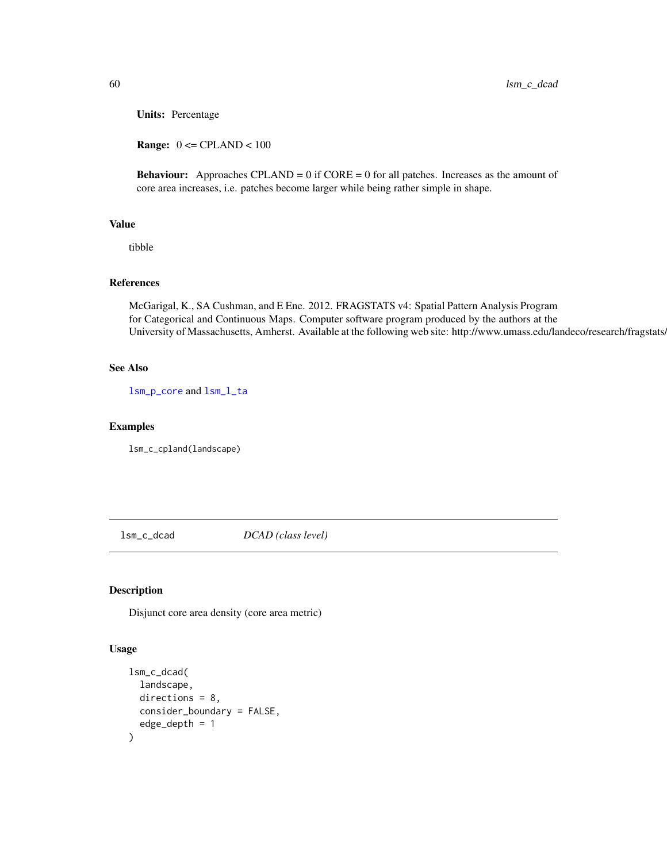Units: Percentage

**Range:**  $0 \leq$  CPLAND  $< 100$ 

**Behaviour:** Approaches CPLAND =  $0$  if CORE =  $0$  for all patches. Increases as the amount of core area increases, i.e. patches become larger while being rather simple in shape.

#### Value

tibble

# References

McGarigal, K., SA Cushman, and E Ene. 2012. FRAGSTATS v4: Spatial Pattern Analysis Program for Categorical and Continuous Maps. Computer software program produced by the authors at the University of Massachusetts, Amherst. Available at the following web site: http://www.umass.edu/landeco/research/fragstats/

#### See Also

[lsm\\_p\\_core](#page-188-0) and [lsm\\_l\\_ta](#page-179-0)

#### Examples

lsm\_c\_cpland(landscape)

lsm\_c\_dcad *DCAD (class level)*

## Description

Disjunct core area density (core area metric)

#### Usage

```
lsm_c_dcad(
 landscape,
  directions = 8,
 consider_boundary = FALSE,
  edge\_depth = 1)
```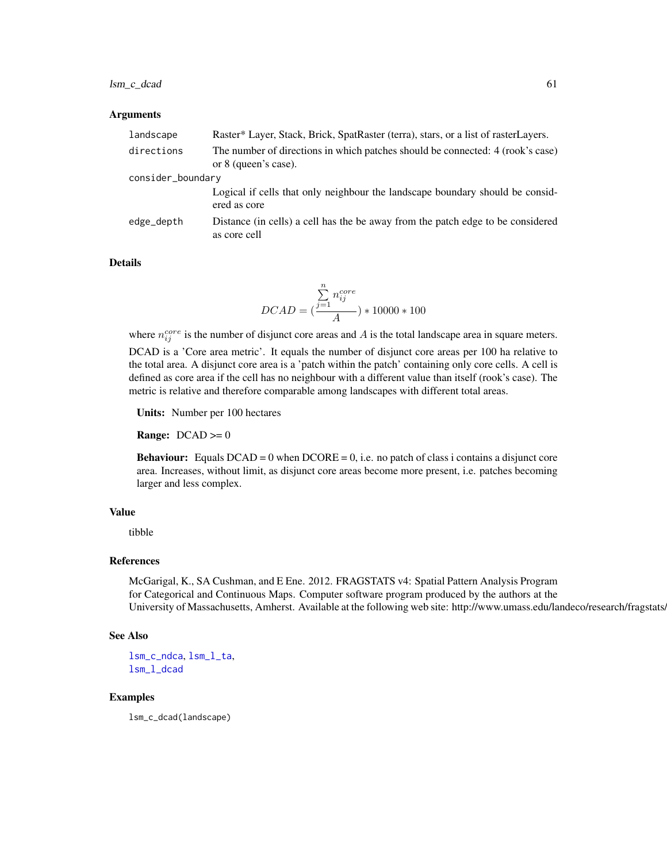## lsm\_c\_dcad 61

#### Arguments

| landscape         | Raster* Layer, Stack, Brick, SpatRaster (terra), stars, or a list of rasterLayers.                     |  |
|-------------------|--------------------------------------------------------------------------------------------------------|--|
| directions        | The number of directions in which patches should be connected: 4 (rook's case)<br>or 8 (queen's case). |  |
| consider_boundary |                                                                                                        |  |
|                   | Logical if cells that only neighbour the landscape boundary should be consid-<br>ered as core          |  |
| edge_depth        | Distance (in cells) a cell has the be away from the patch edge to be considered<br>as core cell        |  |

## Details

$$
DCAD = \big(\frac{\sum\limits_{j=1}^{n}n_{ij}^{core}}{A}\big)*10000*100
$$

where  $n_{ij}^{core}$  is the number of disjunct core areas and A is the total landscape area in square meters. DCAD is a 'Core area metric'. It equals the number of disjunct core areas per 100 ha relative to the total area. A disjunct core area is a 'patch within the patch' containing only core cells. A cell is defined as core area if the cell has no neighbour with a different value than itself (rook's case). The metric is relative and therefore comparable among landscapes with different total areas.

Units: Number per 100 hectares

**Range:**  $DCAD \ge 0$ 

**Behaviour:** Equals  $DCAD = 0$  when  $DCORE = 0$ , i.e. no patch of class i contains a disjunct core area. Increases, without limit, as disjunct core areas become more present, i.e. patches becoming larger and less complex.

# Value

tibble

## References

McGarigal, K., SA Cushman, and E Ene. 2012. FRAGSTATS v4: Spatial Pattern Analysis Program for Categorical and Continuous Maps. Computer software program produced by the authors at the University of Massachusetts, Amherst. Available at the following web site: http://www.umass.edu/landeco/research/fragstats.

#### See Also

[lsm\\_c\\_ndca](#page-83-0), [lsm\\_l\\_ta](#page-179-0), [lsm\\_l\\_dcad](#page-127-0)

# Examples

lsm\_c\_dcad(landscape)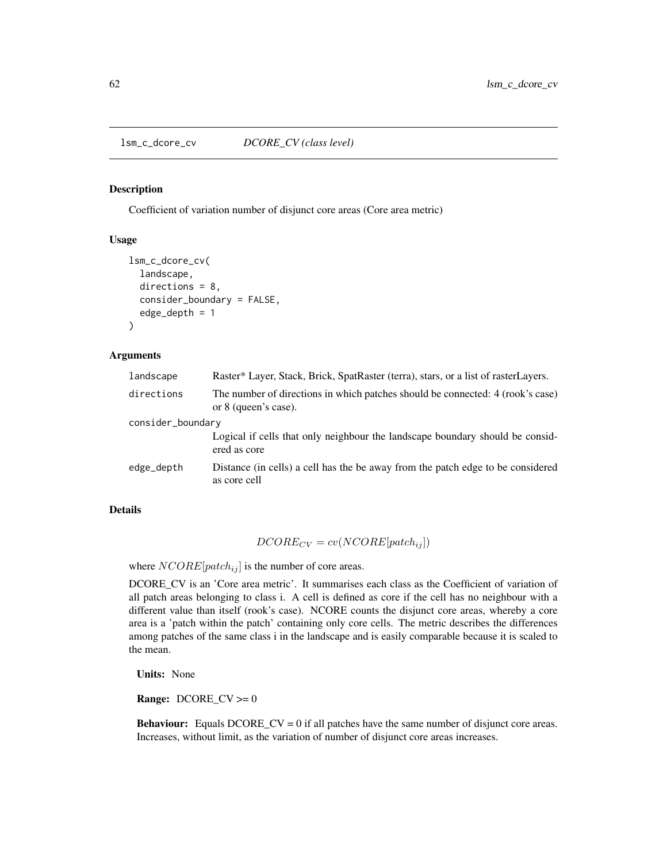<span id="page-61-0"></span>

#### Description

Coefficient of variation number of disjunct core areas (Core area metric)

# Usage

```
lsm_c_dcore_cv(
  landscape,
  directions = 8,
  consider_boundary = FALSE,
  edge\_depth = 1)
```
## Arguments

| landscape         | Raster* Layer, Stack, Brick, SpatRaster (terra), stars, or a list of rasterLayers.                     |  |
|-------------------|--------------------------------------------------------------------------------------------------------|--|
| directions        | The number of directions in which patches should be connected: 4 (rook's case)<br>or 8 (queen's case). |  |
| consider_boundary |                                                                                                        |  |
|                   | Logical if cells that only neighbour the landscape boundary should be considered<br>ered as core       |  |
| edge_depth        | Distance (in cells) a cell has the be away from the patch edge to be considered<br>as core cell        |  |

## Details

$$
DCORE_{CV} = cv(NCORE[patch_{ij}])
$$

where  $NCORE[patch_{ij}]$  is the number of core areas.

DCORE\_CV is an 'Core area metric'. It summarises each class as the Coefficient of variation of all patch areas belonging to class i. A cell is defined as core if the cell has no neighbour with a different value than itself (rook's case). NCORE counts the disjunct core areas, whereby a core area is a 'patch within the patch' containing only core cells. The metric describes the differences among patches of the same class i in the landscape and is easily comparable because it is scaled to the mean.

Units: None

**Range:**  $DCORE_CV \ge 0$ 

Behaviour: Equals DCORE\_CV = 0 if all patches have the same number of disjunct core areas. Increases, without limit, as the variation of number of disjunct core areas increases.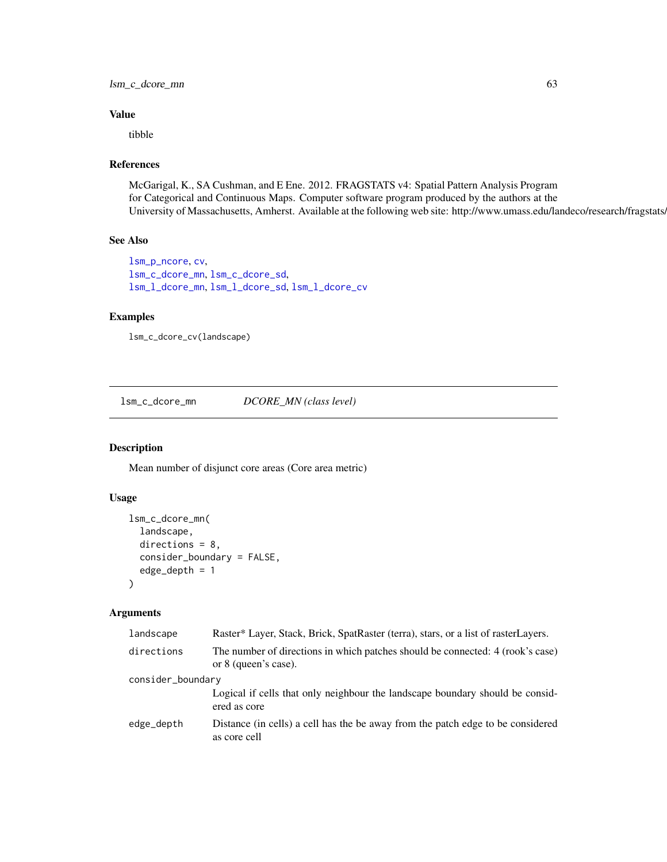lsm\_c\_dcore\_mn 63

## Value

tibble

# References

McGarigal, K., SA Cushman, and E Ene. 2012. FRAGSTATS v4: Spatial Pattern Analysis Program for Categorical and Continuous Maps. Computer software program produced by the authors at the University of Massachusetts, Amherst. Available at the following web site: http://www.umass.edu/landeco/research/fragstats/

# See Also

```
lsm_p_ncore, cv,
lsm_c_dcore_mn, lsm_c_dcore_sd,
lsm_l_dcore_mn, lsm_l_dcore_sd, lsm_l_dcore_cv
```
# Examples

```
lsm_c_dcore_cv(landscape)
```
<span id="page-62-0"></span>lsm\_c\_dcore\_mn *DCORE\_MN (class level)*

# Description

Mean number of disjunct core areas (Core area metric)

# Usage

```
lsm_c_dcore_mn(
  landscape,
  directions = 8,
  consider_boundary = FALSE,
  edge_depth = 1
\lambda
```
# Arguments

| landscape         | Raster* Layer, Stack, Brick, SpatRaster (terra), stars, or a list of rasterLayers.                     |
|-------------------|--------------------------------------------------------------------------------------------------------|
| directions        | The number of directions in which patches should be connected: 4 (rook's case)<br>or 8 (queen's case). |
| consider_boundary |                                                                                                        |
|                   | Logical if cells that only neighbour the landscape boundary should be considered<br>ered as core       |
| edge_depth        | Distance (in cells) a cell has the be away from the patch edge to be considered<br>as core cell        |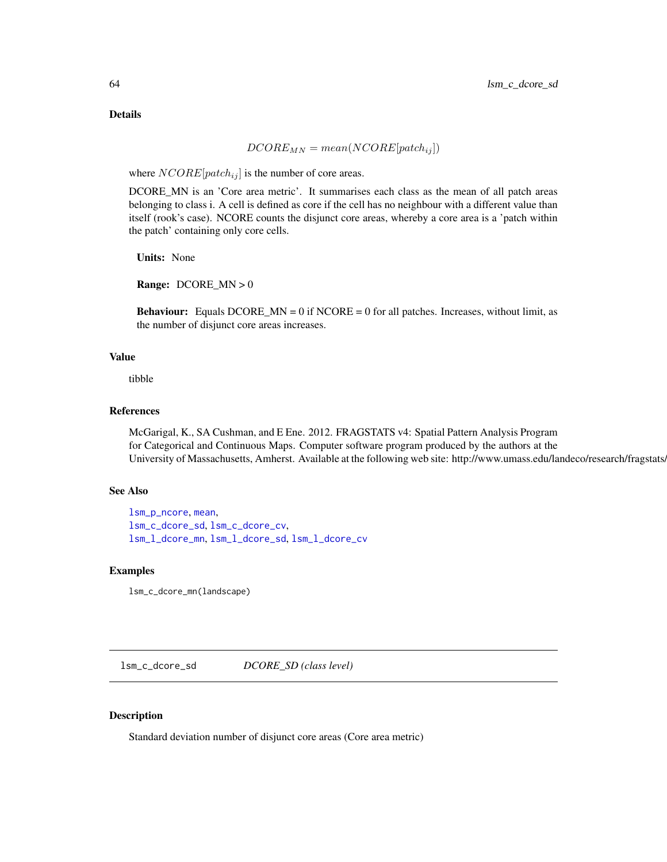# Details

# $DCORE_{MN} = mean(NCORE[patch_{ij}])$

where  $NCORE[patch_{ij}]$  is the number of core areas.

DCORE\_MN is an 'Core area metric'. It summarises each class as the mean of all patch areas belonging to class i. A cell is defined as core if the cell has no neighbour with a different value than itself (rook's case). NCORE counts the disjunct core areas, whereby a core area is a 'patch within the patch' containing only core cells.

Units: None

**Range:** DCORE\_MN  $> 0$ 

**Behaviour:** Equals DCORE\_MN = 0 if NCORE = 0 for all patches. Increases, without limit, as the number of disjunct core areas increases.

## Value

tibble

## References

McGarigal, K., SA Cushman, and E Ene. 2012. FRAGSTATS v4: Spatial Pattern Analysis Program for Categorical and Continuous Maps. Computer software program produced by the authors at the University of Massachusetts, Amherst. Available at the following web site: http://www.umass.edu/landeco/research/fragstats.

## See Also

```
lsm_p_ncore, mean,
lsm_c_dcore_sd, lsm_c_dcore_cv,
lsm_l_dcore_mn, lsm_l_dcore_sd, lsm_l_dcore_cv
```
## Examples

lsm\_c\_dcore\_mn(landscape)

<span id="page-63-0"></span>lsm\_c\_dcore\_sd *DCORE\_SD (class level)*

#### Description

Standard deviation number of disjunct core areas (Core area metric)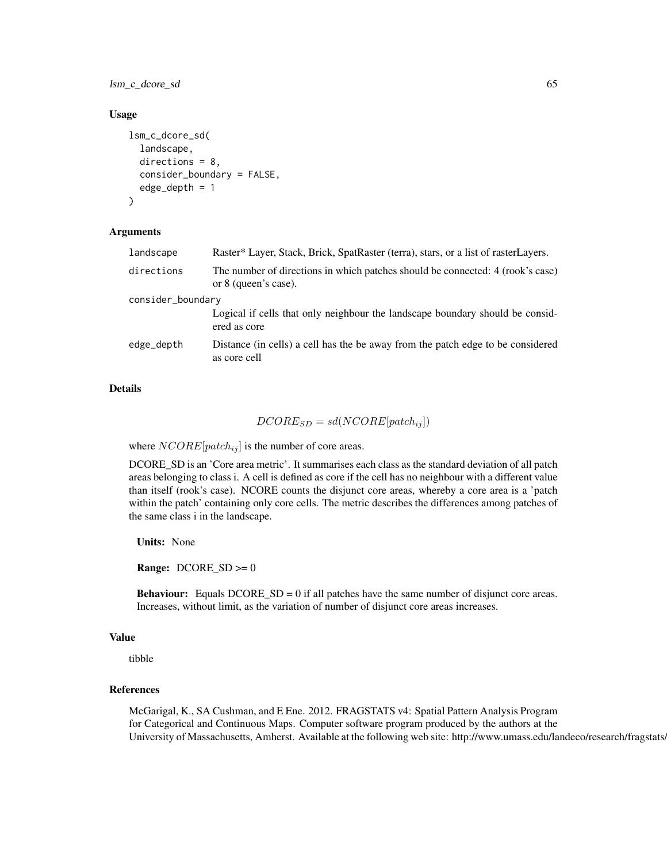lsm\_c\_dcore\_sd 65

#### Usage

```
lsm_c_dcore_sd(
  landscape,
  directions = 8,
  consider_boundary = FALSE,
  edge\_depth = 1)
```
## Arguments

| landscape         | Raster* Layer, Stack, Brick, SpatRaster (terra), stars, or a list of rasterLayers.                     |  |
|-------------------|--------------------------------------------------------------------------------------------------------|--|
| directions        | The number of directions in which patches should be connected: 4 (rook's case)<br>or 8 (queen's case). |  |
| consider_boundary |                                                                                                        |  |
|                   | Logical if cells that only neighbour the landscape boundary should be consid-<br>ered as core          |  |
| edge_depth        | Distance (in cells) a cell has the be away from the patch edge to be considered<br>as core cell        |  |
|                   |                                                                                                        |  |

# Details

# $DCORE_{SD} = sd(NCORE[patch_{ij}])$

where  $NCORE[patch_{ij}]$  is the number of core areas.

DCORE\_SD is an 'Core area metric'. It summarises each class as the standard deviation of all patch areas belonging to class i. A cell is defined as core if the cell has no neighbour with a different value than itself (rook's case). NCORE counts the disjunct core areas, whereby a core area is a 'patch within the patch' containing only core cells. The metric describes the differences among patches of the same class i in the landscape.

Units: None

**Range:**  $DCORE\_SD \ge 0$ 

**Behaviour:** Equals  $DCORE\_SD = 0$  if all patches have the same number of disjunct core areas. Increases, without limit, as the variation of number of disjunct core areas increases.

#### Value

tibble

## References

McGarigal, K., SA Cushman, and E Ene. 2012. FRAGSTATS v4: Spatial Pattern Analysis Program for Categorical and Continuous Maps. Computer software program produced by the authors at the University of Massachusetts, Amherst. Available at the following web site: http://www.umass.edu/landeco/research/fragstats.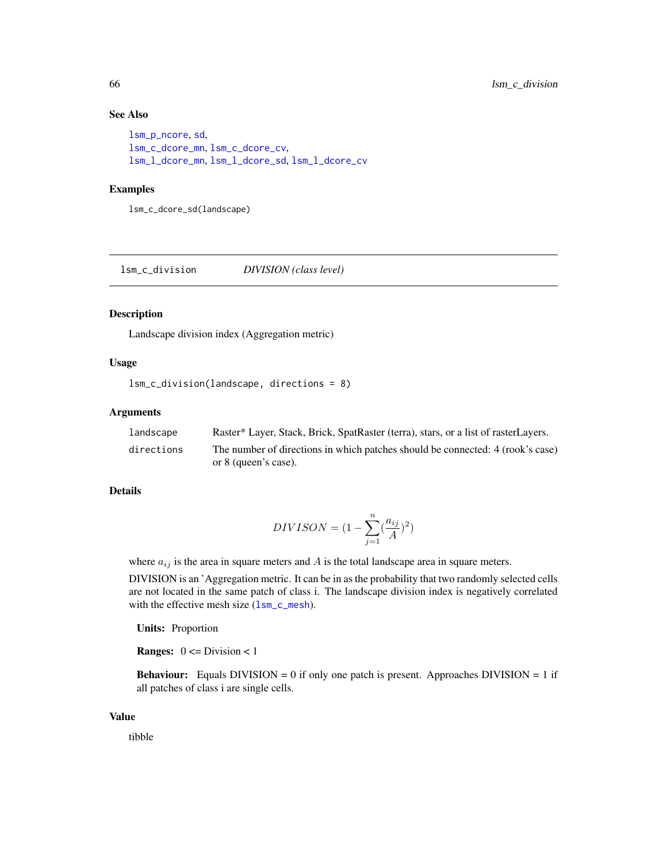# See Also

```
lsm_p_ncore, sd,
lsm_c_dcore_mn, lsm_c_dcore_cv,
lsm_l_dcore_mn, lsm_l_dcore_sd, lsm_l_dcore_cv
```
## Examples

lsm\_c\_dcore\_sd(landscape)

lsm\_c\_division *DIVISION (class level)*

# Description

Landscape division index (Aggregation metric)

# Usage

```
lsm_c_division(landscape, directions = 8)
```
# Arguments

| landscape  | Raster* Layer, Stack, Brick, SpatRaster (terra), stars, or a list of rasterLayers. |
|------------|------------------------------------------------------------------------------------|
| directions | The number of directions in which patches should be connected: 4 (rook's case)     |
|            | or 8 (queen's case).                                                               |

# Details

$$
DIVISON = (1 - \sum_{j=1}^{n} \left(\frac{a_{ij}}{A}\right)^2)
$$

where  $a_{ij}$  is the area in square meters and A is the total landscape area in square meters.

DIVISION is an 'Aggregation metric. It can be in as the probability that two randomly selected cells are not located in the same patch of class i. The landscape division index is negatively correlated with the effective mesh size ([lsm\\_c\\_mesh](#page-82-0)).

Units: Proportion

**Ranges:**  $0 \leq Division \leq 1$ 

**Behaviour:** Equals DIVISION = 0 if only one patch is present. Approaches DIVISION = 1 if all patches of class i are single cells.

## Value

tibble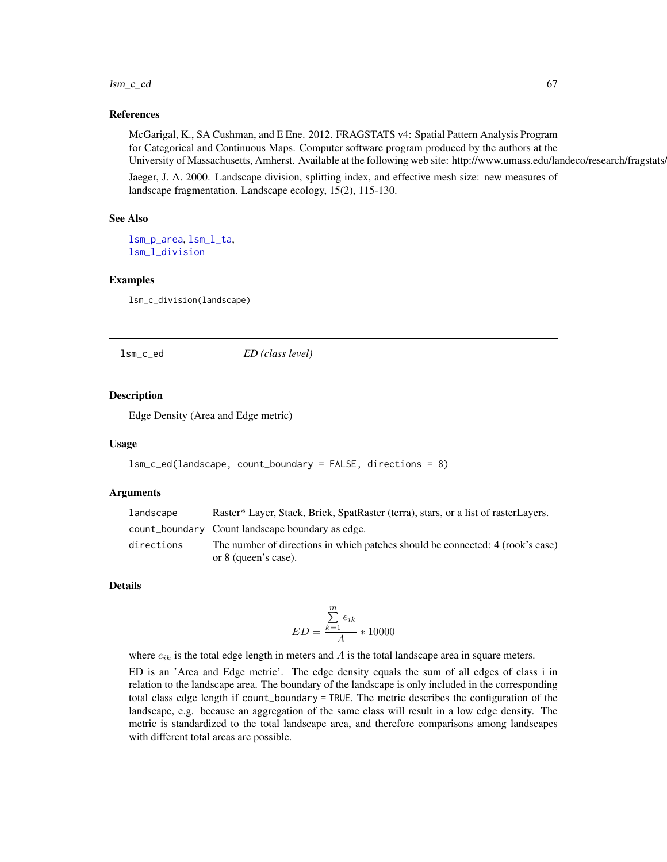#### $lsm_c$ <sub>e</sub>d 67

## References

McGarigal, K., SA Cushman, and E Ene. 2012. FRAGSTATS v4: Spatial Pattern Analysis Program for Categorical and Continuous Maps. Computer software program produced by the authors at the University of Massachusetts, Amherst. Available at the following web site: http://www.umass.edu/landeco/research/fragstats.

Jaeger, J. A. 2000. Landscape division, splitting index, and effective mesh size: new measures of landscape fragmentation. Landscape ecology, 15(2), 115-130.

#### See Also

[lsm\\_p\\_area](#page-183-0), [lsm\\_l\\_ta](#page-179-0), [lsm\\_l\\_division](#page-132-0)

#### Examples

lsm\_c\_division(landscape)

lsm\_c\_ed *ED (class level)*

## Description

Edge Density (Area and Edge metric)

#### Usage

```
lsm_c_ed(landscape, count_boundary = FALSE, directions = 8)
```
## Arguments

| landscape  | Raster* Layer, Stack, Brick, SpatRaster (terra), stars, or a list of rasterLayers. |
|------------|------------------------------------------------------------------------------------|
|            | count_boundary Count landscape boundary as edge.                                   |
| directions | The number of directions in which patches should be connected: 4 (rook's case)     |
|            | or 8 (queen's case).                                                               |

#### Details

$$
ED = \frac{\sum_{k=1}^{m} e_{ik}}{A} * 10000
$$

where  $e_{ik}$  is the total edge length in meters and  $A$  is the total landscape area in square meters.

ED is an 'Area and Edge metric'. The edge density equals the sum of all edges of class i in relation to the landscape area. The boundary of the landscape is only included in the corresponding total class edge length if count\_boundary = TRUE. The metric describes the configuration of the landscape, e.g. because an aggregation of the same class will result in a low edge density. The metric is standardized to the total landscape area, and therefore comparisons among landscapes with different total areas are possible.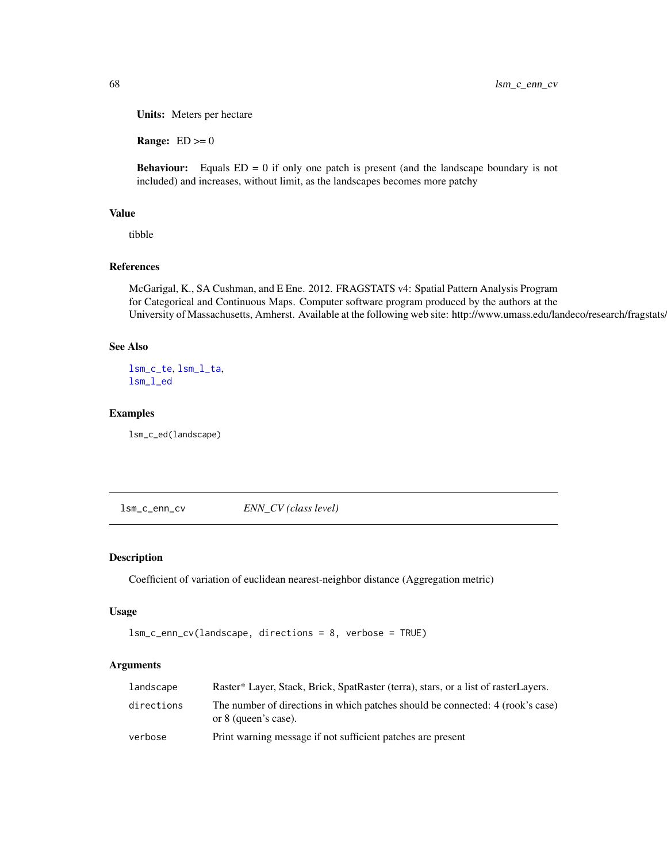Units: Meters per hectare

**Range:**  $ED \ge 0$ 

**Behaviour:** Equals  $ED = 0$  if only one patch is present (and the landscape boundary is not included) and increases, without limit, as the landscapes becomes more patchy

# Value

tibble

## References

McGarigal, K., SA Cushman, and E Ene. 2012. FRAGSTATS v4: Spatial Pattern Analysis Program for Categorical and Continuous Maps. Computer software program produced by the authors at the University of Massachusetts, Amherst. Available at the following web site: http://www.umass.edu/landeco/research/fragstats/

## See Also

[lsm\\_c\\_te](#page-101-0), [lsm\\_l\\_ta](#page-179-0), [lsm\\_l\\_ed](#page-134-0)

#### Examples

lsm\_c\_ed(landscape)

<span id="page-67-0"></span>lsm\_c\_enn\_cv *ENN\_CV (class level)*

# Description

Coefficient of variation of euclidean nearest-neighbor distance (Aggregation metric)

#### Usage

```
lsm_c_enn_cv(landscape, directions = 8, verbose = TRUE)
```
## Arguments

| landscape  | Raster* Layer, Stack, Brick, SpatRaster (terra), stars, or a list of rasterLayers.                     |
|------------|--------------------------------------------------------------------------------------------------------|
| directions | The number of directions in which patches should be connected: 4 (rook's case)<br>or 8 (queen's case). |
| verbose    | Print warning message if not sufficient patches are present                                            |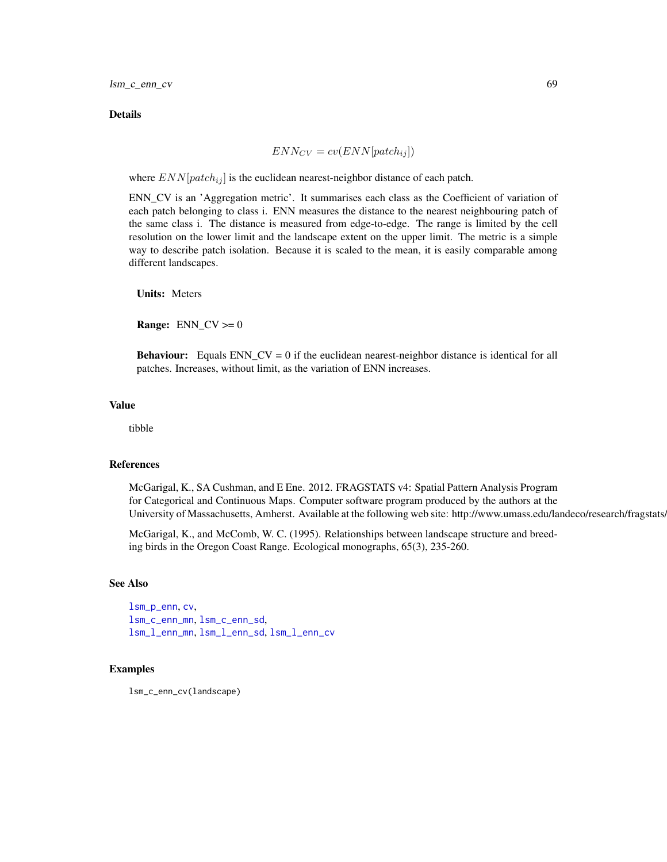#### **Details**

$$
ENN_{CV} = cv(ENN[patch_{ij}]) \\
$$

where  $END[patch_{ij}]$  is the euclidean nearest-neighbor distance of each patch.

ENN\_CV is an 'Aggregation metric'. It summarises each class as the Coefficient of variation of each patch belonging to class i. ENN measures the distance to the nearest neighbouring patch of the same class i. The distance is measured from edge-to-edge. The range is limited by the cell resolution on the lower limit and the landscape extent on the upper limit. The metric is a simple way to describe patch isolation. Because it is scaled to the mean, it is easily comparable among different landscapes.

Units: Meters

**Range:** ENN  $CV >= 0$ 

**Behaviour:** Equals ENN\_CV = 0 if the euclidean nearest-neighbor distance is identical for all patches. Increases, without limit, as the variation of ENN increases.

#### Value

tibble

## References

McGarigal, K., SA Cushman, and E Ene. 2012. FRAGSTATS v4: Spatial Pattern Analysis Program for Categorical and Continuous Maps. Computer software program produced by the authors at the University of Massachusetts, Amherst. Available at the following web site: http://www.umass.edu/landeco/research/fragstats.

McGarigal, K., and McComb, W. C. (1995). Relationships between landscape structure and breeding birds in the Oregon Coast Range. Ecological monographs, 65(3), 235-260.

#### See Also

[lsm\\_p\\_enn](#page-189-0), [cv](#page-0-0), [lsm\\_c\\_enn\\_mn](#page-69-0), [lsm\\_c\\_enn\\_sd](#page-70-0), [lsm\\_l\\_enn\\_mn](#page-136-0), [lsm\\_l\\_enn\\_sd](#page-138-0), [lsm\\_l\\_enn\\_cv](#page-135-0)

## Examples

lsm\_c\_enn\_cv(landscape)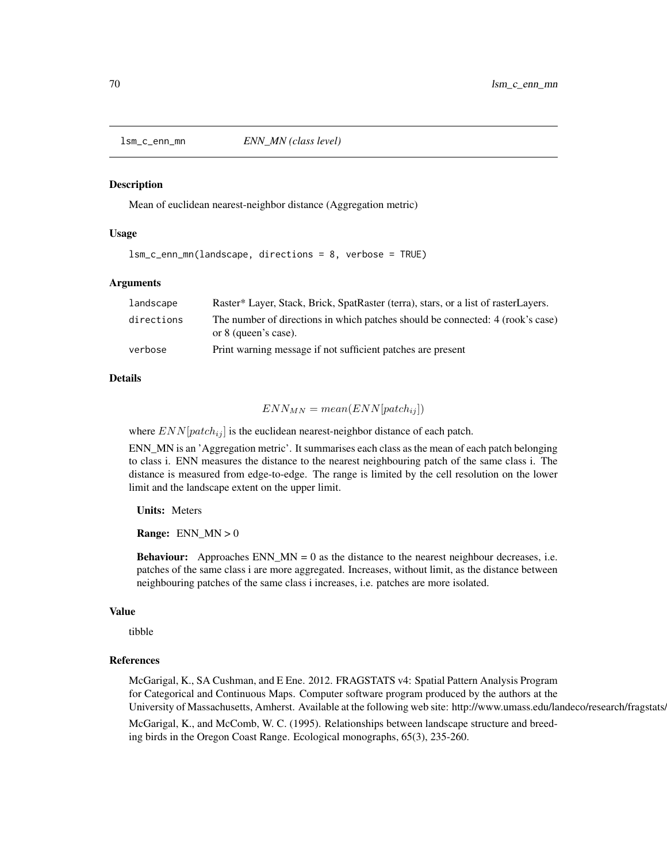<span id="page-69-0"></span>

#### Description

Mean of euclidean nearest-neighbor distance (Aggregation metric)

## Usage

lsm\_c\_enn\_mn(landscape, directions = 8, verbose = TRUE)

## Arguments

| landscape  | Raster* Layer, Stack, Brick, SpatRaster (terra), stars, or a list of rasterLayers.                     |
|------------|--------------------------------------------------------------------------------------------------------|
| directions | The number of directions in which patches should be connected: 4 (rook's case)<br>or 8 (queen's case). |
| verbose    | Print warning message if not sufficient patches are present                                            |

#### Details

# $ENN_{MN} = mean(ENN[patch_{ij}])$

where  $END[patch_{ij}]$  is the euclidean nearest-neighbor distance of each patch.

ENN\_MN is an 'Aggregation metric'. It summarises each class as the mean of each patch belonging to class i. ENN measures the distance to the nearest neighbouring patch of the same class i. The distance is measured from edge-to-edge. The range is limited by the cell resolution on the lower limit and the landscape extent on the upper limit.

#### Units: Meters

**Range:**  $ENN_MN > 0$ 

**Behaviour:** Approaches ENN\_MN = 0 as the distance to the nearest neighbour decreases, i.e. patches of the same class i are more aggregated. Increases, without limit, as the distance between neighbouring patches of the same class i increases, i.e. patches are more isolated.

#### Value

tibble

#### References

McGarigal, K., SA Cushman, and E Ene. 2012. FRAGSTATS v4: Spatial Pattern Analysis Program for Categorical and Continuous Maps. Computer software program produced by the authors at the University of Massachusetts, Amherst. Available at the following web site: http://www.umass.edu/landeco/research/fragstats. McGarigal, K., and McComb, W. C. (1995). Relationships between landscape structure and breed-

ing birds in the Oregon Coast Range. Ecological monographs, 65(3), 235-260.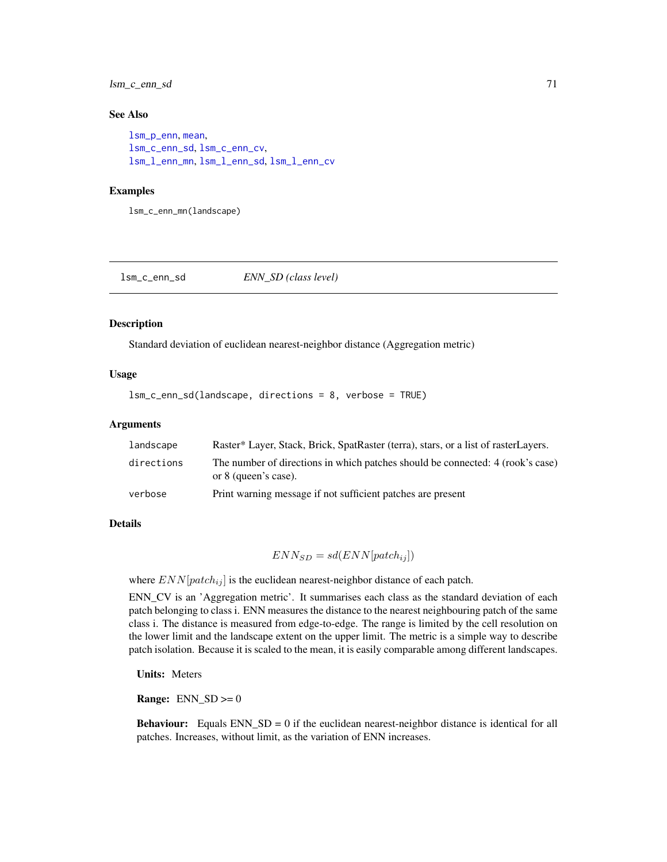# lsm\_c\_enn\_sd 71

## See Also

```
lsm_p_enn, mean,
lsm_c_enn_sd, lsm_c_enn_cv,
lsm_l_enn_mn, lsm_l_enn_sd, lsm_l_enn_cv
```
## Examples

lsm\_c\_enn\_mn(landscape)

<span id="page-70-0"></span>lsm\_c\_enn\_sd *ENN\_SD (class level)*

#### Description

Standard deviation of euclidean nearest-neighbor distance (Aggregation metric)

## Usage

lsm\_c\_enn\_sd(landscape, directions = 8, verbose = TRUE)

#### Arguments

| landscape  | Raster* Layer, Stack, Brick, SpatRaster (terra), stars, or a list of rasterLayers.                     |
|------------|--------------------------------------------------------------------------------------------------------|
| directions | The number of directions in which patches should be connected: 4 (rook's case)<br>or 8 (queen's case). |
| verbose    | Print warning message if not sufficient patches are present                                            |

# Details

 $ENN_{SD} = sd(ENN[patch_{ij}])$ 

where  $END[patch_{ij}]$  is the euclidean nearest-neighbor distance of each patch.

ENN\_CV is an 'Aggregation metric'. It summarises each class as the standard deviation of each patch belonging to class i. ENN measures the distance to the nearest neighbouring patch of the same class i. The distance is measured from edge-to-edge. The range is limited by the cell resolution on the lower limit and the landscape extent on the upper limit. The metric is a simple way to describe patch isolation. Because it is scaled to the mean, it is easily comparable among different landscapes.

Units: Meters

**Range:**  $ENN_SD \ge 0$ 

Behaviour: Equals ENN\_SD = 0 if the euclidean nearest-neighbor distance is identical for all patches. Increases, without limit, as the variation of ENN increases.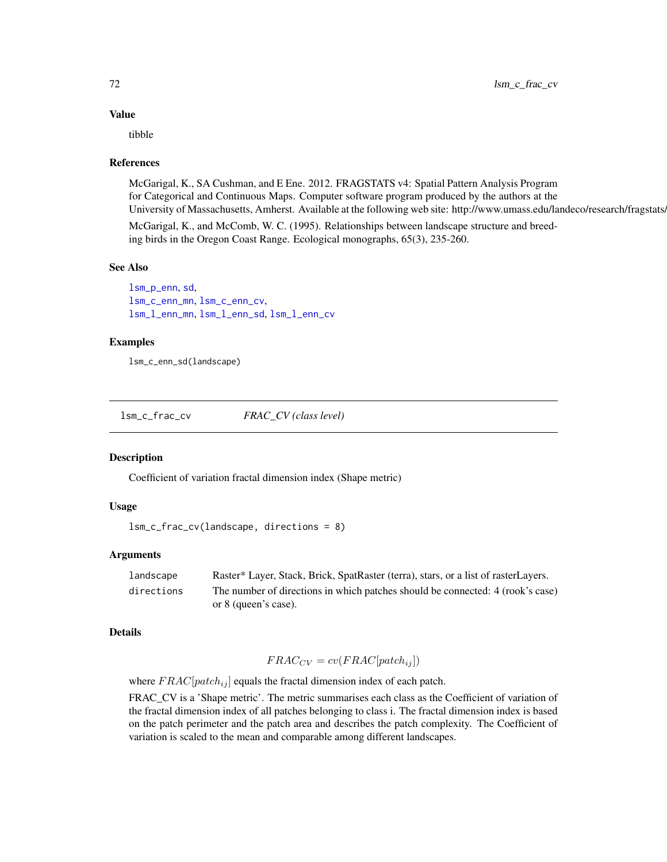# Value

tibble

## References

McGarigal, K., SA Cushman, and E Ene. 2012. FRAGSTATS v4: Spatial Pattern Analysis Program for Categorical and Continuous Maps. Computer software program produced by the authors at the University of Massachusetts, Amherst. Available at the following web site: http://www.umass.edu/landeco/research/fragstats.

McGarigal, K., and McComb, W. C. (1995). Relationships between landscape structure and breeding birds in the Oregon Coast Range. Ecological monographs, 65(3), 235-260.

# See Also

[lsm\\_p\\_enn](#page-189-0), [sd](#page-0-0), [lsm\\_c\\_enn\\_mn](#page-69-0), [lsm\\_c\\_enn\\_cv](#page-67-0), [lsm\\_l\\_enn\\_mn](#page-136-0), [lsm\\_l\\_enn\\_sd](#page-138-0), [lsm\\_l\\_enn\\_cv](#page-135-0)

## Examples

lsm\_c\_enn\_sd(landscape)

lsm\_c\_frac\_cv *FRAC\_CV (class level)*

## Description

Coefficient of variation fractal dimension index (Shape metric)

# Usage

```
lsm_c_frac_cv(landscape, directions = 8)
```
## Arguments

| landscape  | Raster* Layer, Stack, Brick, SpatRaster (terra), stars, or a list of rasterLayers. |
|------------|------------------------------------------------------------------------------------|
| directions | The number of directions in which patches should be connected: 4 (rook's case)     |
|            | or 8 (queen's case).                                                               |

#### Details

$$
FRAC_{CV} = cv(FRAC[patch_{ij}])
$$

where  $FRAC[patch_{ij}]$  equals the fractal dimension index of each patch.

FRAC\_CV is a 'Shape metric'. The metric summarises each class as the Coefficient of variation of the fractal dimension index of all patches belonging to class i. The fractal dimension index is based on the patch perimeter and the patch area and describes the patch complexity. The Coefficient of variation is scaled to the mean and comparable among different landscapes.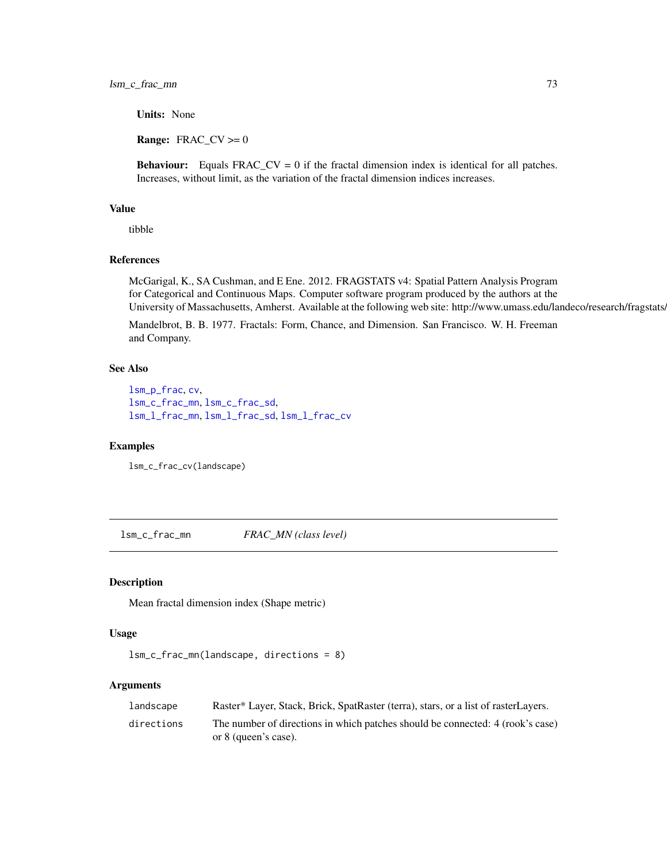Units: None

**Range:**  $\text{FRAC}_\text{C}$   $\text{CV} \ge 0$ 

**Behaviour:** Equals  $FRAC_CV = 0$  if the fractal dimension index is identical for all patches. Increases, without limit, as the variation of the fractal dimension indices increases.

# Value

tibble

# References

McGarigal, K., SA Cushman, and E Ene. 2012. FRAGSTATS v4: Spatial Pattern Analysis Program for Categorical and Continuous Maps. Computer software program produced by the authors at the University of Massachusetts, Amherst. Available at the following web site: http://www.umass.edu/landeco/research/fragstats.

Mandelbrot, B. B. 1977. Fractals: Form, Chance, and Dimension. San Francisco. W. H. Freeman and Company.

# See Also

```
lsm_p_frac, cv,
lsm_c_frac_mn, lsm_c_frac_sd,
lsm_l_frac_mn, lsm_l_frac_sd, lsm_l_frac_cv
```
## Examples

lsm\_c\_frac\_cv(landscape)

<span id="page-72-0"></span>lsm\_c\_frac\_mn *FRAC\_MN (class level)*

# Description

Mean fractal dimension index (Shape metric)

## Usage

```
lsm_c_frac_mn(landscape, directions = 8)
```
## Arguments

| landscape  | Raster* Layer, Stack, Brick, SpatRaster (terra), stars, or a list of rasterLayers.                     |
|------------|--------------------------------------------------------------------------------------------------------|
| directions | The number of directions in which patches should be connected: 4 (rook's case)<br>or 8 (queen's case). |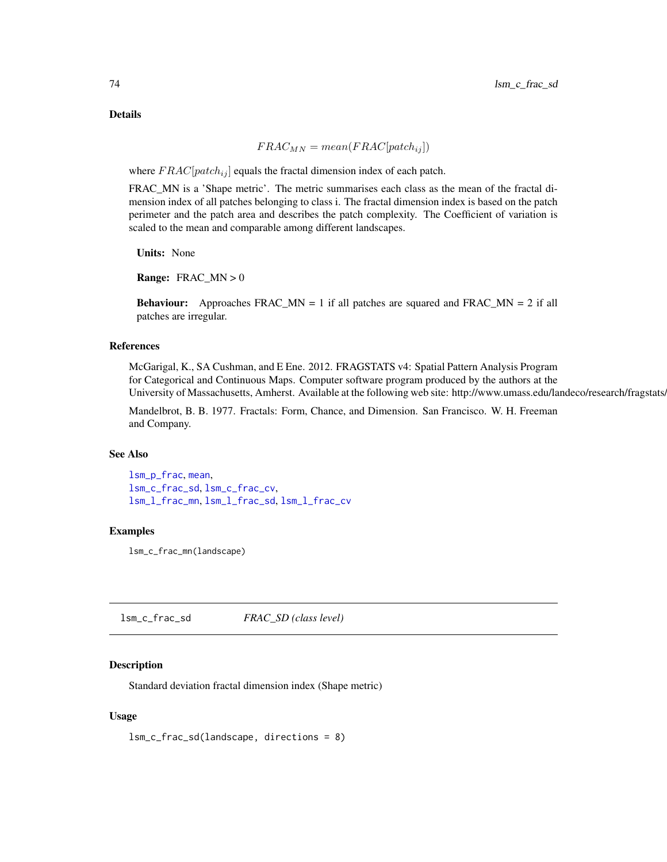Details

$$
FRAC_{MN} = mean(FRAC[patch_{ij}])
$$

where  $FRAC[patch_{ij}]$  equals the fractal dimension index of each patch.

FRAC\_MN is a 'Shape metric'. The metric summarises each class as the mean of the fractal dimension index of all patches belonging to class i. The fractal dimension index is based on the patch perimeter and the patch area and describes the patch complexity. The Coefficient of variation is scaled to the mean and comparable among different landscapes.

Units: None

**Range:**  $FRAC_MN > 0$ 

**Behaviour:** Approaches  $FRAC_MN = 1$  if all patches are squared and  $FRAC_MN = 2$  if all patches are irregular.

## References

McGarigal, K., SA Cushman, and E Ene. 2012. FRAGSTATS v4: Spatial Pattern Analysis Program for Categorical and Continuous Maps. Computer software program produced by the authors at the University of Massachusetts, Amherst. Available at the following web site: http://www.umass.edu/landeco/research/fragstats.

Mandelbrot, B. B. 1977. Fractals: Form, Chance, and Dimension. San Francisco. W. H. Freeman and Company.

## See Also

[lsm\\_p\\_frac](#page-190-0), [mean](#page-0-0), [lsm\\_c\\_frac\\_sd](#page-73-0), [lsm\\_c\\_frac\\_cv](#page-71-0), [lsm\\_l\\_frac\\_mn](#page-141-0), [lsm\\_l\\_frac\\_sd](#page-142-0), [lsm\\_l\\_frac\\_cv](#page-140-0)

#### Examples

lsm\_c\_frac\_mn(landscape)

<span id="page-73-0"></span>lsm\_c\_frac\_sd *FRAC\_SD (class level)*

## **Description**

Standard deviation fractal dimension index (Shape metric)

## Usage

lsm\_c\_frac\_sd(landscape, directions = 8)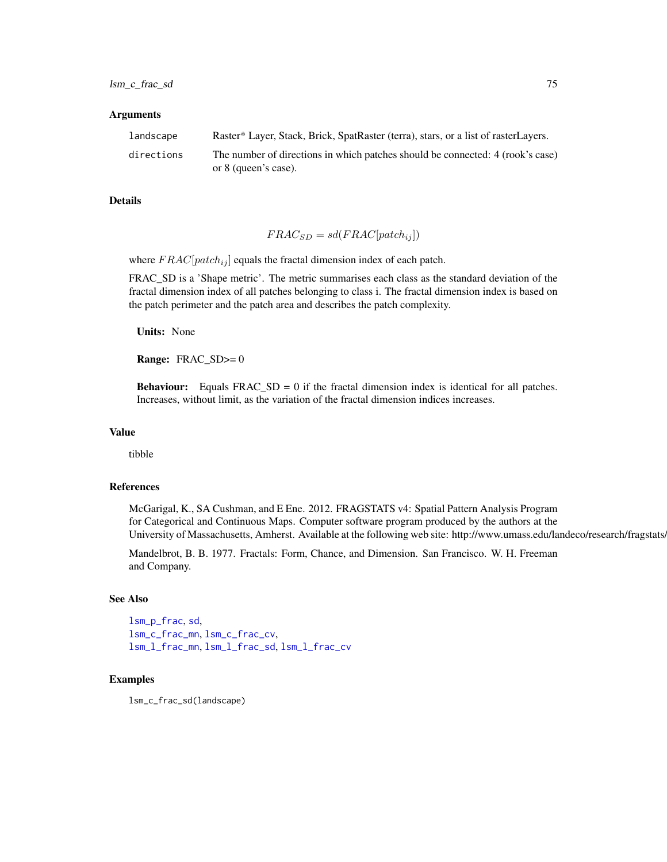#### Arguments

| landscape  | Raster* Layer, Stack, Brick, SpatRaster (terra), stars, or a list of rasterLayers. |
|------------|------------------------------------------------------------------------------------|
| directions | The number of directions in which patches should be connected: 4 (rook's case)     |
|            | or 8 (queen's case).                                                               |

## Details

$$
FRAC_{SD} = sd(FRAC[patch_{ij}])
$$

where  $FRAC[patch_{ij}]$  equals the fractal dimension index of each patch.

FRAC\_SD is a 'Shape metric'. The metric summarises each class as the standard deviation of the fractal dimension index of all patches belonging to class i. The fractal dimension index is based on the patch perimeter and the patch area and describes the patch complexity.

Units: None

Range: FRAC\_SD>= 0

**Behaviour:** Equals  $FRAC\_SD = 0$  if the fractal dimension index is identical for all patches. Increases, without limit, as the variation of the fractal dimension indices increases.

# Value

tibble

## References

McGarigal, K., SA Cushman, and E Ene. 2012. FRAGSTATS v4: Spatial Pattern Analysis Program for Categorical and Continuous Maps. Computer software program produced by the authors at the University of Massachusetts, Amherst. Available at the following web site: http://www.umass.edu/landeco/research/fragstats.

Mandelbrot, B. B. 1977. Fractals: Form, Chance, and Dimension. San Francisco. W. H. Freeman and Company.

# See Also

[lsm\\_p\\_frac](#page-190-0), [sd](#page-0-0), [lsm\\_c\\_frac\\_mn](#page-72-0), [lsm\\_c\\_frac\\_cv](#page-71-0), [lsm\\_l\\_frac\\_mn](#page-141-0), [lsm\\_l\\_frac\\_sd](#page-142-0), [lsm\\_l\\_frac\\_cv](#page-140-0)

#### Examples

lsm\_c\_frac\_sd(landscape)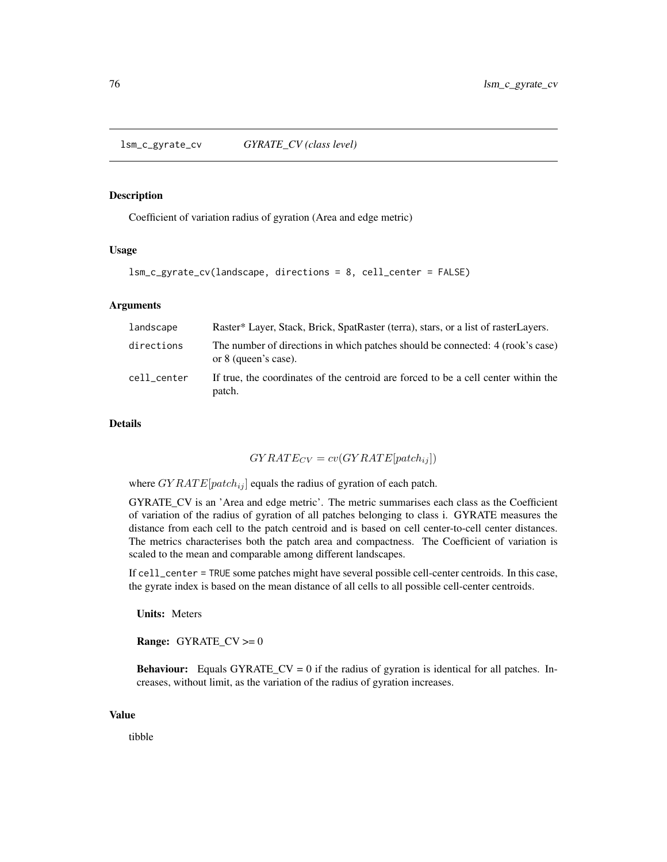<span id="page-75-0"></span>lsm\_c\_gyrate\_cv *GYRATE\_CV (class level)*

## Description

Coefficient of variation radius of gyration (Area and edge metric)

# Usage

```
lsm_c_gyrate_cv(landscape, directions = 8, cell_center = FALSE)
```
# Arguments

| landscape   | Raster* Layer, Stack, Brick, SpatRaster (terra), stars, or a list of rasterLayers.                     |
|-------------|--------------------------------------------------------------------------------------------------------|
| directions  | The number of directions in which patches should be connected: 4 (rook's case)<br>or 8 (queen's case). |
| cell center | If true, the coordinates of the centroid are forced to be a cell center within the<br>patch.           |

## Details

$$
GYRATE_{CV} = cv(GYRATE[patch_{ij}])
$$

where  $GYRATE[patch_{ij}]$  equals the radius of gyration of each patch.

GYRATE\_CV is an 'Area and edge metric'. The metric summarises each class as the Coefficient of variation of the radius of gyration of all patches belonging to class i. GYRATE measures the distance from each cell to the patch centroid and is based on cell center-to-cell center distances. The metrics characterises both the patch area and compactness. The Coefficient of variation is scaled to the mean and comparable among different landscapes.

If cell\_center = TRUE some patches might have several possible cell-center centroids. In this case, the gyrate index is based on the mean distance of all cells to all possible cell-center centroids.

Units: Meters

**Range:** GYRATE\_CV  $>= 0$ 

**Behaviour:** Equals GYRATE\_CV = 0 if the radius of gyration is identical for all patches. Increases, without limit, as the variation of the radius of gyration increases.

#### Value

tibble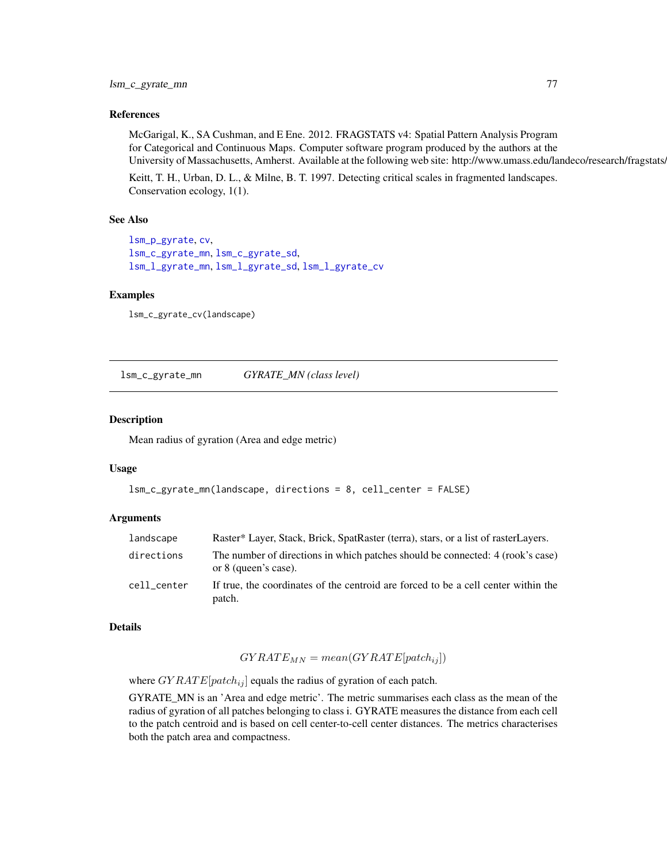## References

McGarigal, K., SA Cushman, and E Ene. 2012. FRAGSTATS v4: Spatial Pattern Analysis Program for Categorical and Continuous Maps. Computer software program produced by the authors at the University of Massachusetts, Amherst. Available at the following web site: http://www.umass.edu/landeco/research/fragstats.

Keitt, T. H., Urban, D. L., & Milne, B. T. 1997. Detecting critical scales in fragmented landscapes. Conservation ecology, 1(1).

## See Also

```
lsm_p_gyrate, cv,
lsm_c_gyrate_mn, lsm_c_gyrate_sd,
lsm_l_gyrate_mn, lsm_l_gyrate_sd, lsm_l_gyrate_cv
```
## Examples

```
lsm_c_gyrate_cv(landscape)
```
<span id="page-76-0"></span>lsm\_c\_gyrate\_mn *GYRATE\_MN (class level)*

#### Description

Mean radius of gyration (Area and edge metric)

## Usage

```
lsm_c_gyrate_mn(landscape, directions = 8, cell_center = FALSE)
```
## Arguments

| landscape   | Raster* Layer, Stack, Brick, SpatRaster (terra), stars, or a list of rasterLayers.                     |
|-------------|--------------------------------------------------------------------------------------------------------|
| directions  | The number of directions in which patches should be connected: 4 (rook's case)<br>or 8 (queen's case). |
| cell center | If true, the coordinates of the centroid are forced to be a cell center within the<br>patch.           |

#### Details

$$
GYRATE_{MN} = mean(GYRATE[patch_{ij}])
$$

where  $GYRATE[patch_{ij}]$  equals the radius of gyration of each patch.

GYRATE\_MN is an 'Area and edge metric'. The metric summarises each class as the mean of the radius of gyration of all patches belonging to class i. GYRATE measures the distance from each cell to the patch centroid and is based on cell center-to-cell center distances. The metrics characterises both the patch area and compactness.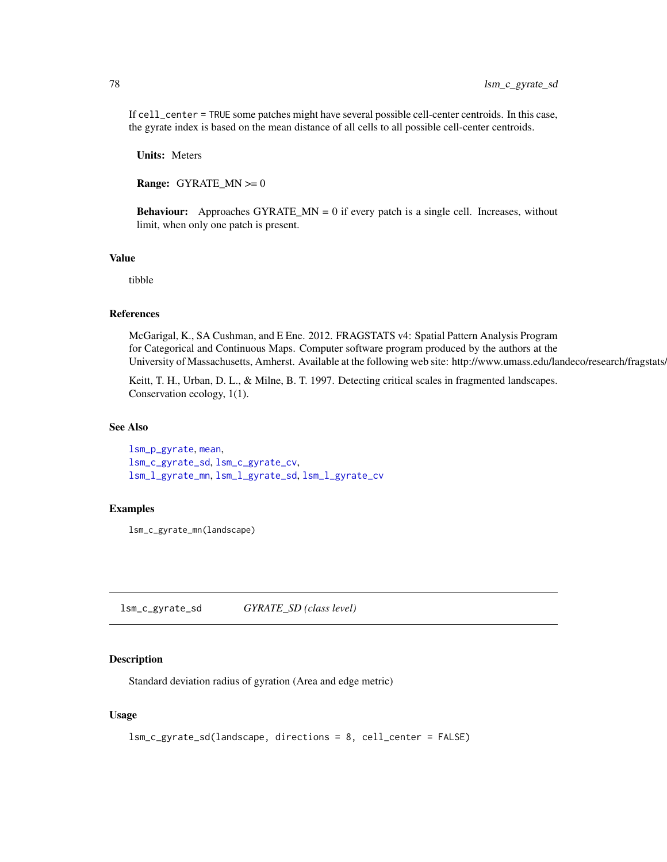If cell\_center = TRUE some patches might have several possible cell-center centroids. In this case, the gyrate index is based on the mean distance of all cells to all possible cell-center centroids.

Units: Meters

**Range:** GYRATE\_MN  $>= 0$ 

**Behaviour:** Approaches  $GYRATE_MN = 0$  if every patch is a single cell. Increases, without limit, when only one patch is present.

### Value

tibble

## **References**

McGarigal, K., SA Cushman, and E Ene. 2012. FRAGSTATS v4: Spatial Pattern Analysis Program for Categorical and Continuous Maps. Computer software program produced by the authors at the University of Massachusetts, Amherst. Available at the following web site: http://www.umass.edu/landeco/research/fragstats.

Keitt, T. H., Urban, D. L., & Milne, B. T. 1997. Detecting critical scales in fragmented landscapes. Conservation ecology, 1(1).

## See Also

```
lsm_p_gyrate, mean,
lsm_c_gyrate_sd, lsm_c_gyrate_cv,
lsm_l_gyrate_mn, lsm_l_gyrate_sd, lsm_l_gyrate_cv
```
## Examples

lsm\_c\_gyrate\_mn(landscape)

<span id="page-77-0"></span>lsm\_c\_gyrate\_sd *GYRATE\_SD (class level)*

## Description

Standard deviation radius of gyration (Area and edge metric)

## Usage

```
lsm_c_gyrate_sd(landscape, directions = 8, cell_center = FALSE)
```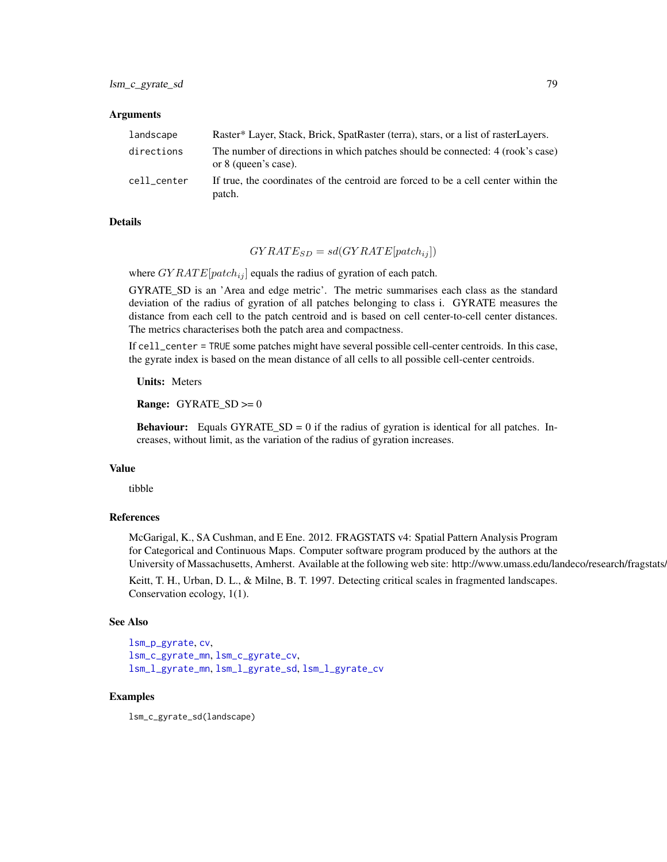## Arguments

| landscape   | Raster* Layer, Stack, Brick, SpatRaster (terra), stars, or a list of rasterLayers.                     |
|-------------|--------------------------------------------------------------------------------------------------------|
| directions  | The number of directions in which patches should be connected: 4 (rook's case)<br>or 8 (queen's case). |
| cell center | If true, the coordinates of the centroid are forced to be a cell center within the<br>patch.           |

# Details

$$
GYRATE_{SD} = sd(GYRATE[patch_{ij}])
$$

where  $GYRATE[patch_{ij}]$  equals the radius of gyration of each patch.

GYRATE\_SD is an 'Area and edge metric'. The metric summarises each class as the standard deviation of the radius of gyration of all patches belonging to class i. GYRATE measures the distance from each cell to the patch centroid and is based on cell center-to-cell center distances. The metrics characterises both the patch area and compactness.

If cell\_center = TRUE some patches might have several possible cell-center centroids. In this case, the gyrate index is based on the mean distance of all cells to all possible cell-center centroids.

Units: Meters

Range: GYRATE\_SD >= 0

**Behaviour:** Equals GYRATE\_SD = 0 if the radius of gyration is identical for all patches. Increases, without limit, as the variation of the radius of gyration increases.

#### Value

tibble

## References

McGarigal, K., SA Cushman, and E Ene. 2012. FRAGSTATS v4: Spatial Pattern Analysis Program for Categorical and Continuous Maps. Computer software program produced by the authors at the University of Massachusetts, Amherst. Available at the following web site: http://www.umass.edu/landeco/research/fragstats.

Keitt, T. H., Urban, D. L., & Milne, B. T. 1997. Detecting critical scales in fragmented landscapes. Conservation ecology, 1(1).

## See Also

```
lsm_p_gyrate, cv,
lsm_c_gyrate_mn, lsm_c_gyrate_cv,
lsm_l_gyrate_mn, lsm_l_gyrate_sd, lsm_l_gyrate_cv
```
# Examples

lsm\_c\_gyrate\_sd(landscape)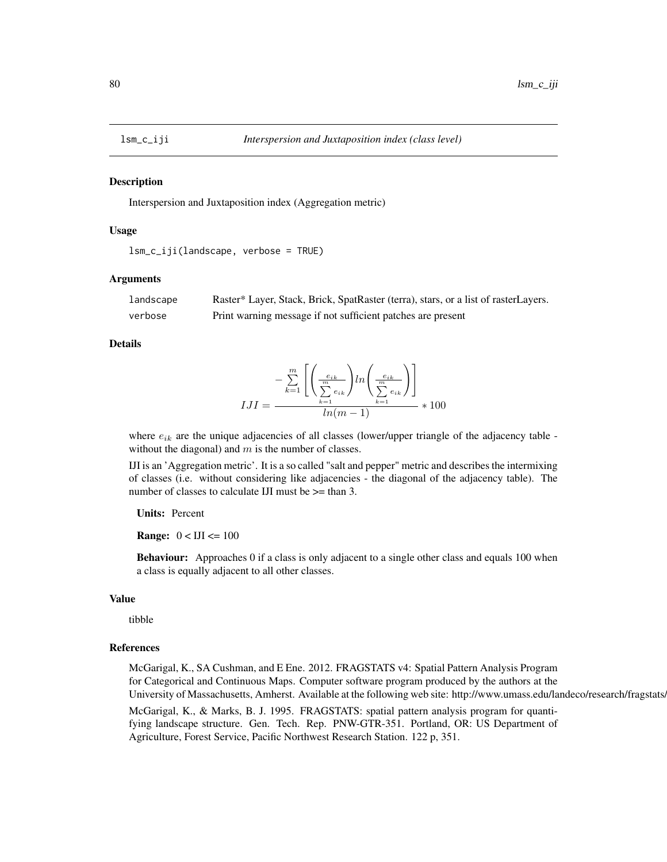#### Description

Interspersion and Juxtaposition index (Aggregation metric)

#### Usage

```
lsm_c_iji(landscape, verbose = TRUE)
```
### Arguments

| landscape | Raster* Layer, Stack, Brick, SpatRaster (terra), stars, or a list of rasterLayers. |
|-----------|------------------------------------------------------------------------------------|
| verbose   | Print warning message if not sufficient patches are present                        |

#### Details

$$
IJI = \frac{-\sum\limits_{k=1}^{m} \left[ \left( \frac{e_{ik}}{\sum\limits_{k=1}^{m} e_{ik}} \right) \ln \left( \frac{e_{ik}}{\sum\limits_{k=1}^{m} e_{ik}} \right) \right]}{\ln(m-1)} \times 100
$$

where  $e_{ik}$  are the unique adjacencies of all classes (lower/upper triangle of the adjacency table without the diagonal) and  $m$  is the number of classes.

IJI is an 'Aggregation metric'. It is a so called "salt and pepper" metric and describes the intermixing of classes (i.e. without considering like adjacencies - the diagonal of the adjacency table). The number of classes to calculate IJI must be  $\ge$  than 3.

## Units: Percent

**Range:**  $0 < IJI \leq 100$ 

Behaviour: Approaches 0 if a class is only adjacent to a single other class and equals 100 when a class is equally adjacent to all other classes.

# Value

tibble

## References

McGarigal, K., SA Cushman, and E Ene. 2012. FRAGSTATS v4: Spatial Pattern Analysis Program for Categorical and Continuous Maps. Computer software program produced by the authors at the University of Massachusetts, Amherst. Available at the following web site: http://www.umass.edu/landeco/research/fragstats.

McGarigal, K., & Marks, B. J. 1995. FRAGSTATS: spatial pattern analysis program for quantifying landscape structure. Gen. Tech. Rep. PNW-GTR-351. Portland, OR: US Department of Agriculture, Forest Service, Pacific Northwest Research Station. 122 p, 351.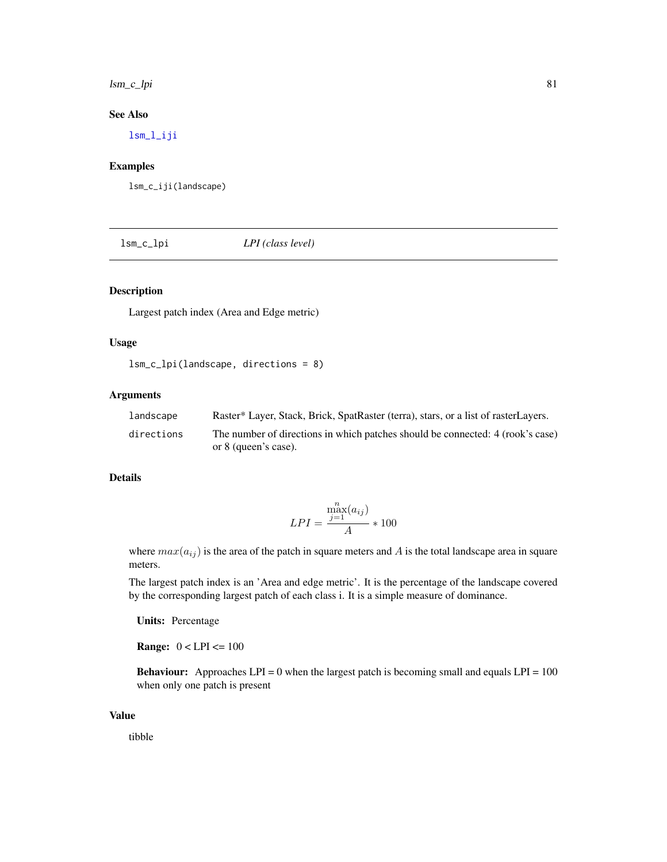lsm\_c\_lpi 81

# See Also

[lsm\\_l\\_iji](#page-147-0)

## Examples

lsm\_c\_iji(landscape)

lsm\_c\_lpi *LPI (class level)*

# Description

Largest patch index (Area and Edge metric)

# Usage

lsm\_c\_lpi(landscape, directions = 8)

# Arguments

| landscape  | Raster* Layer, Stack, Brick, SpatRaster (terra), stars, or a list of rasterLayers.                     |
|------------|--------------------------------------------------------------------------------------------------------|
| directions | The number of directions in which patches should be connected: 4 (rook's case)<br>or 8 (queen's case). |

## Details

$$
LPI = \frac{\max_{j=1}^{n}(a_{ij})}{A} * 100
$$

where  $max(a_{ij})$  is the area of the patch in square meters and A is the total landscape area in square meters.

The largest patch index is an 'Area and edge metric'. It is the percentage of the landscape covered by the corresponding largest patch of each class i. It is a simple measure of dominance.

Units: Percentage

**Range:**  $0 < LPI < 100$ 

**Behaviour:** Approaches LPI = 0 when the largest patch is becoming small and equals LPI =  $100$ when only one patch is present

#### Value

tibble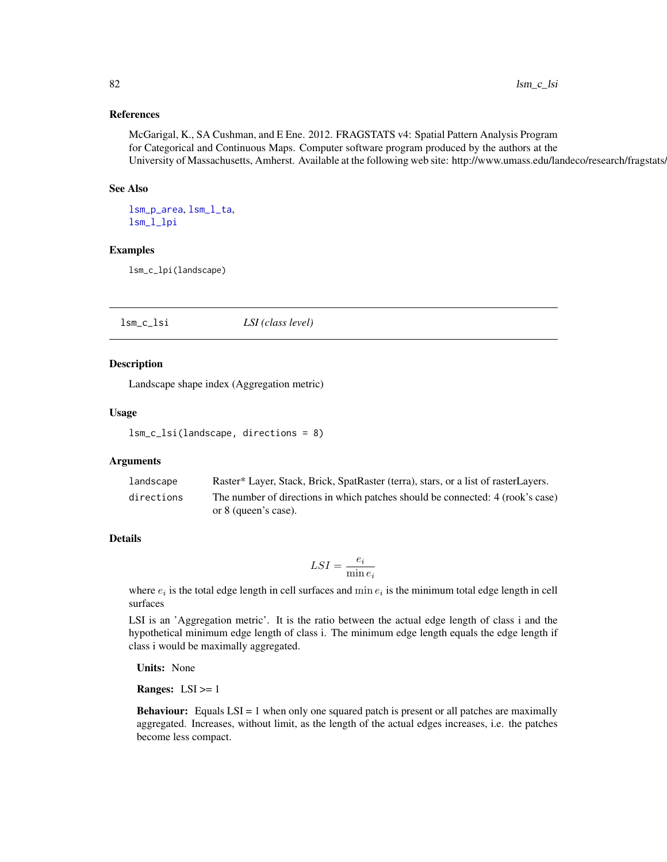## References

McGarigal, K., SA Cushman, and E Ene. 2012. FRAGSTATS v4: Spatial Pattern Analysis Program for Categorical and Continuous Maps. Computer software program produced by the authors at the University of Massachusetts, Amherst. Available at the following web site: http://www.umass.edu/landeco/research/fragstats/

## See Also

[lsm\\_p\\_area](#page-183-0), [lsm\\_l\\_ta](#page-179-0), [lsm\\_l\\_lpi](#page-150-0)

# Examples

lsm\_c\_lpi(landscape)

lsm\_c\_lsi *LSI (class level)*

## Description

Landscape shape index (Aggregation metric)

## Usage

lsm\_c\_lsi(landscape, directions = 8)

## Arguments

| landscape  | Raster* Layer, Stack, Brick, SpatRaster (terra), stars, or a list of rasterLayers. |
|------------|------------------------------------------------------------------------------------|
| directions | The number of directions in which patches should be connected: 4 (rook's case)     |
|            | or 8 (queen's case).                                                               |

# Details

$$
LSI = \frac{e_i}{\min e_i}
$$

where  $e_i$  is the total edge length in cell surfaces and  $\min e_i$  is the minimum total edge length in cell surfaces

LSI is an 'Aggregation metric'. It is the ratio between the actual edge length of class i and the hypothetical minimum edge length of class i. The minimum edge length equals the edge length if class i would be maximally aggregated.

Units: None

**Ranges:**  $LSI \geq 1$ 

**Behaviour:** Equals  $LSI = 1$  when only one squared patch is present or all patches are maximally aggregated. Increases, without limit, as the length of the actual edges increases, i.e. the patches become less compact.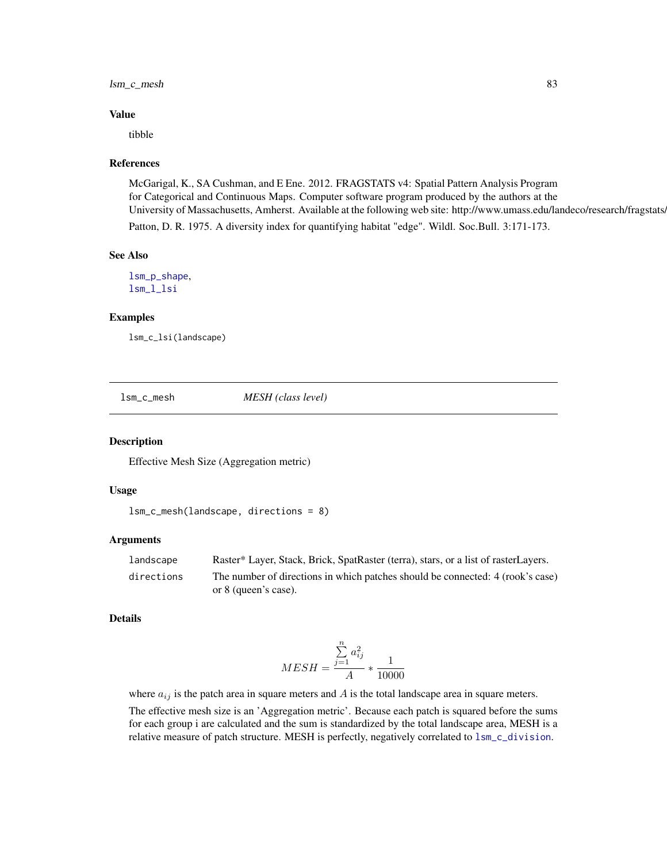# lsm\_c\_mesh 83

#### Value

tibble

## References

McGarigal, K., SA Cushman, and E Ene. 2012. FRAGSTATS v4: Spatial Pattern Analysis Program for Categorical and Continuous Maps. Computer software program produced by the authors at the University of Massachusetts, Amherst. Available at the following web site: http://www.umass.edu/landeco/research/fragstats. Patton, D. R. 1975. A diversity index for quantifying habitat "edge". Wildl. Soc.Bull. 3:171-173.

#### See Also

[lsm\\_p\\_shape](#page-196-0), [lsm\\_l\\_lsi](#page-151-0)

## Examples

lsm\_c\_lsi(landscape)

lsm\_c\_mesh *MESH (class level)*

## Description

Effective Mesh Size (Aggregation metric)

# Usage

```
lsm_c_mesh(landscape, directions = 8)
```
## Arguments

| landscape  | Raster* Layer, Stack, Brick, SpatRaster (terra), stars, or a list of rasterLayers. |
|------------|------------------------------------------------------------------------------------|
| directions | The number of directions in which patches should be connected: 4 (rook's case)     |
|            | or 8 (queen's case).                                                               |

# Details

$$
MESH = \frac{\sum_{j=1}^{n} a_{ij}^2}{A} * \frac{1}{10000}
$$

where  $a_{ij}$  is the patch area in square meters and  $A$  is the total landscape area in square meters.

The effective mesh size is an 'Aggregation metric'. Because each patch is squared before the sums for each group i are calculated and the sum is standardized by the total landscape area, MESH is a relative measure of patch structure. MESH is perfectly, negatively correlated to [lsm\\_c\\_division](#page-65-0).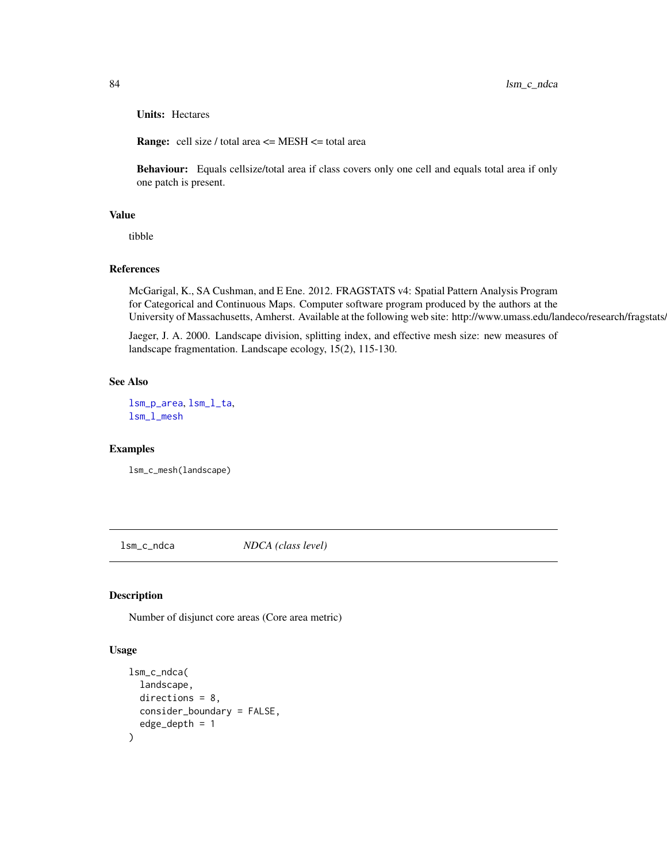Units: Hectares

**Range:** cell size / total area  $\leq$  MESH  $\leq$  total area

Behaviour: Equals cellsize/total area if class covers only one cell and equals total area if only one patch is present.

# Value

tibble

## References

McGarigal, K., SA Cushman, and E Ene. 2012. FRAGSTATS v4: Spatial Pattern Analysis Program for Categorical and Continuous Maps. Computer software program produced by the authors at the University of Massachusetts, Amherst. Available at the following web site: http://www.umass.edu/landeco/research/fragstats/

Jaeger, J. A. 2000. Landscape division, splitting index, and effective mesh size: new measures of landscape fragmentation. Landscape ecology, 15(2), 115-130.

## See Also

[lsm\\_p\\_area](#page-183-0), [lsm\\_l\\_ta](#page-179-0), [lsm\\_l\\_mesh](#page-152-0)

## Examples

lsm\_c\_mesh(landscape)

lsm\_c\_ndca *NDCA (class level)*

## Description

Number of disjunct core areas (Core area metric)

## Usage

```
lsm_c_ndca(
 landscape,
  directions = 8,consider_boundary = FALSE,
  edge\_depth = 1)
```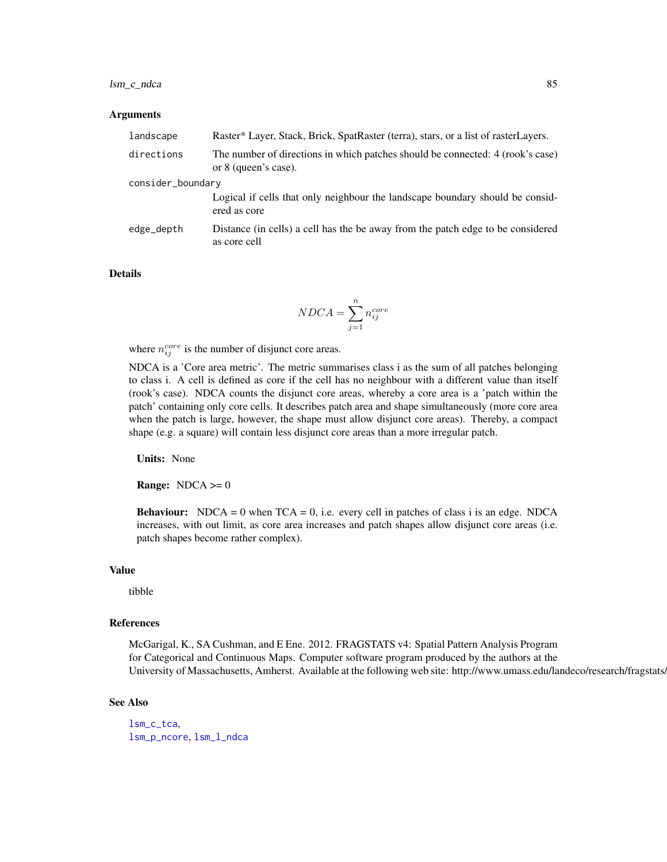# lsm\_c\_ndca 85

#### Arguments

| landscape         | Raster* Layer, Stack, Brick, SpatRaster (terra), stars, or a list of rasterLayers.                     |
|-------------------|--------------------------------------------------------------------------------------------------------|
| directions        | The number of directions in which patches should be connected: 4 (rook's case)<br>or 8 (queen's case). |
| consider_boundary |                                                                                                        |
|                   | Logical if cells that only neighbour the landscape boundary should be consid-<br>ered as core          |
| edge_depth        | Distance (in cells) a cell has the be away from the patch edge to be considered<br>as core cell        |

## Details

$$
NDCA = \sum_{j=1}^{n} n_{ij}^{core}
$$

where  $n_{ij}^{core}$  is the number of disjunct core areas.

NDCA is a 'Core area metric'. The metric summarises class i as the sum of all patches belonging to class i. A cell is defined as core if the cell has no neighbour with a different value than itself (rook's case). NDCA counts the disjunct core areas, whereby a core area is a 'patch within the patch' containing only core cells. It describes patch area and shape simultaneously (more core area when the patch is large, however, the shape must allow disjunct core areas). Thereby, a compact shape (e.g. a square) will contain less disjunct core areas than a more irregular patch.

Units: None

**Range:**  $NDCA \ge 0$ 

**Behaviour:** NDCA = 0 when  $TCA = 0$ , i.e. every cell in patches of class i is an edge. NDCA increases, with out limit, as core area increases and patch shapes allow disjunct core areas (i.e. patch shapes become rather complex).

## Value

tibble

#### References

McGarigal, K., SA Cushman, and E Ene. 2012. FRAGSTATS v4: Spatial Pattern Analysis Program for Categorical and Continuous Maps. Computer software program produced by the authors at the University of Massachusetts, Amherst. Available at the following web site: http://www.umass.edu/landeco/research/fragstats.

#### See Also

[lsm\\_c\\_tca](#page-100-0), [lsm\\_p\\_ncore](#page-193-0), [lsm\\_l\\_ndca](#page-156-0)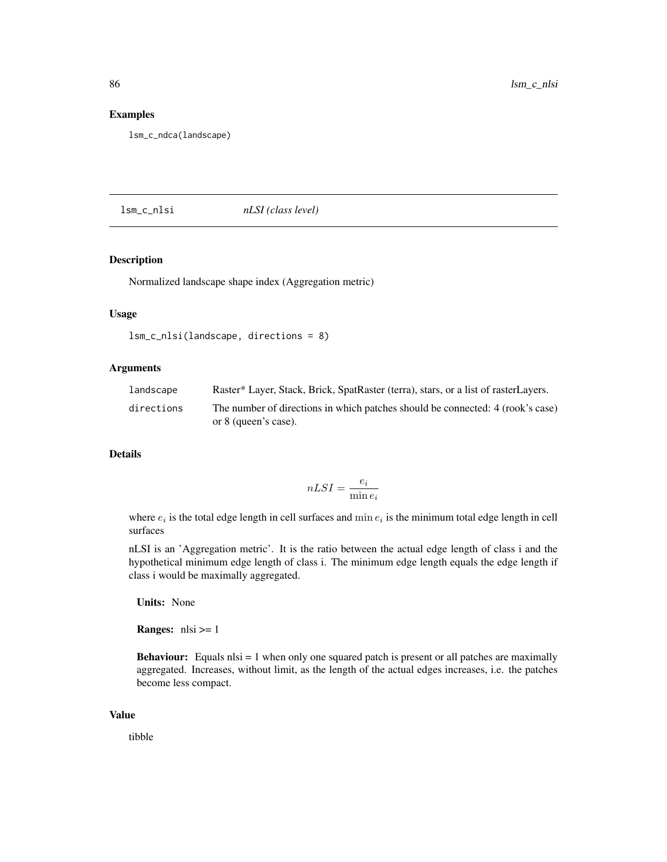## Examples

lsm\_c\_ndca(landscape)

lsm\_c\_nlsi *nLSI (class level)*

# Description

Normalized landscape shape index (Aggregation metric)

## Usage

```
lsm_c_nlsi(landscape, directions = 8)
```
## Arguments

| landscape  | Raster* Layer, Stack, Brick, SpatRaster (terra), stars, or a list of rasterLayers.                     |
|------------|--------------------------------------------------------------------------------------------------------|
| directions | The number of directions in which patches should be connected: 4 (rook's case)<br>or 8 (queen's case). |

# Details

$$
nLSI = \frac{e_i}{\min e_i}
$$

where  $e_i$  is the total edge length in cell surfaces and min  $e_i$  is the minimum total edge length in cell surfaces

nLSI is an 'Aggregation metric'. It is the ratio between the actual edge length of class i and the hypothetical minimum edge length of class i. The minimum edge length equals the edge length if class i would be maximally aggregated.

Units: None

**Ranges:**  $nlsi >= 1$ 

**Behaviour:** Equals nlsi  $= 1$  when only one squared patch is present or all patches are maximally aggregated. Increases, without limit, as the length of the actual edges increases, i.e. the patches become less compact.

#### Value

tibble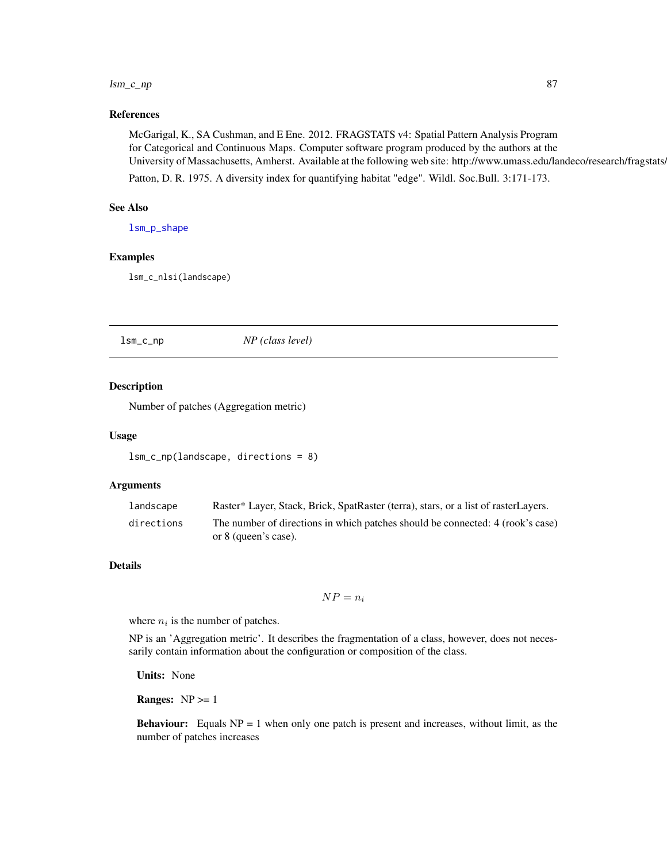#### lsm\_c\_np 87

# References

McGarigal, K., SA Cushman, and E Ene. 2012. FRAGSTATS v4: Spatial Pattern Analysis Program for Categorical and Continuous Maps. Computer software program produced by the authors at the University of Massachusetts, Amherst. Available at the following web site: http://www.umass.edu/landeco/research/fragstats.

Patton, D. R. 1975. A diversity index for quantifying habitat "edge". Wildl. Soc.Bull. 3:171-173.

## See Also

[lsm\\_p\\_shape](#page-196-0)

# Examples

lsm\_c\_nlsi(landscape)

<span id="page-86-0"></span>lsm\_c\_np *NP (class level)*

## Description

Number of patches (Aggregation metric)

#### Usage

```
lsm_c_np(landscape, directions = 8)
```
## Arguments

| landscape  | Raster* Layer, Stack, Brick, SpatRaster (terra), stars, or a list of rasterLayers. |
|------------|------------------------------------------------------------------------------------|
| directions | The number of directions in which patches should be connected: 4 (rook's case)     |
|            | or 8 (queen's case).                                                               |

## Details

$$
NP = n_i
$$

where  $n_i$  is the number of patches.

NP is an 'Aggregation metric'. It describes the fragmentation of a class, however, does not necessarily contain information about the configuration or composition of the class.

Units: None

**Ranges:**  $NP \geq 1$ 

**Behaviour:** Equals  $NP = 1$  when only one patch is present and increases, without limit, as the number of patches increases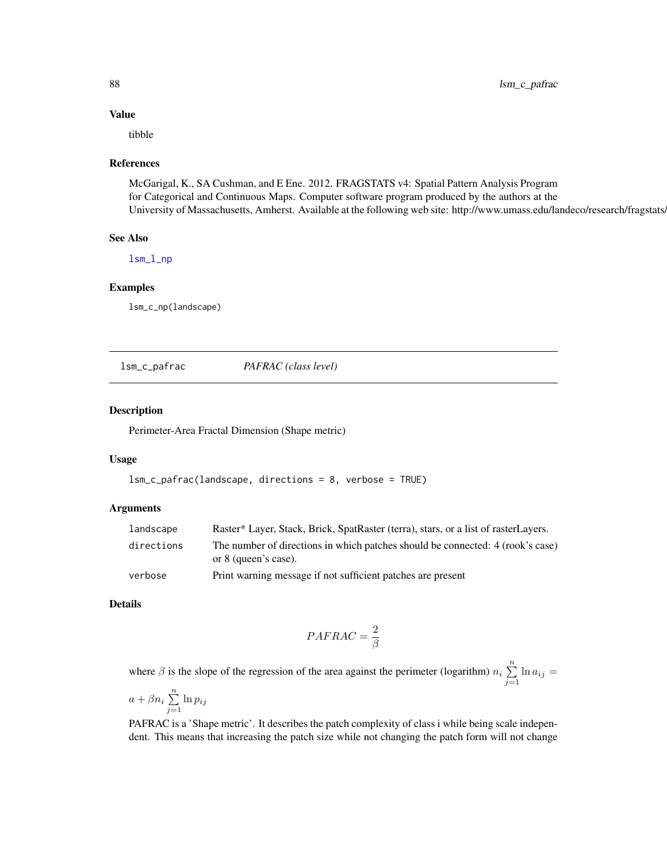# Value

tibble

## References

McGarigal, K., SA Cushman, and E Ene. 2012. FRAGSTATS v4: Spatial Pattern Analysis Program for Categorical and Continuous Maps. Computer software program produced by the authors at the University of Massachusetts, Amherst. Available at the following web site: http://www.umass.edu/landeco/research/fragstats.

#### See Also

[lsm\\_l\\_np](#page-158-0)

# Examples

lsm\_c\_np(landscape)

lsm\_c\_pafrac *PAFRAC (class level)*

## Description

Perimeter-Area Fractal Dimension (Shape metric)

## Usage

```
lsm_c_pafrac(landscape, directions = 8, verbose = TRUE)
```
## Arguments

| landscape  | Raster* Layer, Stack, Brick, SpatRaster (terra), stars, or a list of rasterLayers.                     |
|------------|--------------------------------------------------------------------------------------------------------|
| directions | The number of directions in which patches should be connected: 4 (rook's case)<br>or 8 (queen's case). |
| verbose    | Print warning message if not sufficient patches are present                                            |

## Details

$$
PAFRAC = \frac{2}{\beta}
$$

where  $\beta$  is the slope of the regression of the area against the perimeter (logarithm)  $n_i \sum_{i=1}^{n}$  $\sum_{j=1} \ln a_{ij} =$ 

$$
a + \beta n_i \sum_{j=1}^n \ln p_{ij}
$$

PAFRAC is a 'Shape metric'. It describes the patch complexity of class i while being scale independent. This means that increasing the patch size while not changing the patch form will not change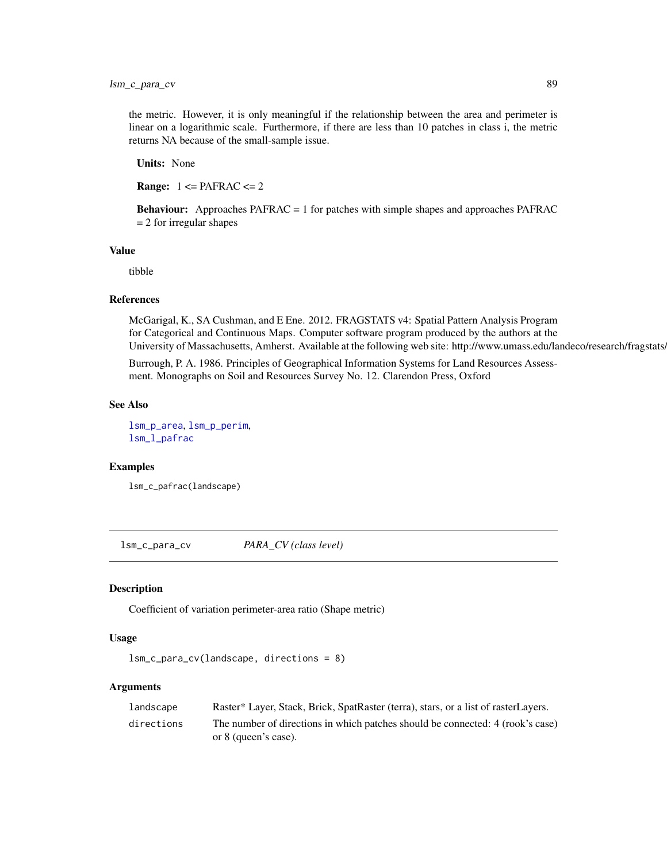the metric. However, it is only meaningful if the relationship between the area and perimeter is linear on a logarithmic scale. Furthermore, if there are less than 10 patches in class i, the metric returns NA because of the small-sample issue.

Units: None

**Range:**  $1 \leq PAFRAC \leq 2$ 

Behaviour: Approaches PAFRAC = 1 for patches with simple shapes and approaches PAFRAC = 2 for irregular shapes

# Value

tibble

# References

McGarigal, K., SA Cushman, and E Ene. 2012. FRAGSTATS v4: Spatial Pattern Analysis Program for Categorical and Continuous Maps. Computer software program produced by the authors at the University of Massachusetts, Amherst. Available at the following web site: http://www.umass.edu/landeco/research/fragstats.

Burrough, P. A. 1986. Principles of Geographical Information Systems for Land Resources Assessment. Monographs on Soil and Resources Survey No. 12. Clarendon Press, Oxford

#### See Also

[lsm\\_p\\_area](#page-183-0), [lsm\\_p\\_perim](#page-195-0), [lsm\\_l\\_pafrac](#page-159-0)

# Examples

lsm\_c\_pafrac(landscape)

<span id="page-88-0"></span>lsm\_c\_para\_cv *PARA\_CV (class level)*

## Description

Coefficient of variation perimeter-area ratio (Shape metric)

#### Usage

```
lsm_c_para_cv(landscape, directions = 8)
```
#### Arguments

| landscape  | Raster* Layer, Stack, Brick, SpatRaster (terra), stars, or a list of rasterLayers. |
|------------|------------------------------------------------------------------------------------|
| directions | The number of directions in which patches should be connected: 4 (rook's case)     |
|            | or 8 (queen's case).                                                               |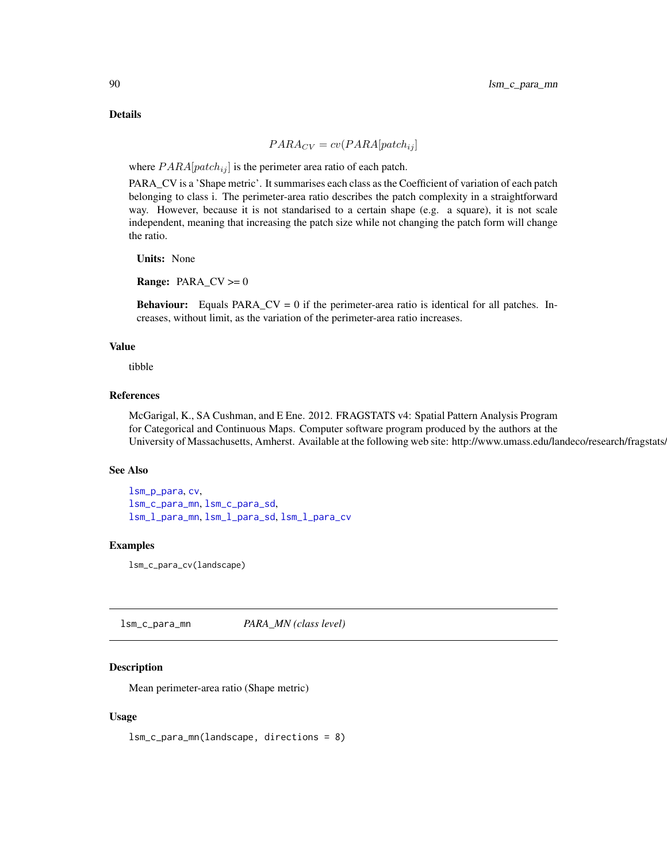## Details

$$
PARA_{CV} = cv(PARA[patch_{ij}]
$$

where  $PARA[patch_{ij}]$  is the perimeter area ratio of each patch.

PARA\_CV is a 'Shape metric'. It summarises each class as the Coefficient of variation of each patch belonging to class i. The perimeter-area ratio describes the patch complexity in a straightforward way. However, because it is not standarised to a certain shape (e.g. a square), it is not scale independent, meaning that increasing the patch size while not changing the patch form will change the ratio.

Units: None

**Range:**  $PARA_CV \ge 0$ 

**Behaviour:** Equals PARA\_CV = 0 if the perimeter-area ratio is identical for all patches. Increases, without limit, as the variation of the perimeter-area ratio increases.

## Value

tibble

## References

McGarigal, K., SA Cushman, and E Ene. 2012. FRAGSTATS v4: Spatial Pattern Analysis Program for Categorical and Continuous Maps. Computer software program produced by the authors at the University of Massachusetts, Amherst. Available at the following web site: http://www.umass.edu/landeco/research/fragstats.

## See Also

[lsm\\_p\\_para](#page-194-0), [cv](#page-0-0), [lsm\\_c\\_para\\_mn](#page-89-0), [lsm\\_c\\_para\\_sd](#page-91-0), [lsm\\_l\\_para\\_mn](#page-161-0), [lsm\\_l\\_para\\_sd](#page-162-0), [lsm\\_l\\_para\\_cv](#page-160-0)

## Examples

lsm\_c\_para\_cv(landscape)

<span id="page-89-0"></span>lsm\_c\_para\_mn *PARA\_MN (class level)*

# **Description**

Mean perimeter-area ratio (Shape metric)

#### Usage

lsm\_c\_para\_mn(landscape, directions = 8)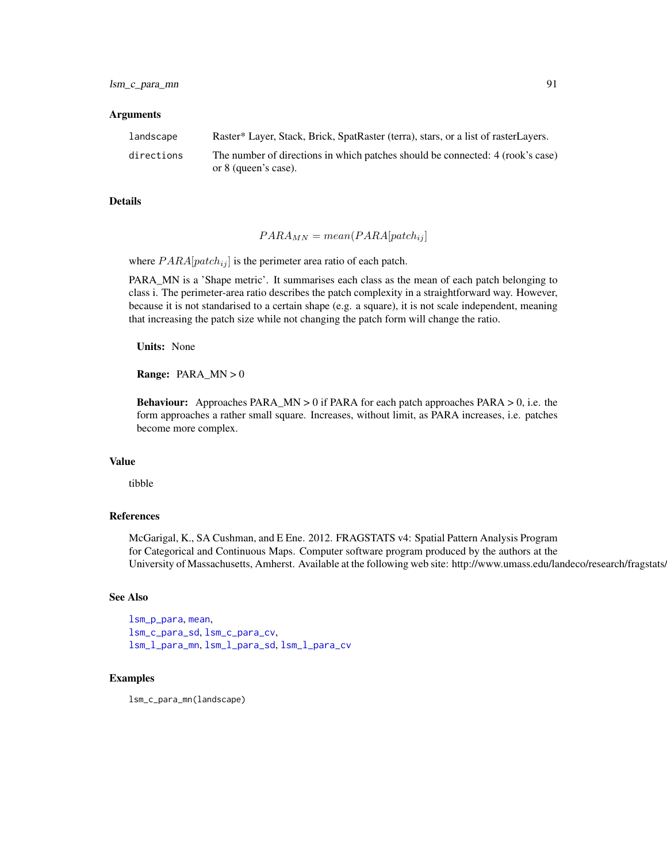#### Arguments

| landscape  | Raster* Layer, Stack, Brick, SpatRaster (terra), stars, or a list of rasterLayers. |
|------------|------------------------------------------------------------------------------------|
| directions | The number of directions in which patches should be connected: 4 (rook's case)     |
|            | or 8 (queen's case).                                                               |

### Details

$$
PARA_{MN} = mean(PARA[patch_{ij}]
$$

where  $PARA[patch_{ij}]$  is the perimeter area ratio of each patch.

PARA\_MN is a 'Shape metric'. It summarises each class as the mean of each patch belonging to class i. The perimeter-area ratio describes the patch complexity in a straightforward way. However, because it is not standarised to a certain shape (e.g. a square), it is not scale independent, meaning that increasing the patch size while not changing the patch form will change the ratio.

Units: None

Range: PARA\_MN > 0

**Behaviour:** Approaches PARA\_MN  $> 0$  if PARA for each patch approaches PARA  $> 0$ , i.e. the form approaches a rather small square. Increases, without limit, as PARA increases, i.e. patches become more complex.

# Value

tibble

## References

McGarigal, K., SA Cushman, and E Ene. 2012. FRAGSTATS v4: Spatial Pattern Analysis Program for Categorical and Continuous Maps. Computer software program produced by the authors at the University of Massachusetts, Amherst. Available at the following web site: http://www.umass.edu/landeco/research/fragstats.

#### See Also

[lsm\\_p\\_para](#page-194-0), [mean](#page-0-0), [lsm\\_c\\_para\\_sd](#page-91-0), [lsm\\_c\\_para\\_cv](#page-88-0), [lsm\\_l\\_para\\_mn](#page-161-0), [lsm\\_l\\_para\\_sd](#page-162-0), [lsm\\_l\\_para\\_cv](#page-160-0)

#### Examples

lsm\_c\_para\_mn(landscape)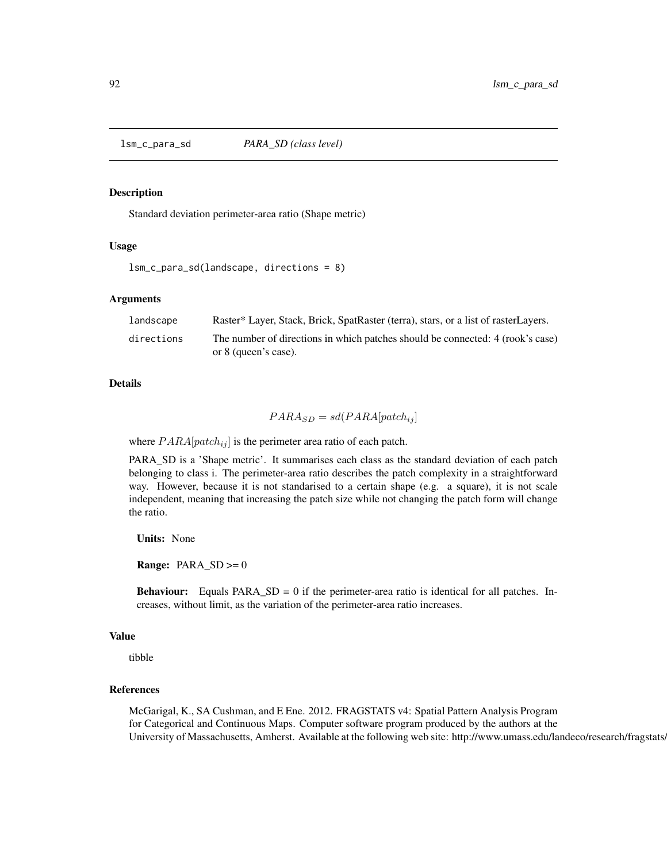<span id="page-91-0"></span>lsm\_c\_para\_sd *PARA\_SD (class level)*

#### Description

Standard deviation perimeter-area ratio (Shape metric)

## Usage

lsm\_c\_para\_sd(landscape, directions = 8)

## Arguments

| landscape  | Raster* Layer, Stack, Brick, SpatRaster (terra), stars, or a list of rasterLayers. |
|------------|------------------------------------------------------------------------------------|
| directions | The number of directions in which patches should be connected: 4 (rook's case)     |
|            | or 8 (queen's case).                                                               |

# Details

$$
PARA_{SD} = sd(PARA[patch_{ij}]
$$

where  $PARA[patch_{ij}]$  is the perimeter area ratio of each patch.

PARA\_SD is a 'Shape metric'. It summarises each class as the standard deviation of each patch belonging to class i. The perimeter-area ratio describes the patch complexity in a straightforward way. However, because it is not standarised to a certain shape (e.g. a square), it is not scale independent, meaning that increasing the patch size while not changing the patch form will change the ratio.

Units: None

**Range:**  $PARA\_SD \ge 0$ 

**Behaviour:** Equals  $PARA\_SD = 0$  if the perimeter-area ratio is identical for all patches. Increases, without limit, as the variation of the perimeter-area ratio increases.

#### Value

tibble

## References

McGarigal, K., SA Cushman, and E Ene. 2012. FRAGSTATS v4: Spatial Pattern Analysis Program for Categorical and Continuous Maps. Computer software program produced by the authors at the University of Massachusetts, Amherst. Available at the following web site: http://www.umass.edu/landeco/research/fragstats.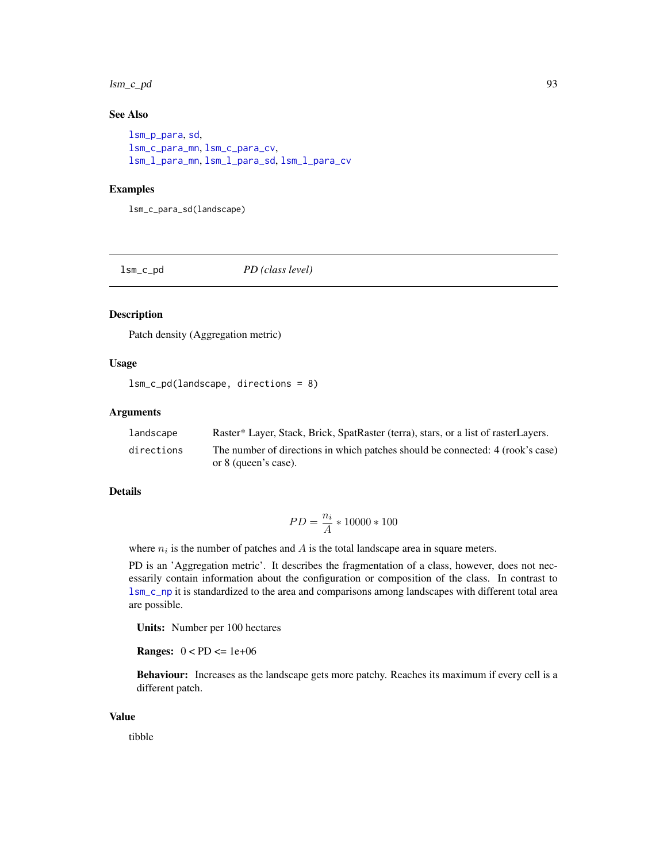#### lsm\_c\_pd 93

# See Also

```
lsm_p_para, sd,
lsm_c_para_mn, lsm_c_para_cv,
lsm_l_para_mn, lsm_l_para_sd, lsm_l_para_cv
```
## Examples

lsm\_c\_para\_sd(landscape)

lsm\_c\_pd *PD (class level)*

# Description

Patch density (Aggregation metric)

# Usage

lsm\_c\_pd(landscape, directions = 8)

# Arguments

| landscape  | Raster* Layer, Stack, Brick, SpatRaster (terra), stars, or a list of rasterLayers. |
|------------|------------------------------------------------------------------------------------|
| directions | The number of directions in which patches should be connected: 4 (rook's case)     |
|            | or 8 (queen's case).                                                               |

# Details

$$
PD = \frac{n_i}{A} * 10000 * 100
$$

where  $n_i$  is the number of patches and  $A$  is the total landscape area in square meters.

PD is an 'Aggregation metric'. It describes the fragmentation of a class, however, does not necessarily contain information about the configuration or composition of the class. In contrast to [lsm\\_c\\_np](#page-86-0) it is standardized to the area and comparisons among landscapes with different total area are possible.

Units: Number per 100 hectares

**Ranges:**  $0 < PD \leq 1e+06$ 

Behaviour: Increases as the landscape gets more patchy. Reaches its maximum if every cell is a different patch.

## Value

tibble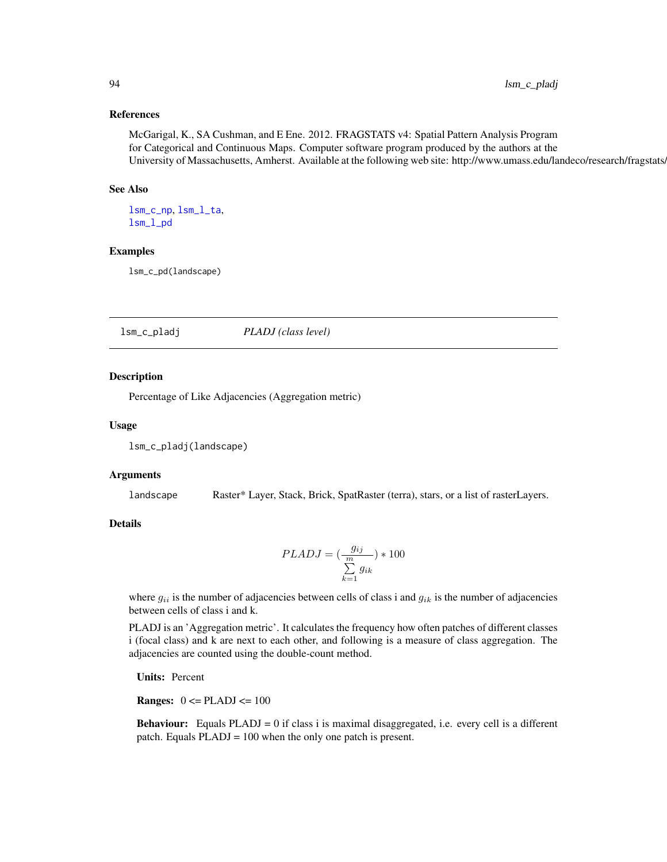## References

McGarigal, K., SA Cushman, and E Ene. 2012. FRAGSTATS v4: Spatial Pattern Analysis Program for Categorical and Continuous Maps. Computer software program produced by the authors at the University of Massachusetts, Amherst. Available at the following web site: http://www.umass.edu/landeco/research/fragstats/

## See Also

[lsm\\_c\\_np](#page-86-0), [lsm\\_l\\_ta](#page-179-0), [lsm\\_l\\_pd](#page-164-0)

## Examples

lsm\_c\_pd(landscape)

lsm\_c\_pladj *PLADJ (class level)*

## Description

Percentage of Like Adjacencies (Aggregation metric)

#### Usage

lsm\_c\_pladj(landscape)

#### Arguments

landscape Raster\* Layer, Stack, Brick, SpatRaster (terra), stars, or a list of rasterLayers.

# **Details**

$$
PLADJ = (\frac{g_{ij}}{\sum\limits_{k=1}^{m} g_{ik}}) * 100
$$

where  $g_{ii}$  is the number of adjacencies between cells of class i and  $g_{ik}$  is the number of adjacencies between cells of class i and k.

PLADJ is an 'Aggregation metric'. It calculates the frequency how often patches of different classes i (focal class) and k are next to each other, and following is a measure of class aggregation. The adjacencies are counted using the double-count method.

Units: Percent

**Ranges:**  $0 \leq$  PLADJ $\leq$  100

**Behaviour:** Equals  $PLADJ = 0$  if class i is maximal disaggregated, i.e. every cell is a different patch. Equals PLADJ = 100 when the only one patch is present.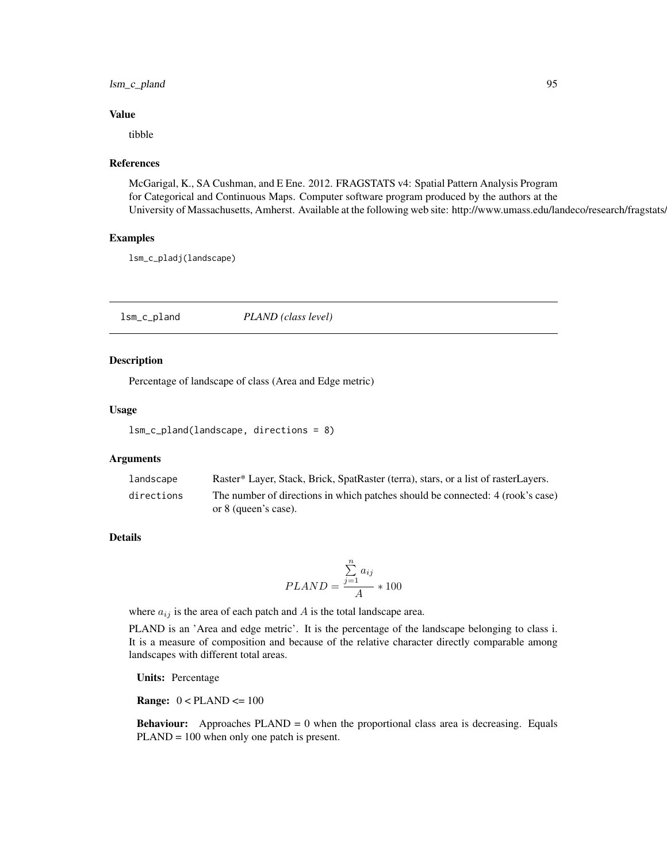# lsm\_c\_pland 95

#### Value

tibble

## References

McGarigal, K., SA Cushman, and E Ene. 2012. FRAGSTATS v4: Spatial Pattern Analysis Program for Categorical and Continuous Maps. Computer software program produced by the authors at the University of Massachusetts, Amherst. Available at the following web site: http://www.umass.edu/landeco/research/fragstats/

## Examples

lsm\_c\_pladj(landscape)

lsm\_c\_pland *PLAND (class level)*

## Description

Percentage of landscape of class (Area and Edge metric)

#### Usage

lsm\_c\_pland(landscape, directions = 8)

## Arguments

| landscape  | Raster* Layer, Stack, Brick, SpatRaster (terra), stars, or a list of rasterLayers. |
|------------|------------------------------------------------------------------------------------|
| directions | The number of directions in which patches should be connected: 4 (rook's case)     |
|            | or 8 (queen's case).                                                               |

# Details

$$
PLAND = \frac{\sum_{j=1}^{n} a_{ij}}{A} * 100
$$

where  $a_{ij}$  is the area of each patch and A is the total landscape area.

PLAND is an 'Area and edge metric'. It is the percentage of the landscape belonging to class i. It is a measure of composition and because of the relative character directly comparable among landscapes with different total areas.

Units: Percentage

**Range:**  $0 < PLAND \le 100$ 

**Behaviour:** Approaches  $PLAND = 0$  when the proportional class area is decreasing. Equals PLAND = 100 when only one patch is present.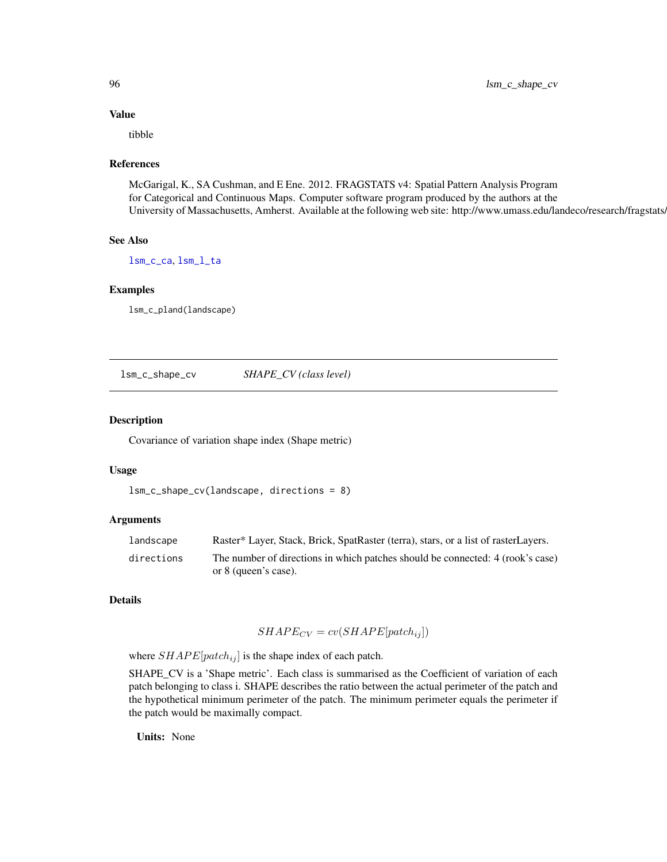# Value

tibble

## References

McGarigal, K., SA Cushman, and E Ene. 2012. FRAGSTATS v4: Spatial Pattern Analysis Program for Categorical and Continuous Maps. Computer software program produced by the authors at the University of Massachusetts, Amherst. Available at the following web site: http://www.umass.edu/landeco/research/fragstats.

# See Also

[lsm\\_c\\_ca](#page-38-0), [lsm\\_l\\_ta](#page-179-0)

#### Examples

lsm\_c\_pland(landscape)

<span id="page-95-0"></span>lsm\_c\_shape\_cv *SHAPE\_CV (class level)*

# Description

Covariance of variation shape index (Shape metric)

#### Usage

```
lsm_c_shape_cv(landscape, directions = 8)
```
## Arguments

| landscape  | Raster* Layer, Stack, Brick, SpatRaster (terra), stars, or a list of rasterLayers. |
|------------|------------------------------------------------------------------------------------|
| directions | The number of directions in which patches should be connected: 4 (rook's case)     |
|            | or 8 (queen's case).                                                               |

## Details

$$
SHAPE_{CV} = cv(SHAPE[patch_{ij}])
$$

where  $SHAPE[patch_{ij}]$  is the shape index of each patch.

SHAPE\_CV is a 'Shape metric'. Each class is summarised as the Coefficient of variation of each patch belonging to class i. SHAPE describes the ratio between the actual perimeter of the patch and the hypothetical minimum perimeter of the patch. The minimum perimeter equals the perimeter if the patch would be maximally compact.

Units: None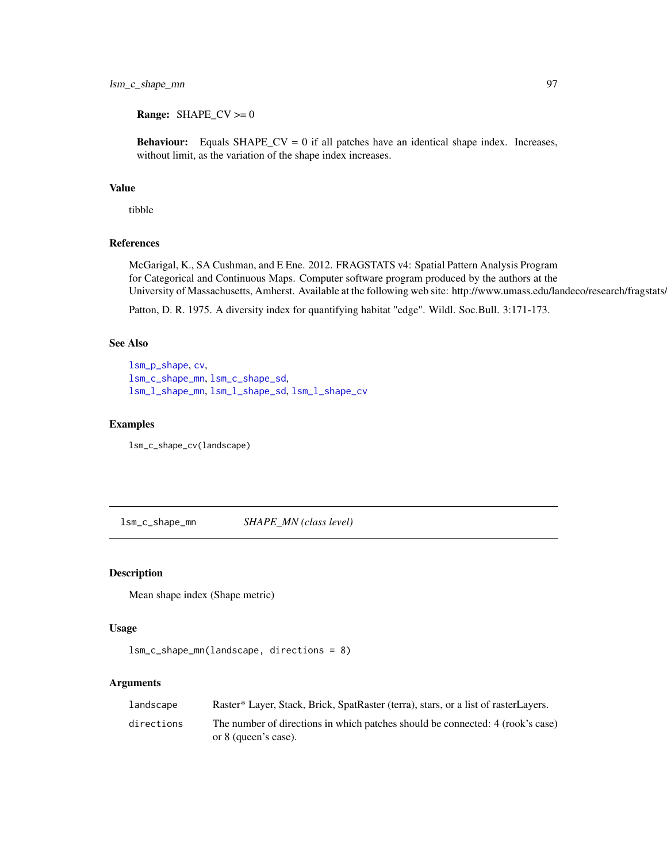# lsm\_c\_shape\_mn 97

**Range:** SHAPE\_CV  $>= 0$ 

**Behaviour:** Equals SHAPE\_CV = 0 if all patches have an identical shape index. Increases, without limit, as the variation of the shape index increases.

# Value

tibble

# References

McGarigal, K., SA Cushman, and E Ene. 2012. FRAGSTATS v4: Spatial Pattern Analysis Program for Categorical and Continuous Maps. Computer software program produced by the authors at the University of Massachusetts, Amherst. Available at the following web site: http://www.umass.edu/landeco/research/fragstats/

Patton, D. R. 1975. A diversity index for quantifying habitat "edge". Wildl. Soc.Bull. 3:171-173.

# See Also

```
lsm_p_shape, cv,
lsm_c_shape_mn, lsm_c_shape_sd,
lsm_l_shape_mn, lsm_l_shape_sd, lsm_l_shape_cv
```
# Examples

lsm\_c\_shape\_cv(landscape)

<span id="page-96-0"></span>lsm\_c\_shape\_mn *SHAPE\_MN (class level)*

## Description

Mean shape index (Shape metric)

# Usage

```
lsm_c_shape_mn(landscape, directions = 8)
```
## Arguments

| landscape  | Raster* Layer, Stack, Brick, SpatRaster (terra), stars, or a list of rasterLayers.                     |
|------------|--------------------------------------------------------------------------------------------------------|
| directions | The number of directions in which patches should be connected: 4 (rook's case)<br>or 8 (queen's case). |
|            |                                                                                                        |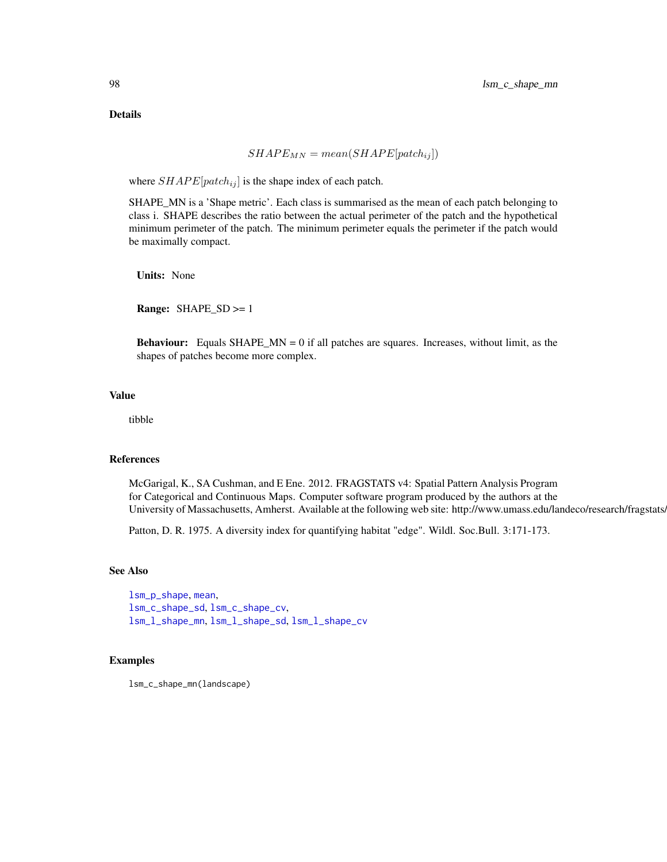# Details

$$
SHAPE_{MN} = mean(SHAPE[patch_{ij}])
$$

where  $SHAPE[patch_{ij}]$  is the shape index of each patch.

SHAPE\_MN is a 'Shape metric'. Each class is summarised as the mean of each patch belonging to class i. SHAPE describes the ratio between the actual perimeter of the patch and the hypothetical minimum perimeter of the patch. The minimum perimeter equals the perimeter if the patch would be maximally compact.

Units: None

Range: SHAPE\_SD >= 1

**Behaviour:** Equals SHAPE\_MN = 0 if all patches are squares. Increases, without limit, as the shapes of patches become more complex.

# Value

tibble

## References

McGarigal, K., SA Cushman, and E Ene. 2012. FRAGSTATS v4: Spatial Pattern Analysis Program for Categorical and Continuous Maps. Computer software program produced by the authors at the University of Massachusetts, Amherst. Available at the following web site: http://www.umass.edu/landeco/research/fragstats.

Patton, D. R. 1975. A diversity index for quantifying habitat "edge". Wildl. Soc.Bull. 3:171-173.

# See Also

[lsm\\_p\\_shape](#page-196-0), [mean](#page-0-0), [lsm\\_c\\_shape\\_sd](#page-98-0), [lsm\\_c\\_shape\\_cv](#page-95-0), [lsm\\_l\\_shape\\_mn](#page-171-0), [lsm\\_l\\_shape\\_sd](#page-172-0), [lsm\\_l\\_shape\\_cv](#page-170-0)

## Examples

lsm\_c\_shape\_mn(landscape)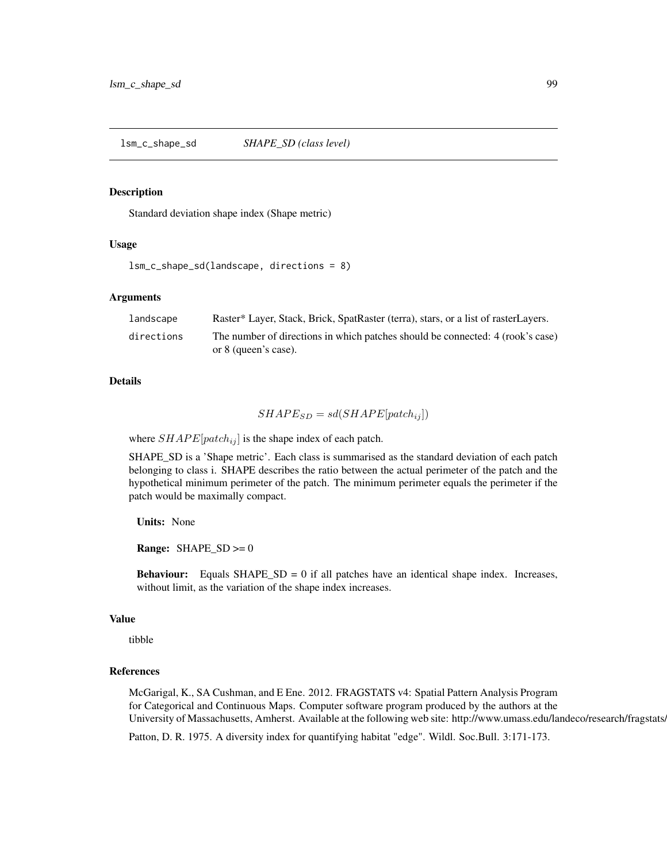<span id="page-98-0"></span>lsm\_c\_shape\_sd *SHAPE\_SD (class level)*

#### Description

Standard deviation shape index (Shape metric)

# Usage

```
lsm_c_shape_sd(landscape, directions = 8)
```
## Arguments

| landscape  | Raster* Layer, Stack, Brick, SpatRaster (terra), stars, or a list of rasterLayers.                     |
|------------|--------------------------------------------------------------------------------------------------------|
| directions | The number of directions in which patches should be connected: 4 (rook's case)<br>or 8 (queen's case). |

## Details

$$
SHAPE_{SD} = sd(SHAPE[patch_{ij}])
$$

where  $SHAPE[patch_{ij}]$  is the shape index of each patch.

SHAPE\_SD is a 'Shape metric'. Each class is summarised as the standard deviation of each patch belonging to class i. SHAPE describes the ratio between the actual perimeter of the patch and the hypothetical minimum perimeter of the patch. The minimum perimeter equals the perimeter if the patch would be maximally compact.

Units: None

**Range:**  $SHAPE\_SD \ge 0$ 

**Behaviour:** Equals  $SHAPE\_SD = 0$  if all patches have an identical shape index. Increases, without limit, as the variation of the shape index increases.

#### Value

tibble

# References

McGarigal, K., SA Cushman, and E Ene. 2012. FRAGSTATS v4: Spatial Pattern Analysis Program for Categorical and Continuous Maps. Computer software program produced by the authors at the University of Massachusetts, Amherst. Available at the following web site: http://www.umass.edu/landeco/research/fragstats.

Patton, D. R. 1975. A diversity index for quantifying habitat "edge". Wildl. Soc.Bull. 3:171-173.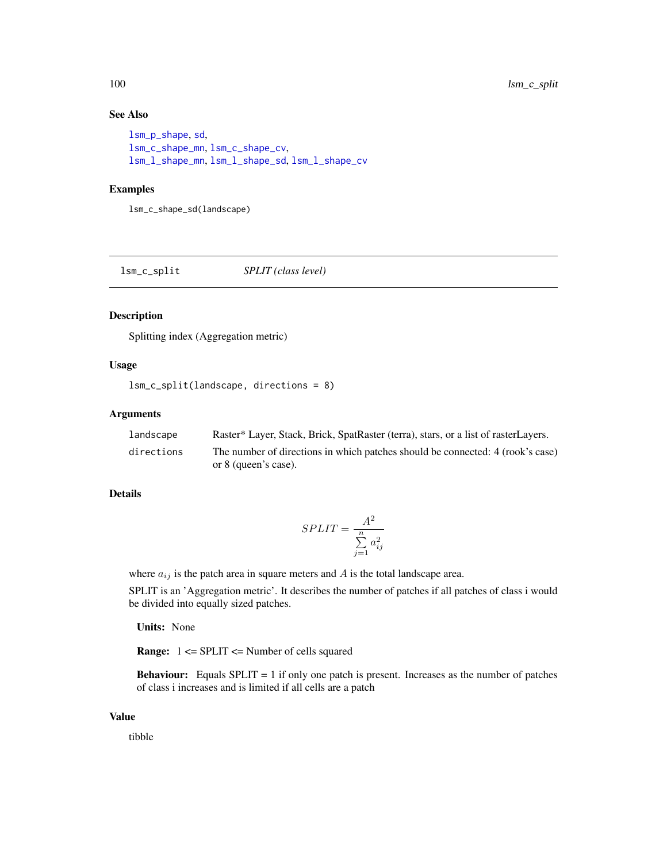# See Also

```
lsm_p_shape, sd,
lsm_c_shape_mn, lsm_c_shape_cv,
lsm_l_shape_mn, lsm_l_shape_sd, lsm_l_shape_cv
```
## Examples

lsm\_c\_shape\_sd(landscape)

lsm\_c\_split *SPLIT (class level)*

## Description

Splitting index (Aggregation metric)

# Usage

```
lsm_c_split(landscape, directions = 8)
```
# Arguments

| landscape  | Raster* Layer, Stack, Brick, SpatRaster (terra), stars, or a list of rasterLayers.                     |
|------------|--------------------------------------------------------------------------------------------------------|
| directions | The number of directions in which patches should be connected: 4 (rook's case)<br>or 8 (queen's case). |

## Details

$$
SPLIT = \frac{A^2}{\sum\limits_{j=1}^{n} a_{ij}^2}
$$

where  $a_{ij}$  is the patch area in square meters and A is the total landscape area.

SPLIT is an 'Aggregation metric'. It describes the number of patches if all patches of class i would be divided into equally sized patches.

Units: None

Range: 1 <= SPLIT <= Number of cells squared

**Behaviour:** Equals  $SPLIT = 1$  if only one patch is present. Increases as the number of patches of class i increases and is limited if all cells are a patch

## Value

tibble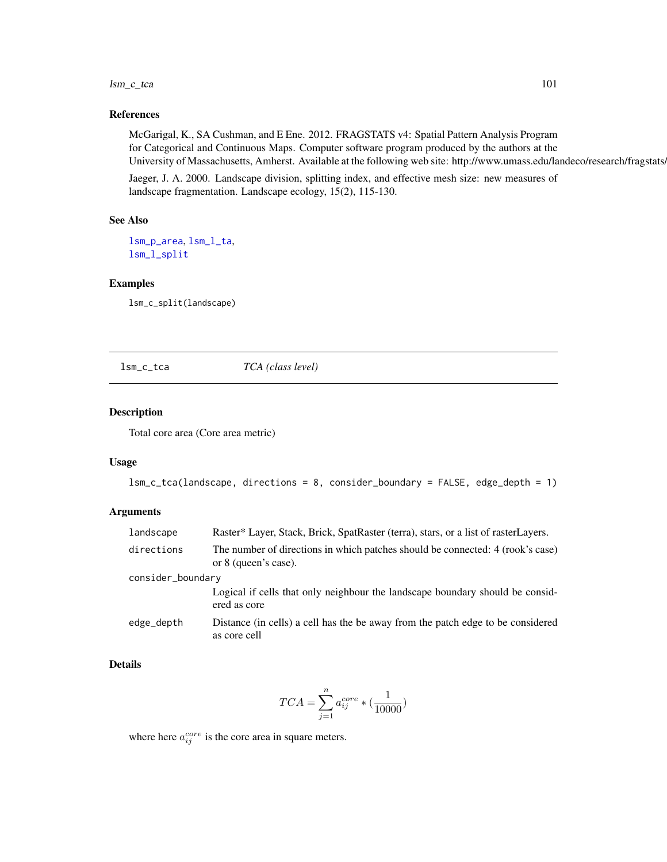#### lsm\_c\_tca 101

## References

McGarigal, K., SA Cushman, and E Ene. 2012. FRAGSTATS v4: Spatial Pattern Analysis Program for Categorical and Continuous Maps. Computer software program produced by the authors at the University of Massachusetts, Amherst. Available at the following web site: http://www.umass.edu/landeco/research/fragstats.

Jaeger, J. A. 2000. Landscape division, splitting index, and effective mesh size: new measures of landscape fragmentation. Landscape ecology, 15(2), 115-130.

# See Also

[lsm\\_p\\_area](#page-183-0), [lsm\\_l\\_ta](#page-179-0), [lsm\\_l\\_split](#page-178-0)

#### Examples

lsm\_c\_split(landscape)

<span id="page-100-0"></span>lsm\_c\_tca *TCA (class level)*

# Description

Total core area (Core area metric)

#### Usage

```
lsm_c_tca(landscape, directions = 8, consider_boundary = FALSE, edge_depth = 1)
```
## Arguments

| landscape         | Raster* Layer, Stack, Brick, SpatRaster (terra), stars, or a list of rasterLayers.                     |  |
|-------------------|--------------------------------------------------------------------------------------------------------|--|
| directions        | The number of directions in which patches should be connected: 4 (rook's case)<br>or 8 (queen's case). |  |
| consider_boundary |                                                                                                        |  |
|                   | Logical if cells that only neighbour the landscape boundary should be consid-<br>ered as core          |  |
| edge_depth        | Distance (in cells) a cell has the be away from the patch edge to be considered<br>as core cell        |  |

## Details

$$
TCA = \sum_{j=1}^{n} a_{ij}^{core} * (\frac{1}{10000})
$$

where here  $a_{ij}^{core}$  is the core area in square meters.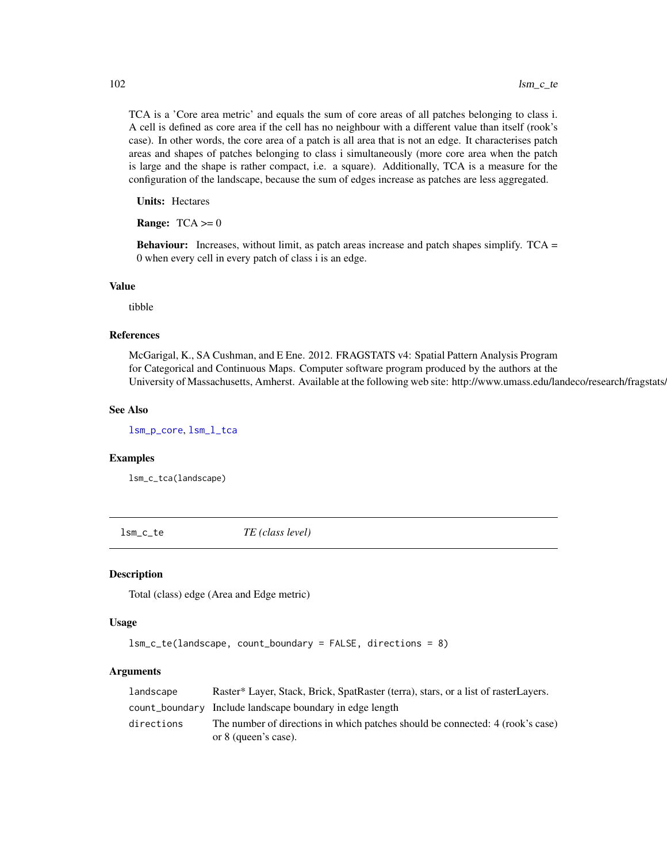TCA is a 'Core area metric' and equals the sum of core areas of all patches belonging to class i. A cell is defined as core area if the cell has no neighbour with a different value than itself (rook's case). In other words, the core area of a patch is all area that is not an edge. It characterises patch areas and shapes of patches belonging to class i simultaneously (more core area when the patch is large and the shape is rather compact, i.e. a square). Additionally, TCA is a measure for the configuration of the landscape, because the sum of edges increase as patches are less aggregated.

Units: Hectares

**Range:**  $TCA \ge 0$ 

Behaviour: Increases, without limit, as patch areas increase and patch shapes simplify. TCA = 0 when every cell in every patch of class i is an edge.

## Value

tibble

## References

McGarigal, K., SA Cushman, and E Ene. 2012. FRAGSTATS v4: Spatial Pattern Analysis Program for Categorical and Continuous Maps. Computer software program produced by the authors at the University of Massachusetts, Amherst. Available at the following web site: http://www.umass.edu/landeco/research/fragstats.

## See Also

[lsm\\_p\\_core](#page-188-0), [lsm\\_l\\_tca](#page-180-0)

#### Examples

lsm\_c\_tca(landscape)

lsm\_c\_te *TE (class level)*

## Description

Total (class) edge (Area and Edge metric)

#### Usage

```
lsm_c_te(landscape, count_boundary = FALSE, directions = 8)
```
## Arguments

| landscape  | Raster* Layer, Stack, Brick, SpatRaster (terra), stars, or a list of rasterLayers. |
|------------|------------------------------------------------------------------------------------|
|            | count_boundary Include landscape boundary in edge length                           |
| directions | The number of directions in which patches should be connected: 4 (rook's case)     |
|            | or 8 (queen's case).                                                               |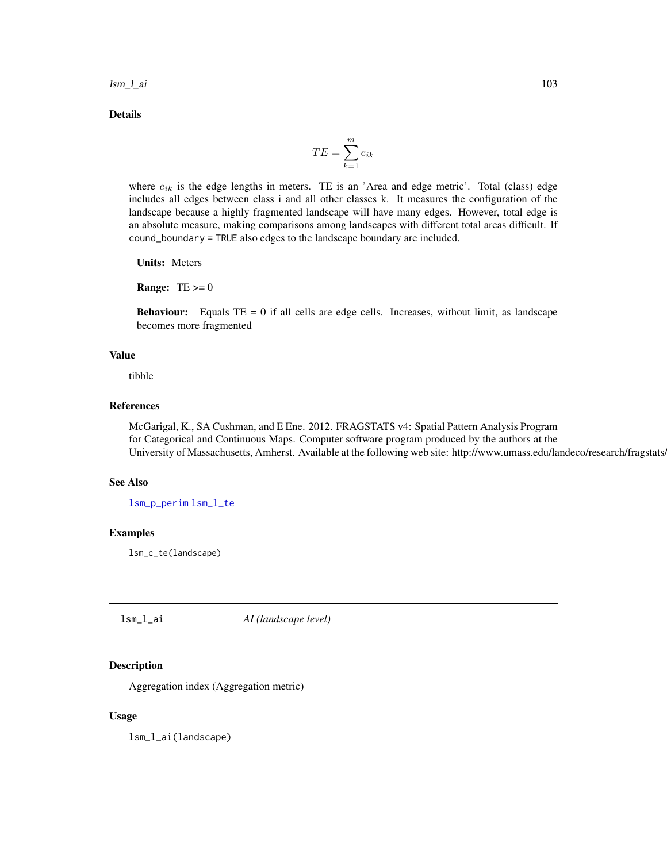**lsm\_l\_ai** 103

Details

$$
TE = \sum_{k=1}^{m} e_{ik}
$$

where  $e_{ik}$  is the edge lengths in meters. TE is an 'Area and edge metric'. Total (class) edge includes all edges between class i and all other classes k. It measures the configuration of the landscape because a highly fragmented landscape will have many edges. However, total edge is an absolute measure, making comparisons among landscapes with different total areas difficult. If cound\_boundary = TRUE also edges to the landscape boundary are included.

Units: Meters

**Range:**  $TE \ge 0$ 

**Behaviour:** Equals  $TE = 0$  if all cells are edge cells. Increases, without limit, as landscape becomes more fragmented

## Value

tibble

# References

McGarigal, K., SA Cushman, and E Ene. 2012. FRAGSTATS v4: Spatial Pattern Analysis Program for Categorical and Continuous Maps. Computer software program produced by the authors at the University of Massachusetts, Amherst. Available at the following web site: http://www.umass.edu/landeco/research/fragstats.

## See Also

[lsm\\_p\\_perim](#page-195-0) [lsm\\_l\\_te](#page-182-0)

## Examples

lsm\_c\_te(landscape)

lsm\_l\_ai *AI (landscape level)*

## Description

Aggregation index (Aggregation metric)

## Usage

lsm\_l\_ai(landscape)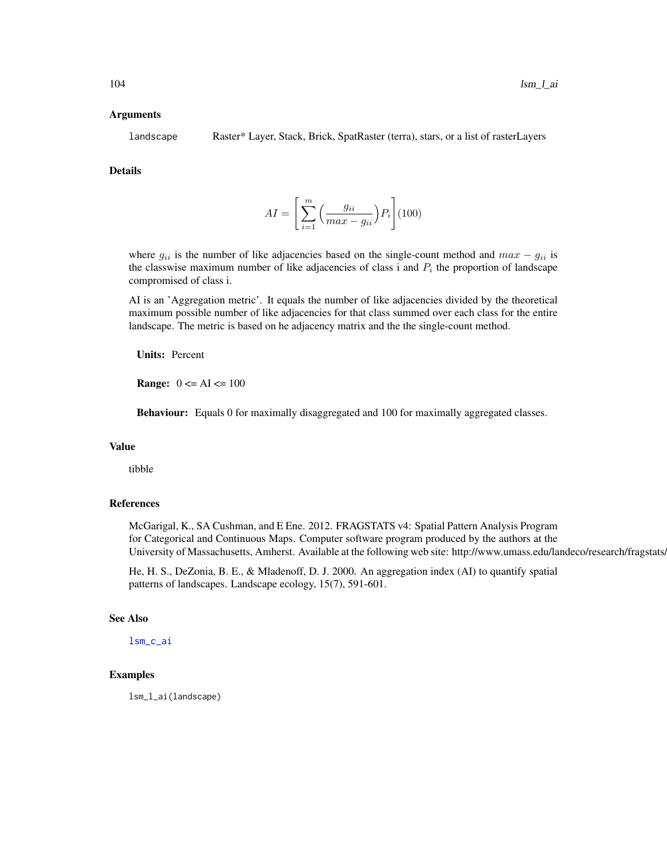#### Arguments

landscape Raster\* Layer, Stack, Brick, SpatRaster (terra), stars, or a list of rasterLayers

## Details

$$
AI = \left[\sum_{i=1}^{m} \left(\frac{g_{ii}}{max - g_{ii}}\right) P_i\right] (100)
$$

where  $g_{ii}$  is the number of like adjacencies based on the single-count method and  $max - g_{ii}$  is the classwise maximum number of like adjacencies of class i and  $P_i$  the proportion of landscape compromised of class i.

AI is an 'Aggregation metric'. It equals the number of like adjacencies divided by the theoretical maximum possible number of like adjacencies for that class summed over each class for the entire landscape. The metric is based on he adjacency matrix and the the single-count method.

Units: Percent

**Range:**  $0 \leq A I \leq 100$ 

Behaviour: Equals 0 for maximally disaggregated and 100 for maximally aggregated classes.

#### Value

tibble

# References

McGarigal, K., SA Cushman, and E Ene. 2012. FRAGSTATS v4: Spatial Pattern Analysis Program for Categorical and Continuous Maps. Computer software program produced by the authors at the University of Massachusetts, Amherst. Available at the following web site: http://www.umass.edu/landeco/research/fragstats.

He, H. S., DeZonia, B. E., & Mladenoff, D. J. 2000. An aggregation index (AI) to quantify spatial patterns of landscapes. Landscape ecology, 15(7), 591-601.

## See Also

[lsm\\_c\\_ai](#page-34-0)

# Examples

lsm\_l\_ai(landscape)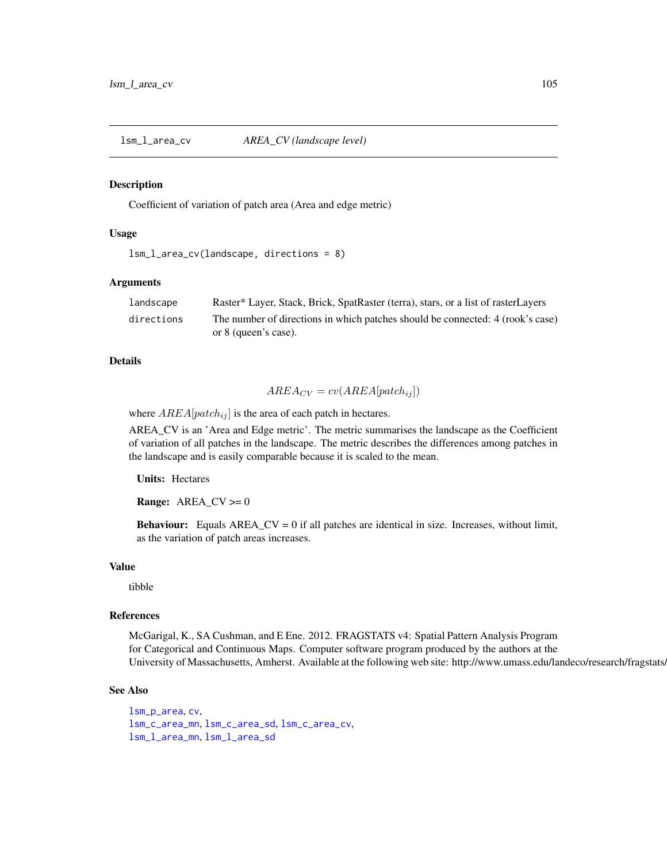<span id="page-104-0"></span>lsm\_l\_area\_cv *AREA\_CV (landscape level)*

#### Description

Coefficient of variation of patch area (Area and edge metric)

## Usage

```
lsm_l_area_cv(landscape, directions = 8)
```
## Arguments

| landscape  | Raster* Layer, Stack, Brick, SpatRaster (terra), stars, or a list of rasterLayers |
|------------|-----------------------------------------------------------------------------------|
| directions | The number of directions in which patches should be connected: 4 (rook's case)    |
|            | or 8 (queen's case).                                                              |

## Details

$$
AREA_{CV} = cv(AREA[patch_{ij}])
$$

where  $AREA[patch_{ij}]$  is the area of each patch in hectares.

AREA\_CV is an 'Area and Edge metric'. The metric summarises the landscape as the Coefficient of variation of all patches in the landscape. The metric describes the differences among patches in the landscape and is easily comparable because it is scaled to the mean.

Units: Hectares

**Range:**  $AREA_CV \ge 0$ 

**Behaviour:** Equals  $AREA_CV = 0$  if all patches are identical in size. Increases, without limit, as the variation of patch areas increases.

#### Value

tibble

#### References

McGarigal, K., SA Cushman, and E Ene. 2012. FRAGSTATS v4: Spatial Pattern Analysis Program for Categorical and Continuous Maps. Computer software program produced by the authors at the University of Massachusetts, Amherst. Available at the following web site: http://www.umass.edu/landeco/research/fragstats.

#### See Also

```
lsm_p_area, cv,
lsm_c_area_mn, lsm_c_area_sd, lsm_c_area_cv,
lsm_l_area_mn, lsm_l_area_sd
```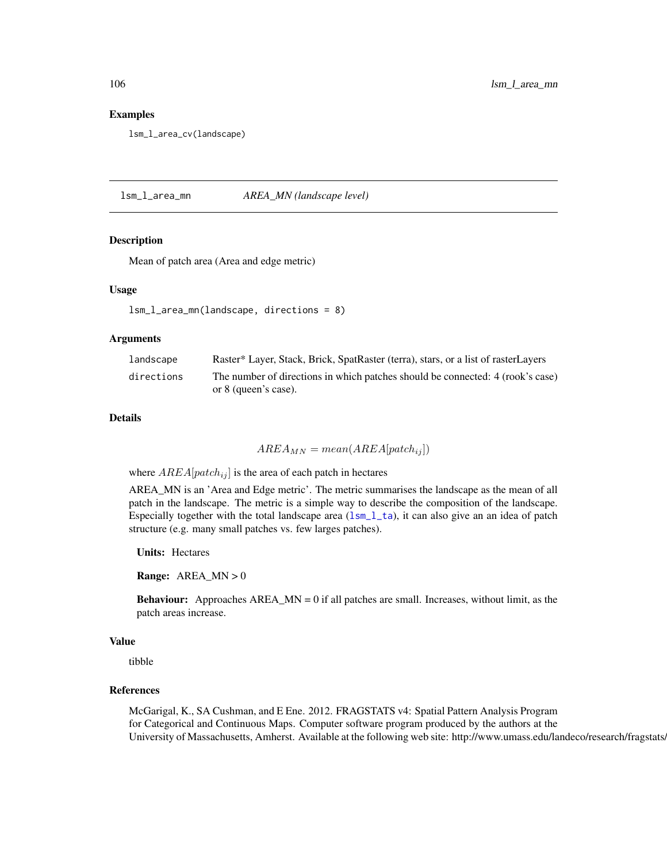## Examples

lsm\_l\_area\_cv(landscape)

<span id="page-105-0"></span>lsm\_l\_area\_mn *AREA\_MN (landscape level)*

## **Description**

Mean of patch area (Area and edge metric)

#### Usage

```
lsm_l_area_mn(landscape, directions = 8)
```
#### Arguments

| landscape  | Raster* Layer, Stack, Brick, SpatRaster (terra), stars, or a list of rasterLayers |
|------------|-----------------------------------------------------------------------------------|
| directions | The number of directions in which patches should be connected: 4 (rook's case)    |
|            | or 8 (queen's case).                                                              |

# Details

 $AREA_{MN} = mean(AREA[patch_{ij}])$ 

where  $AREA[patch_{ij}]$  is the area of each patch in hectares

AREA\_MN is an 'Area and Edge metric'. The metric summarises the landscape as the mean of all patch in the landscape. The metric is a simple way to describe the composition of the landscape. Especially together with the total landscape area  $(lsm_l_l_t)$ , it can also give an an idea of patch structure (e.g. many small patches vs. few larges patches).

Units: Hectares

**Range:**  $AREA_MN > 0$ 

**Behaviour:** Approaches  $AREA_MN = 0$  if all patches are small. Increases, without limit, as the patch areas increase.

# Value

tibble

## References

McGarigal, K., SA Cushman, and E Ene. 2012. FRAGSTATS v4: Spatial Pattern Analysis Program for Categorical and Continuous Maps. Computer software program produced by the authors at the University of Massachusetts, Amherst. Available at the following web site: http://www.umass.edu/landeco/research/fragstats.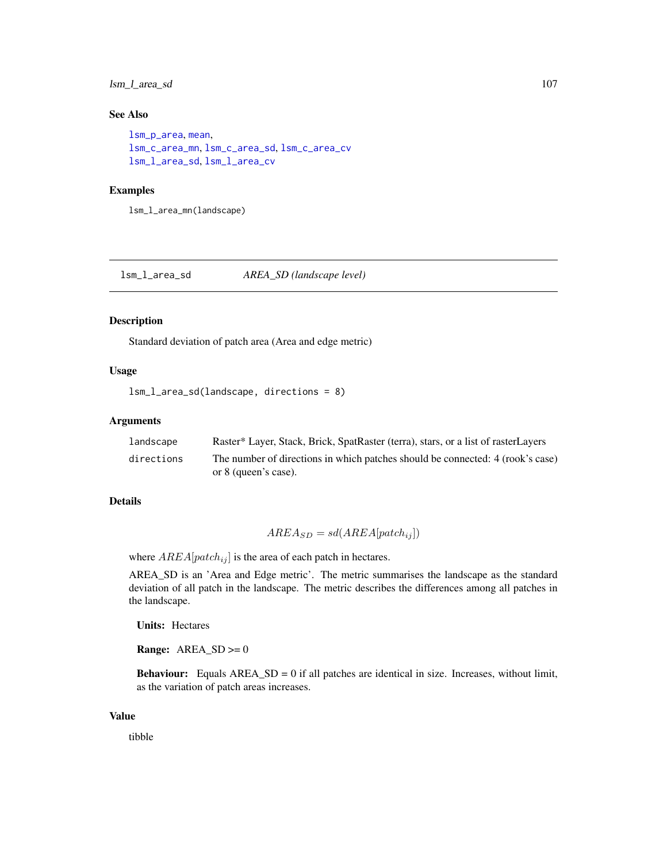# lsm\_l\_area\_sd 107

# See Also

```
lsm_p_area, mean,
lsm_c_area_mn, lsm_c_area_sd, lsm_c_area_cv
lsm_l_area_sd, lsm_l_area_cv
```
# Examples

lsm\_l\_area\_mn(landscape)

<span id="page-106-0"></span>lsm\_l\_area\_sd *AREA\_SD (landscape level)*

#### Description

Standard deviation of patch area (Area and edge metric)

# Usage

```
lsm_l_area_sd(landscape, directions = 8)
```
## Arguments

| landscape  | Raster* Layer, Stack, Brick, SpatRaster (terra), stars, or a list of rasterLayers |
|------------|-----------------------------------------------------------------------------------|
| directions | The number of directions in which patches should be connected: 4 (rook's case)    |
|            | or 8 (queen's case).                                                              |

# Details

$$
AREA_{SD} = sd(AREA[patch_{ij}])
$$

where  $AREA[patch_{ij}]$  is the area of each patch in hectares.

AREA\_SD is an 'Area and Edge metric'. The metric summarises the landscape as the standard deviation of all patch in the landscape. The metric describes the differences among all patches in the landscape.

Units: Hectares

**Range:**  $AREA\_SD \ge 0$ 

**Behaviour:** Equals  $AREA\_SD = 0$  if all patches are identical in size. Increases, without limit, as the variation of patch areas increases.

## Value

tibble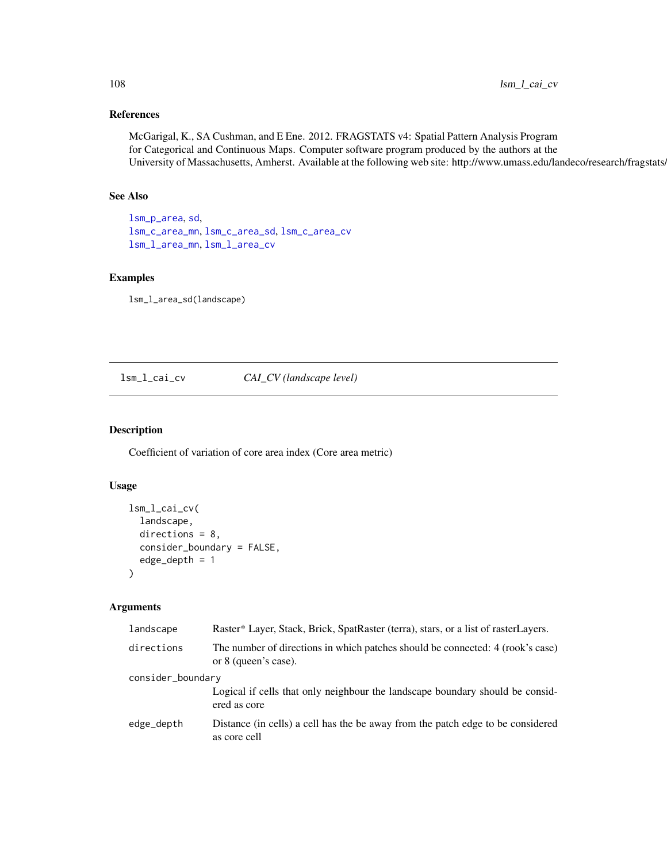# References

McGarigal, K., SA Cushman, and E Ene. 2012. FRAGSTATS v4: Spatial Pattern Analysis Program for Categorical and Continuous Maps. Computer software program produced by the authors at the University of Massachusetts, Amherst. Available at the following web site: http://www.umass.edu/landeco/research/fragstats.

# See Also

[lsm\\_p\\_area](#page-183-0), [sd](#page-0-0), [lsm\\_c\\_area\\_mn](#page-36-0), [lsm\\_c\\_area\\_sd](#page-37-0), [lsm\\_c\\_area\\_cv](#page-35-0) [lsm\\_l\\_area\\_mn](#page-105-0), [lsm\\_l\\_area\\_cv](#page-104-0)

## Examples

lsm\_l\_area\_sd(landscape)

lsm\_l\_cai\_cv *CAI\_CV (landscape level)*

# Description

Coefficient of variation of core area index (Core area metric)

# Usage

```
lsm_l_cai_cv(
  landscape,
  directions = 8,
  consider_boundary = FALSE,
  edge_depth = 1
)
```
## Arguments

| landscape         | Raster* Layer, Stack, Brick, SpatRaster (terra), stars, or a list of rasterLayers.                     |  |
|-------------------|--------------------------------------------------------------------------------------------------------|--|
| directions        | The number of directions in which patches should be connected: 4 (rook's case)<br>or 8 (queen's case). |  |
| consider_boundary |                                                                                                        |  |
|                   | Logical if cells that only neighbour the landscape boundary should be consid-<br>ered as core          |  |
| edge_depth        | Distance (in cells) a cell has the be away from the patch edge to be considered<br>as core cell        |  |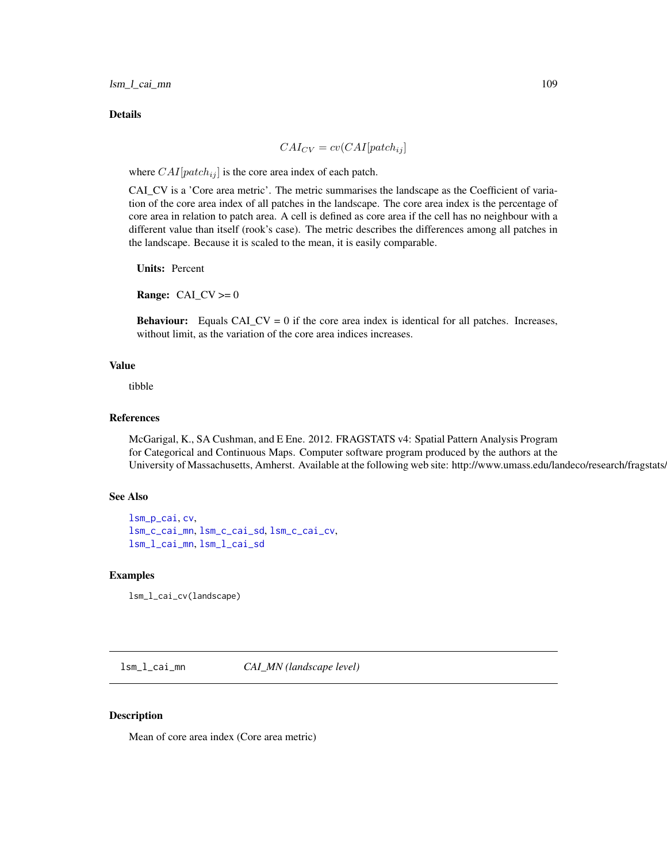lsm\_l\_cai\_mn 109

Details

$$
CAI_{CV} = cv(CAI[patch_{ij}]
$$

where  $CAI[patch_{ij}]$  is the core area index of each patch.

CAI\_CV is a 'Core area metric'. The metric summarises the landscape as the Coefficient of variation of the core area index of all patches in the landscape. The core area index is the percentage of core area in relation to patch area. A cell is defined as core area if the cell has no neighbour with a different value than itself (rook's case). The metric describes the differences among all patches in the landscape. Because it is scaled to the mean, it is easily comparable.

Units: Percent

**Range:** CAI\_CV  $>= 0$ 

**Behaviour:** Equals  $CA\_CV = 0$  if the core area index is identical for all patches. Increases, without limit, as the variation of the core area indices increases.

# Value

tibble

## References

McGarigal, K., SA Cushman, and E Ene. 2012. FRAGSTATS v4: Spatial Pattern Analysis Program for Categorical and Continuous Maps. Computer software program produced by the authors at the University of Massachusetts, Amherst. Available at the following web site: http://www.umass.edu/landeco/research/fragstats.

## See Also

```
lsm_p_cai, cv,
lsm_c_cai_mn, lsm_c_cai_sd, lsm_c_cai_cv,
lsm_l_cai_mn, lsm_l_cai_sd
```
## Examples

lsm\_l\_cai\_cv(landscape)

<span id="page-108-0"></span>lsm\_l\_cai\_mn *CAI\_MN (landscape level)*

#### Description

Mean of core area index (Core area metric)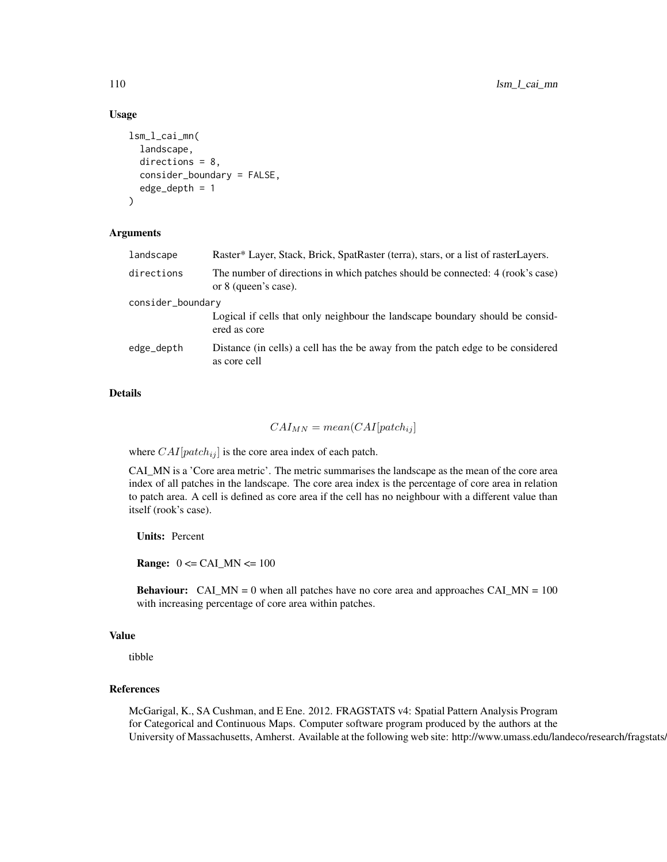## Usage

```
lsm_l_cai_mn(
  landscape,
  directions = 8,
  consider_boundary = FALSE,
  edge_depth = 1
)
```
## Arguments

| landscape         | Raster* Layer, Stack, Brick, SpatRaster (terra), stars, or a list of rasterLayers.                     |  |
|-------------------|--------------------------------------------------------------------------------------------------------|--|
| directions        | The number of directions in which patches should be connected: 4 (rook's case)<br>or 8 (queen's case). |  |
| consider_boundary |                                                                                                        |  |
|                   | Logical if cells that only neighbour the landscape boundary should be consid-<br>ered as core          |  |
| edge_depth        | Distance (in cells) a cell has the be away from the patch edge to be considered<br>as core cell        |  |
|                   |                                                                                                        |  |

# Details

# $CAI_{MN} = mean(CAI[patch_{ij}]$

where  $CAI[patch_{ij}]$  is the core area index of each patch.

CAI\_MN is a 'Core area metric'. The metric summarises the landscape as the mean of the core area index of all patches in the landscape. The core area index is the percentage of core area in relation to patch area. A cell is defined as core area if the cell has no neighbour with a different value than itself (rook's case).

Units: Percent

**Range:**  $0 \leq CAI$  MN  $\leq 100$ 

**Behaviour:** CAI\_MN = 0 when all patches have no core area and approaches CAI\_MN =  $100$ with increasing percentage of core area within patches.

## Value

tibble

#### References

McGarigal, K., SA Cushman, and E Ene. 2012. FRAGSTATS v4: Spatial Pattern Analysis Program for Categorical and Continuous Maps. Computer software program produced by the authors at the University of Massachusetts, Amherst. Available at the following web site: http://www.umass.edu/landeco/research/fragstats.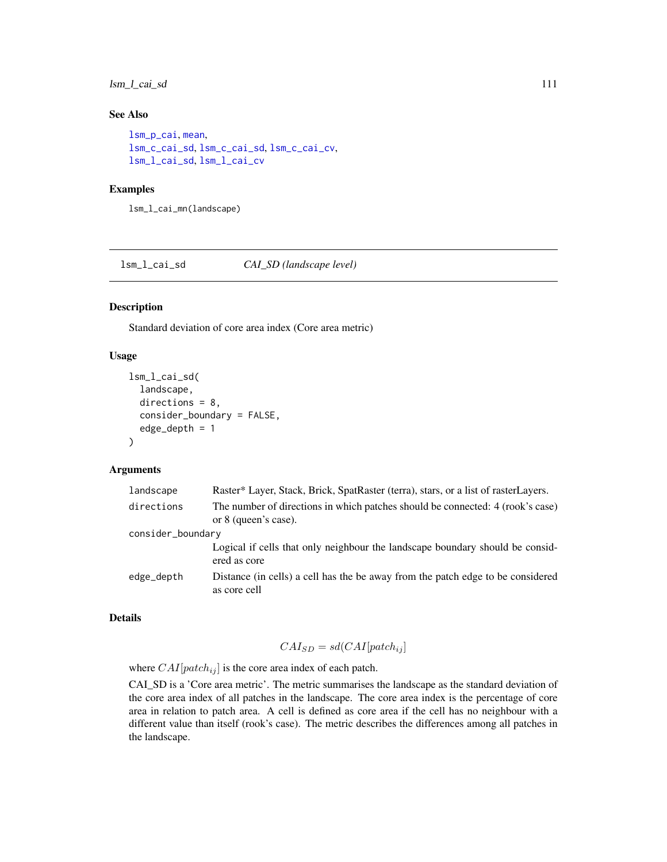# lsm\_l\_cai\_sd 111

# See Also

```
lsm_p_cai, mean,
lsm_c_cai_sd, lsm_c_cai_sd, lsm_c_cai_cv,
lsm_l_cai_sd, lsm_l_cai_cv
```
## Examples

lsm\_l\_cai\_mn(landscape)

<span id="page-110-0"></span>lsm\_l\_cai\_sd *CAI\_SD (landscape level)*

## Description

Standard deviation of core area index (Core area metric)

## Usage

```
lsm_l_cai_sd(
  landscape,
  directions = 8.
  consider_boundary = FALSE,
  edge\_depth = 1)
```
## Arguments

| landscape         | Raster* Layer, Stack, Brick, SpatRaster (terra), stars, or a list of rasterLayers.                     |
|-------------------|--------------------------------------------------------------------------------------------------------|
| directions        | The number of directions in which patches should be connected: 4 (rook's case)<br>or 8 (queen's case). |
| consider_boundary |                                                                                                        |
|                   | Logical if cells that only neighbour the landscape boundary should be considered<br>ered as core       |
| edge_depth        | Distance (in cells) a cell has the be away from the patch edge to be considered<br>as core cell        |

# Details

$$
CAI_{SD} = sd(CAI[patch_{ij}]
$$

where  $CAI[patch_{ij}]$  is the core area index of each patch.

CAI\_SD is a 'Core area metric'. The metric summarises the landscape as the standard deviation of the core area index of all patches in the landscape. The core area index is the percentage of core area in relation to patch area. A cell is defined as core area if the cell has no neighbour with a different value than itself (rook's case). The metric describes the differences among all patches in the landscape.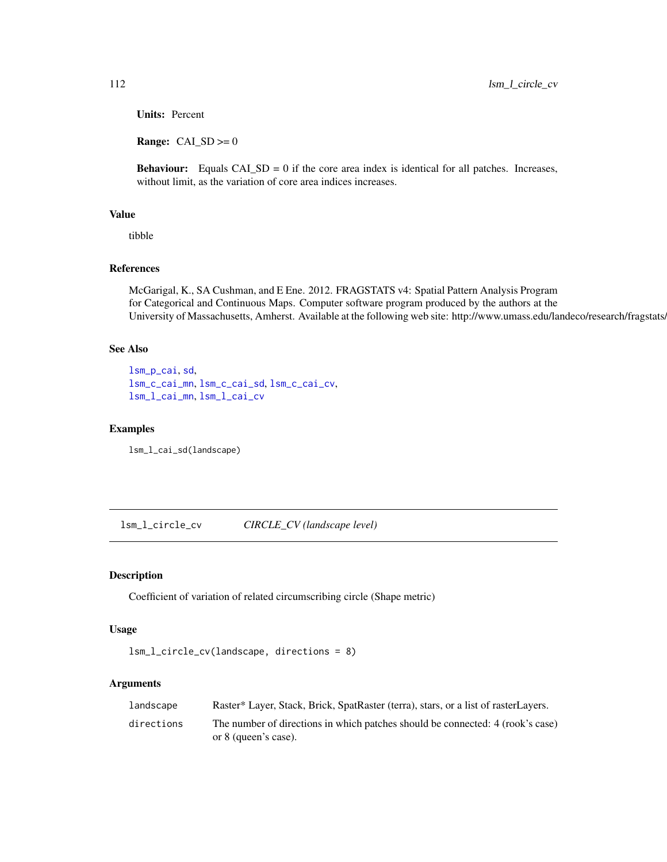Units: Percent

**Range:**  $CAI$ <sub></sub> $SD$   $>=$  0

**Behaviour:** Equals  $CA \_SD = 0$  if the core area index is identical for all patches. Increases, without limit, as the variation of core area indices increases.

# Value

tibble

# References

McGarigal, K., SA Cushman, and E Ene. 2012. FRAGSTATS v4: Spatial Pattern Analysis Program for Categorical and Continuous Maps. Computer software program produced by the authors at the University of Massachusetts, Amherst. Available at the following web site: http://www.umass.edu/landeco/research/fragstats/

## See Also

```
lsm_p_cai, sd,
lsm_c_cai_mn, lsm_c_cai_sd, lsm_c_cai_cv,
lsm_l_cai_mn, lsm_l_cai_cv
```
#### Examples

lsm\_l\_cai\_sd(landscape)

<span id="page-111-0"></span>lsm\_l\_circle\_cv *CIRCLE\_CV (landscape level)*

# Description

Coefficient of variation of related circumscribing circle (Shape metric)

# Usage

```
lsm_l_circle_cv(landscape, directions = 8)
```
#### Arguments

| landscape  | Raster* Layer, Stack, Brick, SpatRaster (terra), stars, or a list of rasterLayers.                     |
|------------|--------------------------------------------------------------------------------------------------------|
| directions | The number of directions in which patches should be connected: 4 (rook's case)<br>or 8 (queen's case). |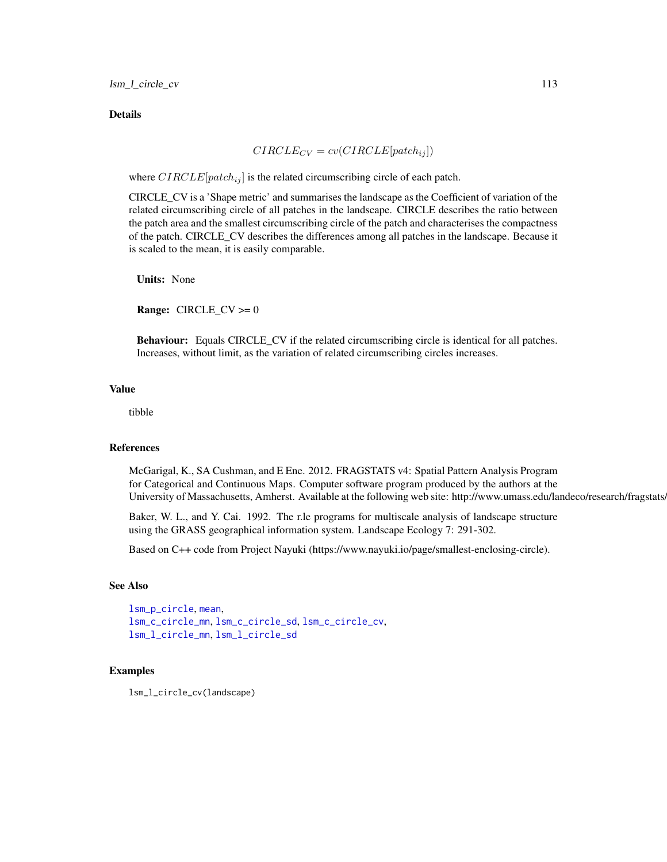#### Details

$$
CIRCLE_{CV} = cv(CIRCLE[patch_{ij}])
$$

where  $CIRCLE[patch_{ij}]$  is the related circumscribing circle of each patch.

CIRCLE\_CV is a 'Shape metric' and summarises the landscape as the Coefficient of variation of the related circumscribing circle of all patches in the landscape. CIRCLE describes the ratio between the patch area and the smallest circumscribing circle of the patch and characterises the compactness of the patch. CIRCLE\_CV describes the differences among all patches in the landscape. Because it is scaled to the mean, it is easily comparable.

Units: None

**Range:**  $CIRCLE_CV \ge 0$ 

Behaviour: Equals CIRCLE\_CV if the related circumscribing circle is identical for all patches. Increases, without limit, as the variation of related circumscribing circles increases.

## Value

tibble

#### References

McGarigal, K., SA Cushman, and E Ene. 2012. FRAGSTATS v4: Spatial Pattern Analysis Program for Categorical and Continuous Maps. Computer software program produced by the authors at the University of Massachusetts, Amherst. Available at the following web site: http://www.umass.edu/landeco/research/fragstats.

Baker, W. L., and Y. Cai. 1992. The r.le programs for multiscale analysis of landscape structure using the GRASS geographical information system. Landscape Ecology 7: 291-302.

Based on C++ code from Project Nayuki (https://www.nayuki.io/page/smallest-enclosing-circle).

## See Also

```
lsm_p_circle, mean,
lsm_c_circle_mn, lsm_c_circle_sd, lsm_c_circle_cv,
lsm_l_circle_mn, lsm_l_circle_sd
```
## Examples

lsm\_l\_circle\_cv(landscape)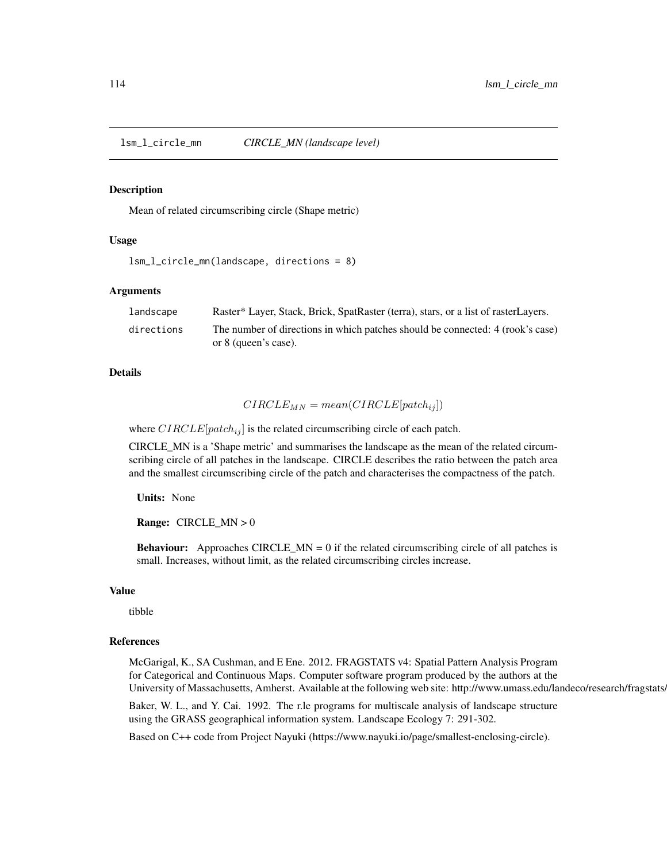<span id="page-113-0"></span>lsm\_l\_circle\_mn *CIRCLE\_MN (landscape level)*

#### Description

Mean of related circumscribing circle (Shape metric)

## Usage

```
lsm_l_circle_mn(landscape, directions = 8)
```
#### Arguments

| landscape  | Raster* Layer, Stack, Brick, SpatRaster (terra), stars, or a list of rasterLayers.                     |
|------------|--------------------------------------------------------------------------------------------------------|
| directions | The number of directions in which patches should be connected: 4 (rook's case)<br>or 8 (queen's case). |

#### Details

$$
CIRCLE_{MN} = mean(CIRCLE[patch_{ij}])
$$

where  $CIRCLE[patch_{ij}]$  is the related circumscribing circle of each patch.

CIRCLE\_MN is a 'Shape metric' and summarises the landscape as the mean of the related circumscribing circle of all patches in the landscape. CIRCLE describes the ratio between the patch area and the smallest circumscribing circle of the patch and characterises the compactness of the patch.

Units: None

**Range:** CIRCLE  $MN > 0$ 

**Behaviour:** Approaches CIRCLE\_MN =  $0$  if the related circumscribing circle of all patches is small. Increases, without limit, as the related circumscribing circles increase.

#### Value

tibble

#### References

McGarigal, K., SA Cushman, and E Ene. 2012. FRAGSTATS v4: Spatial Pattern Analysis Program for Categorical and Continuous Maps. Computer software program produced by the authors at the University of Massachusetts, Amherst. Available at the following web site: http://www.umass.edu/landeco/research/fragstats.

Baker, W. L., and Y. Cai. 1992. The r.le programs for multiscale analysis of landscape structure using the GRASS geographical information system. Landscape Ecology 7: 291-302.

Based on C++ code from Project Nayuki (https://www.nayuki.io/page/smallest-enclosing-circle).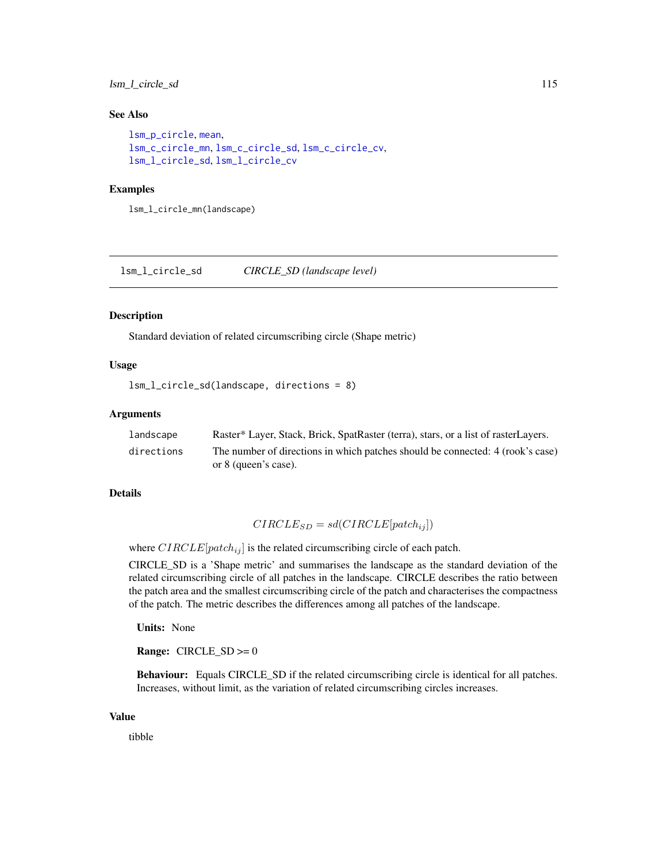# lsm\_l\_circle\_sd 115

## See Also

```
lsm_p_circle, mean,
lsm_c_circle_mn, lsm_c_circle_sd, lsm_c_circle_cv,
lsm_l_circle_sd, lsm_l_circle_cv
```
#### Examples

lsm\_l\_circle\_mn(landscape)

<span id="page-114-0"></span>lsm\_l\_circle\_sd *CIRCLE\_SD (landscape level)*

#### Description

Standard deviation of related circumscribing circle (Shape metric)

# Usage

```
lsm_l_circle_sd(landscape, directions = 8)
```
#### Arguments

| landscape  | Raster* Layer, Stack, Brick, SpatRaster (terra), stars, or a list of rasterLayers. |
|------------|------------------------------------------------------------------------------------|
| directions | The number of directions in which patches should be connected: 4 (rook's case)     |
|            | or 8 (queen's case).                                                               |

## Details

$$
CIRCLE_{SD} = sd(CIRCLE[patch_{ij}])
$$

where  $CIRCLE[patch_{ij}]$  is the related circumscribing circle of each patch.

CIRCLE\_SD is a 'Shape metric' and summarises the landscape as the standard deviation of the related circumscribing circle of all patches in the landscape. CIRCLE describes the ratio between the patch area and the smallest circumscribing circle of the patch and characterises the compactness of the patch. The metric describes the differences among all patches of the landscape.

Units: None

**Range:**  $CIRCLE\_SD \ge 0$ 

Behaviour: Equals CIRCLE\_SD if the related circumscribing circle is identical for all patches. Increases, without limit, as the variation of related circumscribing circles increases.

#### Value

tibble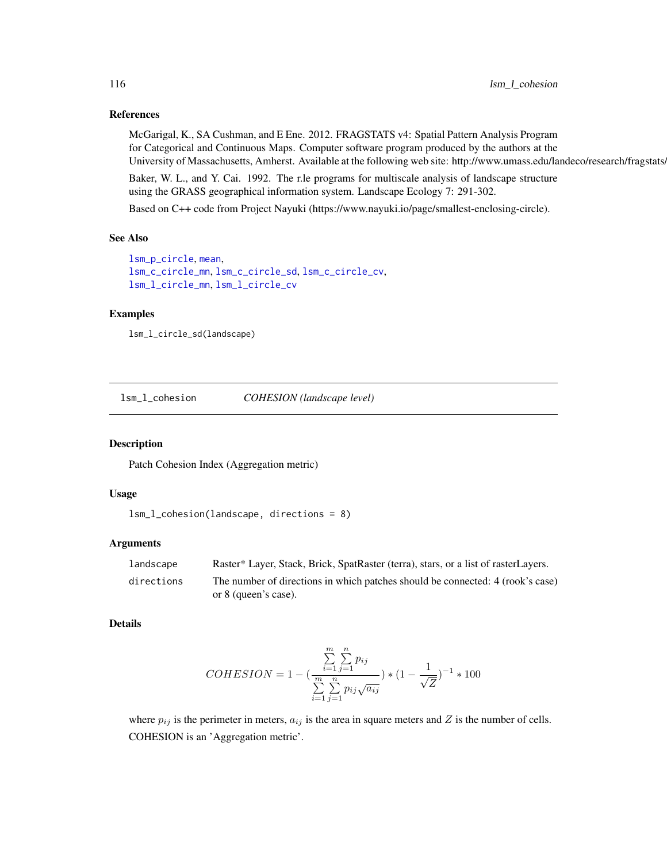## References

McGarigal, K., SA Cushman, and E Ene. 2012. FRAGSTATS v4: Spatial Pattern Analysis Program for Categorical and Continuous Maps. Computer software program produced by the authors at the University of Massachusetts, Amherst. Available at the following web site: http://www.umass.edu/landeco/research/fragstats.

Baker, W. L., and Y. Cai. 1992. The r.le programs for multiscale analysis of landscape structure using the GRASS geographical information system. Landscape Ecology 7: 291-302.

Based on C++ code from Project Nayuki (https://www.nayuki.io/page/smallest-enclosing-circle).

# See Also

```
lsm_p_circle, mean,
lsm_c_circle_mn, lsm_c_circle_sd, lsm_c_circle_cv,
lsm_l_circle_mn, lsm_l_circle_cv
```
## Examples

```
lsm_l_circle_sd(landscape)
```
<span id="page-115-0"></span>lsm\_l\_cohesion *COHESION (landscape level)*

# Description

Patch Cohesion Index (Aggregation metric)

## Usage

```
lsm_l_cohesion(landscape, directions = 8)
```
## Arguments

| landscape  | Raster* Layer, Stack, Brick, SpatRaster (terra), stars, or a list of rasterLayers. |
|------------|------------------------------------------------------------------------------------|
| directions | The number of directions in which patches should be connected: 4 (rook's case)     |
|            | or 8 (queen's case).                                                               |

### Details

$$
COHESION = 1 - \left(\frac{\sum_{i=1}^{m} \sum_{j=1}^{n} p_{ij}}{\sum_{i=1}^{m} \sum_{j=1}^{n} p_{ij} \sqrt{a_{ij}}}\right) * (1 - \frac{1}{\sqrt{Z}})^{-1} * 100
$$

where  $p_{ij}$  is the perimeter in meters,  $a_{ij}$  is the area in square meters and Z is the number of cells. COHESION is an 'Aggregation metric'.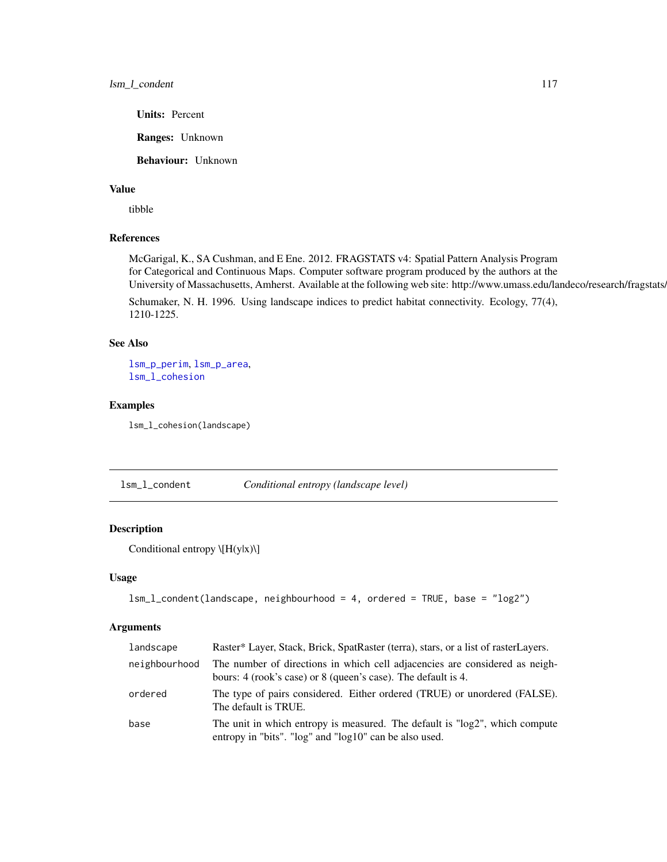Units: Percent

Ranges: Unknown

Behaviour: Unknown

#### Value

tibble

## References

McGarigal, K., SA Cushman, and E Ene. 2012. FRAGSTATS v4: Spatial Pattern Analysis Program for Categorical and Continuous Maps. Computer software program produced by the authors at the University of Massachusetts, Amherst. Available at the following web site: http://www.umass.edu/landeco/research/fragstats.

Schumaker, N. H. 1996. Using landscape indices to predict habitat connectivity. Ecology, 77(4), 1210-1225.

# See Also

[lsm\\_p\\_perim](#page-195-0), [lsm\\_p\\_area](#page-183-0), [lsm\\_l\\_cohesion](#page-115-0)

#### Examples

lsm\_l\_cohesion(landscape)

<span id="page-116-0"></span>lsm\_l\_condent *Conditional entropy (landscape level)*

# Description

Conditional entropy \[H(y|x)\]

#### Usage

```
lsm_l_condent(landscape, neighbourhood = 4, ordered = TRUE, base = "log2")
```
## Arguments

| landscape     | Raster* Layer, Stack, Brick, SpatRaster (terra), stars, or a list of rasterLayers.                                                           |
|---------------|----------------------------------------------------------------------------------------------------------------------------------------------|
| neighbourhood | The number of directions in which cell adjacencies are considered as neigh-<br>bours: 4 (rook's case) or 8 (queen's case). The default is 4. |
| ordered       | The type of pairs considered. Either ordered (TRUE) or unordered (FALSE).<br>The default is TRUE.                                            |
| base          | The unit in which entropy is measured. The default is "log2", which compute<br>entropy in "bits". "log" and "log10" can be also used.        |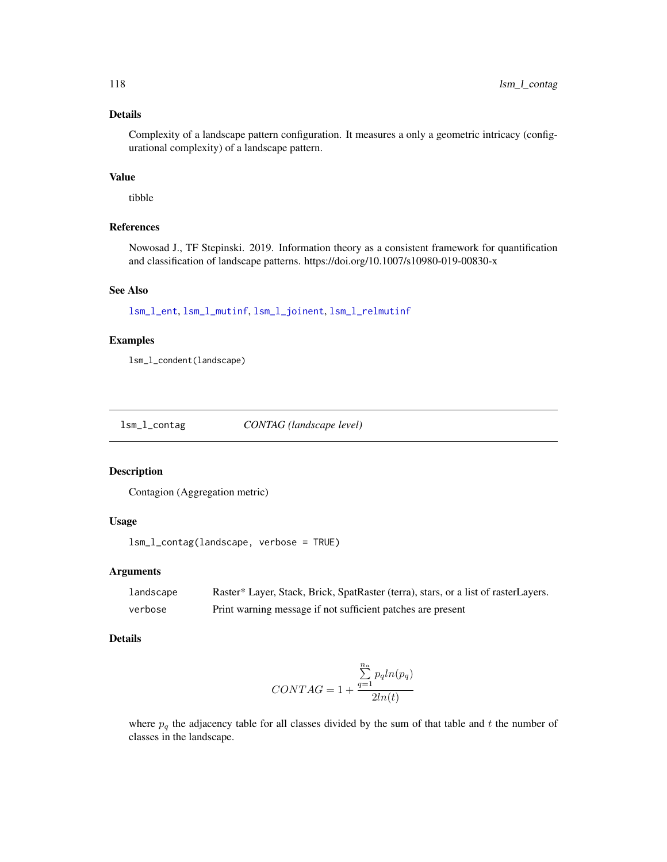# Details

Complexity of a landscape pattern configuration. It measures a only a geometric intricacy (configurational complexity) of a landscape pattern.

## Value

tibble

# References

Nowosad J., TF Stepinski. 2019. Information theory as a consistent framework for quantification and classification of landscape patterns. https://doi.org/10.1007/s10980-019-00830-x

#### See Also

[lsm\\_l\\_ent](#page-139-0), [lsm\\_l\\_mutinf](#page-155-0), [lsm\\_l\\_joinent](#page-149-0), [lsm\\_l\\_relmutinf](#page-168-0)

# Examples

lsm\_l\_condent(landscape)

lsm\_l\_contag *CONTAG (landscape level)*

## Description

Contagion (Aggregation metric)

# Usage

```
lsm_l_contag(landscape, verbose = TRUE)
```
#### Arguments

| landscape | Raster* Layer, Stack, Brick, SpatRaster (terra), stars, or a list of rasterLayers. |
|-----------|------------------------------------------------------------------------------------|
| verbose   | Print warning message if not sufficient patches are present                        |

# Details

$$
CONTAG = 1 + \frac{\sum_{q=1}^{n_a} p_q ln(p_q)}{2ln(t)}
$$

where  $p_q$  the adjacency table for all classes divided by the sum of that table and t the number of classes in the landscape.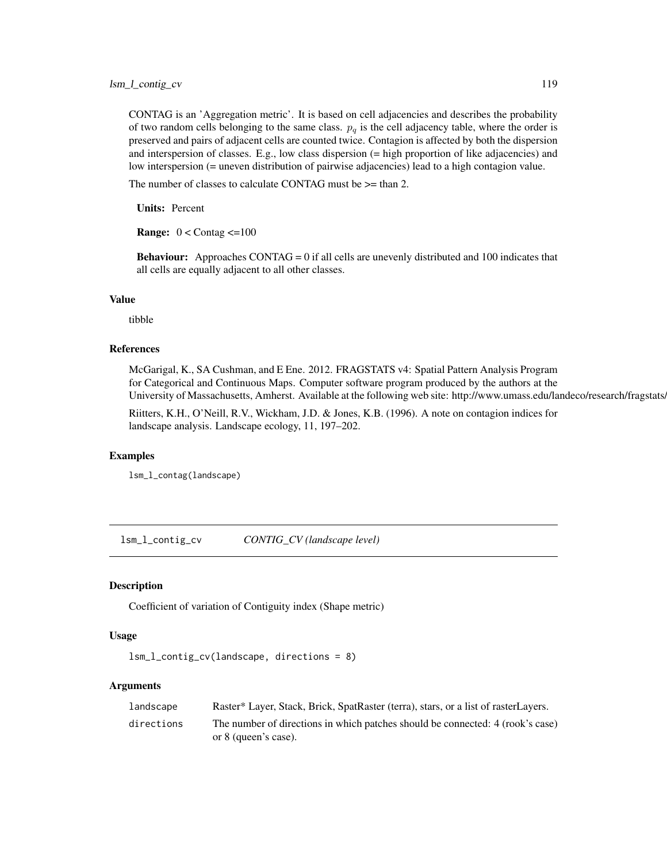CONTAG is an 'Aggregation metric'. It is based on cell adjacencies and describes the probability of two random cells belonging to the same class.  $p_q$  is the cell adjacency table, where the order is preserved and pairs of adjacent cells are counted twice. Contagion is affected by both the dispersion and interspersion of classes. E.g., low class dispersion (= high proportion of like adjacencies) and low interspersion (= uneven distribution of pairwise adjacencies) lead to a high contagion value.

The number of classes to calculate CONTAG must be  $\ge$  than 2.

Units: Percent

**Range:**  $0 <$  Contag  $\leq$ =100

Behaviour: Approaches CONTAG = 0 if all cells are unevenly distributed and 100 indicates that all cells are equally adjacent to all other classes.

## Value

tibble

## References

McGarigal, K., SA Cushman, and E Ene. 2012. FRAGSTATS v4: Spatial Pattern Analysis Program for Categorical and Continuous Maps. Computer software program produced by the authors at the University of Massachusetts, Amherst. Available at the following web site: http://www.umass.edu/landeco/research/fragstats.

Riitters, K.H., O'Neill, R.V., Wickham, J.D. & Jones, K.B. (1996). A note on contagion indices for landscape analysis. Landscape ecology, 11, 197–202.

## Examples

lsm\_l\_contag(landscape)

<span id="page-118-0"></span>lsm\_l\_contig\_cv *CONTIG\_CV (landscape level)*

#### Description

Coefficient of variation of Contiguity index (Shape metric)

#### Usage

```
lsm_l_contig_cv(landscape, directions = 8)
```
#### Arguments

| landscape  | Raster* Layer, Stack, Brick, SpatRaster (terra), stars, or a list of rasterLayers. |
|------------|------------------------------------------------------------------------------------|
| directions | The number of directions in which patches should be connected: 4 (rook's case)     |
|            | or 8 (queen's case).                                                               |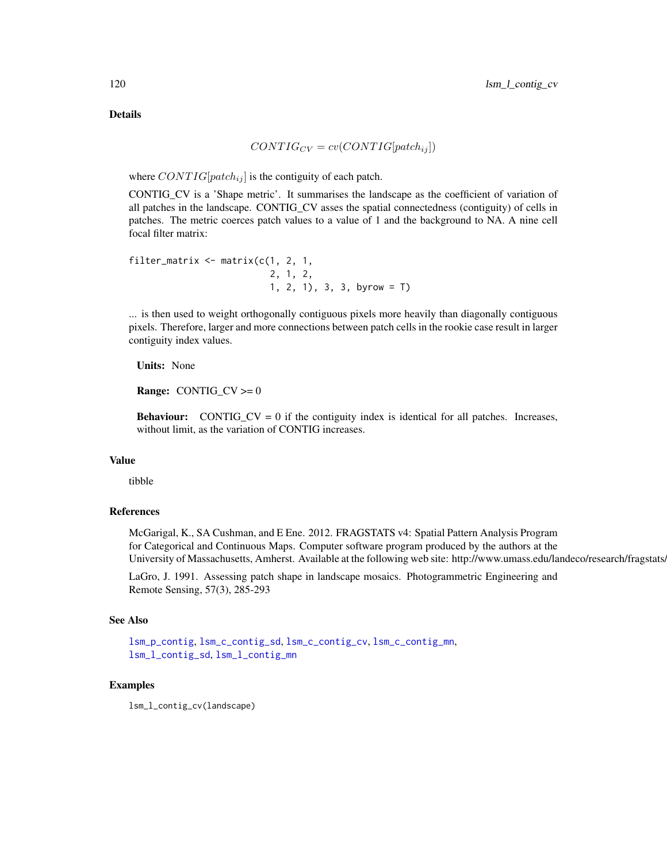# Details

$$
CONTIG_{CV} = cv(CONTIG[patch_{ij}])
$$

where  $CONTIG[patch_{ij}]$  is the contiguity of each patch.

CONTIG\_CV is a 'Shape metric'. It summarises the landscape as the coefficient of variation of all patches in the landscape. CONTIG\_CV asses the spatial connectedness (contiguity) of cells in patches. The metric coerces patch values to a value of 1 and the background to NA. A nine cell focal filter matrix:

```
filter_matrix \leq matrix(c(1, 2, 1, 1)2, 1, 2,
                           1, 2, 1), 3, 3, byrow = T)
```
... is then used to weight orthogonally contiguous pixels more heavily than diagonally contiguous pixels. Therefore, larger and more connections between patch cells in the rookie case result in larger contiguity index values.

Units: None

**Range:** CONTIG  $CV \ge 0$ 

**Behaviour:** CONTIG\_CV = 0 if the contiguity index is identical for all patches. Increases, without limit, as the variation of CONTIG increases.

# Value

tibble

## References

McGarigal, K., SA Cushman, and E Ene. 2012. FRAGSTATS v4: Spatial Pattern Analysis Program for Categorical and Continuous Maps. Computer software program produced by the authors at the University of Massachusetts, Amherst. Available at the following web site: http://www.umass.edu/landeco/research/fragstats.

LaGro, J. 1991. Assessing patch shape in landscape mosaics. Photogrammetric Engineering and Remote Sensing, 57(3), 285-293

#### See Also

```
lsm_p_contig, lsm_c_contig_sd, lsm_c_contig_cv, lsm_c_contig_mn,
lsm_l_contig_sd, lsm_l_contig_mn
```
## Examples

lsm\_l\_contig\_cv(landscape)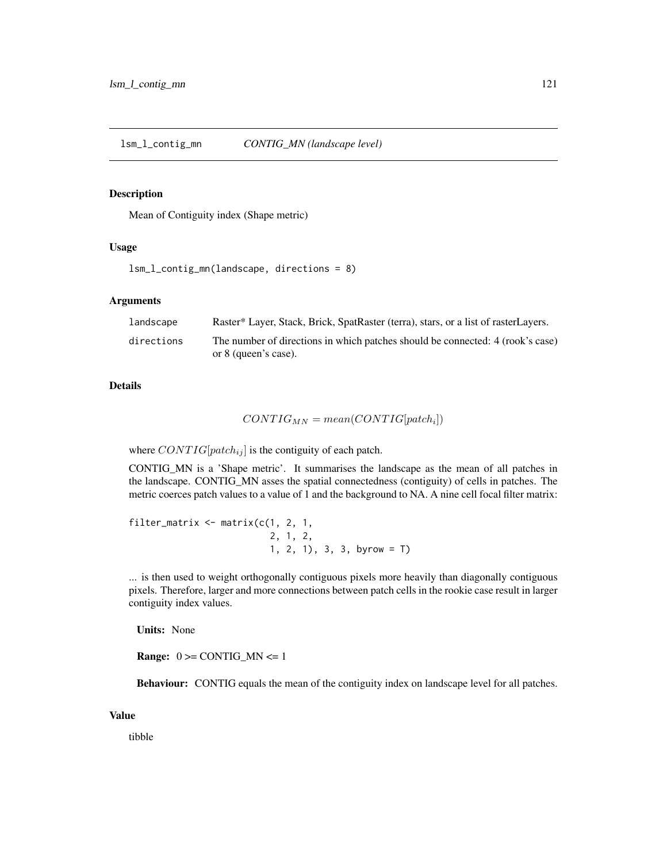<span id="page-120-0"></span>lsm\_l\_contig\_mn *CONTIG\_MN (landscape level)*

#### Description

Mean of Contiguity index (Shape metric)

#### Usage

lsm\_l\_contig\_mn(landscape, directions = 8)

#### Arguments

| landscape  | Raster* Layer, Stack, Brick, SpatRaster (terra), stars, or a list of rasterLayers.                     |
|------------|--------------------------------------------------------------------------------------------------------|
| directions | The number of directions in which patches should be connected: 4 (rook's case)<br>or 8 (queen's case). |

# Details

$$
CONTIG_{MN} = mean(CONTIG[patch_i])
$$

where  $CONTIG[patch_{ij}]$  is the contiguity of each patch.

CONTIG\_MN is a 'Shape metric'. It summarises the landscape as the mean of all patches in the landscape. CONTIG\_MN asses the spatial connectedness (contiguity) of cells in patches. The metric coerces patch values to a value of 1 and the background to NA. A nine cell focal filter matrix:

```
filter_matrix \leq matrix(c(1, 2, 1, 1)2, 1, 2,
                           1, 2, 1), 3, 3, byrow = T)
```
... is then used to weight orthogonally contiguous pixels more heavily than diagonally contiguous pixels. Therefore, larger and more connections between patch cells in the rookie case result in larger contiguity index values.

Units: None

**Range:**  $0 \geq CONTIG_MN \leq 1$ 

Behaviour: CONTIG equals the mean of the contiguity index on landscape level for all patches.

#### Value

tibble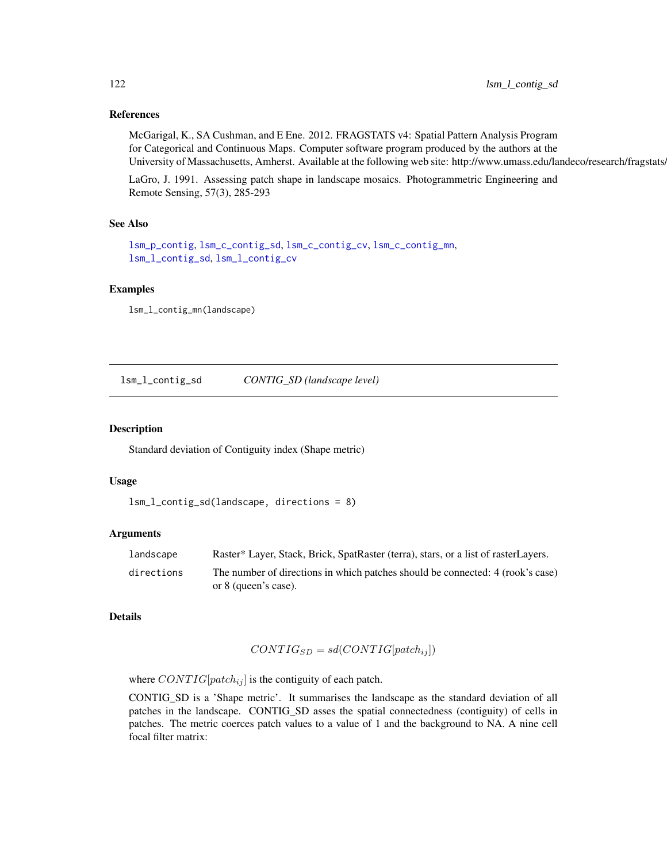## References

McGarigal, K., SA Cushman, and E Ene. 2012. FRAGSTATS v4: Spatial Pattern Analysis Program for Categorical and Continuous Maps. Computer software program produced by the authors at the University of Massachusetts, Amherst. Available at the following web site: http://www.umass.edu/landeco/research/fragstats/

LaGro, J. 1991. Assessing patch shape in landscape mosaics. Photogrammetric Engineering and Remote Sensing, 57(3), 285-293

#### See Also

```
lsm_p_contig, lsm_c_contig_sd, lsm_c_contig_cv, lsm_c_contig_mn,
lsm_l_contig_sd, lsm_l_contig_cv
```
#### Examples

lsm\_l\_contig\_mn(landscape)

<span id="page-121-0"></span>lsm\_l\_contig\_sd *CONTIG\_SD (landscape level)*

#### Description

Standard deviation of Contiguity index (Shape metric)

#### Usage

```
lsm_l_contig_sd(landscape, directions = 8)
```
## Arguments

| landscape  | Raster* Layer, Stack, Brick, SpatRaster (terra), stars, or a list of rasterLayers. |
|------------|------------------------------------------------------------------------------------|
| directions | The number of directions in which patches should be connected: 4 (rook's case)     |
|            | or 8 (queen's case).                                                               |

## Details

$$
CONTIG_{SD} = sd(CONTIG[patch_{ij}])
$$

where  $CONTIG[patch_{ij}]$  is the contiguity of each patch.

CONTIG\_SD is a 'Shape metric'. It summarises the landscape as the standard deviation of all patches in the landscape. CONTIG\_SD asses the spatial connectedness (contiguity) of cells in patches. The metric coerces patch values to a value of 1 and the background to NA. A nine cell focal filter matrix: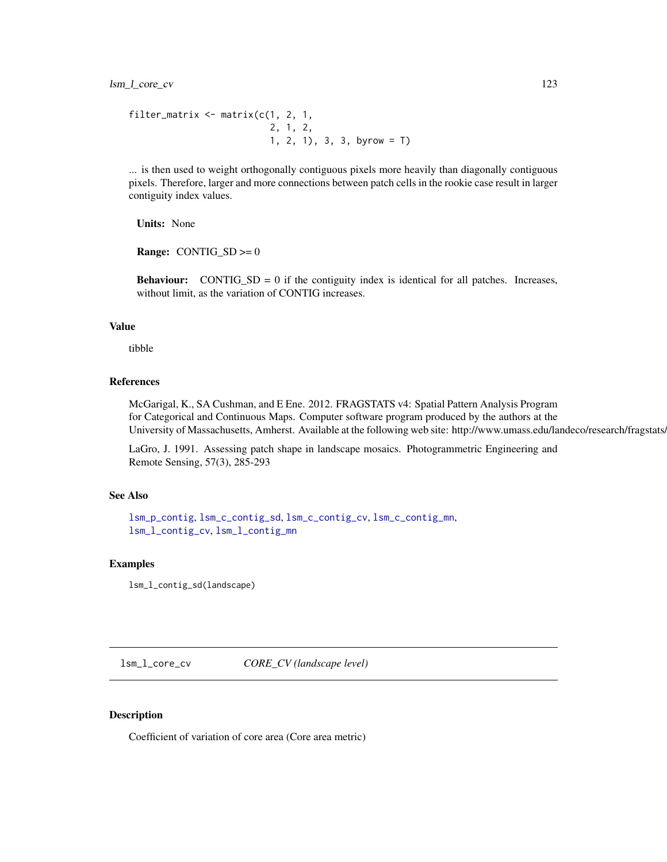```
filter_matrix \leq matrix(c(1, 2, 1,
                           2, 1, 2,
                           1, 2, 1), 3, 3, byrow = T)
```
... is then used to weight orthogonally contiguous pixels more heavily than diagonally contiguous pixels. Therefore, larger and more connections between patch cells in the rookie case result in larger contiguity index values.

Units: None

**Range:** CONTIG\_SD  $>= 0$ 

**Behaviour:** CONTIG\_SD = 0 if the contiguity index is identical for all patches. Increases, without limit, as the variation of CONTIG increases.

# Value

tibble

#### References

McGarigal, K., SA Cushman, and E Ene. 2012. FRAGSTATS v4: Spatial Pattern Analysis Program for Categorical and Continuous Maps. Computer software program produced by the authors at the University of Massachusetts, Amherst. Available at the following web site: http://www.umass.edu/landeco/research/fragstats.

LaGro, J. 1991. Assessing patch shape in landscape mosaics. Photogrammetric Engineering and Remote Sensing, 57(3), 285-293

## See Also

```
lsm_p_contig, lsm_c_contig_sd, lsm_c_contig_cv, lsm_c_contig_mn,
lsm_l_contig_cv, lsm_l_contig_mn
```
## Examples

lsm\_l\_contig\_sd(landscape)

<span id="page-122-0"></span>lsm\_l\_core\_cv *CORE\_CV (landscape level)*

#### Description

Coefficient of variation of core area (Core area metric)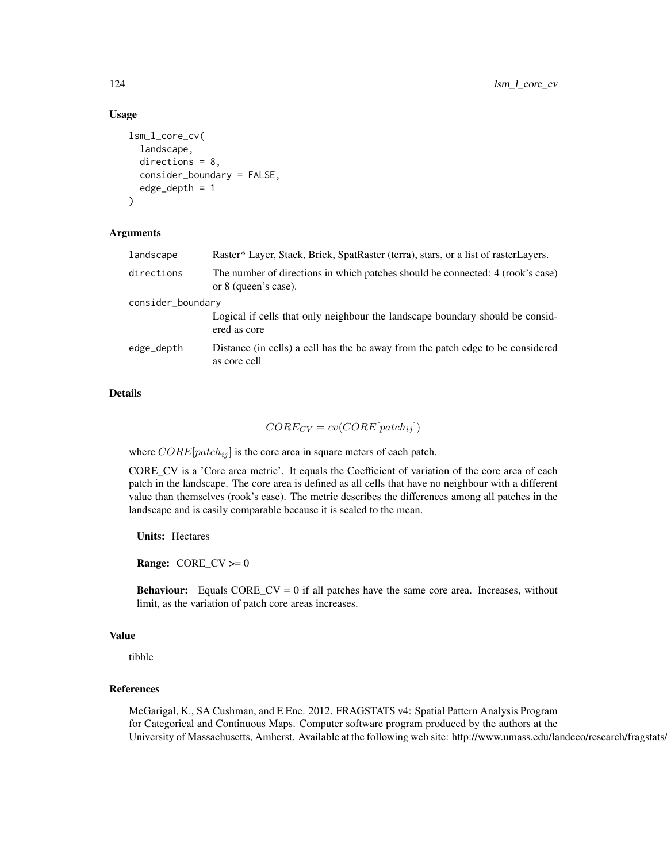## Usage

```
lsm_l_core_cv(
  landscape,
  directions = 8,
  consider_boundary = FALSE,
  edge_depth = 1
)
```
## Arguments

| landscape         | Raster* Layer, Stack, Brick, SpatRaster (terra), stars, or a list of rasterLayers.                     |  |
|-------------------|--------------------------------------------------------------------------------------------------------|--|
| directions        | The number of directions in which patches should be connected: 4 (rook's case)<br>or 8 (queen's case). |  |
| consider_boundary |                                                                                                        |  |
|                   | Logical if cells that only neighbour the landscape boundary should be consid-<br>ered as core          |  |
| edge_depth        | Distance (in cells) a cell has the be away from the patch edge to be considered<br>as core cell        |  |
|                   |                                                                                                        |  |

# Details

 $CORE_{CV} = cv(CORE[patch_{ij}])$ 

where  $CORE[patch_{ij}]$  is the core area in square meters of each patch.

CORE\_CV is a 'Core area metric'. It equals the Coefficient of variation of the core area of each patch in the landscape. The core area is defined as all cells that have no neighbour with a different value than themselves (rook's case). The metric describes the differences among all patches in the landscape and is easily comparable because it is scaled to the mean.

Units: Hectares

**Range:**  $CORE_C V \ge 0$ 

**Behaviour:** Equals  $CORE_C V = 0$  if all patches have the same core area. Increases, without limit, as the variation of patch core areas increases.

# Value

tibble

#### References

McGarigal, K., SA Cushman, and E Ene. 2012. FRAGSTATS v4: Spatial Pattern Analysis Program for Categorical and Continuous Maps. Computer software program produced by the authors at the University of Massachusetts, Amherst. Available at the following web site: http://www.umass.edu/landeco/research/fragstats.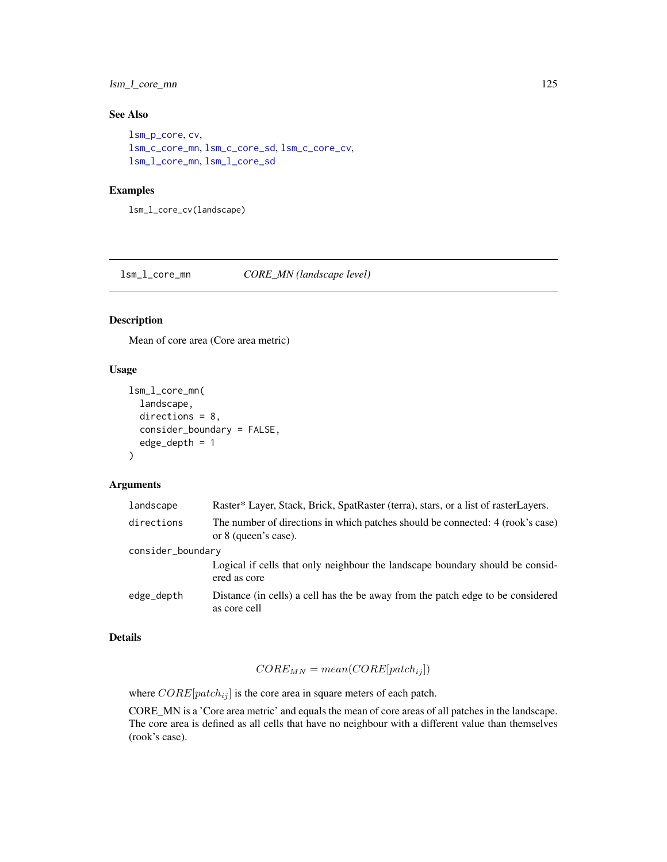# lsm\_l\_core\_mn 125

# See Also

```
lsm_p_core, cv,
lsm_c_core_mn, lsm_c_core_sd, lsm_c_core_cv,
lsm_l_core_mn, lsm_l_core_sd
```
## Examples

lsm\_l\_core\_cv(landscape)

<span id="page-124-0"></span>lsm\_l\_core\_mn *CORE\_MN (landscape level)*

#### Description

Mean of core area (Core area metric)

# Usage

```
lsm_l_core_mn(
  landscape,
  directions = 8,
  consider_boundary = FALSE,
  edge_depth = 1
)
```
## Arguments

| landscape         | Raster* Layer, Stack, Brick, SpatRaster (terra), stars, or a list of rasterLayers.                     |
|-------------------|--------------------------------------------------------------------------------------------------------|
| directions        | The number of directions in which patches should be connected: 4 (rook's case)<br>or 8 (queen's case). |
| consider_boundary |                                                                                                        |
|                   | Logical if cells that only neighbour the landscape boundary should be considered<br>ered as core       |
| edge_depth        | Distance (in cells) a cell has the be away from the patch edge to be considered<br>as core cell        |

## Details

$$
CORE_{MN} = mean(CORE[patch_{ij}])
$$

where  $CORE[patch_{ij}]$  is the core area in square meters of each patch.

CORE\_MN is a 'Core area metric' and equals the mean of core areas of all patches in the landscape. The core area is defined as all cells that have no neighbour with a different value than themselves (rook's case).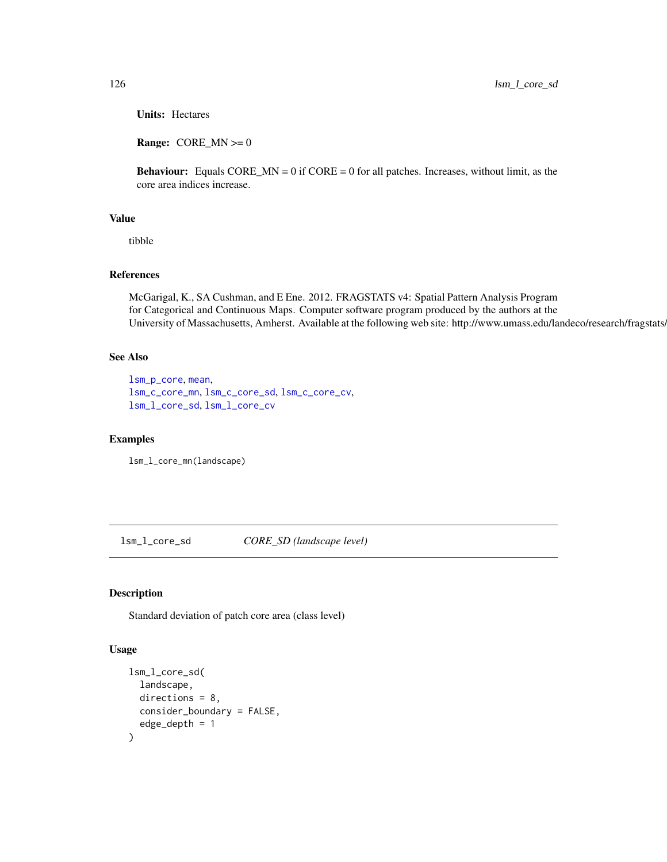Units: Hectares

**Range:** CORE\_MN  $>= 0$ 

**Behaviour:** Equals CORE\_MN =  $0$  if CORE =  $0$  for all patches. Increases, without limit, as the core area indices increase.

## Value

tibble

## References

McGarigal, K., SA Cushman, and E Ene. 2012. FRAGSTATS v4: Spatial Pattern Analysis Program for Categorical and Continuous Maps. Computer software program produced by the authors at the University of Massachusetts, Amherst. Available at the following web site: http://www.umass.edu/landeco/research/fragstats/

## See Also

```
lsm_p_core, mean,
lsm_c_core_mn, lsm_c_core_sd, lsm_c_core_cv,
lsm_l_core_sd, lsm_l_core_cv
```
#### Examples

lsm\_l\_core\_mn(landscape)

<span id="page-125-0"></span>lsm\_l\_core\_sd *CORE\_SD (landscape level)*

# Description

Standard deviation of patch core area (class level)

#### Usage

```
lsm_l_core_sd(
 landscape,
  directions = 8,
 consider_boundary = FALSE,
  edge\_depth = 1)
```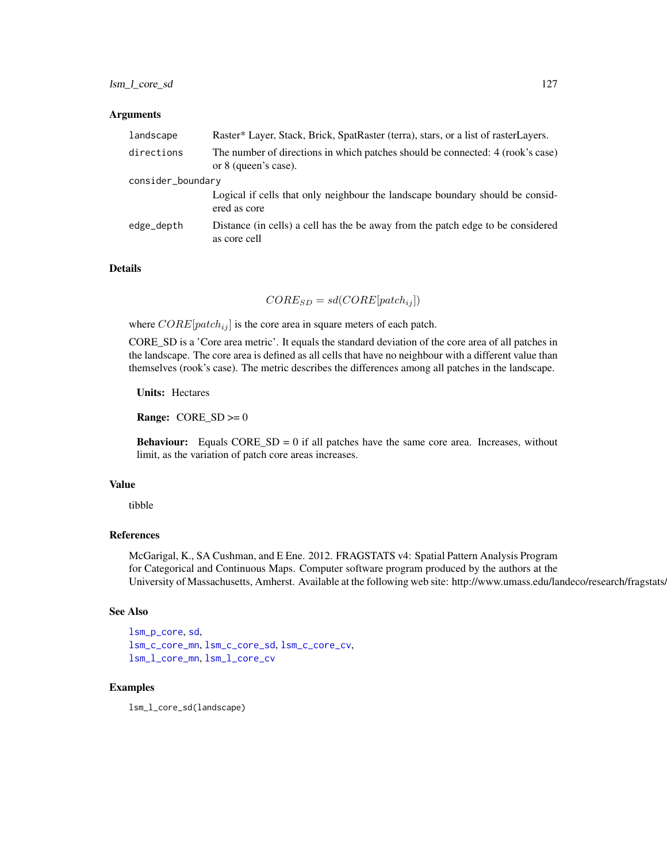#### **Arguments**

| landscape         | Raster* Layer, Stack, Brick, SpatRaster (terra), stars, or a list of rasterLayers.                     |
|-------------------|--------------------------------------------------------------------------------------------------------|
| directions        | The number of directions in which patches should be connected: 4 (rook's case)<br>or 8 (queen's case). |
| consider_boundary |                                                                                                        |
|                   | Logical if cells that only neighbour the landscape boundary should be consid-<br>ered as core          |
| edge_depth        | Distance (in cells) a cell has the be away from the patch edge to be considered<br>as core cell        |

# Details

 $CORE_{SD} = sd(CORE[patch_{ij}])$ 

where  $CORE[patch_{ij}]$  is the core area in square meters of each patch.

CORE\_SD is a 'Core area metric'. It equals the standard deviation of the core area of all patches in the landscape. The core area is defined as all cells that have no neighbour with a different value than themselves (rook's case). The metric describes the differences among all patches in the landscape.

Units: Hectares

**Range:**  $CORE_SD \ge 0$ 

**Behaviour:** Equals  $CORE_{SD} = 0$  if all patches have the same core area. Increases, without limit, as the variation of patch core areas increases.

# Value

tibble

# References

McGarigal, K., SA Cushman, and E Ene. 2012. FRAGSTATS v4: Spatial Pattern Analysis Program for Categorical and Continuous Maps. Computer software program produced by the authors at the University of Massachusetts, Amherst. Available at the following web site: http://www.umass.edu/landeco/research/fragstats.

#### See Also

```
lsm_p_core, sd,
lsm_c_core_mn, lsm_c_core_sd, lsm_c_core_cv,
lsm_l_core_mn, lsm_l_core_cv
```
# Examples

lsm\_l\_core\_sd(landscape)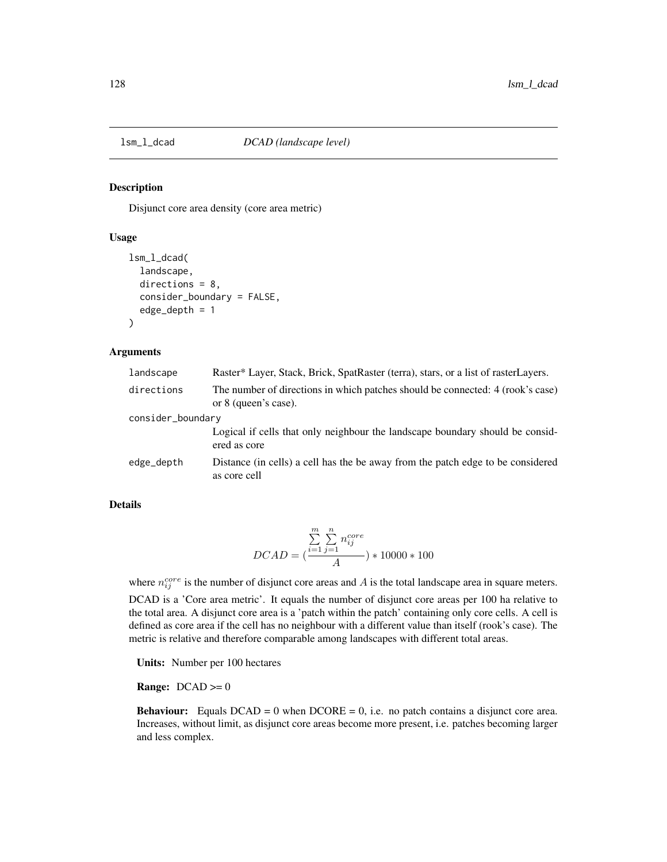#### Description

Disjunct core area density (core area metric)

## Usage

```
lsm_l_dcad(
  landscape,
  directions = 8,
  consider_boundary = FALSE,
  edge\_depth = 1)
```
## Arguments

| landscape         | Raster* Layer, Stack, Brick, SpatRaster (terra), stars, or a list of rasterLayers.                     |
|-------------------|--------------------------------------------------------------------------------------------------------|
| directions        | The number of directions in which patches should be connected: 4 (rook's case)<br>or 8 (queen's case). |
| consider_boundary |                                                                                                        |
|                   | Logical if cells that only neighbour the landscape boundary should be considered<br>ered as core       |
| edge_depth        | Distance (in cells) a cell has the be away from the patch edge to be considered<br>as core cell        |

#### Details

$$
DCAD = (\frac{\sum_{i=1}^{m} \sum_{j=1}^{n} n_{ij}^{core}}{A}) * 10000 * 100
$$

where  $n_{ij}^{core}$  is the number of disjunct core areas and A is the total landscape area in square meters.

DCAD is a 'Core area metric'. It equals the number of disjunct core areas per 100 ha relative to the total area. A disjunct core area is a 'patch within the patch' containing only core cells. A cell is defined as core area if the cell has no neighbour with a different value than itself (rook's case). The metric is relative and therefore comparable among landscapes with different total areas.

Units: Number per 100 hectares

**Range:**  $DCAD \ge 0$ 

**Behaviour:** Equals  $DCAD = 0$  when  $DCORE = 0$ , i.e. no patch contains a disjunct core area. Increases, without limit, as disjunct core areas become more present, i.e. patches becoming larger and less complex.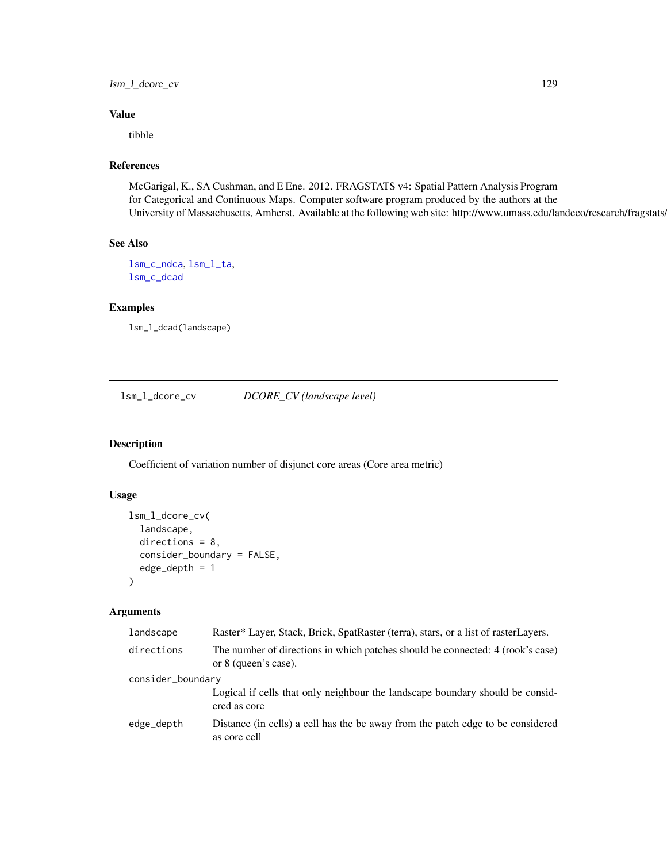# lsm\_l\_dcore\_cv 129

# Value

tibble

# References

McGarigal, K., SA Cushman, and E Ene. 2012. FRAGSTATS v4: Spatial Pattern Analysis Program for Categorical and Continuous Maps. Computer software program produced by the authors at the University of Massachusetts, Amherst. Available at the following web site: http://www.umass.edu/landeco/research/fragstats/

# See Also

[lsm\\_c\\_ndca](#page-83-0), [lsm\\_l\\_ta](#page-179-0), [lsm\\_c\\_dcad](#page-59-0)

#### Examples

lsm\_l\_dcad(landscape)

<span id="page-128-0"></span>lsm\_l\_dcore\_cv *DCORE\_CV (landscape level)*

# Description

Coefficient of variation number of disjunct core areas (Core area metric)

## Usage

```
lsm_l_dcore_cv(
  landscape,
  directions = 8,
  consider_boundary = FALSE,
  edge_depth = 1
)
```
# Arguments

| landscape         | Raster* Layer, Stack, Brick, SpatRaster (terra), stars, or a list of rasterLayers.                     |
|-------------------|--------------------------------------------------------------------------------------------------------|
| directions        | The number of directions in which patches should be connected: 4 (rook's case)<br>or 8 (queen's case). |
| consider_boundary |                                                                                                        |
|                   | Logical if cells that only neighbour the landscape boundary should be consid-<br>ered as core          |
| edge_depth        | Distance (in cells) a cell has the be away from the patch edge to be considered<br>as core cell        |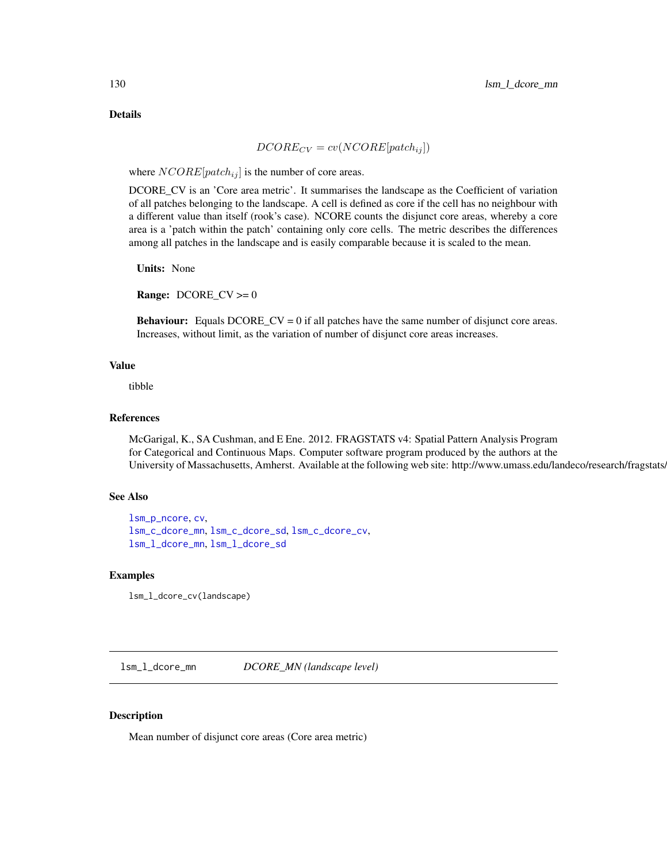Details

$$
DCORE_{CV} = cv(NCORE[patch_{ij}])
$$

where  $NCORE[patch_{ij}]$  is the number of core areas.

DCORE\_CV is an 'Core area metric'. It summarises the landscape as the Coefficient of variation of all patches belonging to the landscape. A cell is defined as core if the cell has no neighbour with a different value than itself (rook's case). NCORE counts the disjunct core areas, whereby a core area is a 'patch within the patch' containing only core cells. The metric describes the differences among all patches in the landscape and is easily comparable because it is scaled to the mean.

Units: None

**Range:**  $DCORE_C V \ge 0$ 

Behaviour: Equals DCORE\_CV = 0 if all patches have the same number of disjunct core areas. Increases, without limit, as the variation of number of disjunct core areas increases.

# Value

tibble

## References

McGarigal, K., SA Cushman, and E Ene. 2012. FRAGSTATS v4: Spatial Pattern Analysis Program for Categorical and Continuous Maps. Computer software program produced by the authors at the University of Massachusetts, Amherst. Available at the following web site: http://www.umass.edu/landeco/research/fragstats.

## See Also

```
lsm_p_ncore, cv,
lsm_c_dcore_mn, lsm_c_dcore_sd, lsm_c_dcore_cv,
lsm_l_dcore_mn, lsm_l_dcore_sd
```
## Examples

lsm\_l\_dcore\_cv(landscape)

<span id="page-129-0"></span>lsm\_l\_dcore\_mn *DCORE\_MN (landscape level)*

#### **Description**

Mean number of disjunct core areas (Core area metric)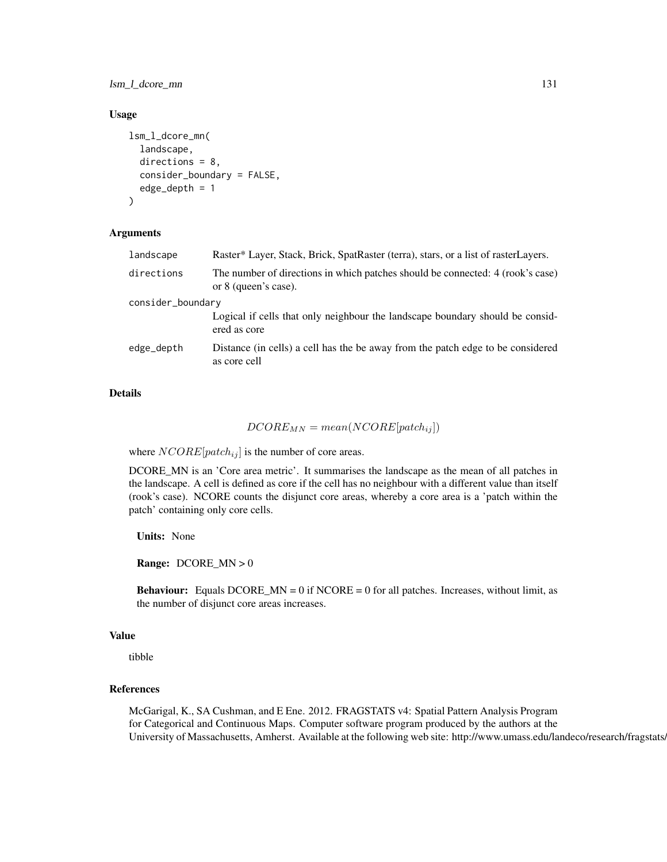lsm\_l\_dcore\_mn 131

#### Usage

```
lsm_l_dcore_mn(
  landscape,
  directions = 8,
  consider_boundary = FALSE,
  edge_depth = 1
)
```
## Arguments

| landscape         | Raster* Layer, Stack, Brick, SpatRaster (terra), stars, or a list of rasterLayers.                     |  |
|-------------------|--------------------------------------------------------------------------------------------------------|--|
| directions        | The number of directions in which patches should be connected: 4 (rook's case)<br>or 8 (queen's case). |  |
| consider_boundary |                                                                                                        |  |
|                   | Logical if cells that only neighbour the landscape boundary should be consid-<br>ered as core          |  |
| edge_depth        | Distance (in cells) a cell has the be away from the patch edge to be considered<br>as core cell        |  |
|                   |                                                                                                        |  |

# Details

# $DCORE_{MN} = mean(NCORE[patch_{ij}])$

where  $NCORE[patch_{ij}]$  is the number of core areas.

DCORE\_MN is an 'Core area metric'. It summarises the landscape as the mean of all patches in the landscape. A cell is defined as core if the cell has no neighbour with a different value than itself (rook's case). NCORE counts the disjunct core areas, whereby a core area is a 'patch within the patch' containing only core cells.

Units: None

Range: DCORE\_MN > 0

**Behaviour:** Equals DCORE\_MN = 0 if NCORE = 0 for all patches. Increases, without limit, as the number of disjunct core areas increases.

# Value

tibble

## References

McGarigal, K., SA Cushman, and E Ene. 2012. FRAGSTATS v4: Spatial Pattern Analysis Program for Categorical and Continuous Maps. Computer software program produced by the authors at the University of Massachusetts, Amherst. Available at the following web site: http://www.umass.edu/landeco/research/fragstats.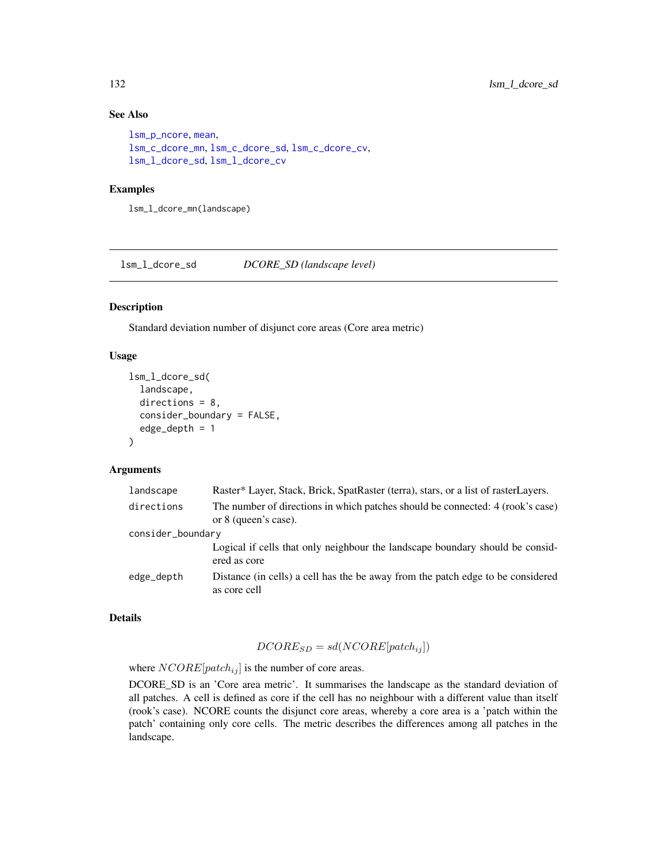# See Also

```
lsm_p_ncore, mean,
lsm_c_dcore_mn, lsm_c_dcore_sd, lsm_c_dcore_cv,
lsm_l_dcore_sd, lsm_l_dcore_cv
```
## Examples

lsm\_l\_dcore\_mn(landscape)

<span id="page-131-0"></span>lsm\_l\_dcore\_sd *DCORE\_SD (landscape level)*

## Description

Standard deviation number of disjunct core areas (Core area metric)

## Usage

```
lsm_l_dcore_sd(
  landscape,
  directions = 8,
  consider_boundary = FALSE,
  edge\_depth = 1)
```
## Arguments

| landscape         | Raster* Layer, Stack, Brick, SpatRaster (terra), stars, or a list of rasterLayers.                     |
|-------------------|--------------------------------------------------------------------------------------------------------|
| directions        | The number of directions in which patches should be connected: 4 (rook's case)<br>or 8 (queen's case). |
| consider_boundary |                                                                                                        |
|                   | Logical if cells that only neighbour the landscape boundary should be considered<br>ered as core       |
| edge_depth        | Distance (in cells) a cell has the be away from the patch edge to be considered<br>as core cell        |

# Details

# $DCORE_{SD} = sd(NCORE[patch_{ij}])$

where  $NCORE[patch_{ij}]$  is the number of core areas.

DCORE\_SD is an 'Core area metric'. It summarises the landscape as the standard deviation of all patches. A cell is defined as core if the cell has no neighbour with a different value than itself (rook's case). NCORE counts the disjunct core areas, whereby a core area is a 'patch within the patch' containing only core cells. The metric describes the differences among all patches in the landscape.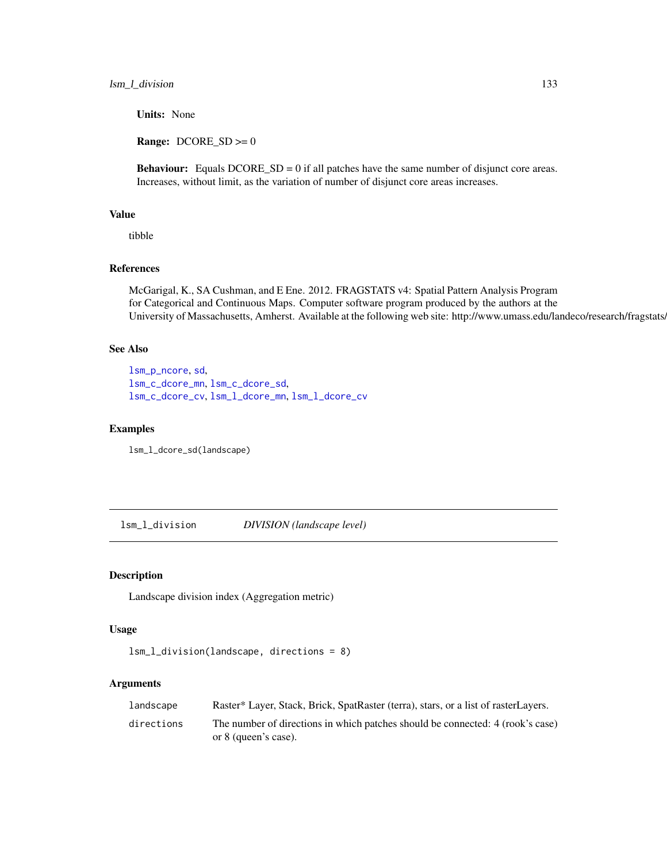Units: None

**Range:**  $DCORE\_SD \ge 0$ 

Behaviour: Equals DCORE\_SD = 0 if all patches have the same number of disjunct core areas. Increases, without limit, as the variation of number of disjunct core areas increases.

## Value

tibble

# References

McGarigal, K., SA Cushman, and E Ene. 2012. FRAGSTATS v4: Spatial Pattern Analysis Program for Categorical and Continuous Maps. Computer software program produced by the authors at the University of Massachusetts, Amherst. Available at the following web site: http://www.umass.edu/landeco/research/fragstats/

# See Also

```
lsm_p_ncore, sd,
lsm_c_dcore_mn, lsm_c_dcore_sd,
lsm_c_dcore_cv, lsm_l_dcore_mn, lsm_l_dcore_cv
```
#### Examples

lsm\_l\_dcore\_sd(landscape)

lsm\_l\_division *DIVISION (landscape level)*

# Description

Landscape division index (Aggregation metric)

# Usage

```
lsm_l_division(landscape, directions = 8)
```
#### Arguments

| landscape  | Raster* Layer, Stack, Brick, SpatRaster (terra), stars, or a list of rasterLayers.                     |
|------------|--------------------------------------------------------------------------------------------------------|
| directions | The number of directions in which patches should be connected: 4 (rook's case)<br>or 8 (queen's case). |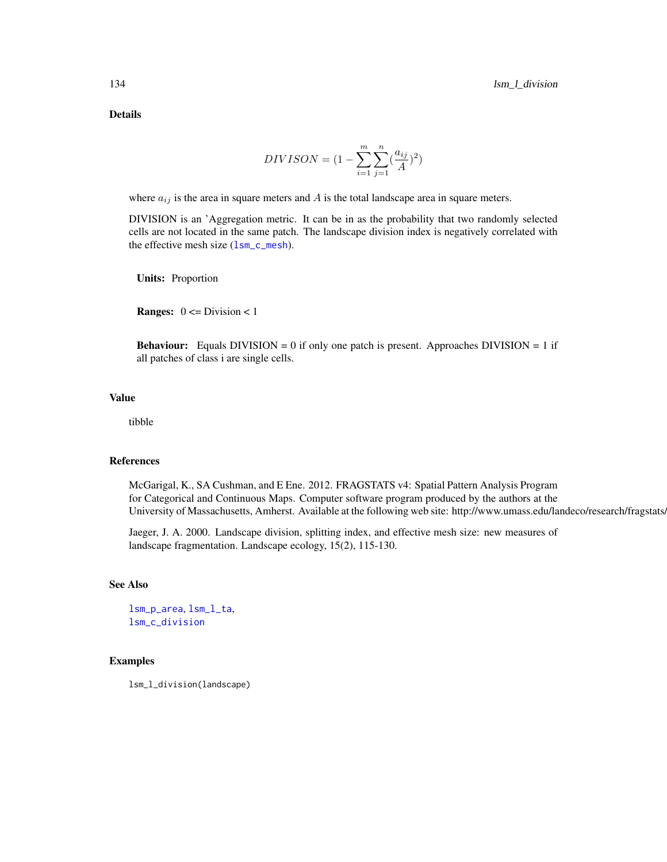Details

$$
DIVISON = (1 - \sum_{i=1}^{m} \sum_{j=1}^{n} (\frac{a_{ij}}{A})^{2})
$$

where  $a_{ij}$  is the area in square meters and A is the total landscape area in square meters.

DIVISION is an 'Aggregation metric. It can be in as the probability that two randomly selected cells are not located in the same patch. The landscape division index is negatively correlated with the effective mesh size  $(lsm_c_{\text{mesh}})$ .

Units: Proportion

**Ranges:**  $0 \leq Division \leq 1$ 

**Behaviour:** Equals DIVISION = 0 if only one patch is present. Approaches DIVISION = 1 if all patches of class i are single cells.

# Value

tibble

# References

McGarigal, K., SA Cushman, and E Ene. 2012. FRAGSTATS v4: Spatial Pattern Analysis Program for Categorical and Continuous Maps. Computer software program produced by the authors at the University of Massachusetts, Amherst. Available at the following web site: http://www.umass.edu/landeco/research/fragstats.

Jaeger, J. A. 2000. Landscape division, splitting index, and effective mesh size: new measures of landscape fragmentation. Landscape ecology, 15(2), 115-130.

# See Also

```
lsm_p_area, lsm_l_ta,
lsm_c_division
```
#### Examples

lsm\_l\_division(landscape)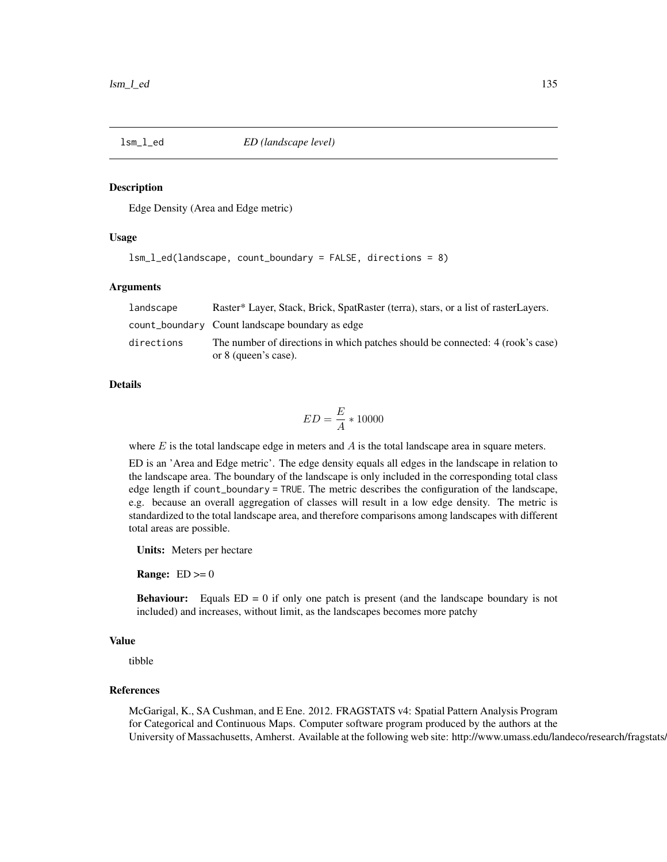#### Description

Edge Density (Area and Edge metric)

# Usage

```
lsm_l_ed(landscape, count_boundary = FALSE, directions = 8)
```
## Arguments

| landscape  | Raster* Layer, Stack, Brick, SpatRaster (terra), stars, or a list of rasterLayers.                     |
|------------|--------------------------------------------------------------------------------------------------------|
|            | count_boundary Count landscape boundary as edge                                                        |
| directions | The number of directions in which patches should be connected: 4 (rook's case)<br>or 8 (queen's case). |

#### Details

$$
ED = \frac{E}{A} * 10000
$$

where  $E$  is the total landscape edge in meters and  $A$  is the total landscape area in square meters.

ED is an 'Area and Edge metric'. The edge density equals all edges in the landscape in relation to the landscape area. The boundary of the landscape is only included in the corresponding total class edge length if count\_boundary = TRUE. The metric describes the configuration of the landscape, e.g. because an overall aggregation of classes will result in a low edge density. The metric is standardized to the total landscape area, and therefore comparisons among landscapes with different total areas are possible.

Units: Meters per hectare

**Range:**  $ED \ge 0$ 

Behaviour: Equals ED = 0 if only one patch is present (and the landscape boundary is not included) and increases, without limit, as the landscapes becomes more patchy

#### Value

tibble

# References

McGarigal, K., SA Cushman, and E Ene. 2012. FRAGSTATS v4: Spatial Pattern Analysis Program for Categorical and Continuous Maps. Computer software program produced by the authors at the University of Massachusetts, Amherst. Available at the following web site: http://www.umass.edu/landeco/research/fragstats.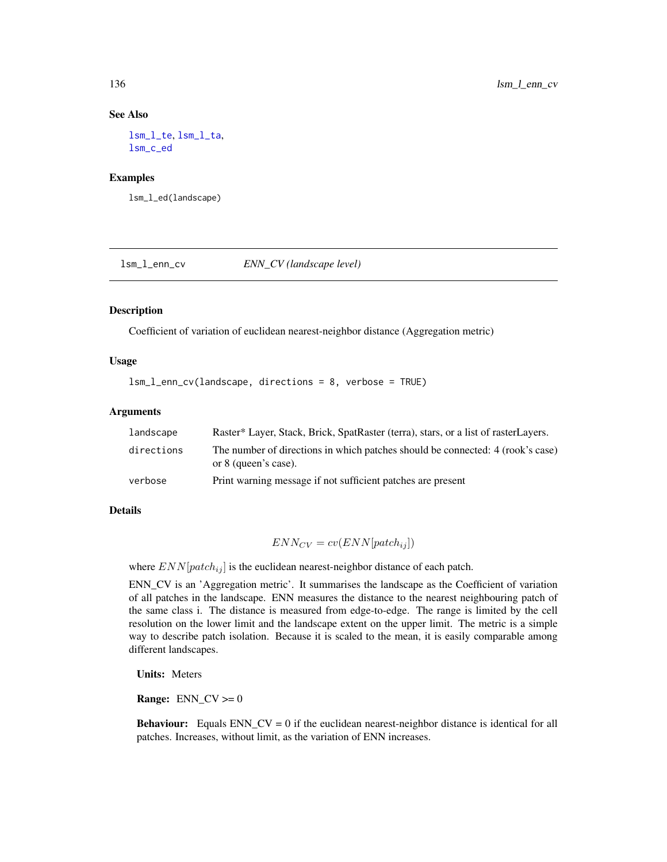#### See Also

[lsm\\_l\\_te](#page-182-0), [lsm\\_l\\_ta](#page-179-0), [lsm\\_c\\_ed](#page-66-0)

## Examples

lsm\_l\_ed(landscape)

<span id="page-135-0"></span>lsm\_l\_enn\_cv *ENN\_CV (landscape level)*

# Description

Coefficient of variation of euclidean nearest-neighbor distance (Aggregation metric)

## Usage

lsm\_l\_enn\_cv(landscape, directions = 8, verbose = TRUE)

# Arguments

| landscape  | Raster* Layer, Stack, Brick, SpatRaster (terra), stars, or a list of rasterLayers.                     |
|------------|--------------------------------------------------------------------------------------------------------|
| directions | The number of directions in which patches should be connected: 4 (rook's case)<br>or 8 (queen's case). |
| verbose    | Print warning message if not sufficient patches are present                                            |

#### Details

$$
ENN_{CV} = cv(ENN[patch_{ij}])
$$

where  $END[patch_{ij}]$  is the euclidean nearest-neighbor distance of each patch.

ENN\_CV is an 'Aggregation metric'. It summarises the landscape as the Coefficient of variation of all patches in the landscape. ENN measures the distance to the nearest neighbouring patch of the same class i. The distance is measured from edge-to-edge. The range is limited by the cell resolution on the lower limit and the landscape extent on the upper limit. The metric is a simple way to describe patch isolation. Because it is scaled to the mean, it is easily comparable among different landscapes.

Units: Meters

**Range:**  $ENN_CV \geq 0$ 

**Behaviour:** Equals ENN\_CV = 0 if the euclidean nearest-neighbor distance is identical for all patches. Increases, without limit, as the variation of ENN increases.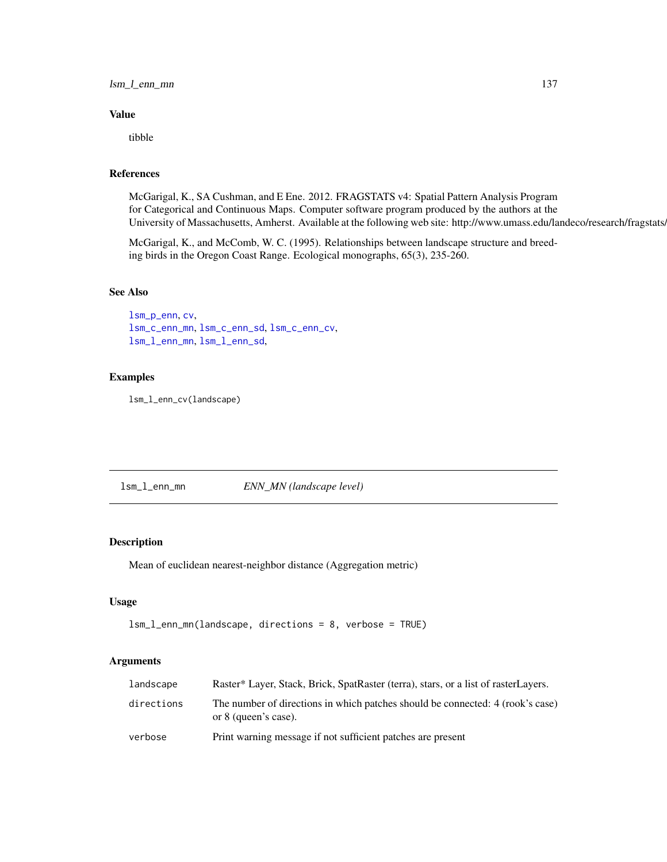lsm\_l\_enn\_mn 137

## Value

tibble

# References

McGarigal, K., SA Cushman, and E Ene. 2012. FRAGSTATS v4: Spatial Pattern Analysis Program for Categorical and Continuous Maps. Computer software program produced by the authors at the University of Massachusetts, Amherst. Available at the following web site: http://www.umass.edu/landeco/research/fragstats.

McGarigal, K., and McComb, W. C. (1995). Relationships between landscape structure and breeding birds in the Oregon Coast Range. Ecological monographs, 65(3), 235-260.

# See Also

```
lsm_p_enn, cv,
lsm_c_enn_mn, lsm_c_enn_sd, lsm_c_enn_cv,
lsm_l_enn_mn, lsm_l_enn_sd,
```
# Examples

lsm\_l\_enn\_cv(landscape)

<span id="page-136-0"></span>lsm\_l\_enn\_mn *ENN\_MN (landscape level)*

### Description

Mean of euclidean nearest-neighbor distance (Aggregation metric)

# Usage

```
lsm_l_enn_mn(landscape, directions = 8, verbose = TRUE)
```
#### Arguments

| landscape  | Raster* Layer, Stack, Brick, SpatRaster (terra), stars, or a list of rasterLayers.                     |
|------------|--------------------------------------------------------------------------------------------------------|
| directions | The number of directions in which patches should be connected: 4 (rook's case)<br>or 8 (queen's case). |
| verbose    | Print warning message if not sufficient patches are present                                            |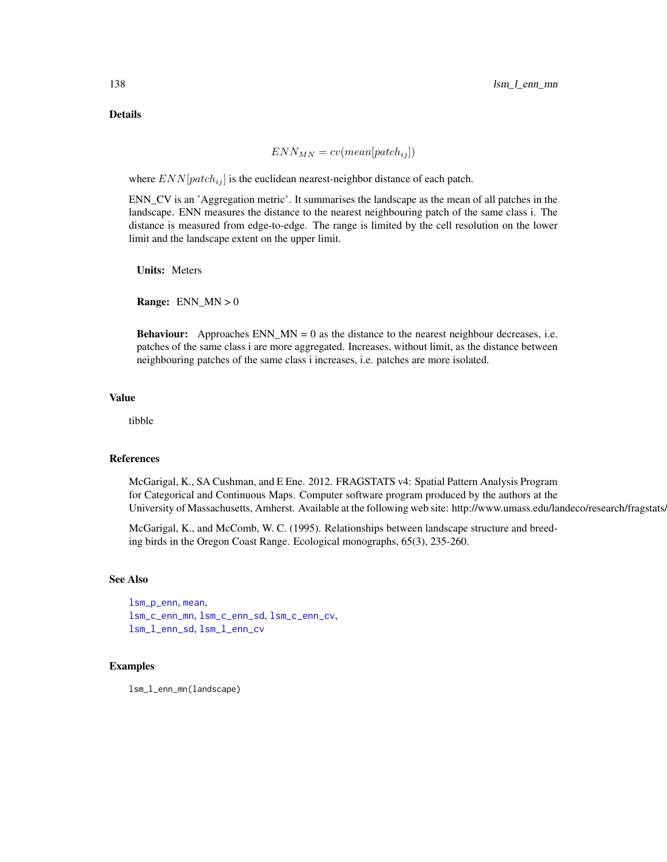Details

$$
ENN_{MN} = cv (mean[patch_{ij}])
$$

where  $END[patch_{ij}]$  is the euclidean nearest-neighbor distance of each patch.

ENN\_CV is an 'Aggregation metric'. It summarises the landscape as the mean of all patches in the landscape. ENN measures the distance to the nearest neighbouring patch of the same class i. The distance is measured from edge-to-edge. The range is limited by the cell resolution on the lower limit and the landscape extent on the upper limit.

Units: Meters

**Range:** ENN  $MN > 0$ 

**Behaviour:** Approaches  $ENN_MN = 0$  as the distance to the nearest neighbour decreases, i.e. patches of the same class i are more aggregated. Increases, without limit, as the distance between neighbouring patches of the same class i increases, i.e. patches are more isolated.

# Value

tibble

## References

McGarigal, K., SA Cushman, and E Ene. 2012. FRAGSTATS v4: Spatial Pattern Analysis Program for Categorical and Continuous Maps. Computer software program produced by the authors at the University of Massachusetts, Amherst. Available at the following web site: http://www.umass.edu/landeco/research/fragstats.

McGarigal, K., and McComb, W. C. (1995). Relationships between landscape structure and breeding birds in the Oregon Coast Range. Ecological monographs, 65(3), 235-260.

# See Also

```
lsm_p_enn, mean,
lsm_c_enn_mn, lsm_c_enn_sd, lsm_c_enn_cv,
lsm_l_enn_sd, lsm_l_enn_cv
```
## Examples

lsm\_l\_enn\_mn(landscape)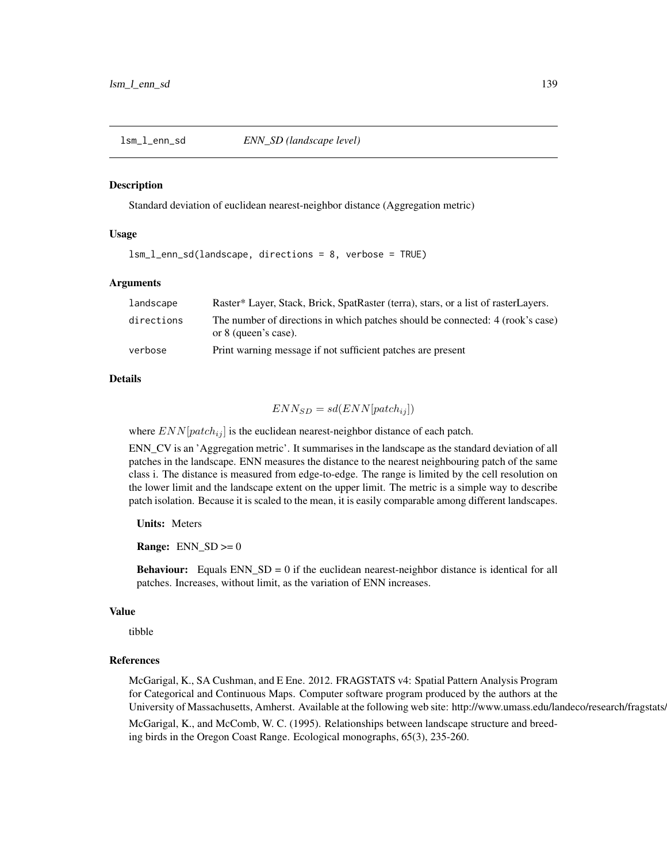<span id="page-138-0"></span>

#### **Description**

Standard deviation of euclidean nearest-neighbor distance (Aggregation metric)

## Usage

lsm\_l\_enn\_sd(landscape, directions = 8, verbose = TRUE)

#### Arguments

| landscape  | Raster* Layer, Stack, Brick, SpatRaster (terra), stars, or a list of rasterLayers.                     |
|------------|--------------------------------------------------------------------------------------------------------|
| directions | The number of directions in which patches should be connected: 4 (rook's case)<br>or 8 (queen's case). |
| verbose    | Print warning message if not sufficient patches are present                                            |

#### Details

$$
ENN_{SD} = sd(ENN[patch_{ij}])
$$

where  $ENN[patch_{ij}]$  is the euclidean nearest-neighbor distance of each patch.

ENN\_CV is an 'Aggregation metric'. It summarises in the landscape as the standard deviation of all patches in the landscape. ENN measures the distance to the nearest neighbouring patch of the same class i. The distance is measured from edge-to-edge. The range is limited by the cell resolution on the lower limit and the landscape extent on the upper limit. The metric is a simple way to describe patch isolation. Because it is scaled to the mean, it is easily comparable among different landscapes.

Units: Meters

**Range:**  $ENN_SD \ge 0$ 

**Behaviour:** Equals ENN\_SD = 0 if the euclidean nearest-neighbor distance is identical for all patches. Increases, without limit, as the variation of ENN increases.

#### Value

tibble

#### References

McGarigal, K., SA Cushman, and E Ene. 2012. FRAGSTATS v4: Spatial Pattern Analysis Program for Categorical and Continuous Maps. Computer software program produced by the authors at the University of Massachusetts, Amherst. Available at the following web site: http://www.umass.edu/landeco/research/fragstats. McGarigal, K., and McComb, W. C. (1995). Relationships between landscape structure and breed-

ing birds in the Oregon Coast Range. Ecological monographs, 65(3), 235-260.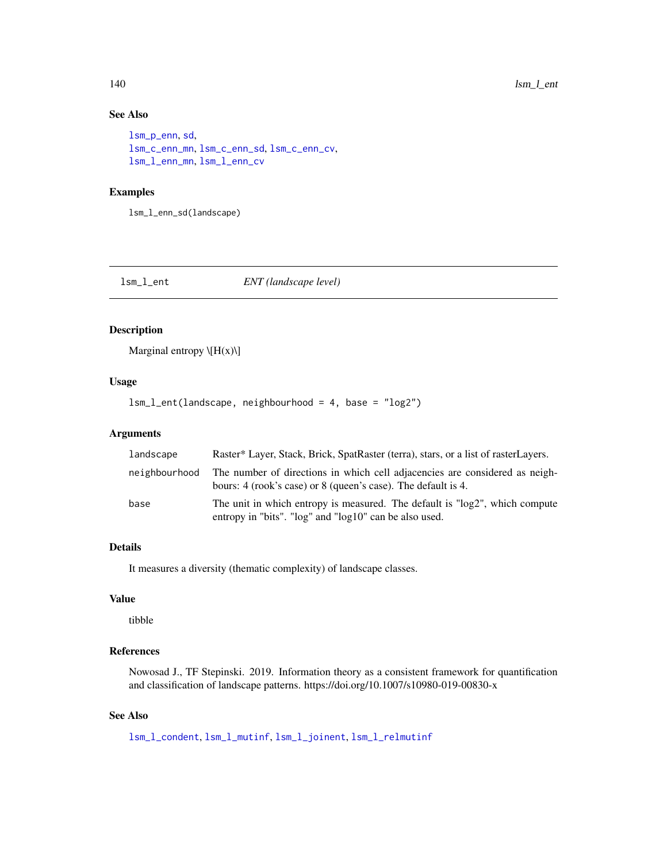# See Also

```
lsm_p_enn, sd,
lsm_c_enn_mn, lsm_c_enn_sd, lsm_c_enn_cv,
lsm_l_enn_mn, lsm_l_enn_cv
```
# Examples

lsm\_l\_enn\_sd(landscape)

<span id="page-139-0"></span>lsm\_l\_ent *ENT (landscape level)*

# Description

Marginal entropy  $\langle H(x) \rangle$ 

## Usage

lsm\_l\_ent(landscape, neighbourhood = 4, base = "log2")

# Arguments

| landscape     | Raster* Layer, Stack, Brick, SpatRaster (terra), stars, or a list of rasterLayers.                                                           |
|---------------|----------------------------------------------------------------------------------------------------------------------------------------------|
| neighbourhood | The number of directions in which cell adjacencies are considered as neigh-<br>bours: 4 (rook's case) or 8 (queen's case). The default is 4. |
| base          | The unit in which entropy is measured. The default is "log2", which compute<br>entropy in "bits". "log" and "log10" can be also used.        |

# Details

It measures a diversity (thematic complexity) of landscape classes.

# Value

tibble

# References

Nowosad J., TF Stepinski. 2019. Information theory as a consistent framework for quantification and classification of landscape patterns. https://doi.org/10.1007/s10980-019-00830-x

## See Also

[lsm\\_l\\_condent](#page-116-0), [lsm\\_l\\_mutinf](#page-155-0), [lsm\\_l\\_joinent](#page-149-0), [lsm\\_l\\_relmutinf](#page-168-0)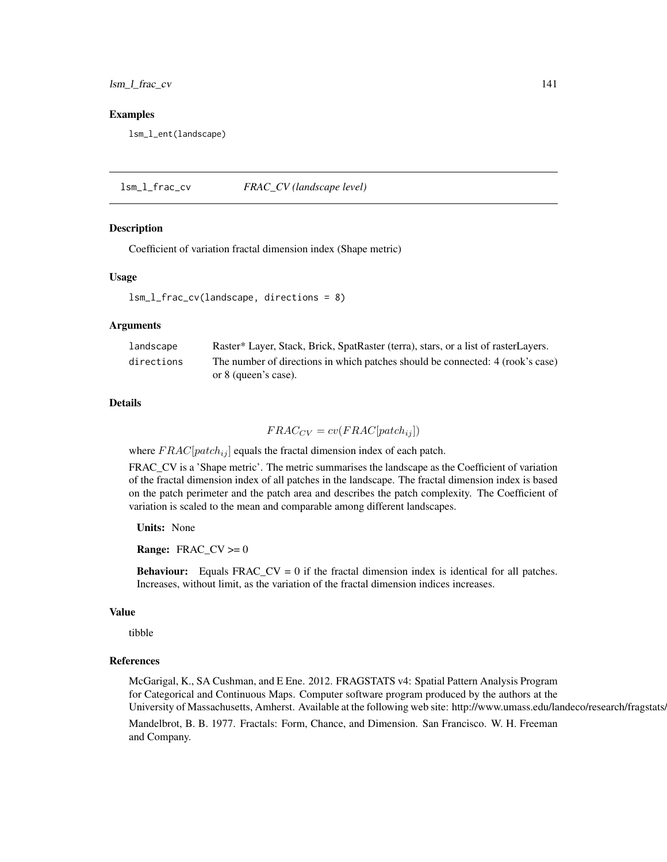lsm\_l\_frac\_cv 141

#### Examples

lsm\_l\_ent(landscape)

<span id="page-140-0"></span>lsm\_l\_frac\_cv *FRAC\_CV (landscape level)*

#### Description

Coefficient of variation fractal dimension index (Shape metric)

#### Usage

lsm\_l\_frac\_cv(landscape, directions = 8)

#### Arguments

| landscape  | Raster* Layer, Stack, Brick, SpatRaster (terra), stars, or a list of rasterLayers. |
|------------|------------------------------------------------------------------------------------|
| directions | The number of directions in which patches should be connected: 4 (rook's case)     |
|            | or 8 (queen's case).                                                               |

# Details

 $FRAC_{CV} = cv(FRAC[patch_{ij}])$ 

where  $FRAC[patch_{ij}]$  equals the fractal dimension index of each patch.

FRAC\_CV is a 'Shape metric'. The metric summarises the landscape as the Coefficient of variation of the fractal dimension index of all patches in the landscape. The fractal dimension index is based on the patch perimeter and the patch area and describes the patch complexity. The Coefficient of variation is scaled to the mean and comparable among different landscapes.

Units: None

**Range:**  $FRAC_CV \ge 0$ 

**Behaviour:** Equals  $FRAC_CV = 0$  if the fractal dimension index is identical for all patches. Increases, without limit, as the variation of the fractal dimension indices increases.

## Value

tibble

## References

McGarigal, K., SA Cushman, and E Ene. 2012. FRAGSTATS v4: Spatial Pattern Analysis Program for Categorical and Continuous Maps. Computer software program produced by the authors at the University of Massachusetts, Amherst. Available at the following web site: http://www.umass.edu/landeco/research/fragstats. Mandelbrot, B. B. 1977. Fractals: Form, Chance, and Dimension. San Francisco. W. H. Freeman and Company.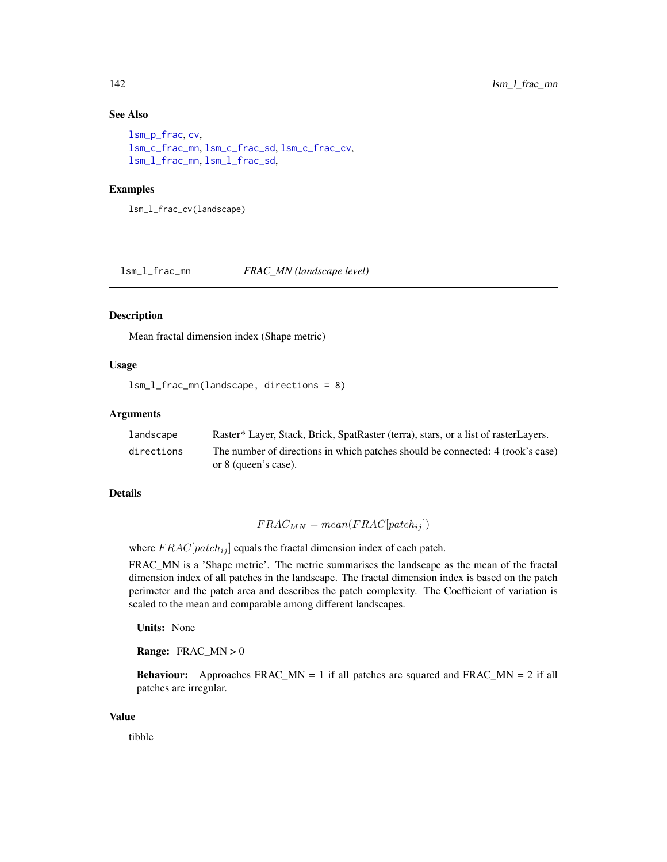# See Also

```
lsm_p_frac, cv,
lsm_c_frac_mn, lsm_c_frac_sd, lsm_c_frac_cv,
lsm_l_frac_mn, lsm_l_frac_sd,
```
#### Examples

lsm\_l\_frac\_cv(landscape)

<span id="page-141-0"></span>lsm\_l\_frac\_mn *FRAC\_MN (landscape level)*

#### Description

Mean fractal dimension index (Shape metric)

## Usage

```
lsm_l_frac_mn(landscape, directions = 8)
```
# Arguments

| landscape  | Raster* Layer, Stack, Brick, SpatRaster (terra), stars, or a list of rasterLayers. |
|------------|------------------------------------------------------------------------------------|
| directions | The number of directions in which patches should be connected: 4 (rook's case)     |
|            | or 8 (queen's case).                                                               |

#### Details

$$
FRAC_{MN} = mean(FRAC[patch_{ij}])
$$

where  $FRAC[patch_{ij}]$  equals the fractal dimension index of each patch.

FRAC\_MN is a 'Shape metric'. The metric summarises the landscape as the mean of the fractal dimension index of all patches in the landscape. The fractal dimension index is based on the patch perimeter and the patch area and describes the patch complexity. The Coefficient of variation is scaled to the mean and comparable among different landscapes.

Units: None

**Range:**  $FRAC_MN > 0$ 

**Behaviour:** Approaches  $FRAC_MN = 1$  if all patches are squared and  $FRAC_MN = 2$  if all patches are irregular.

## Value

tibble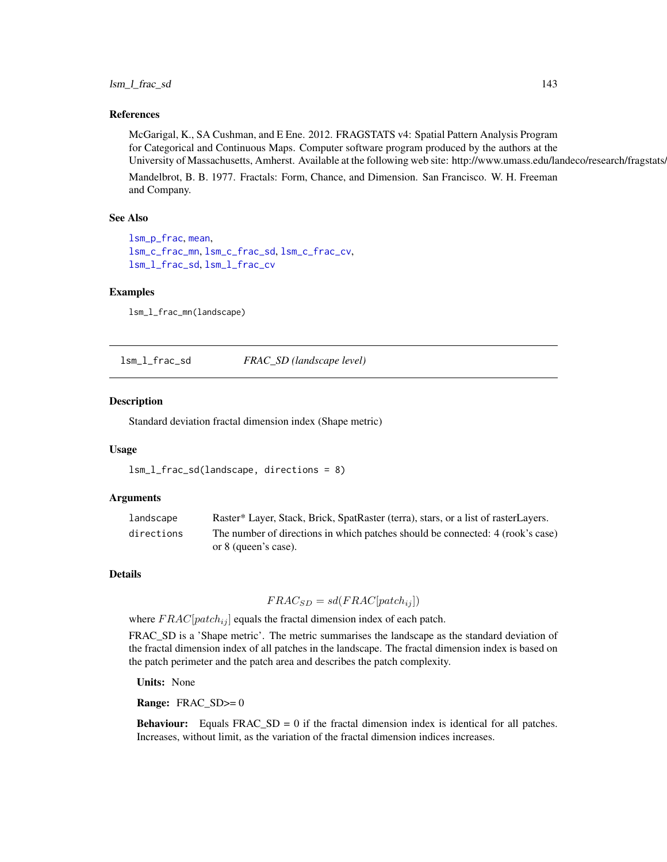# lsm\_l\_frac\_sd 143

## References

McGarigal, K., SA Cushman, and E Ene. 2012. FRAGSTATS v4: Spatial Pattern Analysis Program for Categorical and Continuous Maps. Computer software program produced by the authors at the University of Massachusetts, Amherst. Available at the following web site: http://www.umass.edu/landeco/research/fragstats.

Mandelbrot, B. B. 1977. Fractals: Form, Chance, and Dimension. San Francisco. W. H. Freeman and Company.

#### See Also

```
lsm_p_frac, mean,
lsm_c_frac_mn, lsm_c_frac_sd, lsm_c_frac_cv,
lsm_l_frac_sd, lsm_l_frac_cv
```
## Examples

lsm\_l\_frac\_mn(landscape)

<span id="page-142-0"></span>lsm\_l\_frac\_sd *FRAC\_SD (landscape level)*

## Description

Standard deviation fractal dimension index (Shape metric)

## Usage

```
lsm_l_frac_sd(landscape, directions = 8)
```
## **Arguments**

| landscape  | Raster* Layer, Stack, Brick, SpatRaster (terra), stars, or a list of rasterLayers. |
|------------|------------------------------------------------------------------------------------|
| directions | The number of directions in which patches should be connected: 4 (rook's case)     |
|            | or 8 (queen's case).                                                               |

## Details

$$
FRAC_{SD} = sd(FRAC[patch_{ij}])
$$

where  $FRAC[patch_{ij}]$  equals the fractal dimension index of each patch.

FRAC SD is a 'Shape metric'. The metric summarises the landscape as the standard deviation of the fractal dimension index of all patches in the landscape. The fractal dimension index is based on the patch perimeter and the patch area and describes the patch complexity.

Units: None

Range: FRAC\_SD>= 0

**Behaviour:** Equals  $FRAC\_SD = 0$  if the fractal dimension index is identical for all patches. Increases, without limit, as the variation of the fractal dimension indices increases.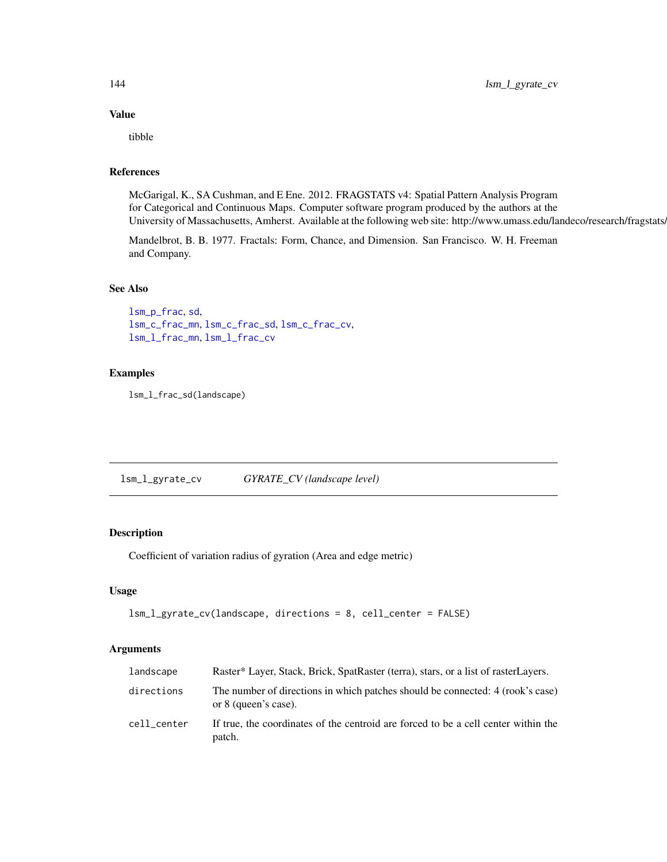## Value

tibble

## References

McGarigal, K., SA Cushman, and E Ene. 2012. FRAGSTATS v4: Spatial Pattern Analysis Program for Categorical and Continuous Maps. Computer software program produced by the authors at the University of Massachusetts, Amherst. Available at the following web site: http://www.umass.edu/landeco/research/fragstats/

Mandelbrot, B. B. 1977. Fractals: Form, Chance, and Dimension. San Francisco. W. H. Freeman and Company.

## See Also

[lsm\\_p\\_frac](#page-190-0), [sd](#page-0-0), [lsm\\_c\\_frac\\_mn](#page-72-0), [lsm\\_c\\_frac\\_sd](#page-73-0), [lsm\\_c\\_frac\\_cv](#page-71-0), [lsm\\_l\\_frac\\_mn](#page-141-0), [lsm\\_l\\_frac\\_cv](#page-140-0)

#### Examples

lsm\_l\_frac\_sd(landscape)

lsm\_l\_gyrate\_cv *GYRATE\_CV (landscape level)*

# Description

Coefficient of variation radius of gyration (Area and edge metric)

#### Usage

```
lsm_l_gyrate_cv(landscape, directions = 8, cell_center = FALSE)
```
#### **Arguments**

| landscape   | Raster* Layer, Stack, Brick, SpatRaster (terra), stars, or a list of rasterLayers.                     |
|-------------|--------------------------------------------------------------------------------------------------------|
| directions  | The number of directions in which patches should be connected: 4 (rook's case)<br>or 8 (queen's case). |
| cell center | If true, the coordinates of the centroid are forced to be a cell center within the<br>patch.           |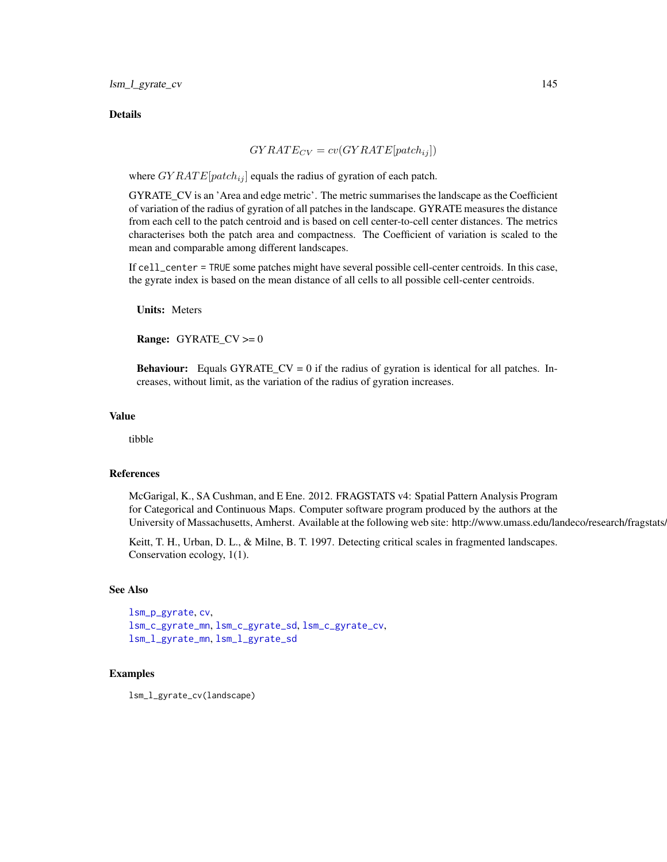#### **Details**

$$
GYRATE_{CV} = cv(GYRATE[patch_{ij}]) \label{eq:qy} \vspace{-0.1in}
$$

where  $GYRATE[patch_{ij}]$  equals the radius of gyration of each patch.

GYRATE\_CV is an 'Area and edge metric'. The metric summarises the landscape as the Coefficient of variation of the radius of gyration of all patches in the landscape. GYRATE measures the distance from each cell to the patch centroid and is based on cell center-to-cell center distances. The metrics characterises both the patch area and compactness. The Coefficient of variation is scaled to the mean and comparable among different landscapes.

If cell\_center = TRUE some patches might have several possible cell-center centroids. In this case, the gyrate index is based on the mean distance of all cells to all possible cell-center centroids.

Units: Meters

**Range:** GYRATE\_CV  $>= 0$ 

**Behaviour:** Equals GYRATE\_CV = 0 if the radius of gyration is identical for all patches. Increases, without limit, as the variation of the radius of gyration increases.

#### Value

tibble

## References

McGarigal, K., SA Cushman, and E Ene. 2012. FRAGSTATS v4: Spatial Pattern Analysis Program for Categorical and Continuous Maps. Computer software program produced by the authors at the University of Massachusetts, Amherst. Available at the following web site: http://www.umass.edu/landeco/research/fragstats.

Keitt, T. H., Urban, D. L., & Milne, B. T. 1997. Detecting critical scales in fragmented landscapes. Conservation ecology, 1(1).

# See Also

```
lsm_p_gyrate, cv,
lsm_c_gyrate_mn, lsm_c_gyrate_sd, lsm_c_gyrate_cv,
lsm_l_gyrate_mn, lsm_l_gyrate_sd
```
# Examples

lsm\_l\_gyrate\_cv(landscape)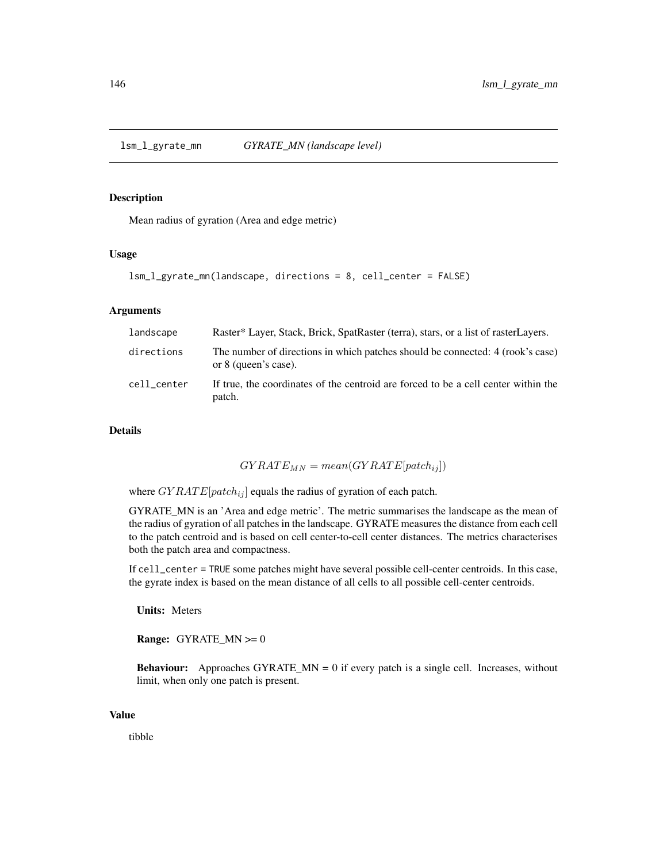<span id="page-145-0"></span>

## Description

Mean radius of gyration (Area and edge metric)

## Usage

```
lsm_l_gyrate_mn(landscape, directions = 8, cell_center = FALSE)
```
## Arguments

| landscape   | Raster* Layer, Stack, Brick, SpatRaster (terra), stars, or a list of rasterLayers.                     |
|-------------|--------------------------------------------------------------------------------------------------------|
| directions  | The number of directions in which patches should be connected: 4 (rook's case)<br>or 8 (queen's case). |
| cell center | If true, the coordinates of the centroid are forced to be a cell center within the<br>patch.           |

# Details

 $GYRATE_{MN} = mean(GYRATE[patch_{ij}])$ 

where  $GYRATE[patch_{ij}]$  equals the radius of gyration of each patch.

GYRATE\_MN is an 'Area and edge metric'. The metric summarises the landscape as the mean of the radius of gyration of all patches in the landscape. GYRATE measures the distance from each cell to the patch centroid and is based on cell center-to-cell center distances. The metrics characterises both the patch area and compactness.

If cell\_center = TRUE some patches might have several possible cell-center centroids. In this case, the gyrate index is based on the mean distance of all cells to all possible cell-center centroids.

Units: Meters

**Range:** GYRATE\_MN  $>= 0$ 

**Behaviour:** Approaches GYRATE\_MN = 0 if every patch is a single cell. Increases, without limit, when only one patch is present.

#### Value

tibble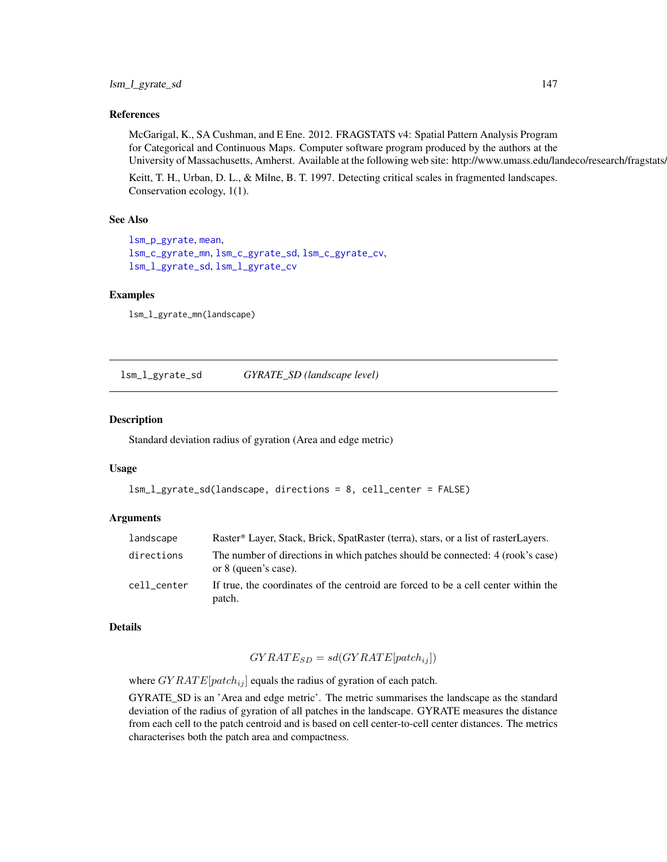## References

McGarigal, K., SA Cushman, and E Ene. 2012. FRAGSTATS v4: Spatial Pattern Analysis Program for Categorical and Continuous Maps. Computer software program produced by the authors at the University of Massachusetts, Amherst. Available at the following web site: http://www.umass.edu/landeco/research/fragstats.

Keitt, T. H., Urban, D. L., & Milne, B. T. 1997. Detecting critical scales in fragmented landscapes. Conservation ecology, 1(1).

### See Also

```
lsm_p_gyrate, mean,
lsm_c_gyrate_mn, lsm_c_gyrate_sd, lsm_c_gyrate_cv,
lsm_l_gyrate_sd, lsm_l_gyrate_cv
```
# Examples

```
lsm_l_gyrate_mn(landscape)
```
<span id="page-146-0"></span>lsm\_l\_gyrate\_sd *GYRATE\_SD (landscape level)*

# Description

Standard deviation radius of gyration (Area and edge metric)

#### Usage

```
lsm_l_gyrate_sd(landscape, directions = 8, cell_center = FALSE)
```
## Arguments

| landscape   | Raster* Layer, Stack, Brick, SpatRaster (terra), stars, or a list of rasterLayers.                     |
|-------------|--------------------------------------------------------------------------------------------------------|
| directions  | The number of directions in which patches should be connected: 4 (rook's case)<br>or 8 (queen's case). |
| cell center | If true, the coordinates of the centroid are forced to be a cell center within the<br>patch.           |

## Details

$$
GYRATE_{SD} = sd(GYRATE[patch_{ij}])
$$

where  $GYRATE[patch_{ij}]$  equals the radius of gyration of each patch.

GYRATE\_SD is an 'Area and edge metric'. The metric summarises the landscape as the standard deviation of the radius of gyration of all patches in the landscape. GYRATE measures the distance from each cell to the patch centroid and is based on cell center-to-cell center distances. The metrics characterises both the patch area and compactness.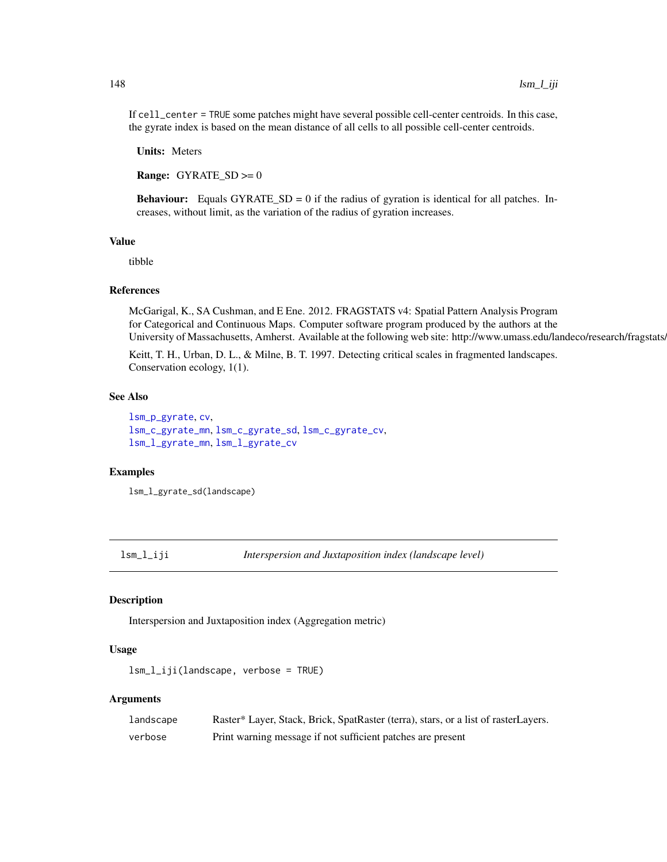If cell\_center = TRUE some patches might have several possible cell-center centroids. In this case, the gyrate index is based on the mean distance of all cells to all possible cell-center centroids.

Units: Meters

**Range:** GYRATE  $SD \ge 0$ 

**Behaviour:** Equals GYRATE\_SD = 0 if the radius of gyration is identical for all patches. Increases, without limit, as the variation of the radius of gyration increases.

#### Value

tibble

#### References

McGarigal, K., SA Cushman, and E Ene. 2012. FRAGSTATS v4: Spatial Pattern Analysis Program for Categorical and Continuous Maps. Computer software program produced by the authors at the University of Massachusetts, Amherst. Available at the following web site: http://www.umass.edu/landeco/research/fragstats.

Keitt, T. H., Urban, D. L., & Milne, B. T. 1997. Detecting critical scales in fragmented landscapes. Conservation ecology, 1(1).

#### See Also

```
lsm_p_gyrate, cv,
lsm_c_gyrate_mn, lsm_c_gyrate_sd, lsm_c_gyrate_cv,
lsm_l_gyrate_mn, lsm_l_gyrate_cv
```
# Examples

lsm\_l\_gyrate\_sd(landscape)

lsm\_l\_iji *Interspersion and Juxtaposition index (landscape level)*

## **Description**

Interspersion and Juxtaposition index (Aggregation metric)

# Usage

```
lsm_l_iji(landscape, verbose = TRUE)
```
# Arguments

| landscape | Raster* Layer, Stack, Brick, SpatRaster (terra), stars, or a list of rasterLayers. |
|-----------|------------------------------------------------------------------------------------|
| verbose   | Print warning message if not sufficient patches are present                        |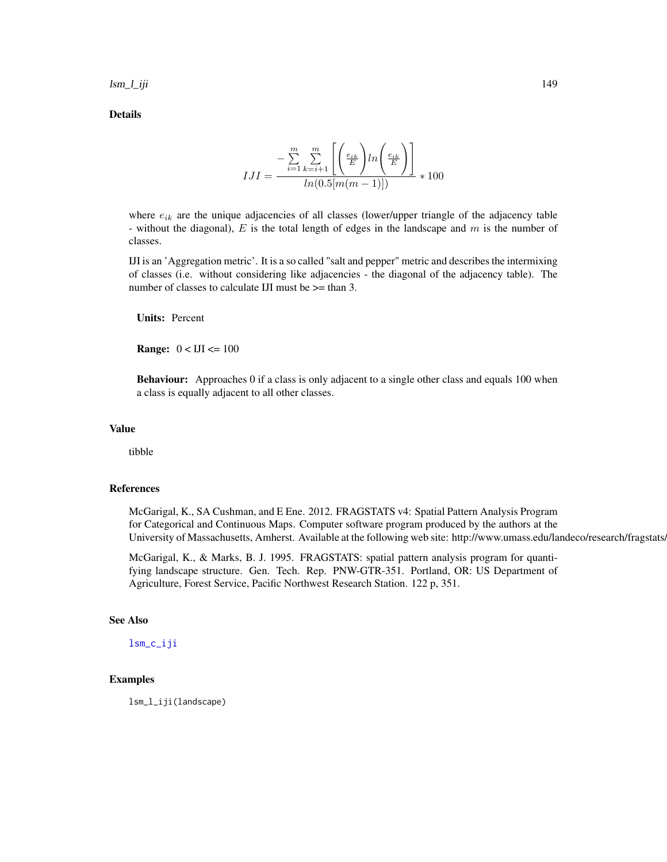lsm\_l\_iji 149

Details

$$
IJI = \frac{-\sum_{i=1}^{m} \sum_{k=i+1}^{m} \left[ \left( \frac{e_{ik}}{E} \right) ln \left( \frac{e_{ik}}{E} \right) \right]}{ln(0.5[m(m-1)])} * 100
$$

where  $e_{ik}$  are the unique adjacencies of all classes (lower/upper triangle of the adjacency table - without the diagonal),  $E$  is the total length of edges in the landscape and  $m$  is the number of classes.

IJI is an 'Aggregation metric'. It is a so called "salt and pepper" metric and describes the intermixing of classes (i.e. without considering like adjacencies - the diagonal of the adjacency table). The number of classes to calculate IJI must be  $\ge$ = than 3.

Units: Percent

**Range:**  $0 < IJI \leq 100$ 

Behaviour: Approaches 0 if a class is only adjacent to a single other class and equals 100 when a class is equally adjacent to all other classes.

# Value

tibble

# References

McGarigal, K., SA Cushman, and E Ene. 2012. FRAGSTATS v4: Spatial Pattern Analysis Program for Categorical and Continuous Maps. Computer software program produced by the authors at the University of Massachusetts, Amherst. Available at the following web site: http://www.umass.edu/landeco/research/fragstats.

McGarigal, K., & Marks, B. J. 1995. FRAGSTATS: spatial pattern analysis program for quantifying landscape structure. Gen. Tech. Rep. PNW-GTR-351. Portland, OR: US Department of Agriculture, Forest Service, Pacific Northwest Research Station. 122 p, 351.

## See Also

[lsm\\_c\\_iji](#page-79-0)

# Examples

lsm\_l\_iji(landscape)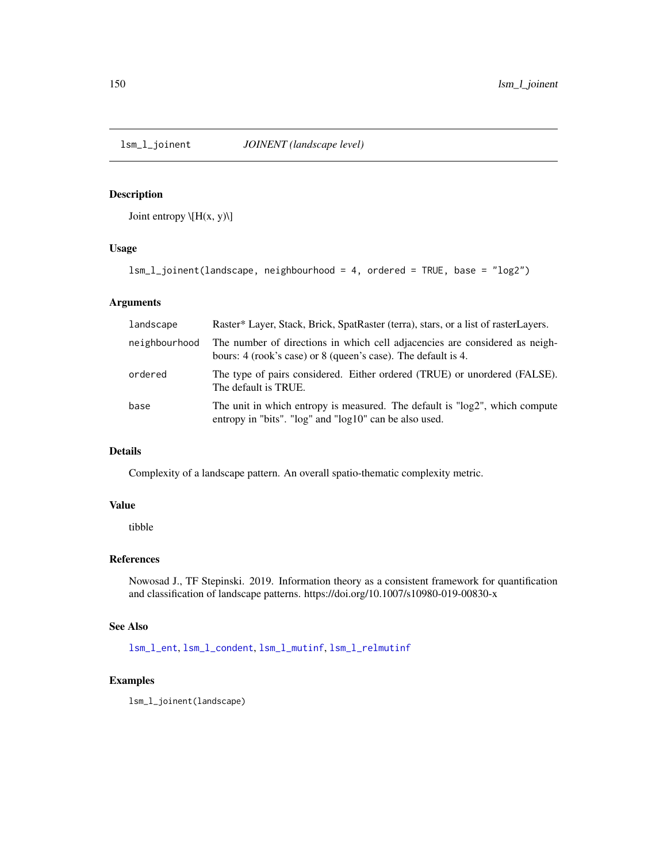<span id="page-149-0"></span>

# Description

Joint entropy  $\left\langle H(x, y) \right\rangle$ 

# Usage

lsm\_l\_joinent(landscape, neighbourhood = 4, ordered = TRUE, base = "log2")

# Arguments

| landscape     | Raster* Layer, Stack, Brick, SpatRaster (terra), stars, or a list of rasterLayers.                                                           |
|---------------|----------------------------------------------------------------------------------------------------------------------------------------------|
| neighbourhood | The number of directions in which cell adjacencies are considered as neigh-<br>bours: 4 (rook's case) or 8 (queen's case). The default is 4. |
| ordered       | The type of pairs considered. Either ordered (TRUE) or unordered (FALSE).<br>The default is TRUE.                                            |
| base          | The unit in which entropy is measured. The default is "log2", which compute<br>entropy in "bits". "log" and "log10" can be also used.        |

# Details

Complexity of a landscape pattern. An overall spatio-thematic complexity metric.

# Value

tibble

## References

Nowosad J., TF Stepinski. 2019. Information theory as a consistent framework for quantification and classification of landscape patterns. https://doi.org/10.1007/s10980-019-00830-x

## See Also

[lsm\\_l\\_ent](#page-139-0), [lsm\\_l\\_condent](#page-116-0), [lsm\\_l\\_mutinf](#page-155-0), [lsm\\_l\\_relmutinf](#page-168-0)

## Examples

lsm\_l\_joinent(landscape)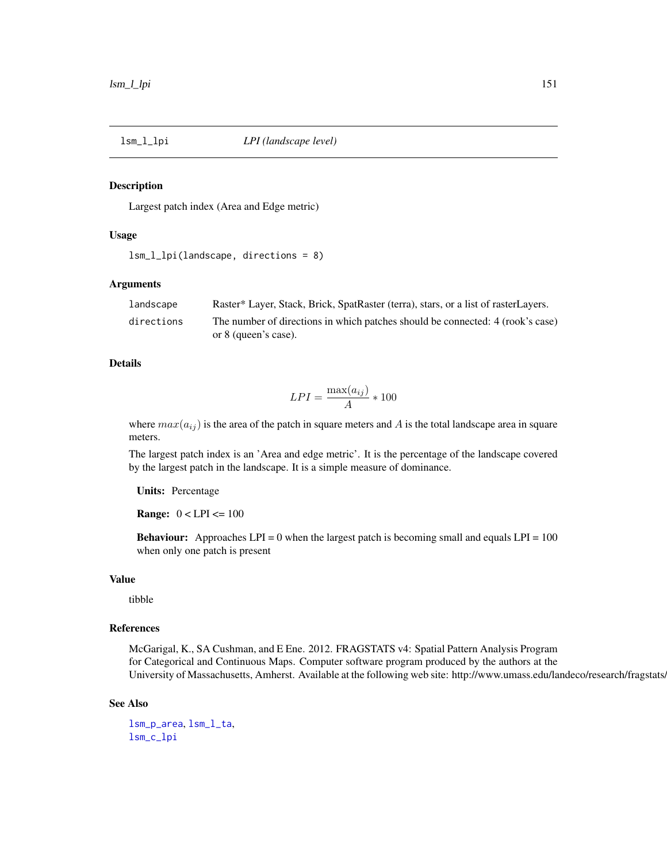## Description

Largest patch index (Area and Edge metric)

# Usage

```
lsm_l_lpi(landscape, directions = 8)
```
# Arguments

| landscape  | Raster* Layer, Stack, Brick, SpatRaster (terra), stars, or a list of rasterLayers. |
|------------|------------------------------------------------------------------------------------|
| directions | The number of directions in which patches should be connected: 4 (rook's case)     |
|            | or 8 (queen's case).                                                               |

# Details

$$
LPI = \frac{\max(a_{ij})}{A} * 100
$$

where  $max(a_{ij})$  is the area of the patch in square meters and A is the total landscape area in square meters.

The largest patch index is an 'Area and edge metric'. It is the percentage of the landscape covered by the largest patch in the landscape. It is a simple measure of dominance.

Units: Percentage

**Range:**  $0 < LPI < 100$ 

**Behaviour:** Approaches  $LPI = 0$  when the largest patch is becoming small and equals  $LPI = 100$ when only one patch is present

## Value

tibble

# References

McGarigal, K., SA Cushman, and E Ene. 2012. FRAGSTATS v4: Spatial Pattern Analysis Program for Categorical and Continuous Maps. Computer software program produced by the authors at the University of Massachusetts, Amherst. Available at the following web site: http://www.umass.edu/landeco/research/fragstats.

#### See Also

[lsm\\_p\\_area](#page-183-0), [lsm\\_l\\_ta](#page-179-0), [lsm\\_c\\_lpi](#page-80-0)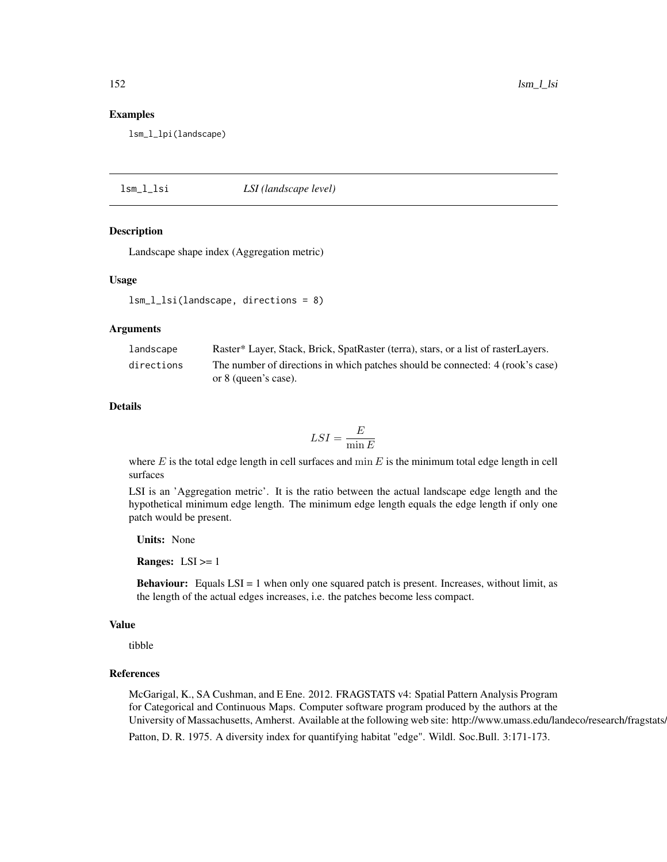#### Examples

lsm\_l\_lpi(landscape)

lsm\_l\_lsi *LSI (landscape level)*

#### Description

Landscape shape index (Aggregation metric)

### Usage

```
lsm_l_lsi(landscape, directions = 8)
```
## Arguments

| landscape  | Raster* Layer, Stack, Brick, SpatRaster (terra), stars, or a list of rasterLayers. |
|------------|------------------------------------------------------------------------------------|
| directions | The number of directions in which patches should be connected: 4 (rook's case)     |
|            | or 8 (queen's case).                                                               |

# Details

$$
LSI = \frac{E}{\min E}
$$

where  $E$  is the total edge length in cell surfaces and min  $E$  is the minimum total edge length in cell surfaces

LSI is an 'Aggregation metric'. It is the ratio between the actual landscape edge length and the hypothetical minimum edge length. The minimum edge length equals the edge length if only one patch would be present.

Units: None

**Ranges:**  $LSI \geq 1$ 

**Behaviour:** Equals LSI = 1 when only one squared patch is present. Increases, without limit, as the length of the actual edges increases, i.e. the patches become less compact.

# Value

tibble

# References

McGarigal, K., SA Cushman, and E Ene. 2012. FRAGSTATS v4: Spatial Pattern Analysis Program for Categorical and Continuous Maps. Computer software program produced by the authors at the University of Massachusetts, Amherst. Available at the following web site: http://www.umass.edu/landeco/research/fragstats. Patton, D. R. 1975. A diversity index for quantifying habitat "edge". Wildl. Soc.Bull. 3:171-173.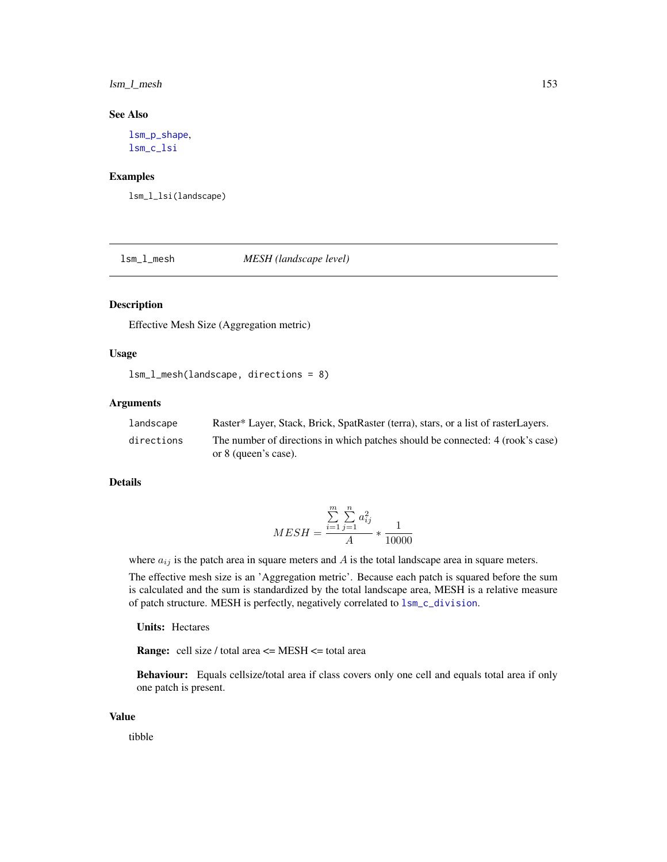# lsm\_l\_mesh 153

# See Also

[lsm\\_p\\_shape](#page-196-0), [lsm\\_c\\_lsi](#page-81-0)

## Examples

lsm\_l\_lsi(landscape)

lsm\_l\_mesh *MESH (landscape level)*

# Description

Effective Mesh Size (Aggregation metric)

# Usage

```
lsm_l_mesh(landscape, directions = 8)
```
# Arguments

| landscape  | Raster* Layer, Stack, Brick, SpatRaster (terra), stars, or a list of rasterLayers. |
|------------|------------------------------------------------------------------------------------|
| directions | The number of directions in which patches should be connected: 4 (rook's case)     |
|            | or 8 (queen's case).                                                               |

# Details

$$
MESH = \frac{\sum_{i=1}^{m} \sum_{j=1}^{n} a_{ij}^{2}}{A} * \frac{1}{10000}
$$

where  $a_{ij}$  is the patch area in square meters and  $A$  is the total landscape area in square meters.

The effective mesh size is an 'Aggregation metric'. Because each patch is squared before the sum is calculated and the sum is standardized by the total landscape area, MESH is a relative measure of patch structure. MESH is perfectly, negatively correlated to [lsm\\_c\\_division](#page-65-0).

Units: Hectares

**Range:** cell size / total area  $\leq$  MESH  $\leq$  total area

Behaviour: Equals cellsize/total area if class covers only one cell and equals total area if only one patch is present.

# Value

tibble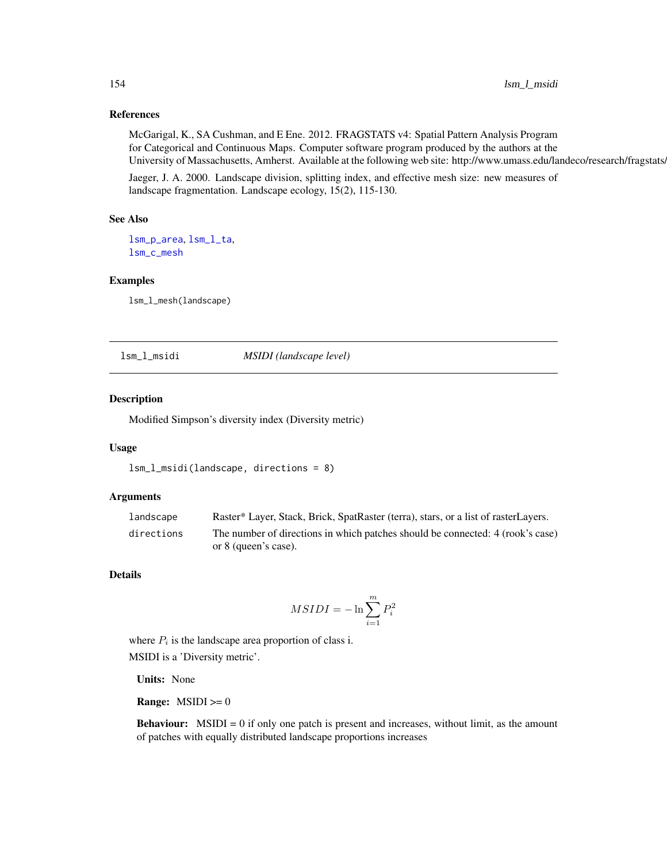# References

McGarigal, K., SA Cushman, and E Ene. 2012. FRAGSTATS v4: Spatial Pattern Analysis Program for Categorical and Continuous Maps. Computer software program produced by the authors at the University of Massachusetts, Amherst. Available at the following web site: http://www.umass.edu/landeco/research/fragstats.

Jaeger, J. A. 2000. Landscape division, splitting index, and effective mesh size: new measures of landscape fragmentation. Landscape ecology, 15(2), 115-130.

## See Also

[lsm\\_p\\_area](#page-183-0), [lsm\\_l\\_ta](#page-179-0), [lsm\\_c\\_mesh](#page-82-0)

#### Examples

lsm\_l\_mesh(landscape)

lsm\_l\_msidi *MSIDI (landscape level)*

## Description

Modified Simpson's diversity index (Diversity metric)

# Usage

```
lsm_l_msidi(landscape, directions = 8)
```
## Arguments

| landscape  | Raster* Layer, Stack, Brick, SpatRaster (terra), stars, or a list of rasterLayers. |
|------------|------------------------------------------------------------------------------------|
| directions | The number of directions in which patches should be connected: 4 (rook's case)     |
|            | or 8 (queen's case).                                                               |

# Details

$$
MSIDI=-\ln\sum_{i=1}^m P_i^2
$$

where  $P_i$  is the landscape area proportion of class i.

MSIDI is a 'Diversity metric'.

Units: None

**Range:**  $MSIDI \ge 0$ 

Behaviour: MSIDI = 0 if only one patch is present and increases, without limit, as the amount of patches with equally distributed landscape proportions increases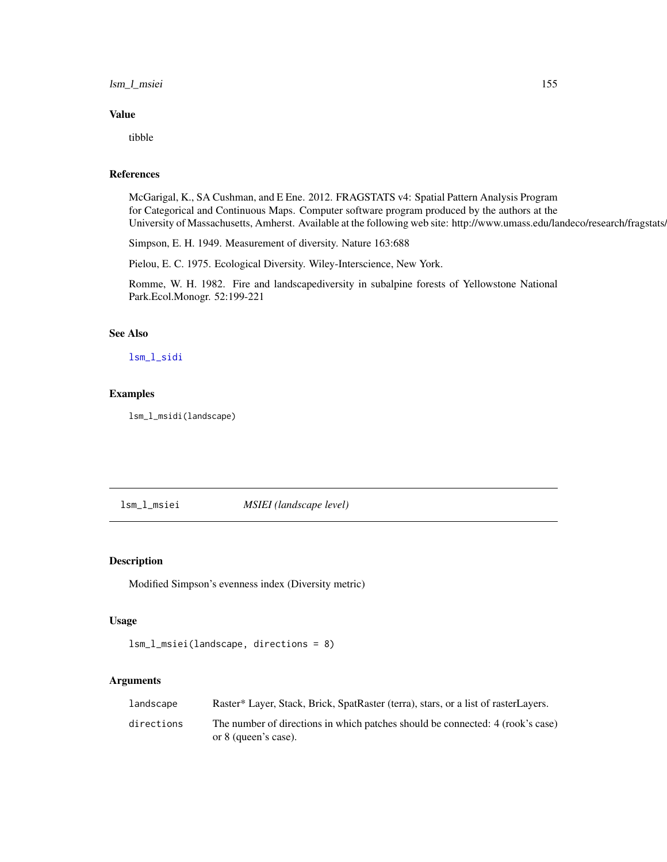# lsm\_l\_msiei 155

# Value

tibble

## References

McGarigal, K., SA Cushman, and E Ene. 2012. FRAGSTATS v4: Spatial Pattern Analysis Program for Categorical and Continuous Maps. Computer software program produced by the authors at the University of Massachusetts, Amherst. Available at the following web site: http://www.umass.edu/landeco/research/fragstats.

Simpson, E. H. 1949. Measurement of diversity. Nature 163:688

Pielou, E. C. 1975. Ecological Diversity. Wiley-Interscience, New York.

Romme, W. H. 1982. Fire and landscapediversity in subalpine forests of Yellowstone National Park.Ecol.Monogr. 52:199-221

### See Also

[lsm\\_l\\_sidi](#page-176-0)

# Examples

lsm\_l\_msidi(landscape)

lsm\_l\_msiei *MSIEI (landscape level)*

## Description

Modified Simpson's evenness index (Diversity metric)

#### Usage

```
lsm_l_msiei(landscape, directions = 8)
```
#### Arguments

| landscape  | Raster* Layer, Stack, Brick, SpatRaster (terra), stars, or a list of rasterLayers.                     |
|------------|--------------------------------------------------------------------------------------------------------|
| directions | The number of directions in which patches should be connected: 4 (rook's case)<br>or 8 (queen's case). |
|            |                                                                                                        |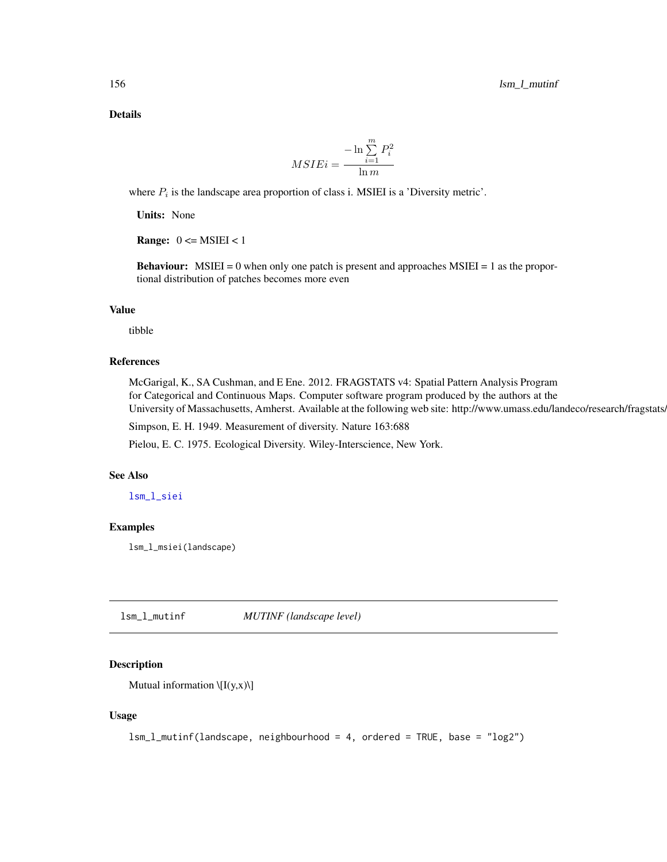Details

$$
MSIEi = \frac{-\ln \sum_{i=1}^{m} P_i^2}{\ln m}
$$

where  $P_i$  is the landscape area proportion of class i. MSIEI is a 'Diversity metric'.

Units: None

**Range:**  $0 \leq MSEI \leq 1$ 

**Behaviour:** MSIEI = 0 when only one patch is present and approaches MSIEI = 1 as the proportional distribution of patches becomes more even

## Value

tibble

## References

McGarigal, K., SA Cushman, and E Ene. 2012. FRAGSTATS v4: Spatial Pattern Analysis Program for Categorical and Continuous Maps. Computer software program produced by the authors at the University of Massachusetts, Amherst. Available at the following web site: http://www.umass.edu/landeco/research/fragstats/

Simpson, E. H. 1949. Measurement of diversity. Nature 163:688

Pielou, E. C. 1975. Ecological Diversity. Wiley-Interscience, New York.

## See Also

[lsm\\_l\\_siei](#page-177-0)

# Examples

lsm\_l\_msiei(landscape)

<span id="page-155-0"></span>lsm\_l\_mutinf *MUTINF (landscape level)*

# Description

Mutual information  $\left\langle I(y,x)\right\rangle$ ]

# Usage

lsm\_l\_mutinf(landscape, neighbourhood = 4, ordered = TRUE, base = "log2")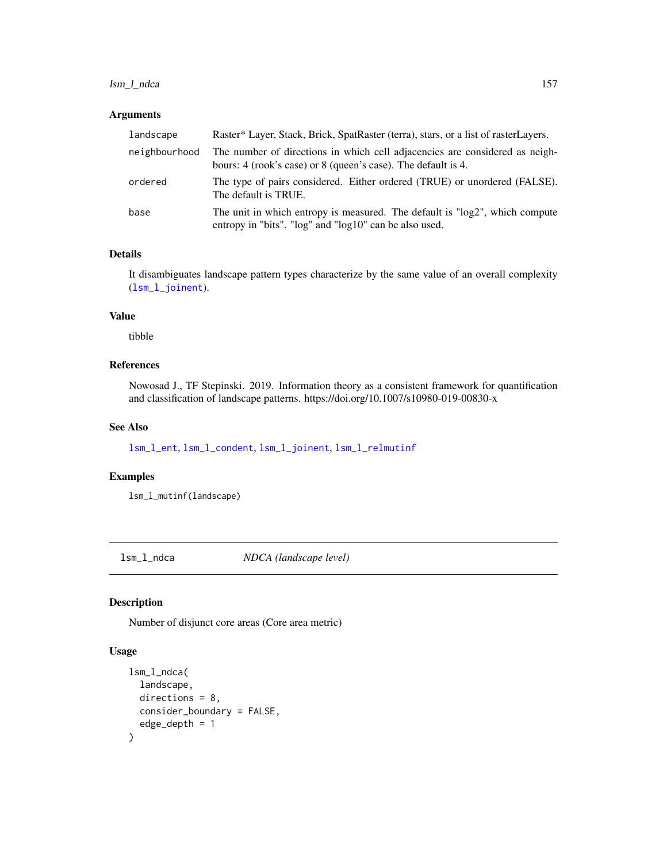# lsm\_l\_ndca 157

# Arguments

| landscape     | Raster* Layer, Stack, Brick, SpatRaster (terra), stars, or a list of rasterLayers.                                                           |
|---------------|----------------------------------------------------------------------------------------------------------------------------------------------|
| neighbourhood | The number of directions in which cell adjacencies are considered as neigh-<br>bours: 4 (rook's case) or 8 (queen's case). The default is 4. |
| ordered       | The type of pairs considered. Either ordered (TRUE) or unordered (FALSE).<br>The default is TRUE.                                            |
| base          | The unit in which entropy is measured. The default is "log2", which compute<br>entropy in "bits". "log" and "log10" can be also used.        |

# Details

It disambiguates landscape pattern types characterize by the same value of an overall complexity ([lsm\\_l\\_joinent](#page-149-0)).

# Value

tibble

# References

Nowosad J., TF Stepinski. 2019. Information theory as a consistent framework for quantification and classification of landscape patterns. https://doi.org/10.1007/s10980-019-00830-x

# See Also

[lsm\\_l\\_ent](#page-139-0), [lsm\\_l\\_condent](#page-116-0), [lsm\\_l\\_joinent](#page-149-0), [lsm\\_l\\_relmutinf](#page-168-0)

## Examples

lsm\_l\_mutinf(landscape)

lsm\_l\_ndca *NDCA (landscape level)*

# Description

Number of disjunct core areas (Core area metric)

# Usage

```
lsm_l_ndca(
  landscape,
  directions = 8,
  consider_boundary = FALSE,
  edge_depth = 1
\mathcal{E}
```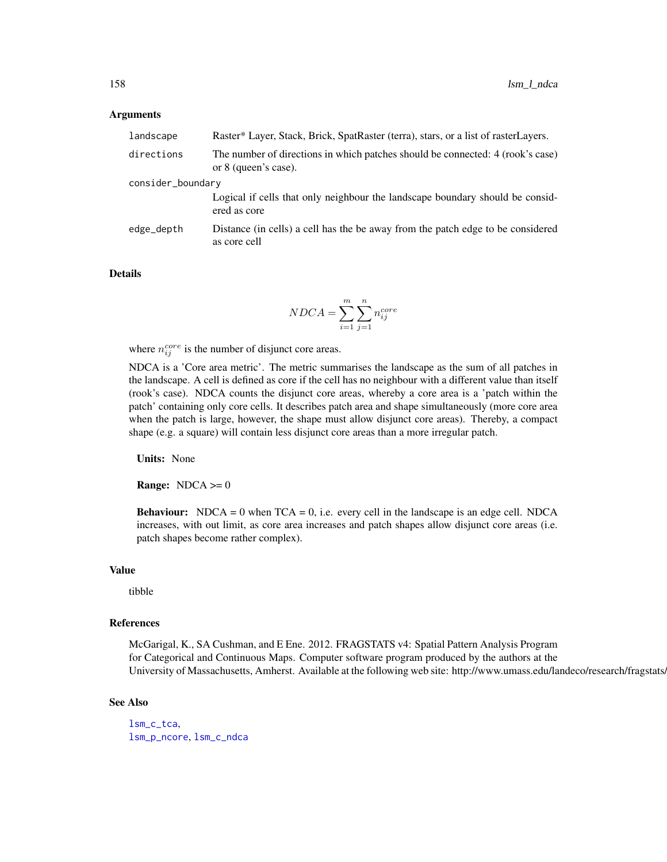#### Arguments

| landscape         | Raster* Layer, Stack, Brick, SpatRaster (terra), stars, or a list of rasterLayers.                     |
|-------------------|--------------------------------------------------------------------------------------------------------|
| directions        | The number of directions in which patches should be connected: 4 (rook's case)<br>or 8 (queen's case). |
| consider_boundary |                                                                                                        |
|                   | Logical if cells that only neighbour the landscape boundary should be consid-<br>ered as core          |
| edge_depth        | Distance (in cells) a cell has the be away from the patch edge to be considered<br>as core cell        |

#### Details

$$
NDCA = \sum_{i=1}^{m} \sum_{j=1}^{n} n_{ij}^{core}
$$

where  $n_{ij}^{core}$  is the number of disjunct core areas.

NDCA is a 'Core area metric'. The metric summarises the landscape as the sum of all patches in the landscape. A cell is defined as core if the cell has no neighbour with a different value than itself (rook's case). NDCA counts the disjunct core areas, whereby a core area is a 'patch within the patch' containing only core cells. It describes patch area and shape simultaneously (more core area when the patch is large, however, the shape must allow disjunct core areas). Thereby, a compact shape (e.g. a square) will contain less disjunct core areas than a more irregular patch.

Units: None

**Range:**  $NDCA \ge 0$ 

**Behaviour:** NDCA = 0 when  $TCA = 0$ , i.e. every cell in the landscape is an edge cell. NDCA increases, with out limit, as core area increases and patch shapes allow disjunct core areas (i.e. patch shapes become rather complex).

# Value

tibble

#### References

McGarigal, K., SA Cushman, and E Ene. 2012. FRAGSTATS v4: Spatial Pattern Analysis Program for Categorical and Continuous Maps. Computer software program produced by the authors at the University of Massachusetts, Amherst. Available at the following web site: http://www.umass.edu/landeco/research/fragstats.

#### See Also

[lsm\\_c\\_tca](#page-100-0), [lsm\\_p\\_ncore](#page-193-0), [lsm\\_c\\_ndca](#page-83-0)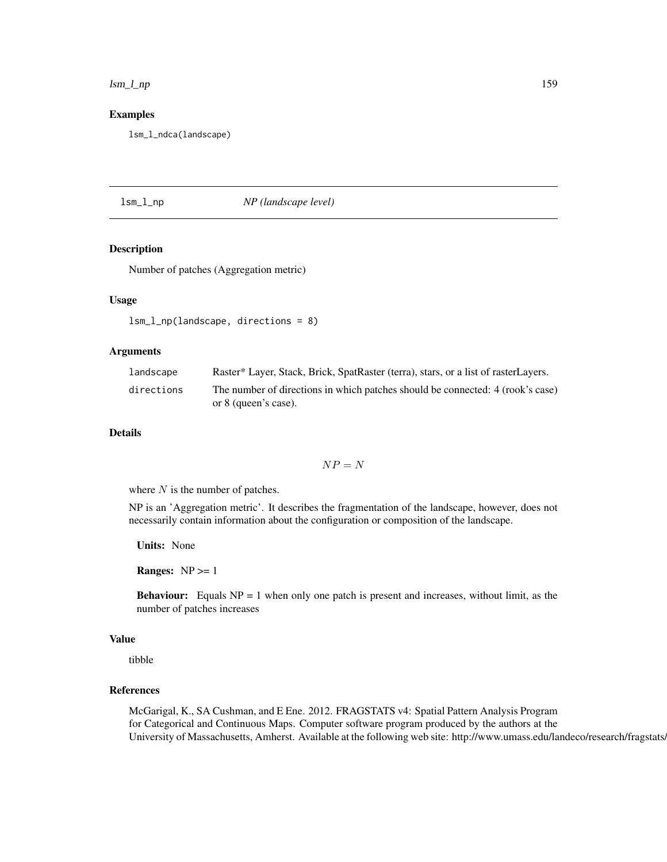lsm\_l\_np 159

## Examples

lsm\_l\_ndca(landscape)

<span id="page-158-0"></span>lsm\_l\_np *NP (landscape level)*

## Description

Number of patches (Aggregation metric)

# Usage

```
lsm_l_np(landscape, directions = 8)
```
# **Arguments**

| landscape  | Raster* Layer, Stack, Brick, SpatRaster (terra), stars, or a list of rasterLayers.                     |
|------------|--------------------------------------------------------------------------------------------------------|
| directions | The number of directions in which patches should be connected: 4 (rook's case)<br>or 8 (queen's case). |

# Details

 $NP = N$ 

where  $N$  is the number of patches.

NP is an 'Aggregation metric'. It describes the fragmentation of the landscape, however, does not necessarily contain information about the configuration or composition of the landscape.

Units: None

**Ranges:**  $NP \geq 1$ 

**Behaviour:** Equals  $NP = 1$  when only one patch is present and increases, without limit, as the number of patches increases

# Value

tibble

# References

McGarigal, K., SA Cushman, and E Ene. 2012. FRAGSTATS v4: Spatial Pattern Analysis Program for Categorical and Continuous Maps. Computer software program produced by the authors at the University of Massachusetts, Amherst. Available at the following web site: http://www.umass.edu/landeco/research/fragstats.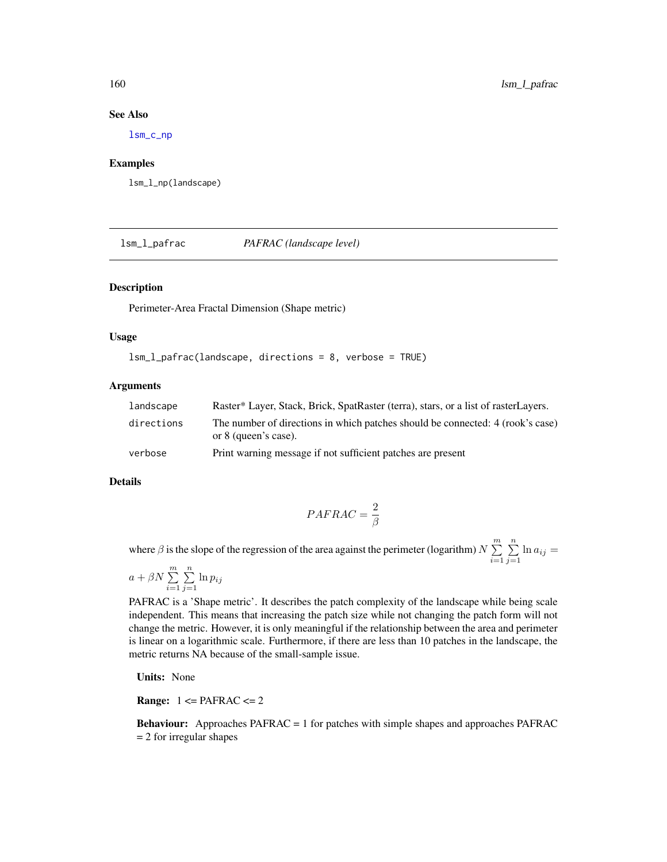# See Also

[lsm\\_c\\_np](#page-86-0)

## Examples

lsm\_l\_np(landscape)

lsm\_l\_pafrac *PAFRAC (landscape level)*

# Description

Perimeter-Area Fractal Dimension (Shape metric)

## Usage

```
lsm_l_pafrac(landscape, directions = 8, verbose = TRUE)
```
## Arguments

| landscape  | Raster* Layer, Stack, Brick, SpatRaster (terra), stars, or a list of rasterLayers.                     |
|------------|--------------------------------------------------------------------------------------------------------|
| directions | The number of directions in which patches should be connected: 4 (rook's case)<br>or 8 (queen's case). |
| verbose    | Print warning message if not sufficient patches are present                                            |

#### Details

$$
PAFRAC = \frac{2}{\beta}
$$

where  $\beta$  is the slope of the regression of the area against the perimeter (logarithm)  $N \sum_{n=1}^{m}$  $i=1$  $\sum_{n=1}^{\infty}$  $\sum_{j=1}$  ln  $a_{ij} =$ 

$$
a + \beta N \sum_{i=1}^{m} \sum_{j=1}^{n} \ln p_{ij}
$$

PAFRAC is a 'Shape metric'. It describes the patch complexity of the landscape while being scale independent. This means that increasing the patch size while not changing the patch form will not change the metric. However, it is only meaningful if the relationship between the area and perimeter is linear on a logarithmic scale. Furthermore, if there are less than 10 patches in the landscape, the metric returns NA because of the small-sample issue.

Units: None

**Range:**  $1 \leq PAFRAC \leq 2$ 

Behaviour: Approaches PAFRAC = 1 for patches with simple shapes and approaches PAFRAC = 2 for irregular shapes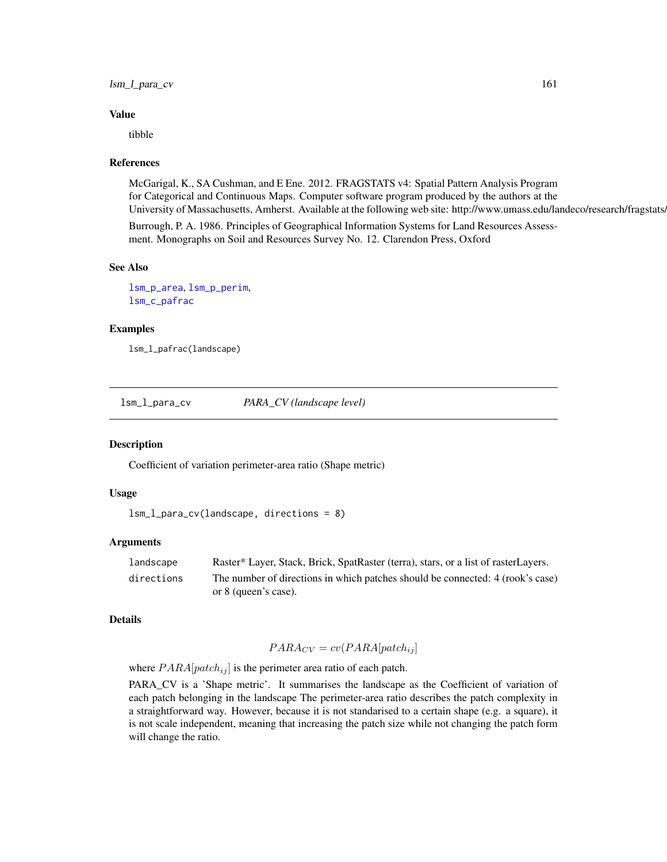# lsm\_l\_para\_cv 161

#### Value

tibble

## References

McGarigal, K., SA Cushman, and E Ene. 2012. FRAGSTATS v4: Spatial Pattern Analysis Program for Categorical and Continuous Maps. Computer software program produced by the authors at the University of Massachusetts, Amherst. Available at the following web site: http://www.umass.edu/landeco/research/fragstats.

Burrough, P. A. 1986. Principles of Geographical Information Systems for Land Resources Assessment. Monographs on Soil and Resources Survey No. 12. Clarendon Press, Oxford

# See Also

[lsm\\_p\\_area](#page-183-0), [lsm\\_p\\_perim](#page-195-0), [lsm\\_c\\_pafrac](#page-87-0)

# Examples

lsm\_l\_pafrac(landscape)

<span id="page-160-0"></span>lsm\_l\_para\_cv *PARA\_CV (landscape level)*

#### Description

Coefficient of variation perimeter-area ratio (Shape metric)

#### Usage

```
lsm_l_para_cv(landscape, directions = 8)
```
#### Arguments

| landscape  | Raster* Layer, Stack, Brick, SpatRaster (terra), stars, or a list of rasterLayers. |
|------------|------------------------------------------------------------------------------------|
| directions | The number of directions in which patches should be connected: 4 (rook's case)     |
|            | or 8 (queen's case).                                                               |

#### Details

$$
PARA_{CV} = cv(PARA[patch_{ij}]
$$

where  $PARA[patch_{ij}]$  is the perimeter area ratio of each patch.

PARA\_CV is a 'Shape metric'. It summarises the landscape as the Coefficient of variation of each patch belonging in the landscape The perimeter-area ratio describes the patch complexity in a straightforward way. However, because it is not standarised to a certain shape (e.g. a square), it is not scale independent, meaning that increasing the patch size while not changing the patch form will change the ratio.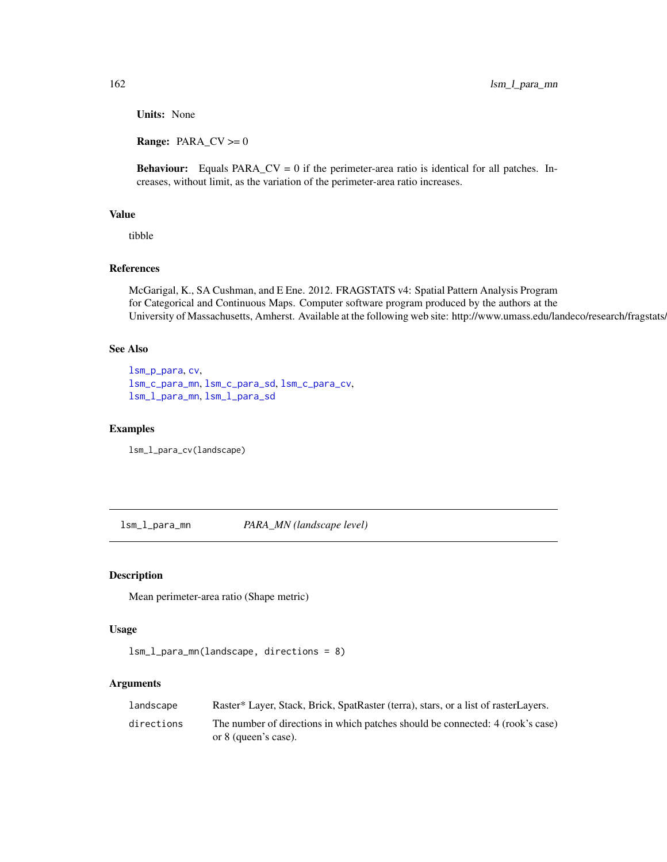Units: None

**Range:**  $PARA_CV \ge 0$ 

**Behaviour:** Equals  $PARA_CV = 0$  if the perimeter-area ratio is identical for all patches. Increases, without limit, as the variation of the perimeter-area ratio increases.

# Value

tibble

# References

McGarigal, K., SA Cushman, and E Ene. 2012. FRAGSTATS v4: Spatial Pattern Analysis Program for Categorical and Continuous Maps. Computer software program produced by the authors at the University of Massachusetts, Amherst. Available at the following web site: http://www.umass.edu/landeco/research/fragstats/

# See Also

```
lsm_p_para, cv,
lsm_c_para_mn, lsm_c_para_sd, lsm_c_para_cv,
lsm_l_para_mn, lsm_l_para_sd
```
### Examples

lsm\_l\_para\_cv(landscape)

<span id="page-161-0"></span>lsm\_l\_para\_mn *PARA\_MN (landscape level)*

# Description

Mean perimeter-area ratio (Shape metric)

# Usage

```
lsm_l_para_mn(landscape, directions = 8)
```
#### Arguments

| landscape  | Raster* Layer, Stack, Brick, SpatRaster (terra), stars, or a list of rasterLayers.                     |
|------------|--------------------------------------------------------------------------------------------------------|
| directions | The number of directions in which patches should be connected: 4 (rook's case)<br>or 8 (queen's case). |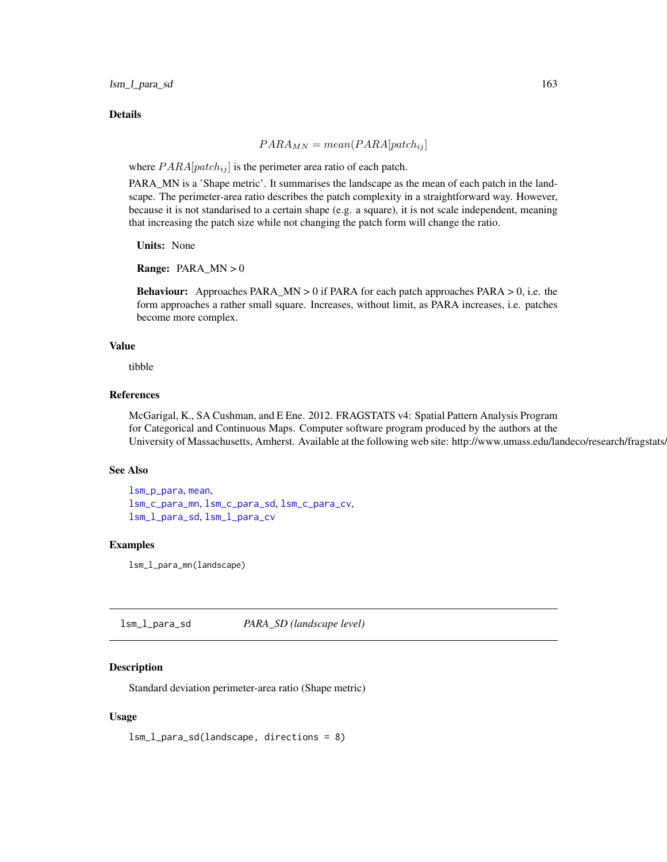lsm\_l\_para\_sd 163

#### Details

$$
PARA_{MN} = mean(PARA[patch_{ij}]
$$

where  $PARA[patch_{ij}]$  is the perimeter area ratio of each patch.

PARA\_MN is a 'Shape metric'. It summarises the landscape as the mean of each patch in the landscape. The perimeter-area ratio describes the patch complexity in a straightforward way. However, because it is not standarised to a certain shape (e.g. a square), it is not scale independent, meaning that increasing the patch size while not changing the patch form will change the ratio.

Units: None

**Range:** PARA\_MN  $> 0$ 

Behaviour: Approaches PARA\_MN > 0 if PARA for each patch approaches PARA > 0, i.e. the form approaches a rather small square. Increases, without limit, as PARA increases, i.e. patches become more complex.

# Value

tibble

## References

McGarigal, K., SA Cushman, and E Ene. 2012. FRAGSTATS v4: Spatial Pattern Analysis Program for Categorical and Continuous Maps. Computer software program produced by the authors at the University of Massachusetts, Amherst. Available at the following web site: http://www.umass.edu/landeco/research/fragstats.

# See Also

```
lsm_p_para, mean,
lsm_c_para_mn, lsm_c_para_sd, lsm_c_para_cv,
lsm_l_para_sd, lsm_l_para_cv
```
## Examples

lsm\_l\_para\_mn(landscape)

<span id="page-162-0"></span>lsm\_l\_para\_sd *PARA\_SD (landscape level)*

# **Description**

Standard deviation perimeter-area ratio (Shape metric)

# Usage

lsm\_l\_para\_sd(landscape, directions = 8)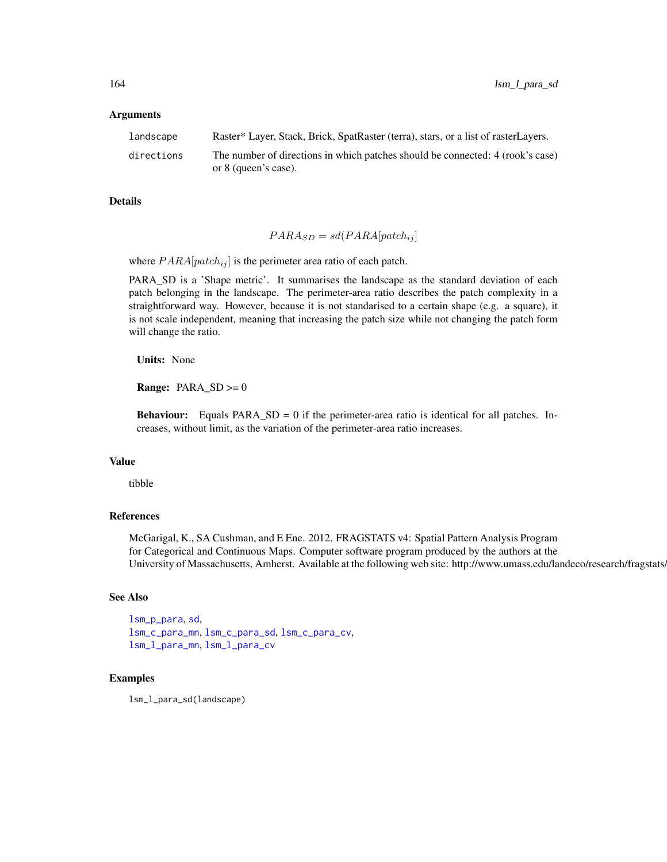#### Arguments

| landscape  | Raster* Layer, Stack, Brick, SpatRaster (terra), stars, or a list of rasterLayers. |
|------------|------------------------------------------------------------------------------------|
| directions | The number of directions in which patches should be connected: 4 (rook's case)     |
|            | or 8 (queen's case).                                                               |

## Details

$$
PARA_{SD} = sd(PARA[patch_{ij}]
$$

where  $PARA[patch_{ij}]$  is the perimeter area ratio of each patch.

PARA\_SD is a 'Shape metric'. It summarises the landscape as the standard deviation of each patch belonging in the landscape. The perimeter-area ratio describes the patch complexity in a straightforward way. However, because it is not standarised to a certain shape (e.g. a square), it is not scale independent, meaning that increasing the patch size while not changing the patch form will change the ratio.

Units: None

**Range:**  $PARA\_SD \ge 0$ 

**Behaviour:** Equals  $PARA\_SD = 0$  if the perimeter-area ratio is identical for all patches. Increases, without limit, as the variation of the perimeter-area ratio increases.

## Value

tibble

## References

McGarigal, K., SA Cushman, and E Ene. 2012. FRAGSTATS v4: Spatial Pattern Analysis Program for Categorical and Continuous Maps. Computer software program produced by the authors at the University of Massachusetts, Amherst. Available at the following web site: http://www.umass.edu/landeco/research/fragstats.

## See Also

```
lsm_p_para, sd,
lsm_c_para_mn, lsm_c_para_sd, lsm_c_para_cv,
lsm_l_para_mn, lsm_l_para_cv
```
#### Examples

lsm\_l\_para\_sd(landscape)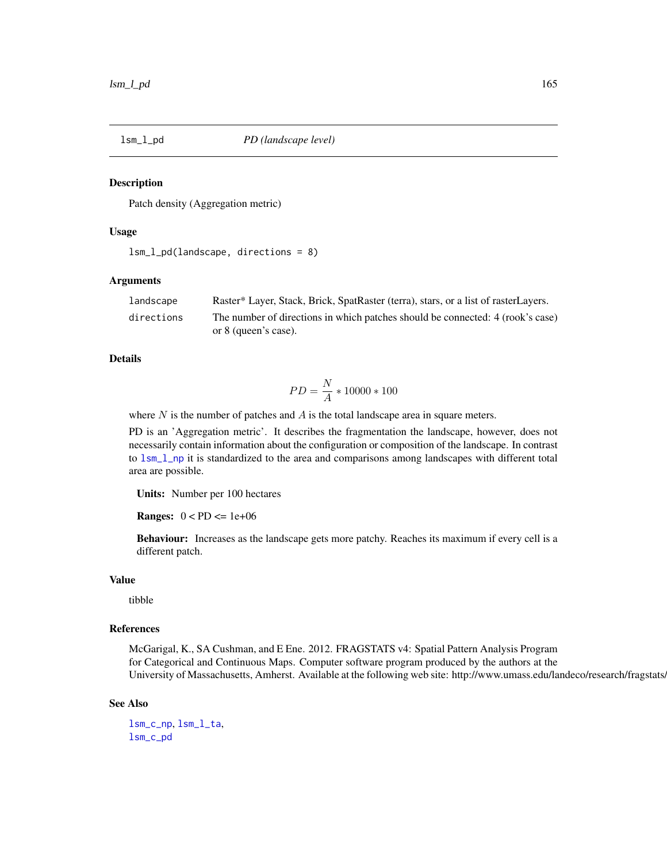#### **Description**

Patch density (Aggregation metric)

# Usage

```
lsm_l_pd(landscape, directions = 8)
```
## Arguments

| landscape  | Raster* Layer, Stack, Brick, SpatRaster (terra), stars, or a list of rasterLayers. |
|------------|------------------------------------------------------------------------------------|
| directions | The number of directions in which patches should be connected: 4 (rook's case)     |
|            | or 8 (queen's case).                                                               |

# Details

$$
PD = \frac{N}{A} * 10000 * 100
$$

where  $N$  is the number of patches and  $A$  is the total landscape area in square meters.

PD is an 'Aggregation metric'. It describes the fragmentation the landscape, however, does not necessarily contain information about the configuration or composition of the landscape. In contrast to [lsm\\_l\\_np](#page-158-0) it is standardized to the area and comparisons among landscapes with different total area are possible.

Units: Number per 100 hectares

**Ranges:**  $0 < PD \leq 1e+06$ 

Behaviour: Increases as the landscape gets more patchy. Reaches its maximum if every cell is a different patch.

#### Value

tibble

# References

McGarigal, K., SA Cushman, and E Ene. 2012. FRAGSTATS v4: Spatial Pattern Analysis Program for Categorical and Continuous Maps. Computer software program produced by the authors at the University of Massachusetts, Amherst. Available at the following web site: http://www.umass.edu/landeco/research/fragstats.

#### See Also

[lsm\\_c\\_np](#page-86-0), [lsm\\_l\\_ta](#page-179-0), [lsm\\_c\\_pd](#page-92-0)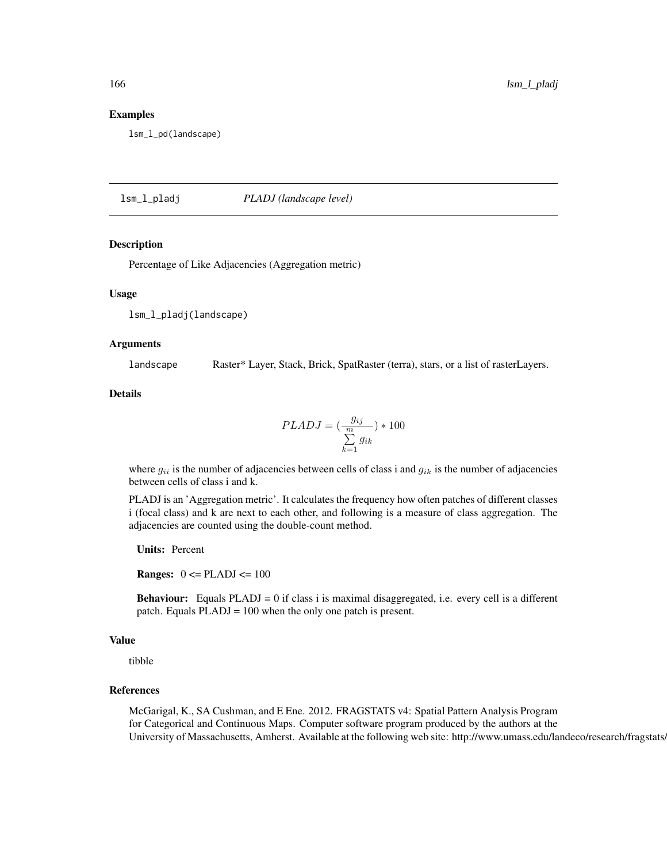#### Examples

lsm\_l\_pd(landscape)

lsm\_l\_pladj *PLADJ (landscape level)*

# Description

Percentage of Like Adjacencies (Aggregation metric)

### Usage

lsm\_l\_pladj(landscape)

#### Arguments

landscape Raster\* Layer, Stack, Brick, SpatRaster (terra), stars, or a list of rasterLayers.

Details

$$
PLADJ = \left(\frac{g_{ij}}{m}\right) * 100
$$

$$
\sum_{k=1}^{m} g_{ik}
$$

where  $g_{ii}$  is the number of adjacencies between cells of class i and  $g_{ik}$  is the number of adjacencies between cells of class i and k.

PLADJ is an 'Aggregation metric'. It calculates the frequency how often patches of different classes i (focal class) and k are next to each other, and following is a measure of class aggregation. The adjacencies are counted using the double-count method.

Units: Percent

**Ranges:**  $0 \leq$  PLADJ $\leq$  100

**Behaviour:** Equals  $PLADJ = 0$  if class i is maximal disaggregated, i.e. every cell is a different patch. Equals PLADJ = 100 when the only one patch is present.

## Value

tibble

# References

McGarigal, K., SA Cushman, and E Ene. 2012. FRAGSTATS v4: Spatial Pattern Analysis Program for Categorical and Continuous Maps. Computer software program produced by the authors at the University of Massachusetts, Amherst. Available at the following web site: http://www.umass.edu/landeco/research/fragstats.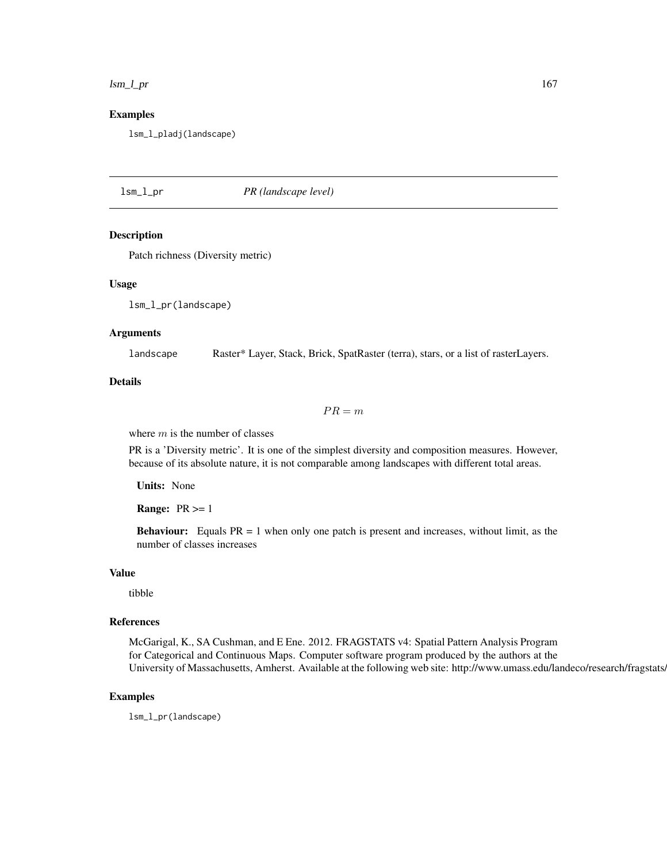#### lsm\_l\_pr 167

# Examples

lsm\_l\_pladj(landscape)

# <span id="page-166-0"></span>lsm\_l\_pr *PR (landscape level)*

## Description

Patch richness (Diversity metric)

## Usage

lsm\_l\_pr(landscape)

# Arguments

landscape Raster\* Layer, Stack, Brick, SpatRaster (terra), stars, or a list of rasterLayers.

## Details

 $PR = m$ 

where  $m$  is the number of classes

PR is a 'Diversity metric'. It is one of the simplest diversity and composition measures. However, because of its absolute nature, it is not comparable among landscapes with different total areas.

Units: None

**Range:**  $PR \geq 1$ 

**Behaviour:** Equals  $PR = 1$  when only one patch is present and increases, without limit, as the number of classes increases

# Value

tibble

# References

McGarigal, K., SA Cushman, and E Ene. 2012. FRAGSTATS v4: Spatial Pattern Analysis Program for Categorical and Continuous Maps. Computer software program produced by the authors at the University of Massachusetts, Amherst. Available at the following web site: http://www.umass.edu/landeco/research/fragstats.

#### Examples

lsm\_l\_pr(landscape)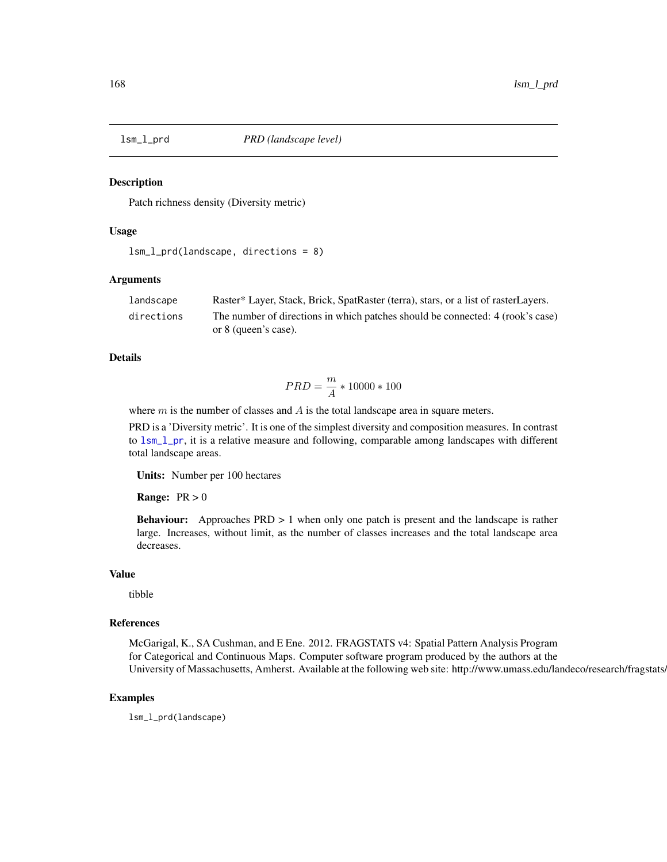#### Description

Patch richness density (Diversity metric)

# Usage

```
lsm_l_prd(landscape, directions = 8)
```
## Arguments

| landscape  | Raster* Layer, Stack, Brick, SpatRaster (terra), stars, or a list of rasterLayers. |
|------------|------------------------------------------------------------------------------------|
| directions | The number of directions in which patches should be connected: 4 (rook's case)     |
|            | or 8 (queen's case).                                                               |

# Details

$$
PRD = \frac{m}{A} * 10000 * 100
$$

where  $m$  is the number of classes and  $A$  is the total landscape area in square meters.

PRD is a 'Diversity metric'. It is one of the simplest diversity and composition measures. In contrast to [lsm\\_l\\_pr](#page-166-0), it is a relative measure and following, comparable among landscapes with different total landscape areas.

Units: Number per 100 hectares

**Range:**  $PR > 0$ 

Behaviour: Approaches PRD > 1 when only one patch is present and the landscape is rather large. Increases, without limit, as the number of classes increases and the total landscape area decreases.

# Value

tibble

## References

McGarigal, K., SA Cushman, and E Ene. 2012. FRAGSTATS v4: Spatial Pattern Analysis Program for Categorical and Continuous Maps. Computer software program produced by the authors at the University of Massachusetts, Amherst. Available at the following web site: http://www.umass.edu/landeco/research/fragstats.

### Examples

lsm\_l\_prd(landscape)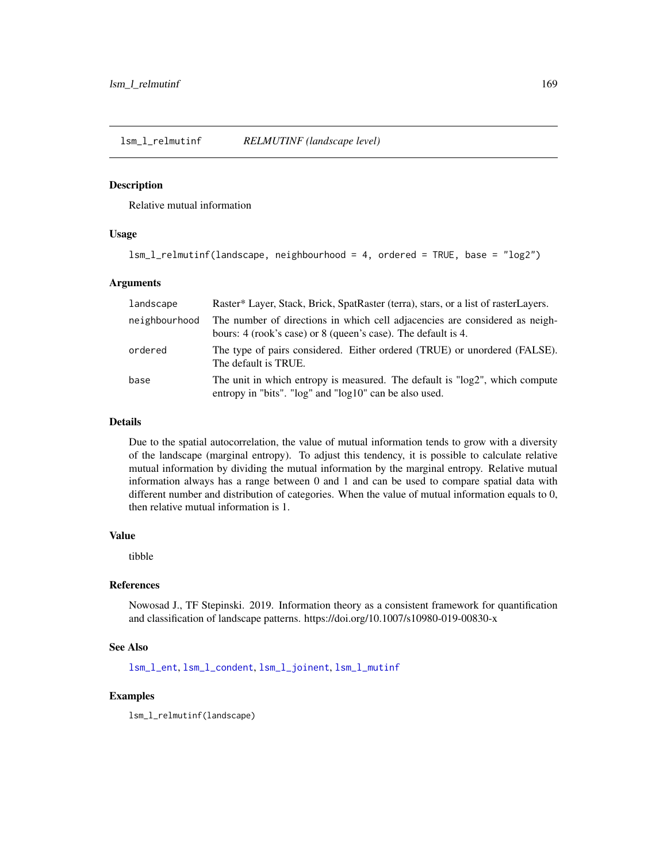<span id="page-168-0"></span>lsm\_l\_relmutinf *RELMUTINF (landscape level)*

# Description

Relative mutual information

# Usage

lsm\_l\_relmutinf(landscape, neighbourhood = 4, ordered = TRUE, base = "log2")

## Arguments

| landscape     | Raster* Layer, Stack, Brick, SpatRaster (terra), stars, or a list of rasterLayers.                                                           |
|---------------|----------------------------------------------------------------------------------------------------------------------------------------------|
| neighbourhood | The number of directions in which cell adjacencies are considered as neigh-<br>bours: 4 (rook's case) or 8 (queen's case). The default is 4. |
| ordered       | The type of pairs considered. Either ordered (TRUE) or unordered (FALSE).<br>The default is TRUE.                                            |
| base          | The unit in which entropy is measured. The default is "log2", which compute<br>entropy in "bits". "log" and "log10" can be also used.        |

# Details

Due to the spatial autocorrelation, the value of mutual information tends to grow with a diversity of the landscape (marginal entropy). To adjust this tendency, it is possible to calculate relative mutual information by dividing the mutual information by the marginal entropy. Relative mutual information always has a range between 0 and 1 and can be used to compare spatial data with different number and distribution of categories. When the value of mutual information equals to 0, then relative mutual information is 1.

# Value

tibble

## References

Nowosad J., TF Stepinski. 2019. Information theory as a consistent framework for quantification and classification of landscape patterns. https://doi.org/10.1007/s10980-019-00830-x

# See Also

[lsm\\_l\\_ent](#page-139-0), [lsm\\_l\\_condent](#page-116-0), [lsm\\_l\\_joinent](#page-149-0), [lsm\\_l\\_mutinf](#page-155-0)

# Examples

lsm\_l\_relmutinf(landscape)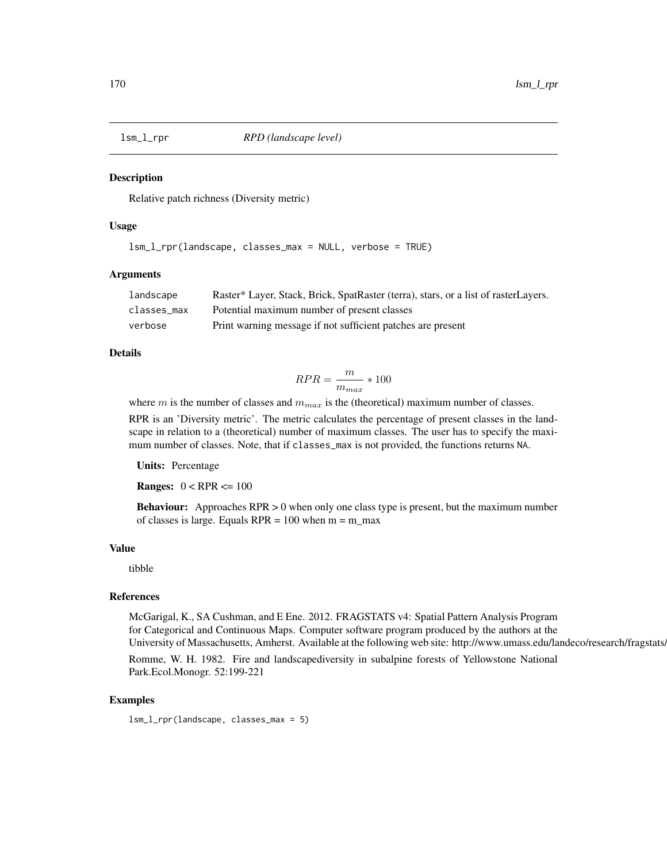# **Description**

Relative patch richness (Diversity metric)

# Usage

```
lsm_l_rpr(landscape, classes_max = NULL, verbose = TRUE)
```
## Arguments

| landscape   | Raster* Layer, Stack, Brick, SpatRaster (terra), stars, or a list of rasterLayers. |
|-------------|------------------------------------------------------------------------------------|
| classes max | Potential maximum number of present classes                                        |
| verbose     | Print warning message if not sufficient patches are present                        |

# Details

$$
RPR = \frac{m}{m_{max}} * 100
$$

where m is the number of classes and  $m_{max}$  is the (theoretical) maximum number of classes.

RPR is an 'Diversity metric'. The metric calculates the percentage of present classes in the landscape in relation to a (theoretical) number of maximum classes. The user has to specify the maximum number of classes. Note, that if classes\_max is not provided, the functions returns NA.

Units: Percentage

**Ranges:**  $0 < RPR \le 100$ 

Behaviour: Approaches RPR > 0 when only one class type is present, but the maximum number of classes is large. Equals  $RPR = 100$  when  $m = m$  max

#### Value

tibble

# References

McGarigal, K., SA Cushman, and E Ene. 2012. FRAGSTATS v4: Spatial Pattern Analysis Program for Categorical and Continuous Maps. Computer software program produced by the authors at the University of Massachusetts, Amherst. Available at the following web site: http://www.umass.edu/landeco/research/fragstats.

Romme, W. H. 1982. Fire and landscapediversity in subalpine forests of Yellowstone National Park.Ecol.Monogr. 52:199-221

# Examples

lsm\_l\_rpr(landscape, classes\_max = 5)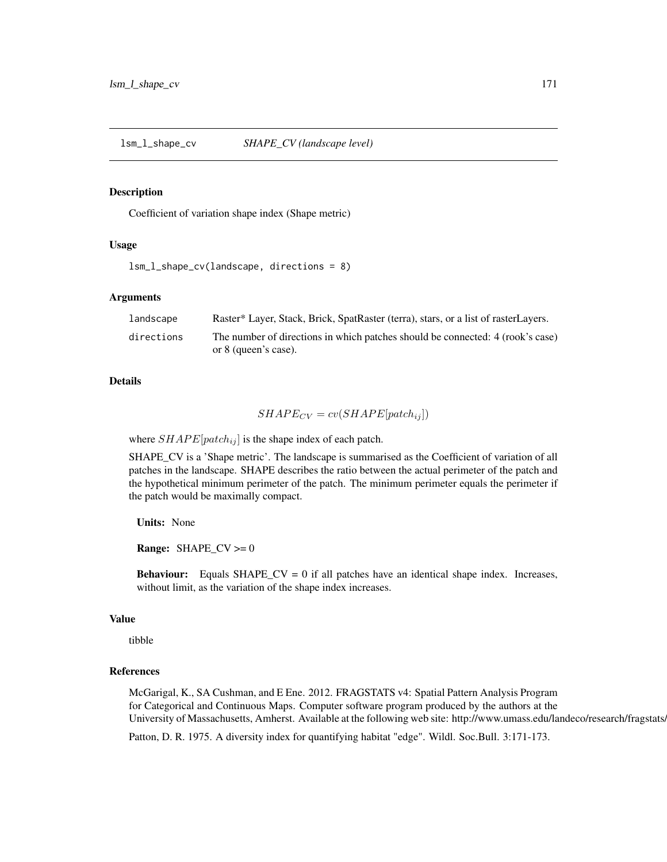<span id="page-170-0"></span>lsm\_l\_shape\_cv *SHAPE\_CV (landscape level)*

#### Description

Coefficient of variation shape index (Shape metric)

# Usage

```
lsm_l_shape_cv(landscape, directions = 8)
```
## Arguments

| landscape  | Raster* Layer, Stack, Brick, SpatRaster (terra), stars, or a list of rasterLayers. |
|------------|------------------------------------------------------------------------------------|
| directions | The number of directions in which patches should be connected: 4 (rook's case)     |
|            | or 8 (queen's case).                                                               |

### Details

$$
SHAPE_{CV} = cv(SHAPE[patch_{ij}])
$$

where  $SHAPE[patch_{ij}]$  is the shape index of each patch.

SHAPE\_CV is a 'Shape metric'. The landscape is summarised as the Coefficient of variation of all patches in the landscape. SHAPE describes the ratio between the actual perimeter of the patch and the hypothetical minimum perimeter of the patch. The minimum perimeter equals the perimeter if the patch would be maximally compact.

Units: None

**Range:** SHAPE\_CV  $>= 0$ 

**Behaviour:** Equals SHAPE\_CV = 0 if all patches have an identical shape index. Increases, without limit, as the variation of the shape index increases.

## Value

tibble

# References

McGarigal, K., SA Cushman, and E Ene. 2012. FRAGSTATS v4: Spatial Pattern Analysis Program for Categorical and Continuous Maps. Computer software program produced by the authors at the University of Massachusetts, Amherst. Available at the following web site: http://www.umass.edu/landeco/research/fragstats.

Patton, D. R. 1975. A diversity index for quantifying habitat "edge". Wildl. Soc.Bull. 3:171-173.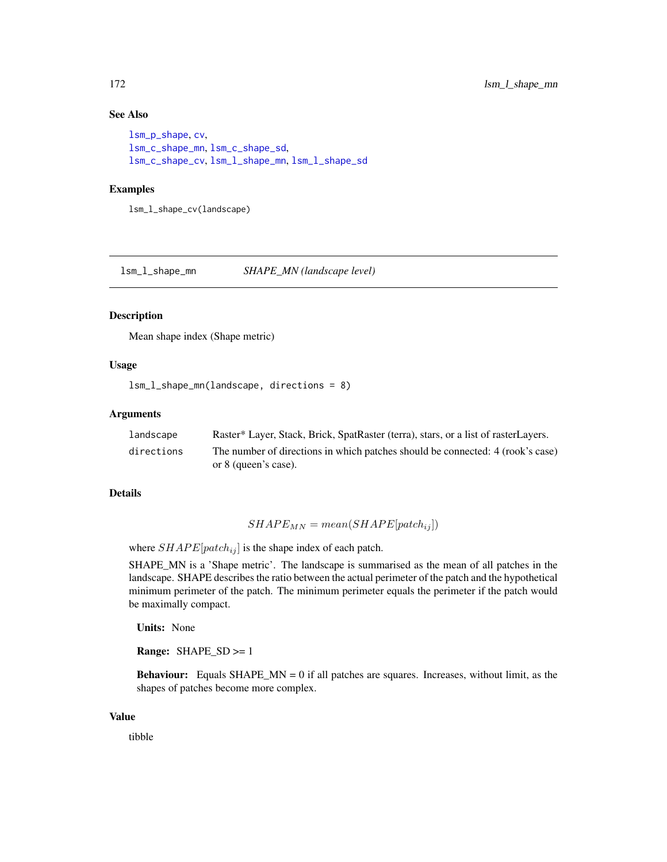# See Also

```
lsm_p_shape, cv,
lsm_c_shape_mn, lsm_c_shape_sd,
lsm_c_shape_cv, lsm_l_shape_mn, lsm_l_shape_sd
```
# Examples

lsm\_l\_shape\_cv(landscape)

<span id="page-171-0"></span>lsm\_l\_shape\_mn *SHAPE\_MN (landscape level)*

## Description

Mean shape index (Shape metric)

# Usage

lsm\_l\_shape\_mn(landscape, directions = 8)

# Arguments

| landscape  | Raster* Layer, Stack, Brick, SpatRaster (terra), stars, or a list of rasterLayers. |
|------------|------------------------------------------------------------------------------------|
| directions | The number of directions in which patches should be connected: 4 (rook's case)     |
|            | or 8 (queen's case).                                                               |

#### Details

# $SHAPE_{MN} = mean(SHAPE[patch_{ij}])$

where  $SHAPE[patch_{ij}]$  is the shape index of each patch.

SHAPE\_MN is a 'Shape metric'. The landscape is summarised as the mean of all patches in the landscape. SHAPE describes the ratio between the actual perimeter of the patch and the hypothetical minimum perimeter of the patch. The minimum perimeter equals the perimeter if the patch would be maximally compact.

Units: None

Range: SHAPE\_SD >= 1

**Behaviour:** Equals SHAPE\_MN = 0 if all patches are squares. Increases, without limit, as the shapes of patches become more complex.

#### Value

tibble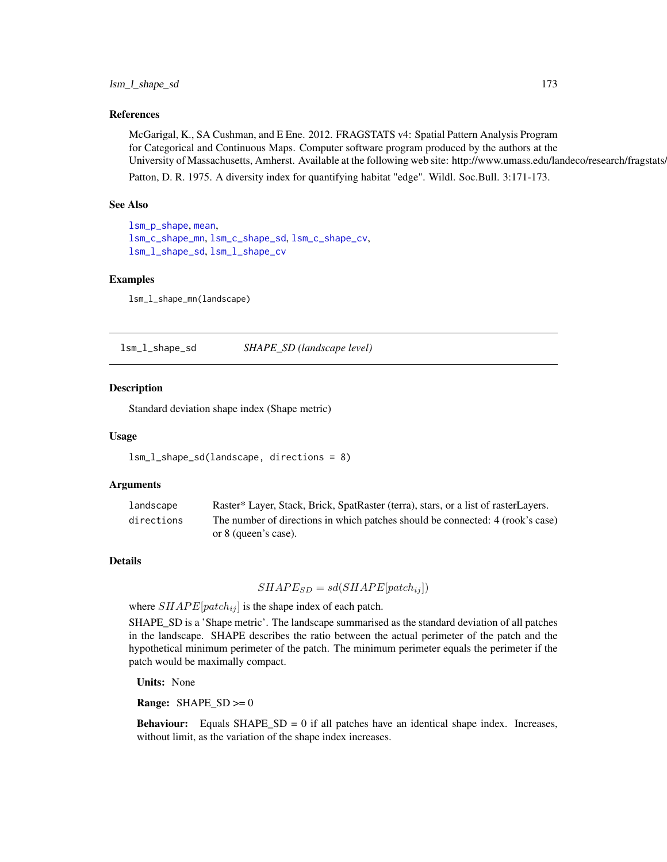## References

McGarigal, K., SA Cushman, and E Ene. 2012. FRAGSTATS v4: Spatial Pattern Analysis Program for Categorical and Continuous Maps. Computer software program produced by the authors at the University of Massachusetts, Amherst. Available at the following web site: http://www.umass.edu/landeco/research/fragstats. Patton, D. R. 1975. A diversity index for quantifying habitat "edge". Wildl. Soc.Bull. 3:171-173.

See Also

[lsm\\_p\\_shape](#page-196-0), [mean](#page-0-0), [lsm\\_c\\_shape\\_mn](#page-96-0), [lsm\\_c\\_shape\\_sd](#page-98-0), [lsm\\_c\\_shape\\_cv](#page-95-0), [lsm\\_l\\_shape\\_sd](#page-172-0), [lsm\\_l\\_shape\\_cv](#page-170-0)

#### Examples

lsm\_l\_shape\_mn(landscape)

<span id="page-172-0"></span>lsm\_l\_shape\_sd *SHAPE\_SD (landscape level)*

#### Description

Standard deviation shape index (Shape metric)

#### Usage

lsm\_l\_shape\_sd(landscape, directions = 8)

## Arguments

| landscape  | Raster* Layer, Stack, Brick, SpatRaster (terra), stars, or a list of rasterLayers. |
|------------|------------------------------------------------------------------------------------|
| directions | The number of directions in which patches should be connected: 4 (rook's case)     |
|            | or 8 (queen's case).                                                               |

# Details

 $SHAPE_{SD} = sd(SHAPE[patch_{ij}])$ 

where  $SHAPE[patch_{ij}]$  is the shape index of each patch.

SHAPE\_SD is a 'Shape metric'. The landscape summarised as the standard deviation of all patches in the landscape. SHAPE describes the ratio between the actual perimeter of the patch and the hypothetical minimum perimeter of the patch. The minimum perimeter equals the perimeter if the patch would be maximally compact.

Units: None

**Range:**  $SHAPE\_SD \ge 0$ 

**Behaviour:** Equals  $SHAPE\_SD = 0$  if all patches have an identical shape index. Increases, without limit, as the variation of the shape index increases.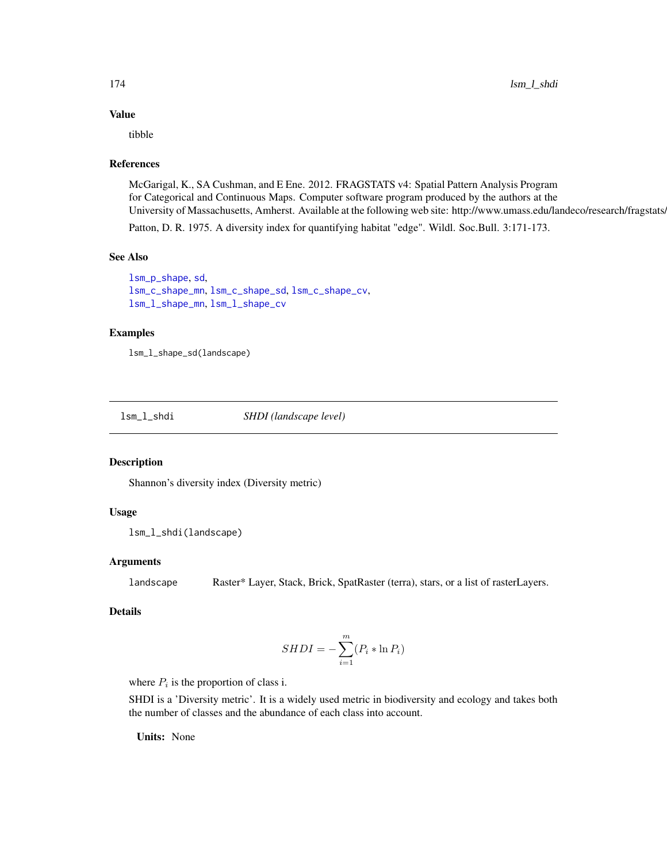# Value

tibble

# References

McGarigal, K., SA Cushman, and E Ene. 2012. FRAGSTATS v4: Spatial Pattern Analysis Program for Categorical and Continuous Maps. Computer software program produced by the authors at the University of Massachusetts, Amherst. Available at the following web site: http://www.umass.edu/landeco/research/fragstats.

Patton, D. R. 1975. A diversity index for quantifying habitat "edge". Wildl. Soc.Bull. 3:171-173.

# See Also

[lsm\\_p\\_shape](#page-196-0), [sd](#page-0-0), [lsm\\_c\\_shape\\_mn](#page-96-0), [lsm\\_c\\_shape\\_sd](#page-98-0), [lsm\\_c\\_shape\\_cv](#page-95-0), [lsm\\_l\\_shape\\_mn](#page-171-0), [lsm\\_l\\_shape\\_cv](#page-170-0)

## Examples

lsm\_l\_shape\_sd(landscape)

<span id="page-173-0"></span>lsm\_l\_shdi *SHDI (landscape level)*

## Description

Shannon's diversity index (Diversity metric)

# Usage

```
lsm_l_shdi(landscape)
```
# **Arguments**

landscape Raster\* Layer, Stack, Brick, SpatRaster (terra), stars, or a list of rasterLayers.

# Details

$$
SHDI = -\sum_{i=1}^{m} (P_i * \ln P_i)
$$

where  $P_i$  is the proportion of class i.

SHDI is a 'Diversity metric'. It is a widely used metric in biodiversity and ecology and takes both the number of classes and the abundance of each class into account.

Units: None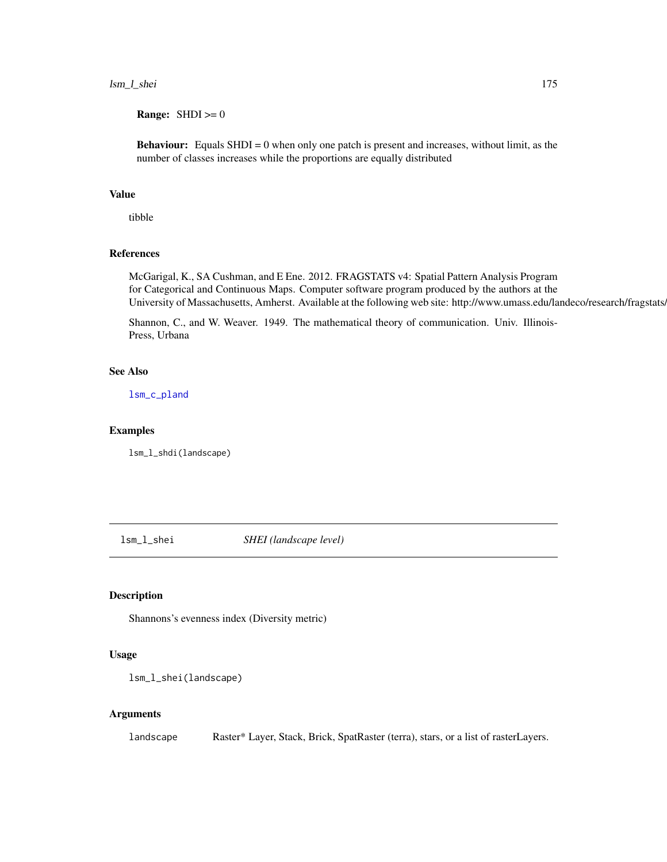# lsm\_l\_shei 175

**Range:**  $SHDI \geq 0$ 

**Behaviour:** Equals SHDI = 0 when only one patch is present and increases, without limit, as the number of classes increases while the proportions are equally distributed

## Value

tibble

# References

McGarigal, K., SA Cushman, and E Ene. 2012. FRAGSTATS v4: Spatial Pattern Analysis Program for Categorical and Continuous Maps. Computer software program produced by the authors at the University of Massachusetts, Amherst. Available at the following web site: http://www.umass.edu/landeco/research/fragstats/

Shannon, C., and W. Weaver. 1949. The mathematical theory of communication. Univ. Illinois-Press, Urbana

# See Also

[lsm\\_c\\_pland](#page-94-0)

# Examples

lsm\_l\_shdi(landscape)

lsm\_l\_shei *SHEI (landscape level)*

## Description

Shannons's evenness index (Diversity metric)

#### Usage

```
lsm_l_shei(landscape)
```
## Arguments

landscape Raster\* Layer, Stack, Brick, SpatRaster (terra), stars, or a list of rasterLayers.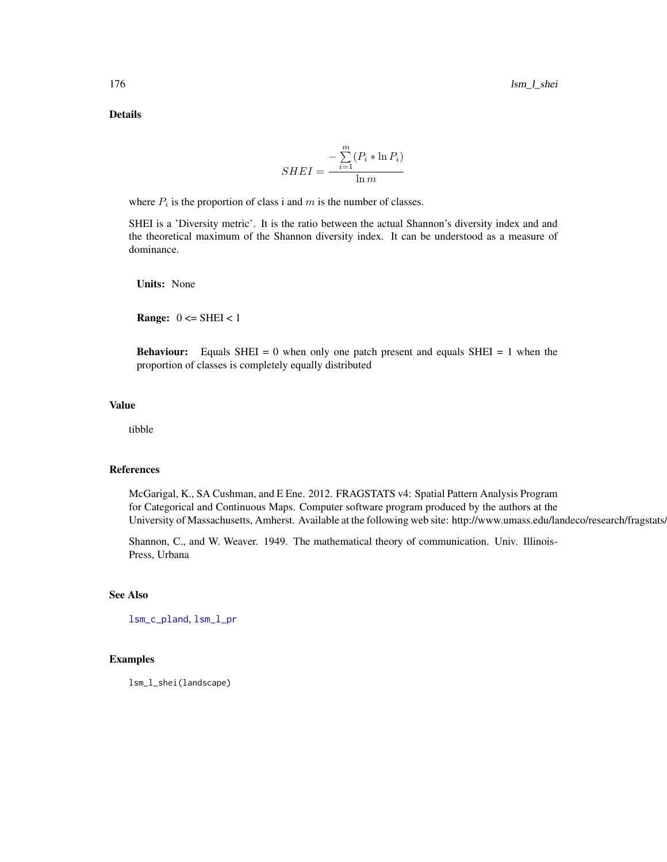Details

$$
SHEI = \frac{-\sum_{i=1}^{m} (P_i * \ln P_i)}{\ln m}
$$

where  $P_i$  is the proportion of class i and m is the number of classes.

SHEI is a 'Diversity metric'. It is the ratio between the actual Shannon's diversity index and and the theoretical maximum of the Shannon diversity index. It can be understood as a measure of dominance.

Units: None

**Range:**  $0 \leq SHEI \leq 1$ 

**Behaviour:** Equals SHEI = 0 when only one patch present and equals SHEI = 1 when the proportion of classes is completely equally distributed

#### Value

tibble

# References

McGarigal, K., SA Cushman, and E Ene. 2012. FRAGSTATS v4: Spatial Pattern Analysis Program for Categorical and Continuous Maps. Computer software program produced by the authors at the University of Massachusetts, Amherst. Available at the following web site: http://www.umass.edu/landeco/research/fragstats/

Shannon, C., and W. Weaver. 1949. The mathematical theory of communication. Univ. Illinois-Press, Urbana

#### See Also

[lsm\\_c\\_pland](#page-94-0), [lsm\\_l\\_pr](#page-166-0)

# Examples

lsm\_l\_shei(landscape)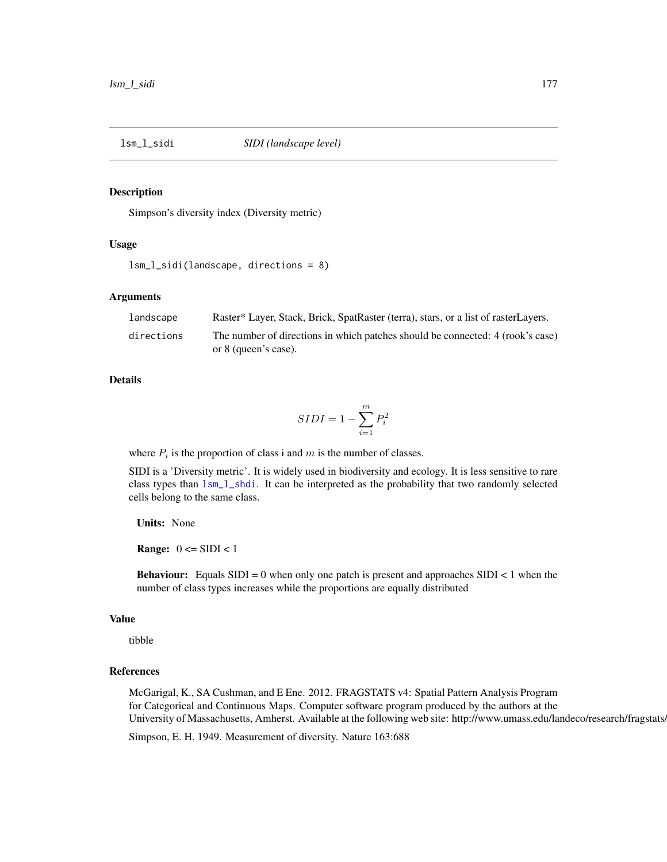<span id="page-176-0"></span>

## Description

Simpson's diversity index (Diversity metric)

# Usage

```
lsm_l_sidi(landscape, directions = 8)
```
# Arguments

| landscape  | Raster* Layer, Stack, Brick, SpatRaster (terra), stars, or a list of rasterLayers.                     |
|------------|--------------------------------------------------------------------------------------------------------|
| directions | The number of directions in which patches should be connected: 4 (rook's case)<br>or 8 (queen's case). |

# **Details**

$$
SIDI = 1 - \sum_{i=1}^{m} P_i^2
$$

where  $P_i$  is the proportion of class i and m is the number of classes.

SIDI is a 'Diversity metric'. It is widely used in biodiversity and ecology. It is less sensitive to rare class types than  $lsm_l_l_shdi$ . It can be interpreted as the probability that two randomly selected cells belong to the same class.

Units: None

**Range:**  $0 \leq SUDI < 1$ 

**Behaviour:** Equals  $SIDI = 0$  when only one patch is present and approaches  $SIDI < 1$  when the number of class types increases while the proportions are equally distributed

# Value

tibble

# References

McGarigal, K., SA Cushman, and E Ene. 2012. FRAGSTATS v4: Spatial Pattern Analysis Program for Categorical and Continuous Maps. Computer software program produced by the authors at the University of Massachusetts, Amherst. Available at the following web site: http://www.umass.edu/landeco/research/fragstats.

Simpson, E. H. 1949. Measurement of diversity. Nature 163:688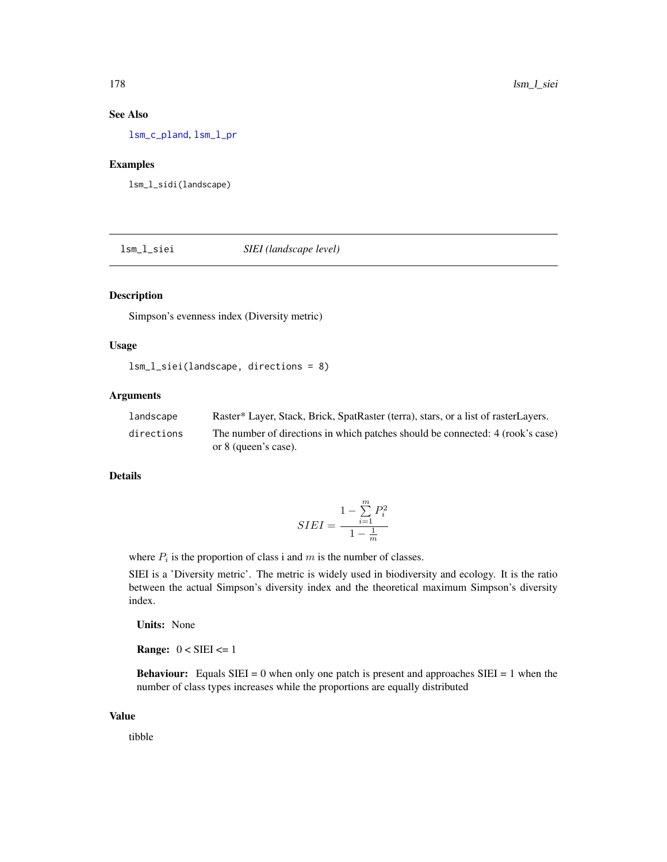# See Also

[lsm\\_c\\_pland](#page-94-0), [lsm\\_l\\_pr](#page-166-0)

# Examples

lsm\_l\_sidi(landscape)

<span id="page-177-0"></span>lsm\_l\_siei *SIEI (landscape level)*

# Description

Simpson's evenness index (Diversity metric)

# Usage

```
lsm_l_siei(landscape, directions = 8)
```
# Arguments

| landscape  | Raster* Layer, Stack, Brick, SpatRaster (terra), stars, or a list of rasterLayers. |
|------------|------------------------------------------------------------------------------------|
| directions | The number of directions in which patches should be connected: 4 (rook's case)     |
|            | or 8 (queen's case).                                                               |

## Details

$$
SIEI = \frac{1 - \sum_{i=1}^{m} P_i^2}{1 - \frac{1}{m}}
$$

where  $P_i$  is the proportion of class i and m is the number of classes.

SIEI is a 'Diversity metric'. The metric is widely used in biodiversity and ecology. It is the ratio between the actual Simpson's diversity index and the theoretical maximum Simpson's diversity index.

Units: None

**Range:**  $0 < \text{SEI} \leq 1$ 

**Behaviour:** Equals SIEI = 0 when only one patch is present and approaches SIEI = 1 when the number of class types increases while the proportions are equally distributed

# Value

tibble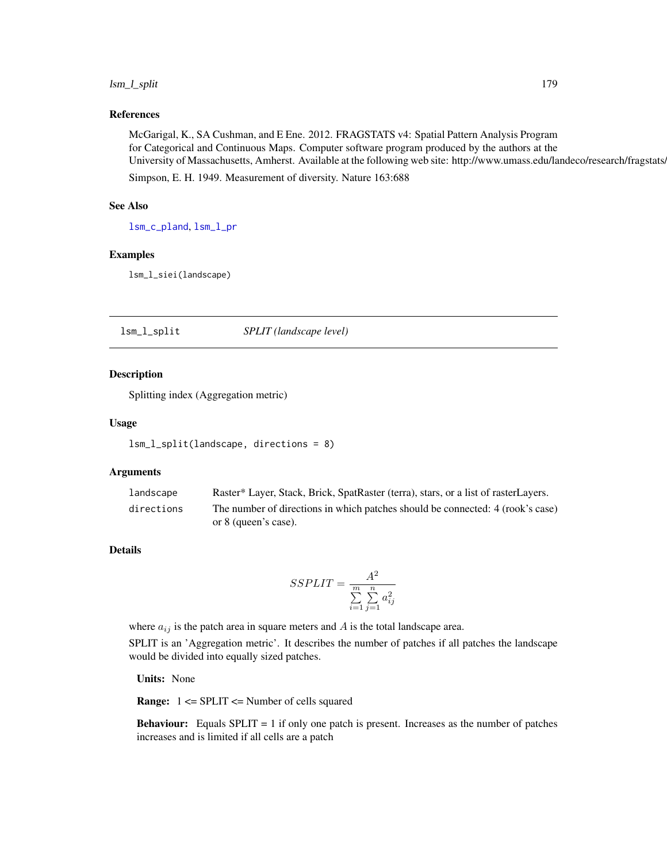# lsm\_l\_split 179

# References

McGarigal, K., SA Cushman, and E Ene. 2012. FRAGSTATS v4: Spatial Pattern Analysis Program for Categorical and Continuous Maps. Computer software program produced by the authors at the University of Massachusetts, Amherst. Available at the following web site: http://www.umass.edu/landeco/research/fragstats/

Simpson, E. H. 1949. Measurement of diversity. Nature 163:688

## See Also

[lsm\\_c\\_pland](#page-94-0), [lsm\\_l\\_pr](#page-166-0)

#### Examples

lsm\_l\_siei(landscape)

lsm\_l\_split *SPLIT (landscape level)*

### Description

Splitting index (Aggregation metric)

#### Usage

```
lsm_l_split(landscape, directions = 8)
```
# Arguments

| landscape  | Raster* Layer, Stack, Brick, SpatRaster (terra), stars, or a list of rasterLayers. |
|------------|------------------------------------------------------------------------------------|
| directions | The number of directions in which patches should be connected: 4 (rook's case)     |
|            | or 8 (queen's case).                                                               |

# Details

$$
SSPLIT = \frac{A^2}{\sum\limits_{i=1}^{m}\sum\limits_{j=1}^{n}a_{ij}^2}
$$

where  $a_{ij}$  is the patch area in square meters and A is the total landscape area. SPLIT is an 'Aggregation metric'. It describes the number of patches if all patches the landscape would be divided into equally sized patches.

Units: None

Range: 1 <= SPLIT <= Number of cells squared

**Behaviour:** Equals  $SPLIT = 1$  if only one patch is present. Increases as the number of patches increases and is limited if all cells are a patch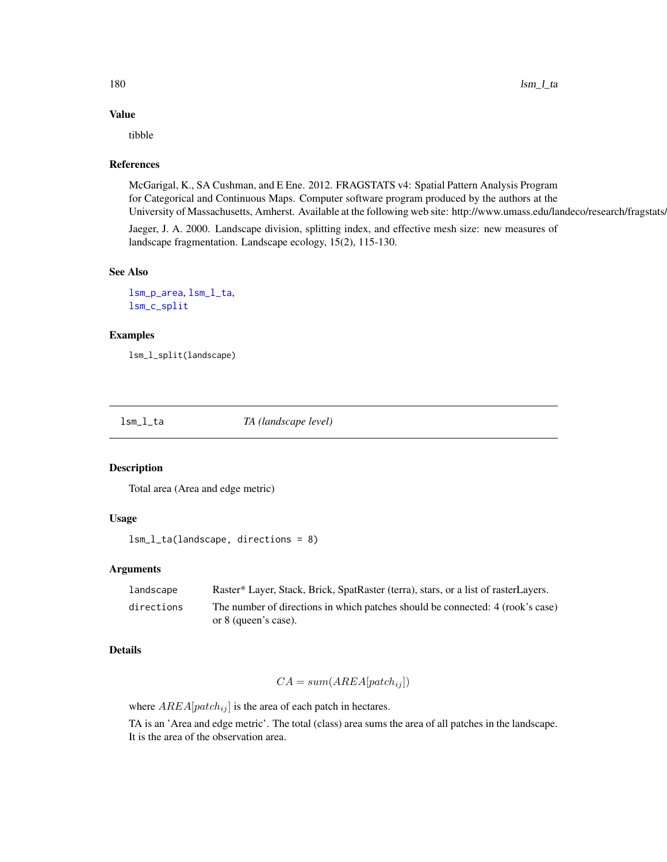# Value

tibble

# References

McGarigal, K., SA Cushman, and E Ene. 2012. FRAGSTATS v4: Spatial Pattern Analysis Program for Categorical and Continuous Maps. Computer software program produced by the authors at the University of Massachusetts, Amherst. Available at the following web site: http://www.umass.edu/landeco/research/fragstats.

Jaeger, J. A. 2000. Landscape division, splitting index, and effective mesh size: new measures of landscape fragmentation. Landscape ecology, 15(2), 115-130.

#### See Also

[lsm\\_p\\_area](#page-183-0), [lsm\\_l\\_ta](#page-179-0), [lsm\\_c\\_split](#page-99-0)

# Examples

lsm\_l\_split(landscape)

<span id="page-179-0"></span>

lsm\_l\_ta *TA (landscape level)*

# Description

Total area (Area and edge metric)

# Usage

```
lsm_l_ta(landscape, directions = 8)
```
## Arguments

| landscape  | Raster* Layer, Stack, Brick, SpatRaster (terra), stars, or a list of rasterLayers.                     |
|------------|--------------------------------------------------------------------------------------------------------|
| directions | The number of directions in which patches should be connected: 4 (rook's case)<br>or 8 (queen's case). |

# Details

$$
CA = sum(AREA[patch_{ij}])
$$

where  $AREA[patch_{ij}]$  is the area of each patch in hectares.

TA is an 'Area and edge metric'. The total (class) area sums the area of all patches in the landscape. It is the area of the observation area.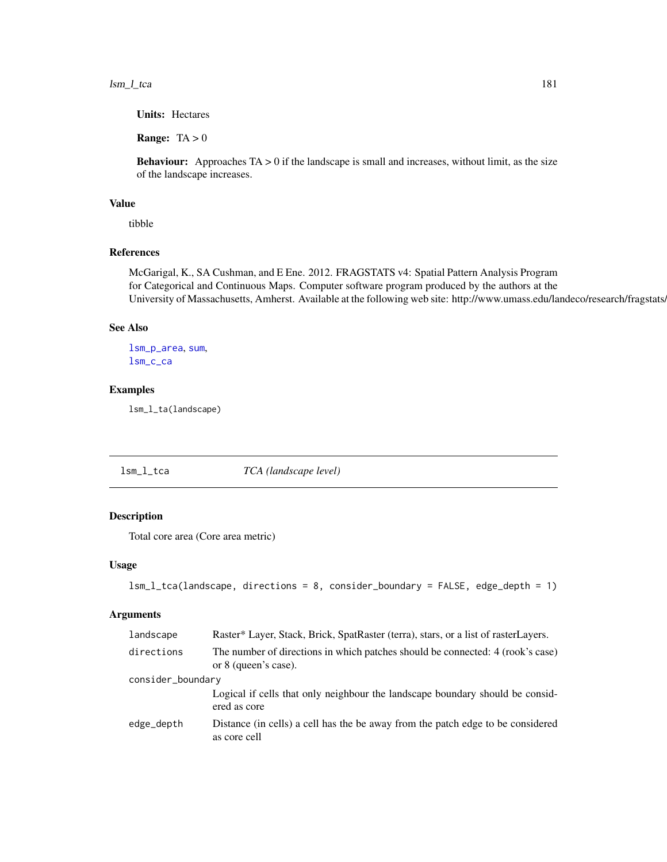lsm\_l\_tca 181

Units: Hectares

**Range:**  $TA > 0$ 

**Behaviour:** Approaches  $TA > 0$  if the landscape is small and increases, without limit, as the size of the landscape increases.

## Value

tibble

## References

McGarigal, K., SA Cushman, and E Ene. 2012. FRAGSTATS v4: Spatial Pattern Analysis Program for Categorical and Continuous Maps. Computer software program produced by the authors at the University of Massachusetts, Amherst. Available at the following web site: http://www.umass.edu/landeco/research/fragstats.

#### See Also

[lsm\\_p\\_area](#page-183-0), [sum](#page-0-0), [lsm\\_c\\_ca](#page-38-0)

## Examples

lsm\_l\_ta(landscape)

<span id="page-180-0"></span>lsm\_l\_tca *TCA (landscape level)*

## Description

Total core area (Core area metric)

#### Usage

```
lsm_l_tca(landscape, directions = 8, consider_boundary = FALSE, edge_depth = 1)
```
#### Arguments

| landscape         | Raster* Layer, Stack, Brick, SpatRaster (terra), stars, or a list of rasterLayers.                     |
|-------------------|--------------------------------------------------------------------------------------------------------|
| directions        | The number of directions in which patches should be connected: 4 (rook's case)<br>or 8 (queen's case). |
| consider_boundary |                                                                                                        |
|                   | Logical if cells that only neighbour the landscape boundary should be considered<br>ered as core       |
| edge_depth        | Distance (in cells) a cell has the be away from the patch edge to be considered<br>as core cell        |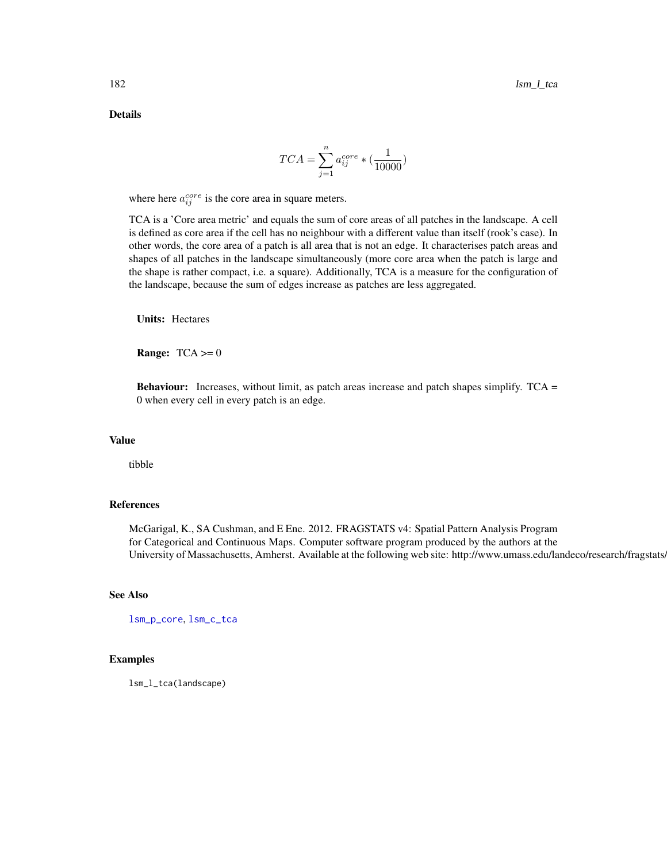Details

$$
TCA = \sum_{j=1}^{n} a_{ij}^{core} * (\frac{1}{10000})
$$

where here  $a_{ij}^{core}$  is the core area in square meters.

TCA is a 'Core area metric' and equals the sum of core areas of all patches in the landscape. A cell is defined as core area if the cell has no neighbour with a different value than itself (rook's case). In other words, the core area of a patch is all area that is not an edge. It characterises patch areas and shapes of all patches in the landscape simultaneously (more core area when the patch is large and the shape is rather compact, i.e. a square). Additionally, TCA is a measure for the configuration of the landscape, because the sum of edges increase as patches are less aggregated.

Units: Hectares

**Range:**  $TCA \ge 0$ 

Behaviour: Increases, without limit, as patch areas increase and patch shapes simplify. TCA = 0 when every cell in every patch is an edge.

#### Value

tibble

## References

McGarigal, K., SA Cushman, and E Ene. 2012. FRAGSTATS v4: Spatial Pattern Analysis Program for Categorical and Continuous Maps. Computer software program produced by the authors at the University of Massachusetts, Amherst. Available at the following web site: http://www.umass.edu/landeco/research/fragstats.

#### See Also

[lsm\\_p\\_core](#page-188-0), [lsm\\_c\\_tca](#page-100-0)

#### Examples

lsm\_l\_tca(landscape)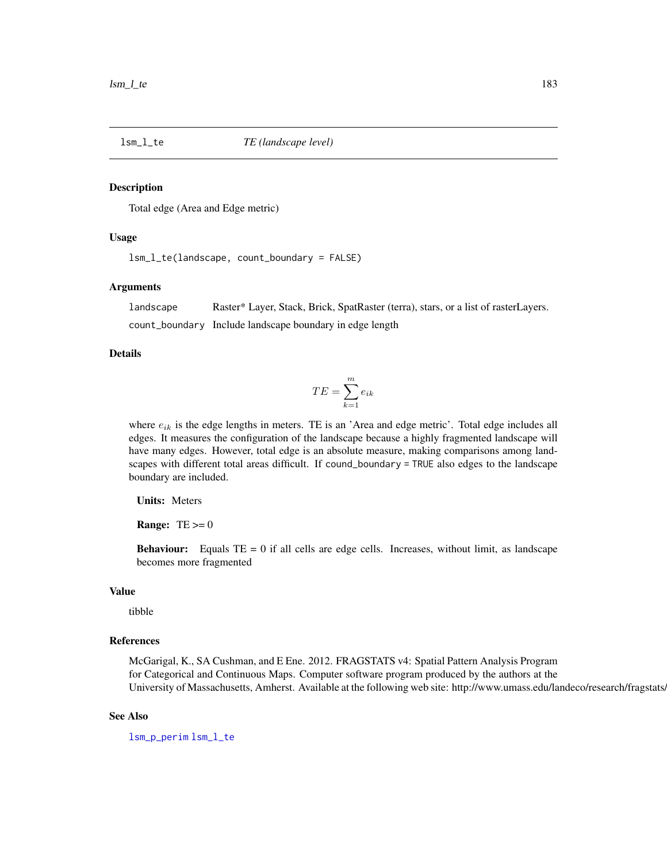<span id="page-182-0"></span>

#### Description

Total edge (Area and Edge metric)

#### Usage

lsm\_l\_te(landscape, count\_boundary = FALSE)

#### Arguments

landscape Raster\* Layer, Stack, Brick, SpatRaster (terra), stars, or a list of rasterLayers. count\_boundary Include landscape boundary in edge length

## Details

$$
TE = \sum_{k=1}^{m} e_{ik}
$$

where  $e_{ik}$  is the edge lengths in meters. TE is an 'Area and edge metric'. Total edge includes all edges. It measures the configuration of the landscape because a highly fragmented landscape will have many edges. However, total edge is an absolute measure, making comparisons among landscapes with different total areas difficult. If cound\_boundary = TRUE also edges to the landscape boundary are included.

Units: Meters

**Range:**  $TE \geq 0$ 

**Behaviour:** Equals  $TE = 0$  if all cells are edge cells. Increases, without limit, as landscape becomes more fragmented

#### Value

tibble

### References

McGarigal, K., SA Cushman, and E Ene. 2012. FRAGSTATS v4: Spatial Pattern Analysis Program for Categorical and Continuous Maps. Computer software program produced by the authors at the University of Massachusetts, Amherst. Available at the following web site: http://www.umass.edu/landeco/research/fragstats.

#### See Also

[lsm\\_p\\_perim](#page-195-0) [lsm\\_l\\_te](#page-182-0)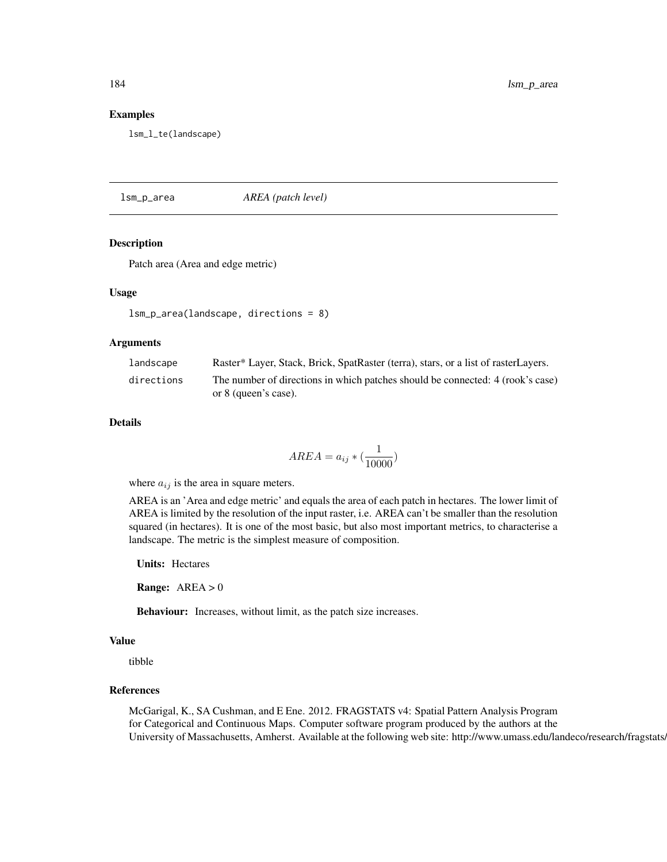#### Examples

lsm\_l\_te(landscape)

<span id="page-183-0"></span>lsm\_p\_area *AREA (patch level)*

#### Description

Patch area (Area and edge metric)

#### Usage

lsm\_p\_area(landscape, directions = 8)

#### Arguments

| landscape  | Raster* Layer, Stack, Brick, SpatRaster (terra), stars, or a list of rasterLayers. |
|------------|------------------------------------------------------------------------------------|
| directions | The number of directions in which patches should be connected: 4 (rook's case)     |
|            | or 8 (queen's case).                                                               |

#### Details

$$
AREA = a_{ij} * \left(\frac{1}{10000}\right)
$$

where  $a_{ij}$  is the area in square meters.

AREA is an 'Area and edge metric' and equals the area of each patch in hectares. The lower limit of AREA is limited by the resolution of the input raster, i.e. AREA can't be smaller than the resolution squared (in hectares). It is one of the most basic, but also most important metrics, to characterise a landscape. The metric is the simplest measure of composition.

Units: Hectares

**Range:**  $AREA > 0$ 

Behaviour: Increases, without limit, as the patch size increases.

## Value

tibble

## References

McGarigal, K., SA Cushman, and E Ene. 2012. FRAGSTATS v4: Spatial Pattern Analysis Program for Categorical and Continuous Maps. Computer software program produced by the authors at the University of Massachusetts, Amherst. Available at the following web site: http://www.umass.edu/landeco/research/fragstats.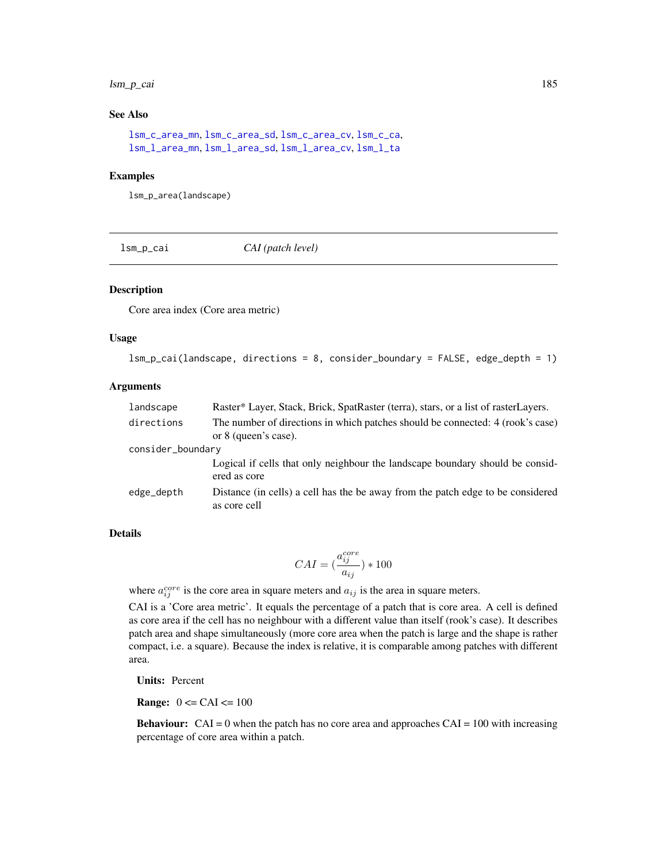## lsm\_p\_cai 185

## See Also

[lsm\\_c\\_area\\_mn](#page-36-0), [lsm\\_c\\_area\\_sd](#page-37-0), [lsm\\_c\\_area\\_cv](#page-35-0), [lsm\\_c\\_ca](#page-38-0), [lsm\\_l\\_area\\_mn](#page-105-0), [lsm\\_l\\_area\\_sd](#page-106-0), [lsm\\_l\\_area\\_cv](#page-104-0), [lsm\\_l\\_ta](#page-179-0)

#### Examples

lsm\_p\_area(landscape)

lsm\_p\_cai *CAI (patch level)*

#### Description

Core area index (Core area metric)

#### Usage

```
lsm_p_cai(landscape, directions = 8, consider_boundary = FALSE, edge_depth = 1)
```
#### Arguments

| landscape         | Raster* Layer, Stack, Brick, SpatRaster (terra), stars, or a list of rasterLayers.                     |  |
|-------------------|--------------------------------------------------------------------------------------------------------|--|
| directions        | The number of directions in which patches should be connected: 4 (rook's case)<br>or 8 (queen's case). |  |
| consider_boundary |                                                                                                        |  |
|                   | Logical if cells that only neighbour the landscape boundary should be considered<br>ered as core       |  |
| edge_depth        | Distance (in cells) a cell has the be away from the patch edge to be considered<br>as core cell        |  |

## Details

$$
CAI = (\frac{a_{ij}^{core}}{a_{ij}})*100
$$

where  $a_{ij}^{core}$  is the core area in square meters and  $a_{ij}$  is the area in square meters.

CAI is a 'Core area metric'. It equals the percentage of a patch that is core area. A cell is defined as core area if the cell has no neighbour with a different value than itself (rook's case). It describes patch area and shape simultaneously (more core area when the patch is large and the shape is rather compact, i.e. a square). Because the index is relative, it is comparable among patches with different area.

Units: Percent

**Range:**  $0 \leq CAI \leq 100$ 

**Behaviour:**  $CAI = 0$  when the patch has no core area and approaches  $CAI = 100$  with increasing percentage of core area within a patch.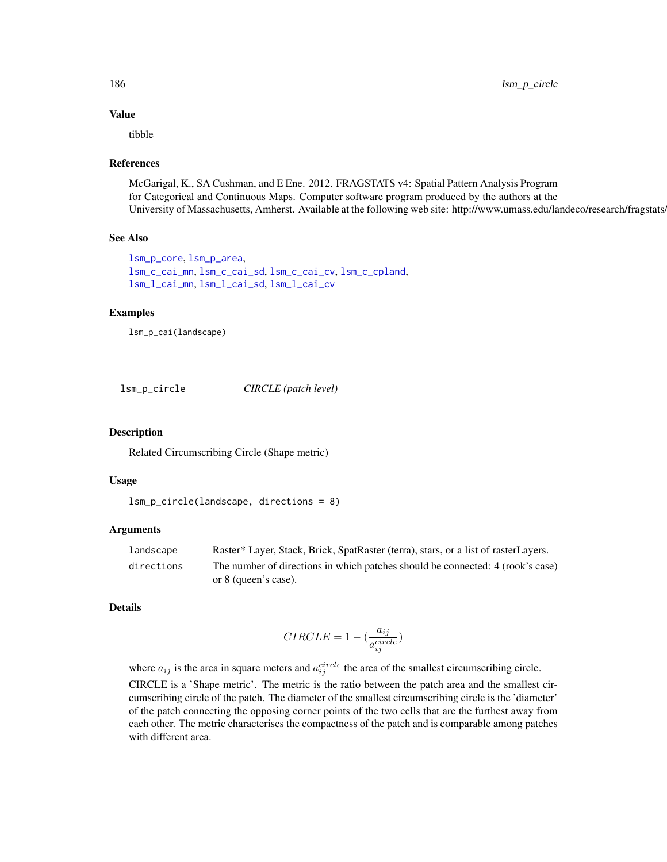## Value

tibble

### References

McGarigal, K., SA Cushman, and E Ene. 2012. FRAGSTATS v4: Spatial Pattern Analysis Program for Categorical and Continuous Maps. Computer software program produced by the authors at the University of Massachusetts, Amherst. Available at the following web site: http://www.umass.edu/landeco/research/fragstats.

#### See Also

```
lsm_p_core, lsm_p_area,
lsm_c_cai_mn, lsm_c_cai_sd, lsm_c_cai_cv, lsm_c_cpland,
lsm_l_cai_mn, lsm_l_cai_sd, lsm_l_cai_cv
```
## Examples

lsm\_p\_cai(landscape)

lsm\_p\_circle *CIRCLE (patch level)*

#### Description

Related Circumscribing Circle (Shape metric)

## Usage

```
lsm_p_circle(landscape, directions = 8)
```
#### Arguments

| landscape  | Raster* Layer, Stack, Brick, SpatRaster (terra), stars, or a list of rasterLayers. |
|------------|------------------------------------------------------------------------------------|
| directions | The number of directions in which patches should be connected: 4 (rook's case)     |
|            | or 8 (queen's case).                                                               |

#### Details

$$
CIRCLE = 1 - (\frac{a_{ij}}{a_{ij}^{circle}})
$$

where  $a_{ij}$  is the area in square meters and  $a_{ij}^{circle}$  the area of the smallest circumscribing circle. CIRCLE is a 'Shape metric'. The metric is the ratio between the patch area and the smallest circumscribing circle of the patch. The diameter of the smallest circumscribing circle is the 'diameter' of the patch connecting the opposing corner points of the two cells that are the furthest away from each other. The metric characterises the compactness of the patch and is comparable among patches with different area.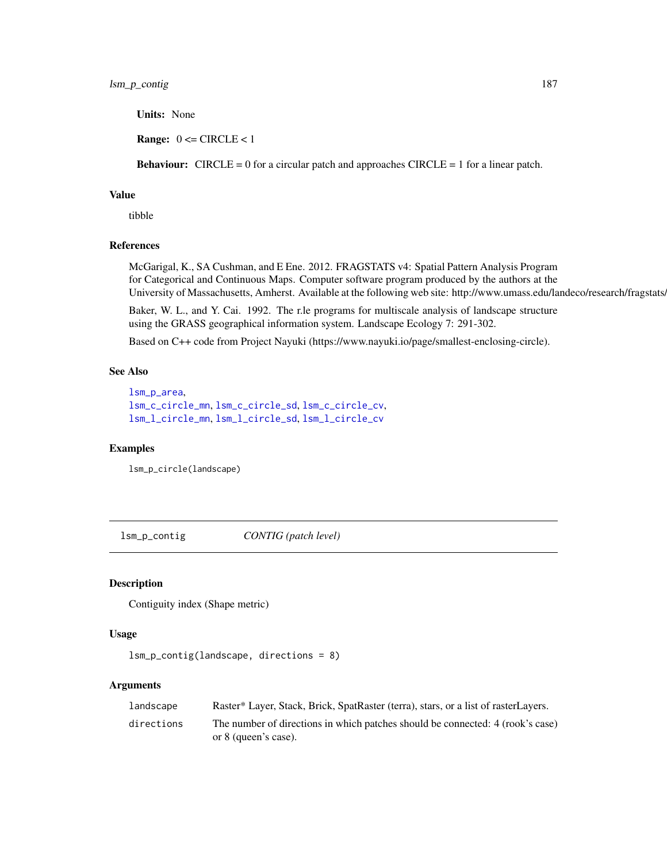Units: None

**Range:**  $0 \leq C \text{IRCLE} < 1$ 

**Behaviour:** CIRCLE = 0 for a circular patch and approaches CIRCLE = 1 for a linear patch.

#### Value

tibble

# References

McGarigal, K., SA Cushman, and E Ene. 2012. FRAGSTATS v4: Spatial Pattern Analysis Program for Categorical and Continuous Maps. Computer software program produced by the authors at the University of Massachusetts, Amherst. Available at the following web site: http://www.umass.edu/landeco/research/fragstats/

Baker, W. L., and Y. Cai. 1992. The r.le programs for multiscale analysis of landscape structure using the GRASS geographical information system. Landscape Ecology 7: 291-302.

Based on C++ code from Project Nayuki (https://www.nayuki.io/page/smallest-enclosing-circle).

## See Also

```
lsm_p_area,
lsm_c_circle_mn, lsm_c_circle_sd, lsm_c_circle_cv,
lsm_l_circle_mn, lsm_l_circle_sd, lsm_l_circle_cv
```
## Examples

lsm\_p\_circle(landscape)

lsm\_p\_contig *CONTIG (patch level)*

#### Description

Contiguity index (Shape metric)

## Usage

```
lsm_p_contig(landscape, directions = 8)
```
#### Arguments

| landscape  | Raster* Layer, Stack, Brick, SpatRaster (terra), stars, or a list of rasterLayers. |
|------------|------------------------------------------------------------------------------------|
| directions | The number of directions in which patches should be connected: 4 (rook's case)     |
|            | or 8 (queen's case).                                                               |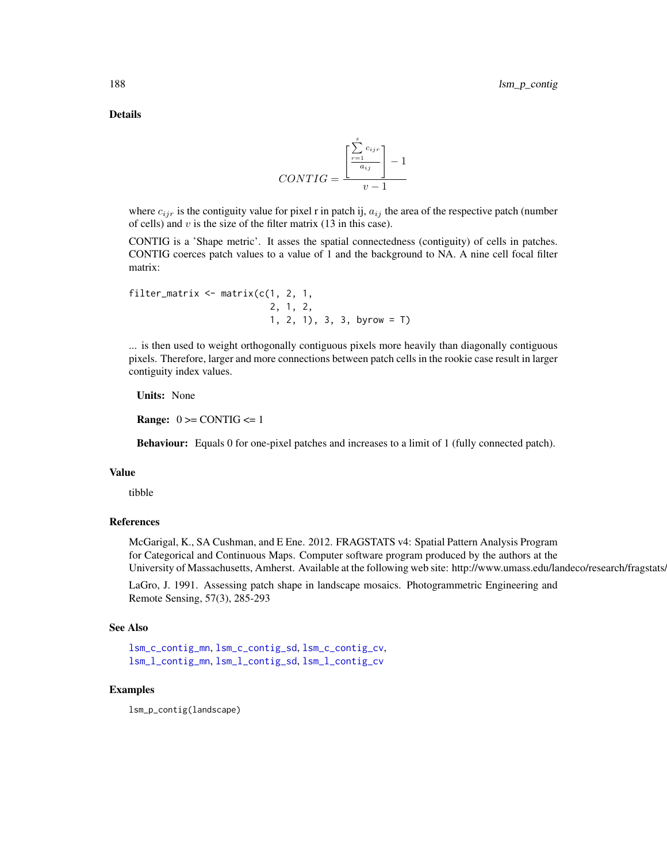Details

$$
CONTIG = \frac{\left[\frac{\sum_{r=1}^{z} c_{ijr}}{a_{ij}}\right] - 1}{v - 1}
$$

where  $c_{ijr}$  is the contiguity value for pixel r in patch ij,  $a_{ij}$  the area of the respective patch (number of cells) and  $v$  is the size of the filter matrix (13 in this case).

CONTIG is a 'Shape metric'. It asses the spatial connectedness (contiguity) of cells in patches. CONTIG coerces patch values to a value of 1 and the background to NA. A nine cell focal filter matrix:

```
filter_matrix \leq matrix(c(1, 2, 1, 1)2, 1, 2,
                            1, 2, 1), 3, 3, 3, 6yrow = T)
```
... is then used to weight orthogonally contiguous pixels more heavily than diagonally contiguous pixels. Therefore, larger and more connections between patch cells in the rookie case result in larger contiguity index values.

Units: None

**Range:**  $0 \geq CONTIG \leq 1$ 

Behaviour: Equals 0 for one-pixel patches and increases to a limit of 1 (fully connected patch).

## Value

tibble

## References

McGarigal, K., SA Cushman, and E Ene. 2012. FRAGSTATS v4: Spatial Pattern Analysis Program for Categorical and Continuous Maps. Computer software program produced by the authors at the University of Massachusetts, Amherst. Available at the following web site: http://www.umass.edu/landeco/research/fragstats.

LaGro, J. 1991. Assessing patch shape in landscape mosaics. Photogrammetric Engineering and Remote Sensing, 57(3), 285-293

## See Also

```
lsm_c_contig_mn, lsm_c_contig_sd, lsm_c_contig_cv,
lsm_l_contig_mn, lsm_l_contig_sd, lsm_l_contig_cv
```
#### Examples

lsm\_p\_contig(landscape)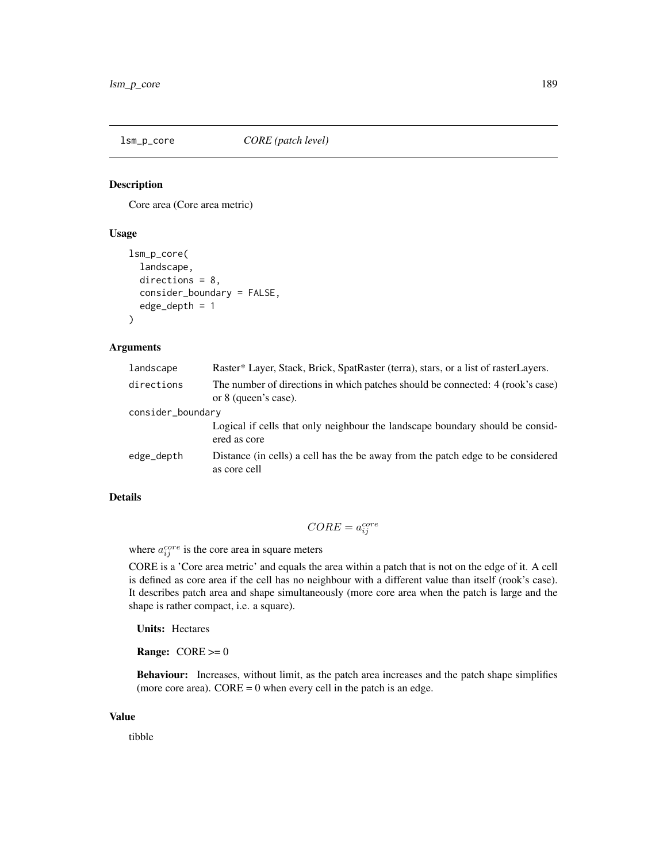<span id="page-188-0"></span>

## Description

Core area (Core area metric)

## Usage

```
lsm_p_core(
  landscape,
  directions = 8,
  consider_boundary = FALSE,
  edge_depth = 1
\lambda
```
#### Arguments

| landscape         | Raster* Layer, Stack, Brick, SpatRaster (terra), stars, or a list of rasterLayers.                     |  |
|-------------------|--------------------------------------------------------------------------------------------------------|--|
| directions        | The number of directions in which patches should be connected: 4 (rook's case)<br>or 8 (queen's case). |  |
| consider_boundary |                                                                                                        |  |
|                   | Logical if cells that only neighbour the landscape boundary should be considered<br>ered as core       |  |
| edge_depth        | Distance (in cells) a cell has the be away from the patch edge to be considered<br>as core cell        |  |

# Details

$$
CORE = a_{ij}^{core}
$$

where  $a_{ij}^{core}$  is the core area in square meters

CORE is a 'Core area metric' and equals the area within a patch that is not on the edge of it. A cell is defined as core area if the cell has no neighbour with a different value than itself (rook's case). It describes patch area and shape simultaneously (more core area when the patch is large and the shape is rather compact, i.e. a square).

Units: Hectares

**Range:**  $CORE \geq 0$ 

Behaviour: Increases, without limit, as the patch area increases and the patch shape simplifies (more core area).  $CORE = 0$  when every cell in the patch is an edge.

## Value

tibble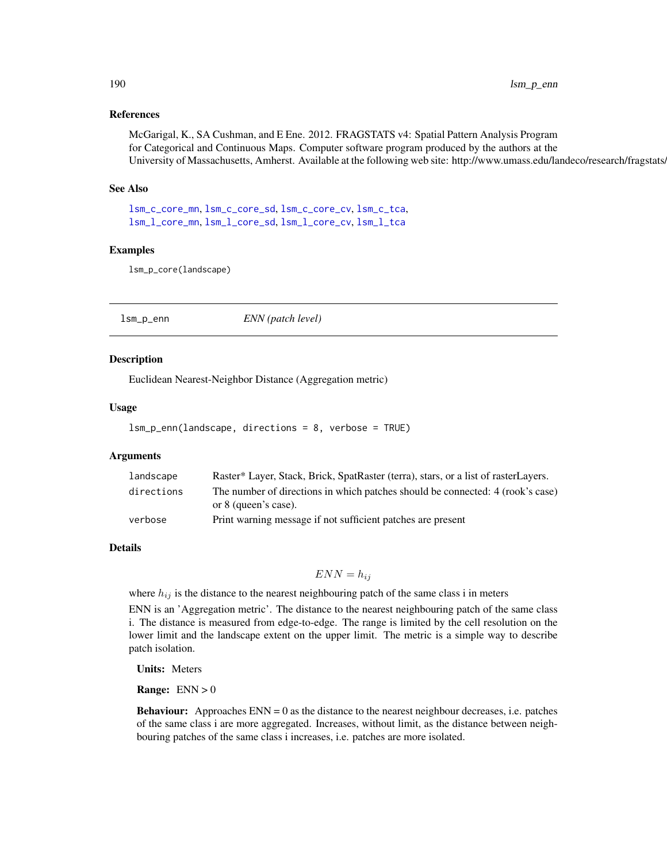## References

McGarigal, K., SA Cushman, and E Ene. 2012. FRAGSTATS v4: Spatial Pattern Analysis Program for Categorical and Continuous Maps. Computer software program produced by the authors at the University of Massachusetts, Amherst. Available at the following web site: http://www.umass.edu/landeco/research/fragstats.

#### See Also

[lsm\\_c\\_core\\_mn](#page-55-0), [lsm\\_c\\_core\\_sd](#page-56-0), [lsm\\_c\\_core\\_cv](#page-54-0), [lsm\\_c\\_tca](#page-100-0), [lsm\\_l\\_core\\_mn](#page-124-0), [lsm\\_l\\_core\\_sd](#page-125-0), [lsm\\_l\\_core\\_cv](#page-122-0), [lsm\\_l\\_tca](#page-180-0)

#### Examples

lsm\_p\_core(landscape)

lsm\_p\_enn *ENN (patch level)*

#### Description

Euclidean Nearest-Neighbor Distance (Aggregation metric)

#### Usage

```
lsm_p_enn(landscape, directions = 8, verbose = TRUE)
```
#### Arguments

| landscape  | Raster* Layer, Stack, Brick, SpatRaster (terra), stars, or a list of rasterLayers.                     |
|------------|--------------------------------------------------------------------------------------------------------|
| directions | The number of directions in which patches should be connected: 4 (rook's case)<br>or 8 (queen's case). |
| verbose    | Print warning message if not sufficient patches are present                                            |

#### Details

## $ENN = h_{ij}$

where  $h_{ij}$  is the distance to the nearest neighbouring patch of the same class i in meters

ENN is an 'Aggregation metric'. The distance to the nearest neighbouring patch of the same class i. The distance is measured from edge-to-edge. The range is limited by the cell resolution on the lower limit and the landscape extent on the upper limit. The metric is a simple way to describe patch isolation.

Units: Meters

**Range:**  $ENN > 0$ 

**Behaviour:** Approaches  $ENN = 0$  as the distance to the nearest neighbour decreases, i.e. patches of the same class i are more aggregated. Increases, without limit, as the distance between neighbouring patches of the same class i increases, i.e. patches are more isolated.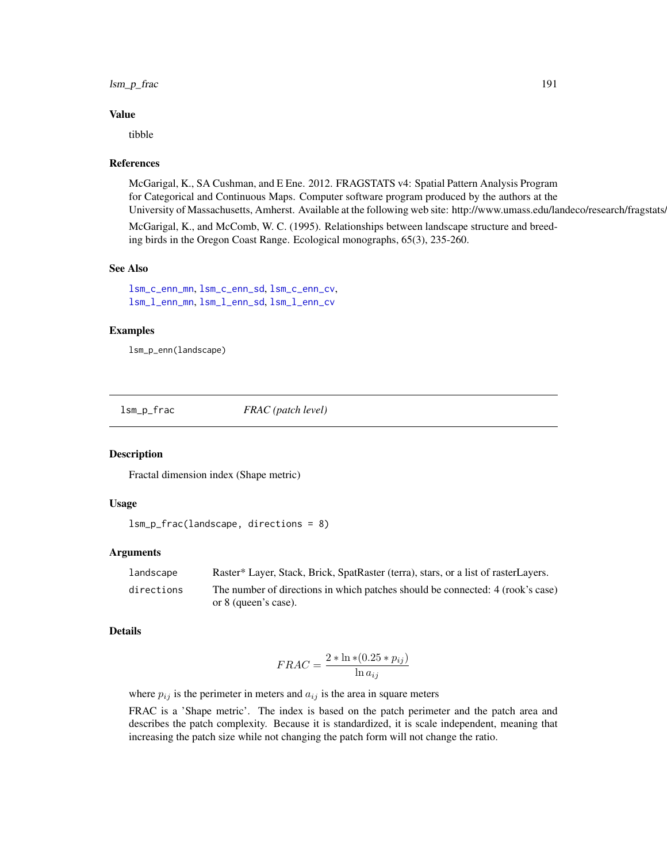## lsm\_p\_frac 191

#### Value

tibble

#### References

McGarigal, K., SA Cushman, and E Ene. 2012. FRAGSTATS v4: Spatial Pattern Analysis Program for Categorical and Continuous Maps. Computer software program produced by the authors at the University of Massachusetts, Amherst. Available at the following web site: http://www.umass.edu/landeco/research/fragstats.

McGarigal, K., and McComb, W. C. (1995). Relationships between landscape structure and breeding birds in the Oregon Coast Range. Ecological monographs, 65(3), 235-260.

## See Also

[lsm\\_c\\_enn\\_mn](#page-69-0), [lsm\\_c\\_enn\\_sd](#page-70-0), [lsm\\_c\\_enn\\_cv](#page-67-0), [lsm\\_l\\_enn\\_mn](#page-136-0), [lsm\\_l\\_enn\\_sd](#page-138-0), [lsm\\_l\\_enn\\_cv](#page-135-0)

## Examples

lsm\_p\_enn(landscape)

lsm\_p\_frac *FRAC (patch level)*

## Description

Fractal dimension index (Shape metric)

## Usage

```
lsm_p_frac(landscape, directions = 8)
```
#### Arguments

| landscape  | Raster* Layer, Stack, Brick, SpatRaster (terra), stars, or a list of rasterLayers. |
|------------|------------------------------------------------------------------------------------|
| directions | The number of directions in which patches should be connected: 4 (rook's case)     |
|            | or 8 (queen's case).                                                               |

#### Details

$$
FRAC = \frac{2 * \ln * (0.25 * p_{ij})}{\ln a_{ij}}
$$

where  $p_{ij}$  is the perimeter in meters and  $a_{ij}$  is the area in square meters

FRAC is a 'Shape metric'. The index is based on the patch perimeter and the patch area and describes the patch complexity. Because it is standardized, it is scale independent, meaning that increasing the patch size while not changing the patch form will not change the ratio.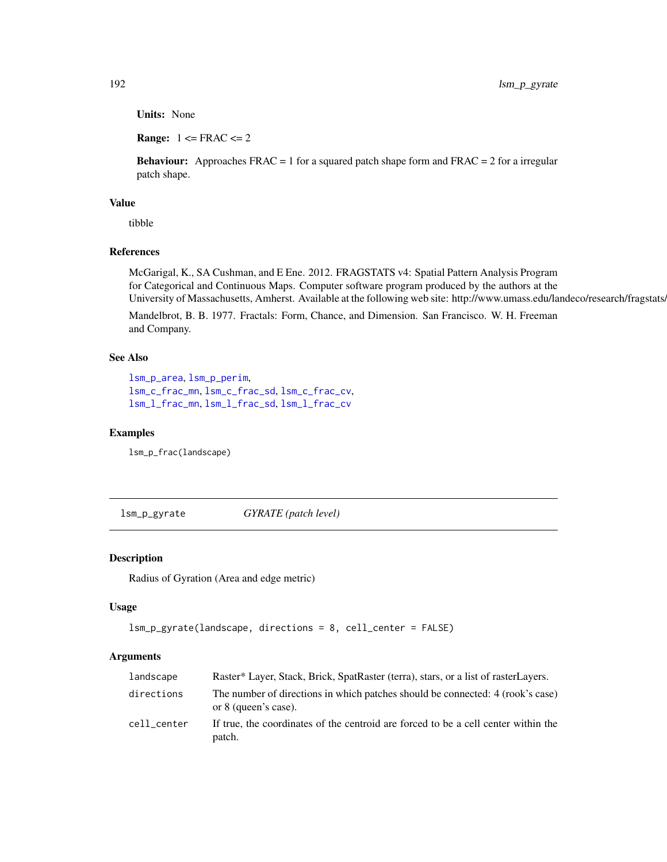Units: None

**Range:**  $1 \leq FRAC \leq 2$ 

**Behaviour:** Approaches  $FRAC = 1$  for a squared patch shape form and  $FRAC = 2$  for a irregular patch shape.

## Value

tibble

## References

McGarigal, K., SA Cushman, and E Ene. 2012. FRAGSTATS v4: Spatial Pattern Analysis Program for Categorical and Continuous Maps. Computer software program produced by the authors at the University of Massachusetts, Amherst. Available at the following web site: http://www.umass.edu/landeco/research/fragstats/

Mandelbrot, B. B. 1977. Fractals: Form, Chance, and Dimension. San Francisco. W. H. Freeman and Company.

## See Also

```
lsm_p_area, lsm_p_perim,
lsm_c_frac_mn, lsm_c_frac_sd, lsm_c_frac_cv,
lsm_l_frac_mn, lsm_l_frac_sd, lsm_l_frac_cv
```
#### Examples

lsm\_p\_frac(landscape)

lsm\_p\_gyrate *GYRATE (patch level)*

## Description

Radius of Gyration (Area and edge metric)

## Usage

```
lsm_p_gyrate(landscape, directions = 8, cell_center = FALSE)
```
## **Arguments**

| landscape   | Raster* Layer, Stack, Brick, SpatRaster (terra), stars, or a list of rasterLayers.                     |
|-------------|--------------------------------------------------------------------------------------------------------|
| directions  | The number of directions in which patches should be connected: 4 (rook's case)<br>or 8 (queen's case). |
| cell center | If true, the coordinates of the centroid are forced to be a cell center within the<br>patch.           |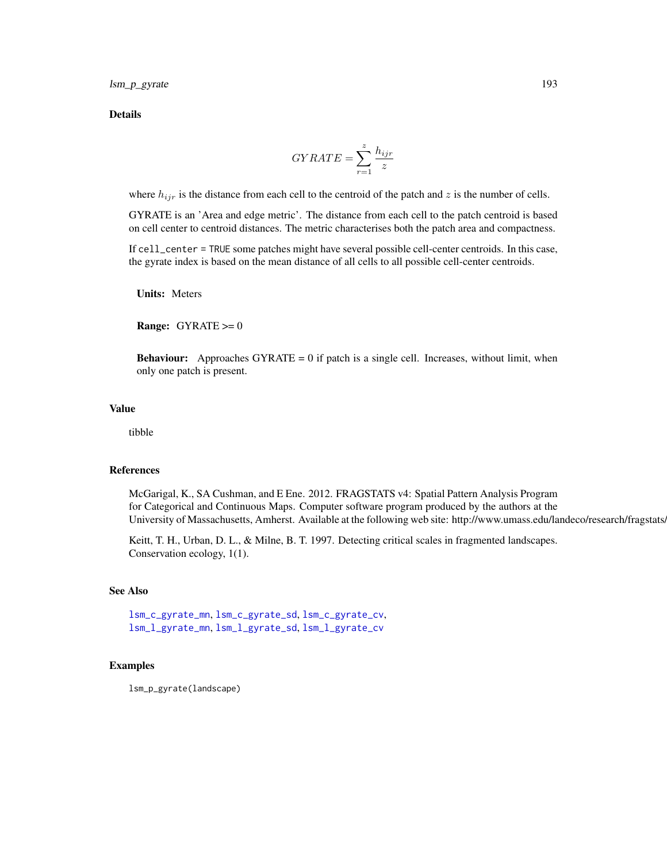lsm\_p\_gyrate 193

Details

$$
GYRATE = \sum_{r=1}^{z} \frac{h_{ijr}}{z}
$$

where  $h_{ijr}$  is the distance from each cell to the centroid of the patch and z is the number of cells.

GYRATE is an 'Area and edge metric'. The distance from each cell to the patch centroid is based on cell center to centroid distances. The metric characterises both the patch area and compactness.

If cell\_center = TRUE some patches might have several possible cell-center centroids. In this case, the gyrate index is based on the mean distance of all cells to all possible cell-center centroids.

Units: Meters

Range: GYRATE >= 0

**Behaviour:** Approaches  $GYRATE = 0$  if patch is a single cell. Increases, without limit, when only one patch is present.

## Value

tibble

#### References

McGarigal, K., SA Cushman, and E Ene. 2012. FRAGSTATS v4: Spatial Pattern Analysis Program for Categorical and Continuous Maps. Computer software program produced by the authors at the University of Massachusetts, Amherst. Available at the following web site: http://www.umass.edu/landeco/research/fragstats.

Keitt, T. H., Urban, D. L., & Milne, B. T. 1997. Detecting critical scales in fragmented landscapes. Conservation ecology, 1(1).

#### See Also

[lsm\\_c\\_gyrate\\_mn](#page-76-0), [lsm\\_c\\_gyrate\\_sd](#page-77-0), [lsm\\_c\\_gyrate\\_cv](#page-75-0), [lsm\\_l\\_gyrate\\_mn](#page-145-0), [lsm\\_l\\_gyrate\\_sd](#page-146-0), [lsm\\_l\\_gyrate\\_cv](#page-143-0)

## Examples

lsm\_p\_gyrate(landscape)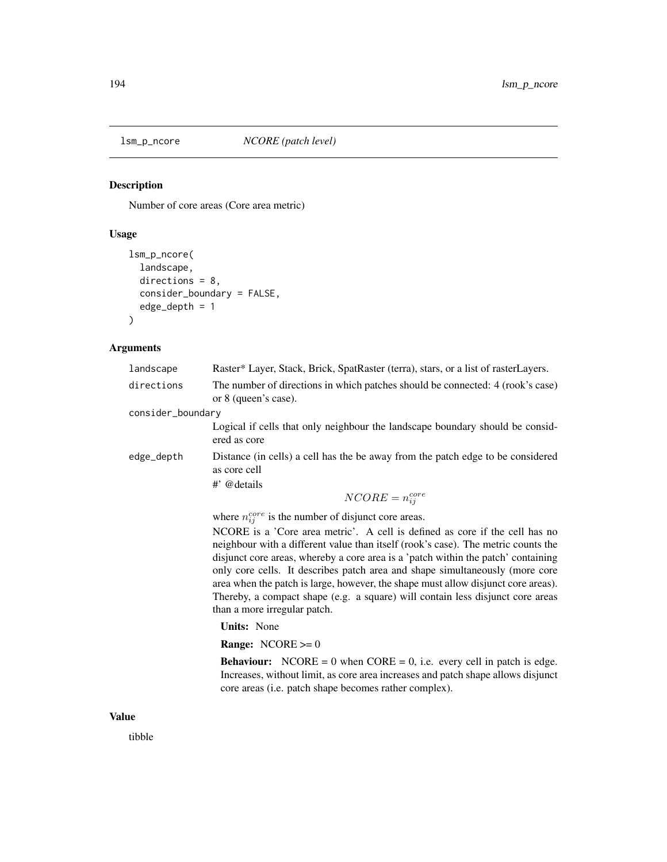# Description

Number of core areas (Core area metric)

# Usage

```
lsm_p_ncore(
  landscape,
  directions = 8,
  consider_boundary = FALSE,
  edge_depth = 1
\mathcal{L}
```
# Arguments

|       | landscape         | Raster* Layer, Stack, Brick, SpatRaster (terra), stars, or a list of rasterLayers.                                                                                                                                                                                                                                                                                                                                                                                                                                                           |
|-------|-------------------|----------------------------------------------------------------------------------------------------------------------------------------------------------------------------------------------------------------------------------------------------------------------------------------------------------------------------------------------------------------------------------------------------------------------------------------------------------------------------------------------------------------------------------------------|
|       | directions        | The number of directions in which patches should be connected: 4 (rook's case)<br>or 8 (queen's case).                                                                                                                                                                                                                                                                                                                                                                                                                                       |
|       | consider_boundary |                                                                                                                                                                                                                                                                                                                                                                                                                                                                                                                                              |
|       |                   | Logical if cells that only neighbour the landscape boundary should be consid-<br>ered as core                                                                                                                                                                                                                                                                                                                                                                                                                                                |
|       | edge_depth        | Distance (in cells) a cell has the be away from the patch edge to be considered<br>as core cell                                                                                                                                                                                                                                                                                                                                                                                                                                              |
|       |                   | #' @details                                                                                                                                                                                                                                                                                                                                                                                                                                                                                                                                  |
|       |                   | $NCORE = n_{ij}^{core}$                                                                                                                                                                                                                                                                                                                                                                                                                                                                                                                      |
|       |                   | where $n_{ij}^{core}$ is the number of disjunct core areas.                                                                                                                                                                                                                                                                                                                                                                                                                                                                                  |
|       |                   | NCORE is a 'Core area metric'. A cell is defined as core if the cell has no<br>neighbour with a different value than itself (rook's case). The metric counts the<br>disjunct core areas, whereby a core area is a 'patch within the patch' containing<br>only core cells. It describes patch area and shape simultaneously (more core<br>area when the patch is large, however, the shape must allow disjunct core areas).<br>Thereby, a compact shape (e.g. a square) will contain less disjunct core areas<br>than a more irregular patch. |
|       |                   | <b>Units:</b> None                                                                                                                                                                                                                                                                                                                                                                                                                                                                                                                           |
|       |                   | <b>Range:</b> NCORE $>= 0$                                                                                                                                                                                                                                                                                                                                                                                                                                                                                                                   |
|       |                   | <b>Behaviour:</b> NCORE = 0 when $CORE = 0$ , i.e. every cell in patch is edge.<br>Increases, without limit, as core area increases and patch shape allows disjunct<br>core areas (i.e. patch shape becomes rather complex).                                                                                                                                                                                                                                                                                                                 |
| Value |                   |                                                                                                                                                                                                                                                                                                                                                                                                                                                                                                                                              |

tibble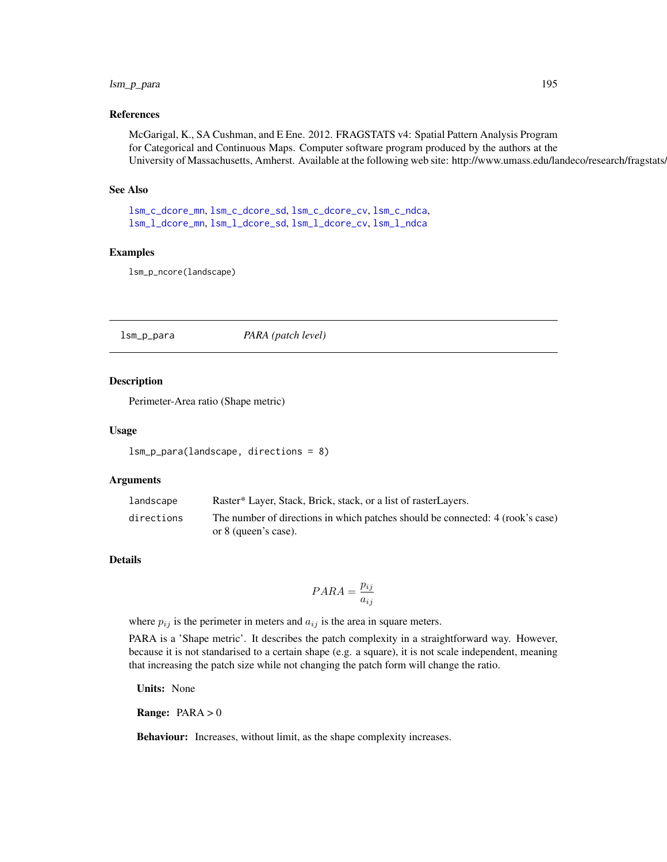## lsm\_p\_para 195

#### References

McGarigal, K., SA Cushman, and E Ene. 2012. FRAGSTATS v4: Spatial Pattern Analysis Program for Categorical and Continuous Maps. Computer software program produced by the authors at the University of Massachusetts, Amherst. Available at the following web site: http://www.umass.edu/landeco/research/fragstats.

#### See Also

[lsm\\_c\\_dcore\\_mn](#page-62-0), [lsm\\_c\\_dcore\\_sd](#page-63-0), [lsm\\_c\\_dcore\\_cv](#page-61-0), [lsm\\_c\\_ndca](#page-83-0), [lsm\\_l\\_dcore\\_mn](#page-129-0), [lsm\\_l\\_dcore\\_sd](#page-131-0), [lsm\\_l\\_dcore\\_cv](#page-128-0), [lsm\\_l\\_ndca](#page-156-0)

#### Examples

lsm\_p\_ncore(landscape)

lsm\_p\_para *PARA (patch level)*

## Description

Perimeter-Area ratio (Shape metric)

#### Usage

lsm\_p\_para(landscape, directions = 8)

#### Arguments

| landscape  | Raster* Layer, Stack, Brick, stack, or a list of raster Layers.                |
|------------|--------------------------------------------------------------------------------|
| directions | The number of directions in which patches should be connected: 4 (rook's case) |
|            | or 8 (queen's case).                                                           |

### Details

$$
PARA = \frac{p_{ij}}{a_{ij}}
$$

where  $p_{ij}$  is the perimeter in meters and  $a_{ij}$  is the area in square meters.

PARA is a 'Shape metric'. It describes the patch complexity in a straightforward way. However, because it is not standarised to a certain shape (e.g. a square), it is not scale independent, meaning that increasing the patch size while not changing the patch form will change the ratio.

Units: None

Range: PARA > 0

Behaviour: Increases, without limit, as the shape complexity increases.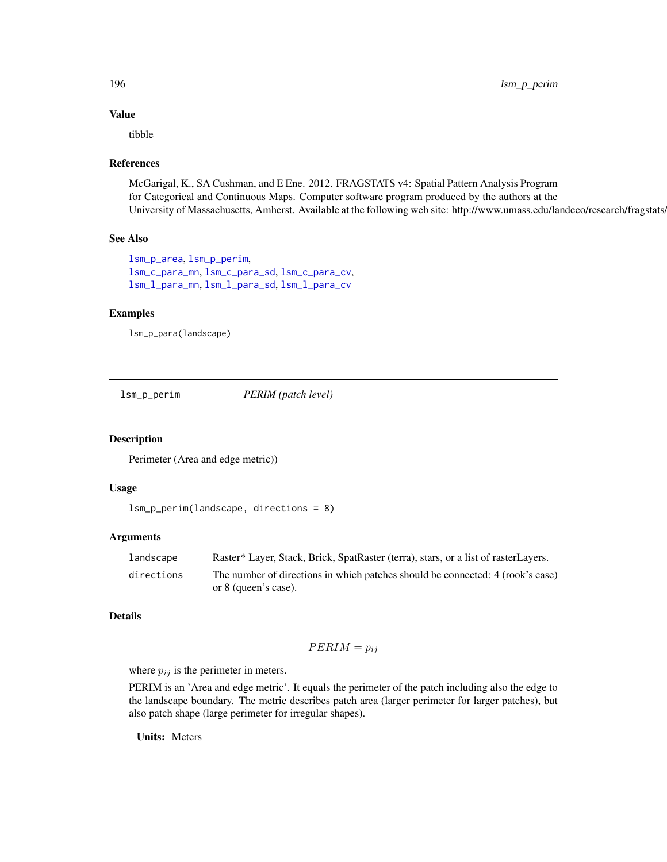## Value

tibble

#### References

McGarigal, K., SA Cushman, and E Ene. 2012. FRAGSTATS v4: Spatial Pattern Analysis Program for Categorical and Continuous Maps. Computer software program produced by the authors at the University of Massachusetts, Amherst. Available at the following web site: http://www.umass.edu/landeco/research/fragstats.

## See Also

```
lsm_p_area, lsm_p_perim,
lsm_c_para_mn, lsm_c_para_sd, lsm_c_para_cv,
lsm_l_para_mn, lsm_l_para_sd, lsm_l_para_cv
```
## Examples

lsm\_p\_para(landscape)

<span id="page-195-0"></span>lsm\_p\_perim *PERIM (patch level)*

#### Description

Perimeter (Area and edge metric))

## Usage

```
lsm_p_perim(landscape, directions = 8)
```
#### Arguments

| landscape  | Raster* Layer, Stack, Brick, SpatRaster (terra), stars, or a list of rasterLayers. |
|------------|------------------------------------------------------------------------------------|
| directions | The number of directions in which patches should be connected: 4 (rook's case)     |
|            | or 8 (queen's case).                                                               |

# Details

$$
PERIM = p_{ij}
$$

where  $p_{ij}$  is the perimeter in meters.

PERIM is an 'Area and edge metric'. It equals the perimeter of the patch including also the edge to the landscape boundary. The metric describes patch area (larger perimeter for larger patches), but also patch shape (large perimeter for irregular shapes).

Units: Meters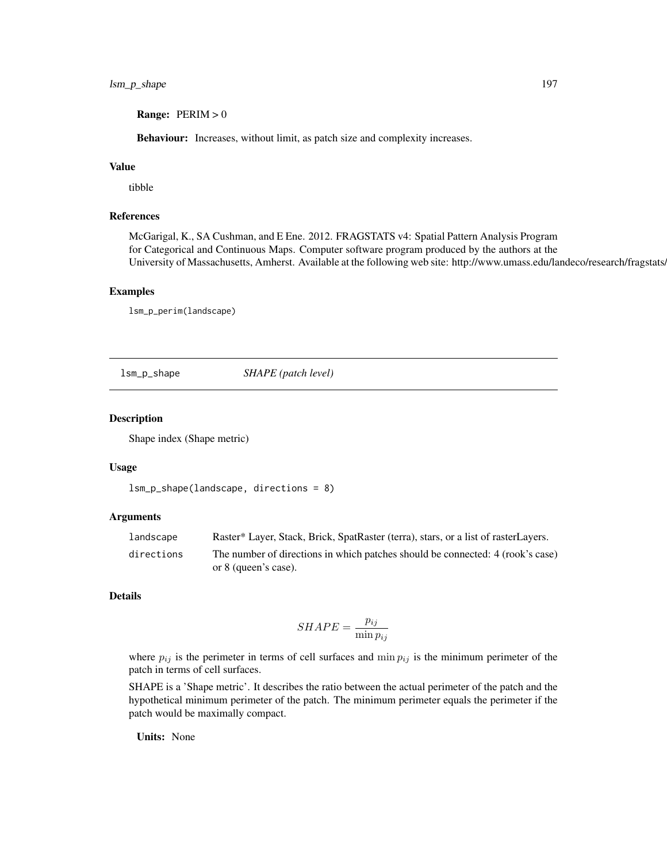**Range:**  $PERIM > 0$ 

Behaviour: Increases, without limit, as patch size and complexity increases.

## Value

tibble

# References

McGarigal, K., SA Cushman, and E Ene. 2012. FRAGSTATS v4: Spatial Pattern Analysis Program for Categorical and Continuous Maps. Computer software program produced by the authors at the University of Massachusetts, Amherst. Available at the following web site: http://www.umass.edu/landeco/research/fragstats/

#### Examples

lsm\_p\_perim(landscape)

lsm\_p\_shape *SHAPE (patch level)*

### Description

Shape index (Shape metric)

#### Usage

```
lsm_p_shape(landscape, directions = 8)
```
#### **Arguments**

| landscape  | Raster* Layer, Stack, Brick, SpatRaster (terra), stars, or a list of rasterLayers. |
|------------|------------------------------------------------------------------------------------|
| directions | The number of directions in which patches should be connected: 4 (rook's case)     |
|            | or 8 (queen's case).                                                               |

## Details

$$
SHAPE = \frac{p_{ij}}{\min p_{ij}}
$$

where  $p_{ij}$  is the perimeter in terms of cell surfaces and min  $p_{ij}$  is the minimum perimeter of the patch in terms of cell surfaces.

SHAPE is a 'Shape metric'. It describes the ratio between the actual perimeter of the patch and the hypothetical minimum perimeter of the patch. The minimum perimeter equals the perimeter if the patch would be maximally compact.

Units: None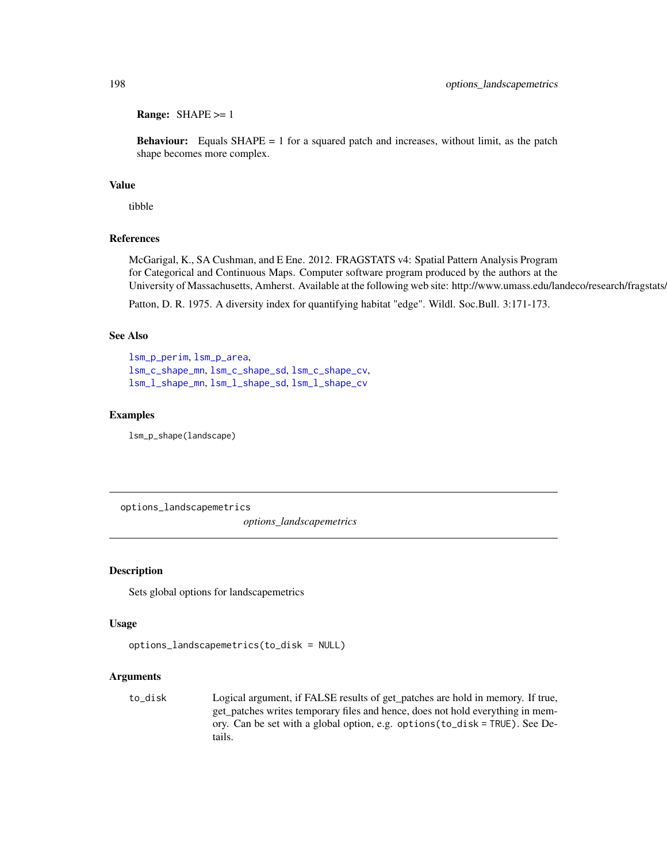Range: SHAPE >= 1

**Behaviour:** Equals  $SHAPE = 1$  for a squared patch and increases, without limit, as the patch shape becomes more complex.

## Value

tibble

## References

McGarigal, K., SA Cushman, and E Ene. 2012. FRAGSTATS v4: Spatial Pattern Analysis Program for Categorical and Continuous Maps. Computer software program produced by the authors at the University of Massachusetts, Amherst. Available at the following web site: http://www.umass.edu/landeco/research/fragstats.

Patton, D. R. 1975. A diversity index for quantifying habitat "edge". Wildl. Soc.Bull. 3:171-173.

## See Also

[lsm\\_p\\_perim](#page-195-0), [lsm\\_p\\_area](#page-183-0), [lsm\\_c\\_shape\\_mn](#page-96-0), [lsm\\_c\\_shape\\_sd](#page-98-0), [lsm\\_c\\_shape\\_cv](#page-95-0), [lsm\\_l\\_shape\\_mn](#page-171-0), [lsm\\_l\\_shape\\_sd](#page-172-0), [lsm\\_l\\_shape\\_cv](#page-170-0)

#### Examples

lsm\_p\_shape(landscape)

options\_landscapemetrics

*options\_landscapemetrics*

#### Description

Sets global options for landscapemetrics

#### Usage

```
options_landscapemetrics(to_disk = NULL)
```
#### Arguments

to\_disk Logical argument, if FALSE results of get\_patches are hold in memory. If true, get\_patches writes temporary files and hence, does not hold everything in memory. Can be set with a global option, e.g. options(to\_disk = TRUE). See Details.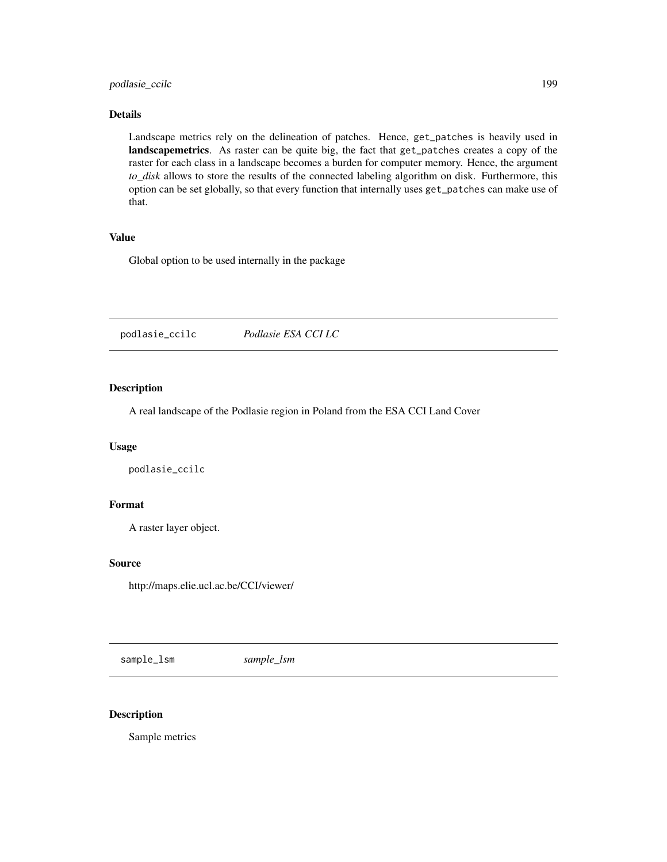## podlasie\_ccilc 199

## Details

Landscape metrics rely on the delineation of patches. Hence, get\_patches is heavily used in landscapemetrics. As raster can be quite big, the fact that get\_patches creates a copy of the raster for each class in a landscape becomes a burden for computer memory. Hence, the argument *to\_disk* allows to store the results of the connected labeling algorithm on disk. Furthermore, this option can be set globally, so that every function that internally uses get\_patches can make use of that.

#### Value

Global option to be used internally in the package

podlasie\_ccilc *Podlasie ESA CCI LC*

## Description

A real landscape of the Podlasie region in Poland from the ESA CCI Land Cover

## Usage

podlasie\_ccilc

## Format

A raster layer object.

#### Source

http://maps.elie.ucl.ac.be/CCI/viewer/

<span id="page-198-0"></span>sample\_lsm *sample\_lsm*

### Description

Sample metrics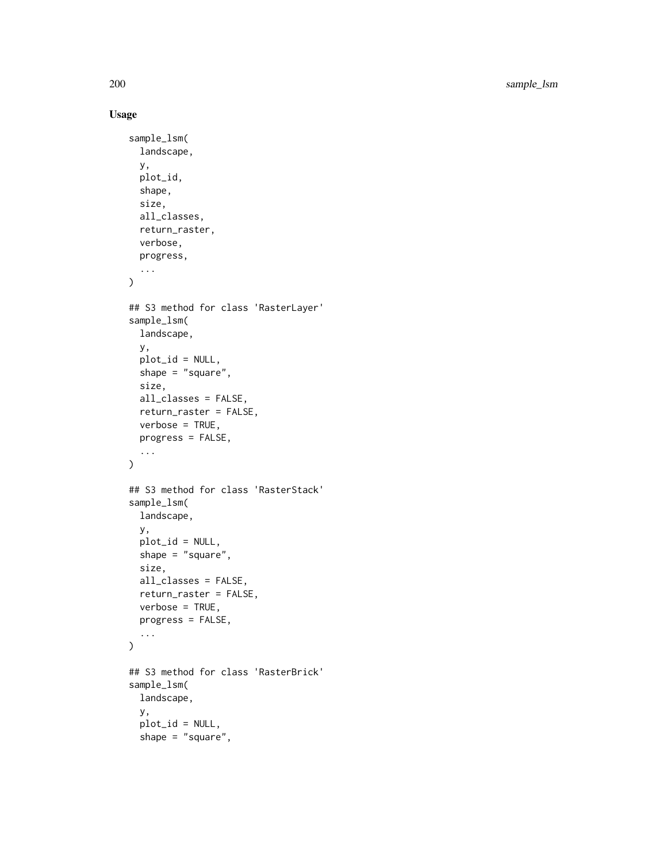200 sample\_lsm

```
sample_lsm(
 landscape,
 y,
 plot_id,
 shape,
 size,
 all_classes,
 return_raster,
 verbose,
 progress,
  ...
\mathcal{L}## S3 method for class 'RasterLayer'
sample_lsm(
 landscape,
 y,
 plot_id = NULL,
 shape = "square",
 size,
 all_classes = FALSE,
 return_raster = FALSE,
  verbose = TRUE,
 progress = FALSE,
  ...
\mathcal{L}## S3 method for class 'RasterStack'
sample_lsm(
 landscape,
 y,
 plot_id = NULL,
 shape = "square",
 size,
 all_classes = FALSE,
 return_raster = FALSE,
 verbose = TRUE,
 progress = FALSE,
  ...
\mathcal{L}## S3 method for class 'RasterBrick'
sample_lsm(
 landscape,
  y,
 plot_id = NULL,
  shape = "square",
```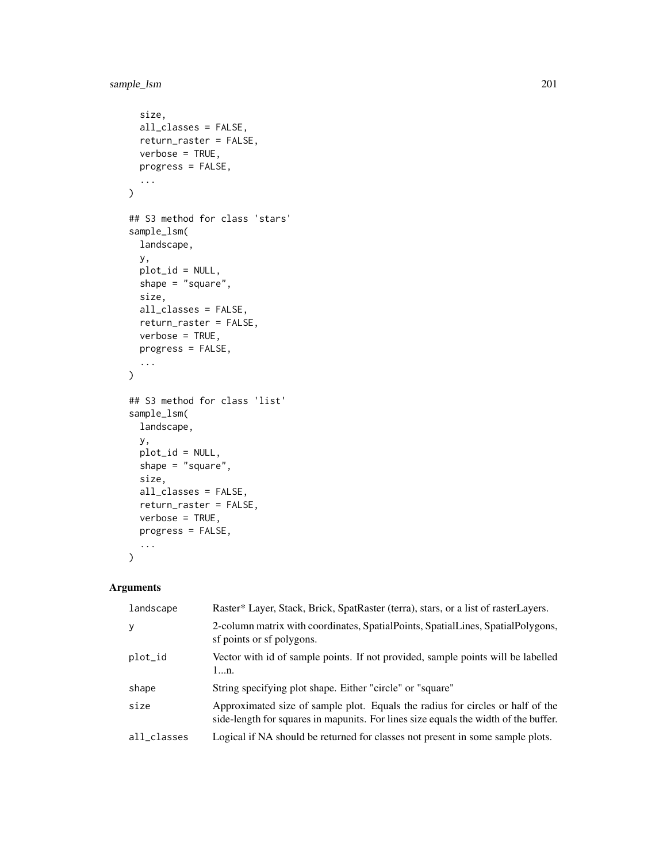```
size,
 all_classes = FALSE,
 return_raster = FALSE,
 verbose = TRUE,
 progress = FALSE,
  ...
\mathcal{L}## S3 method for class 'stars'
sample_lsm(
 landscape,
 y,
 plot_id = NULL,
 shape = "square",size,
 all_classes = FALSE,
 return_raster = FALSE,
 verbose = TRUE,
 progress = FALSE,
 ...
\mathcal{L}## S3 method for class 'list'
sample_lsm(
 landscape,
 y,
 plot_id = NULL,
 shape = "square",
 size,
 all_classes = FALSE,
 return_raster = FALSE,
 verbose = TRUE,
 progress = FALSE,
  ...
\mathcal{L}
```
# Arguments

| landscape   | Raster* Layer, Stack, Brick, SpatRaster (terra), stars, or a list of rasterLayers.                                                                                    |
|-------------|-----------------------------------------------------------------------------------------------------------------------------------------------------------------------|
| y           | 2-column matrix with coordinates, SpatialPoints, SpatialLines, SpatialPolygons,<br>sf points or sf polygons.                                                          |
| plot_id     | Vector with id of sample points. If not provided, sample points will be labelled<br>1n.                                                                               |
| shape       | String specifying plot shape. Either "circle" or "square"                                                                                                             |
| size        | Approximated size of sample plot. Equals the radius for circles or half of the<br>side-length for squares in mapunits. For lines size equals the width of the buffer. |
| all_classes | Logical if NA should be returned for classes not present in some sample plots.                                                                                        |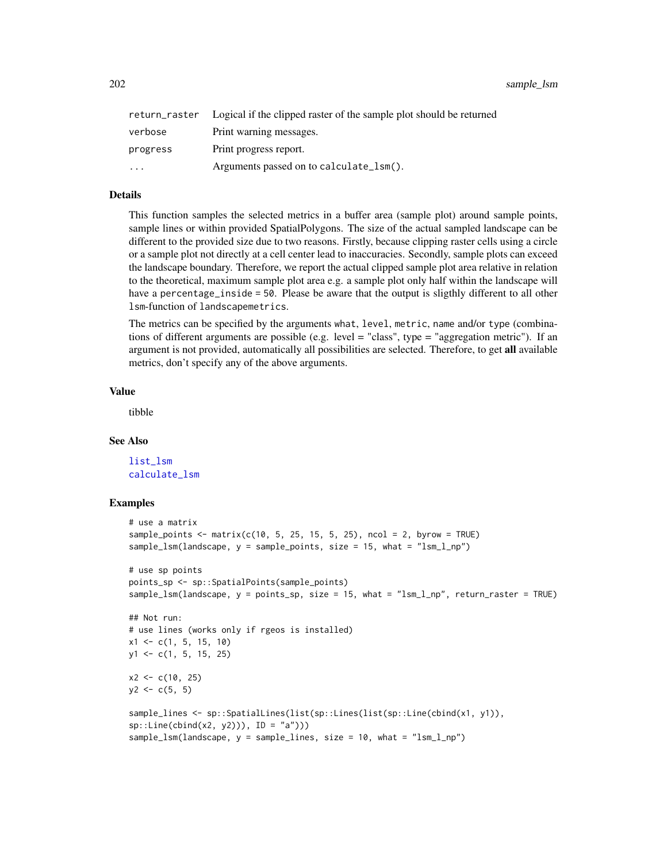202 sample\_lsm

|           | return_raster Logical if the clipped raster of the sample plot should be returned |
|-----------|-----------------------------------------------------------------------------------|
| verbose   | Print warning messages.                                                           |
| progress  | Print progress report.                                                            |
| $\ddotsc$ | Arguments passed on to calculate_lsm().                                           |

#### Details

This function samples the selected metrics in a buffer area (sample plot) around sample points, sample lines or within provided SpatialPolygons. The size of the actual sampled landscape can be different to the provided size due to two reasons. Firstly, because clipping raster cells using a circle or a sample plot not directly at a cell center lead to inaccuracies. Secondly, sample plots can exceed the landscape boundary. Therefore, we report the actual clipped sample plot area relative in relation to the theoretical, maximum sample plot area e.g. a sample plot only half within the landscape will have a percentage\_inside = 50. Please be aware that the output is sligthly different to all other lsm-function of landscapemetrics.

The metrics can be specified by the arguments what, level, metric, name and/or type (combinations of different arguments are possible (e.g. level = "class", type = "aggregation metric"). If an argument is not provided, automatically all possibilities are selected. Therefore, to get all available metrics, don't specify any of the above arguments.

#### Value

tibble

## See Also

[list\\_lsm](#page-32-0) [calculate\\_lsm](#page-6-0)

## Examples

```
# use a matrix
sample_points \leq matrix(c(10, 5, 25, 15, 5, 25), ncol = 2, byrow = TRUE)
sample_lsm(landscape, y = sample_points, size = 15, what = "lsm_l_np")
# use sp points
points_sp <- sp::SpatialPoints(sample_points)
sample_lsm(landscape, y = points_sp, size = 15, what = "lsm_l_np", return_raster = TRUE)
## Not run:
# use lines (works only if rgeos is installed)
x1 \leftarrow c(1, 5, 15, 10)y1 <- c(1, 5, 15, 25)
x2 \leq -c(10, 25)y2 \leq -c(5, 5)sample_lines <- sp::SpatialLines(list(sp::Lines(list(sp::Line(cbind(x1, y1)),
sp::Line(cbind(x2, y2))), ID = "a"))sample_lsm(landscape, y = sample_lines, size = 10, what = "lsm_l_np")
```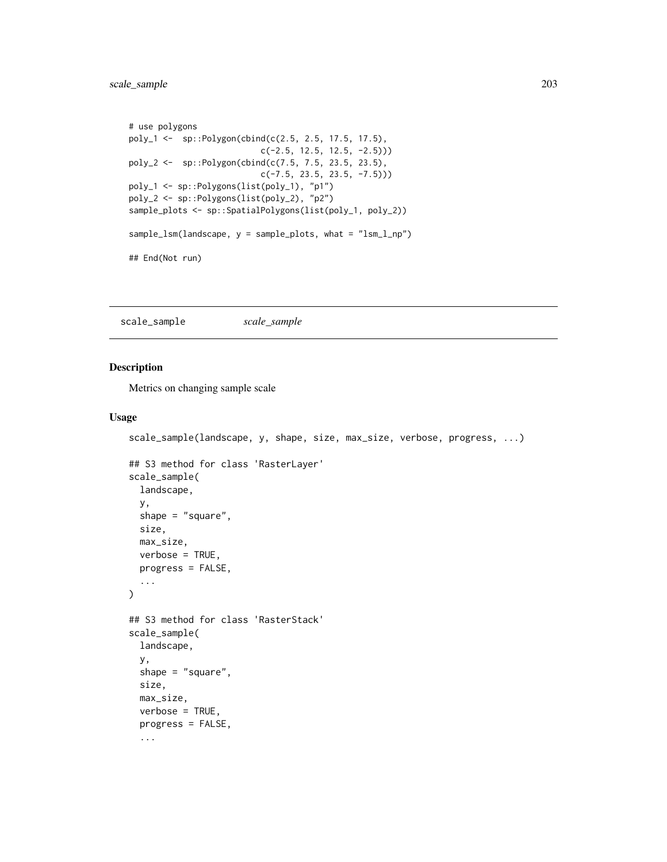```
# use polygons
poly_1 <- sp::Polygon(cbind(c(2.5, 2.5, 17.5, 17.5),
                           c(-2.5, 12.5, 12.5, -2.5)))
poly_2 <- sp::Polygon(cbind(c(7.5, 7.5, 23.5, 23.5),
                           c(-7.5, 23.5, 23.5, -7.5)))
poly_1 <- sp::Polygons(list(poly_1), "p1")
poly_2 <- sp::Polygons(list(poly_2), "p2")
sample_plots <- sp::SpatialPolygons(list(poly_1, poly_2))
sample_lsm(landscape, y = sample_plots, what = "lsm_l_np")
## End(Not run)
```
<span id="page-202-0"></span>scale\_sample *scale\_sample*

#### Description

Metrics on changing sample scale

```
scale_sample(landscape, y, shape, size, max_size, verbose, progress, ...)
## S3 method for class 'RasterLayer'
scale_sample(
  landscape,
 y,
 shape = "square",
 size,
 max_size,
 verbose = TRUE,
 progress = FALSE,
  ...
)
## S3 method for class 'RasterStack'
scale_sample(
 landscape,
 y,
  shape = "square",
 size,
 max_size,
 verbose = TRUE,
 progress = FALSE,
  ...
```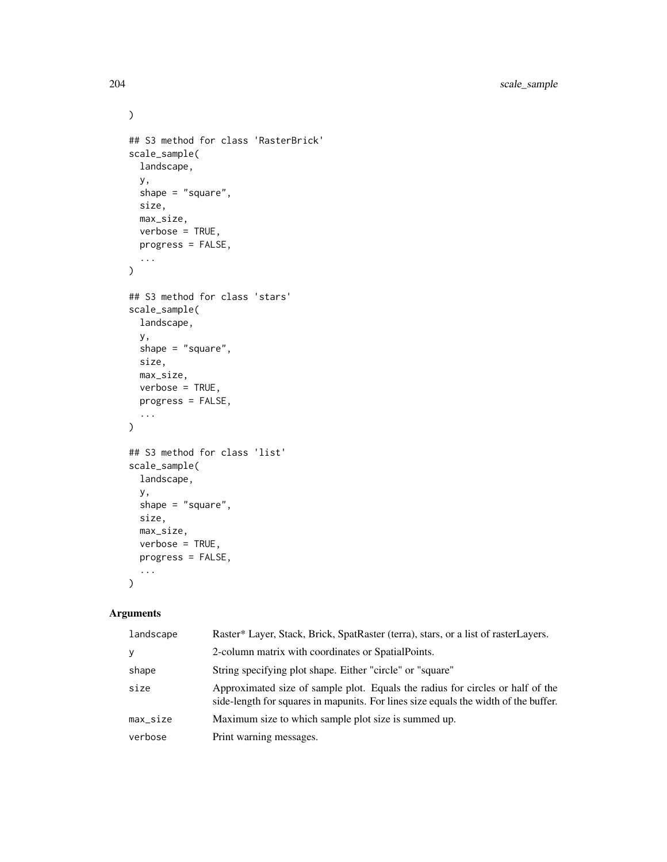```
\mathcal{L}## S3 method for class 'RasterBrick'
scale_sample(
  landscape,
  y,
  shape = "square",
  size,
  max_size,
  verbose = TRUE,
  progress = FALSE,
  ...
)
## S3 method for class 'stars'
scale_sample(
  landscape,
  y,
  shape = "square",size,
  max_size,
  verbose = TRUE,
  progress = FALSE,
  ...
\mathcal{L}## S3 method for class 'list'
scale_sample(
  landscape,
  y,
  shape = "square",
  size,
  max_size,
  verbose = TRUE,
  progress = FALSE,
  ...
\mathcal{L}
```
## Arguments

| landscape | Raster* Layer, Stack, Brick, SpatRaster (terra), stars, or a list of rasterLayers.                                                                                    |
|-----------|-----------------------------------------------------------------------------------------------------------------------------------------------------------------------|
| y         | 2-column matrix with coordinates or SpatialPoints.                                                                                                                    |
| shape     | String specifying plot shape. Either "circle" or "square"                                                                                                             |
| size      | Approximated size of sample plot. Equals the radius for circles or half of the<br>side-length for squares in mapunits. For lines size equals the width of the buffer. |
| max_size  | Maximum size to which sample plot size is summed up.                                                                                                                  |
| verbose   | Print warning messages.                                                                                                                                               |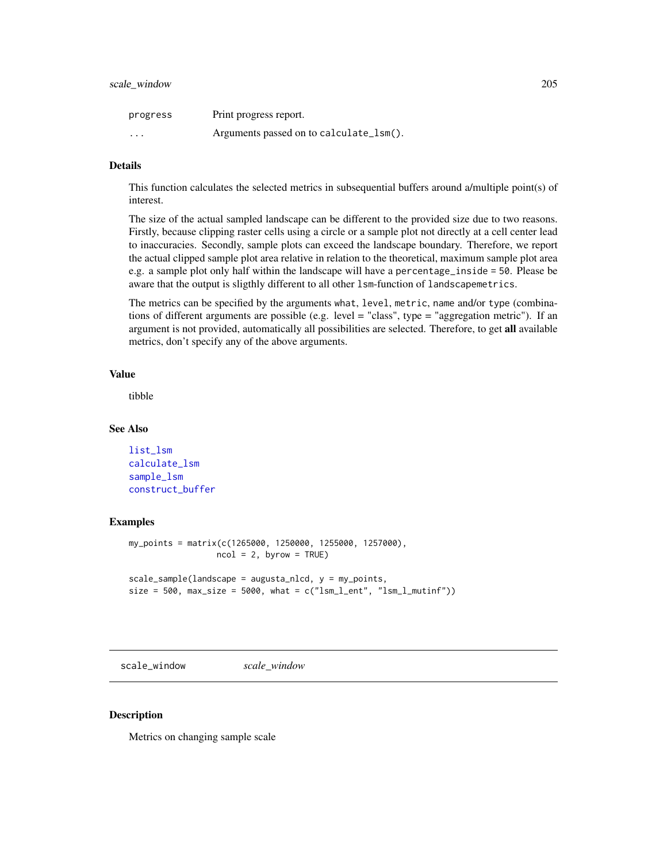## scale\_window 205

| progress | Print progress report.                  |
|----------|-----------------------------------------|
| $\cdots$ | Arguments passed on to calculate_lsm(). |

## Details

This function calculates the selected metrics in subsequential buffers around a/multiple point(s) of interest.

The size of the actual sampled landscape can be different to the provided size due to two reasons. Firstly, because clipping raster cells using a circle or a sample plot not directly at a cell center lead to inaccuracies. Secondly, sample plots can exceed the landscape boundary. Therefore, we report the actual clipped sample plot area relative in relation to the theoretical, maximum sample plot area e.g. a sample plot only half within the landscape will have a percentage\_inside = 50. Please be aware that the output is sligthly different to all other lsm-function of landscapemetrics.

The metrics can be specified by the arguments what, level, metric, name and/or type (combinations of different arguments are possible (e.g. level = "class", type = "aggregation metric"). If an argument is not provided, automatically all possibilities are selected. Therefore, to get all available metrics, don't specify any of the above arguments.

## Value

tibble

#### See Also

```
list_lsm
calculate_lsm
sample_lsm
construct_buffer
```
#### Examples

```
my_points = matrix(c(1265000, 1250000, 1255000, 1257000),
                  ncol = 2, byrow = TRUE)
scale_sample(landscape = augusta_nlcd, y = my_points,
size = 500, max_size = 5000, what = c("lsm_l_lent", "lsm_l_lmutinf"))
```
scale\_window *scale\_window*

## Description

Metrics on changing sample scale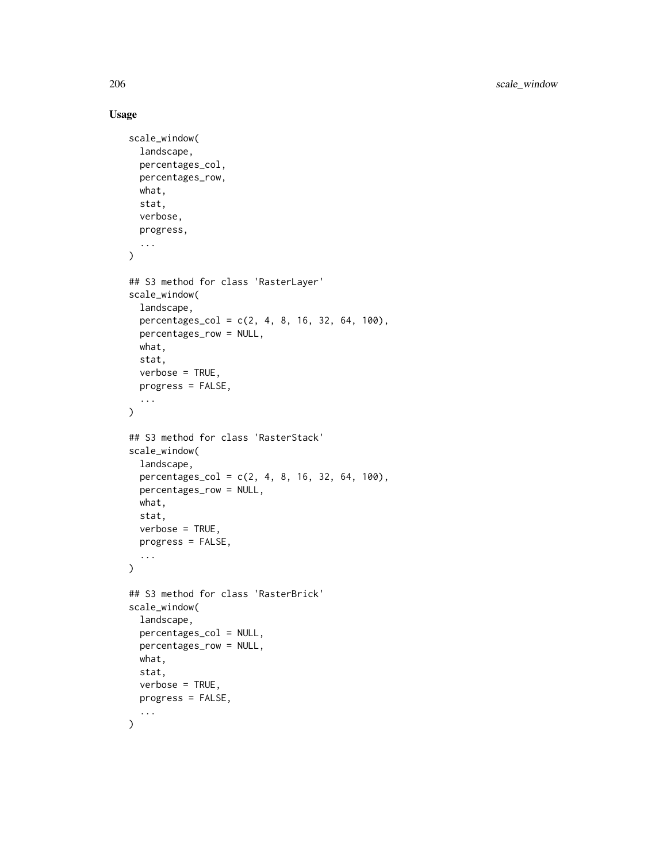206 scale\_window

```
scale_window(
  landscape,
 percentages_col,
 percentages_row,
 what,
 stat,
 verbose,
 progress,
  ...
)
## S3 method for class 'RasterLayer'
scale_window(
 landscape,
 percentages_col = c(2, 4, 8, 16, 32, 64, 100),
 percentages_row = NULL,
 what,
 stat,
  verbose = TRUE,
 progress = FALSE,
  ...
)
## S3 method for class 'RasterStack'
scale_window(
 landscape,
 percentages_col = c(2, 4, 8, 16, 32, 64, 100),
 percentages_row = NULL,
 what,
  stat,
  verbose = TRUE,
 progress = FALSE,
  ...
\mathcal{L}## S3 method for class 'RasterBrick'
scale_window(
  landscape,
 percentages_col = NULL,
 percentages_row = NULL,
 what,
  stat,
 verbose = TRUE,
 progress = FALSE,
  ...
)
```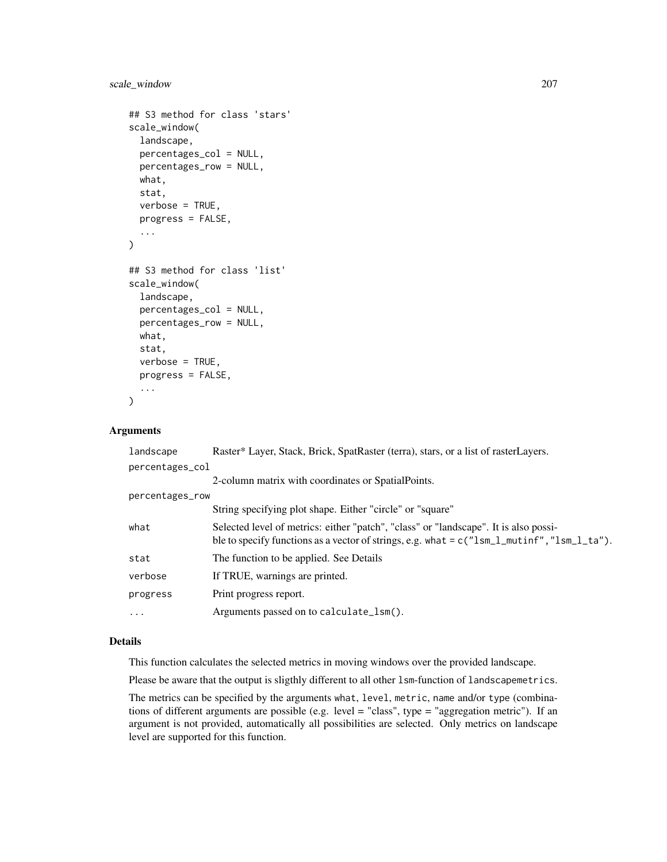```
## S3 method for class 'stars'
scale_window(
 landscape,
 percentages_col = NULL,
 percentages_row = NULL,
 what,
 stat,
 verbose = TRUE,
 progress = FALSE,
  ...
\lambda## S3 method for class 'list'
scale_window(
  landscape,
 percentages_col = NULL,
 percentages_row = NULL,
 what,
  stat,
  verbose = TRUE,
 progress = FALSE,
  ...
)
```
#### Arguments

| landscape       | Raster* Layer, Stack, Brick, SpatRaster (terra), stars, or a list of rasterLayers.                                                                                                     |
|-----------------|----------------------------------------------------------------------------------------------------------------------------------------------------------------------------------------|
| percentages_col |                                                                                                                                                                                        |
|                 | 2-column matrix with coordinates or SpatialPoints.                                                                                                                                     |
| percentages_row |                                                                                                                                                                                        |
|                 | String specifying plot shape. Either "circle" or "square"                                                                                                                              |
| what            | Selected level of metrics: either "patch", "class" or "landscape". It is also possi-<br>ble to specify functions as a vector of strings, e.g. what = $c("lsm_l_multinf", "lsm_l_ts").$ |
| stat            | The function to be applied. See Details                                                                                                                                                |
| verbose         | If TRUE, warnings are printed.                                                                                                                                                         |
| progress        | Print progress report.                                                                                                                                                                 |
| $\cdot$         | Arguments passed on to calculate_lsm().                                                                                                                                                |

# Details

This function calculates the selected metrics in moving windows over the provided landscape.

Please be aware that the output is sligthly different to all other lsm-function of landscapemetrics.

The metrics can be specified by the arguments what, level, metric, name and/or type (combinations of different arguments are possible (e.g. level = "class", type = "aggregation metric"). If an argument is not provided, automatically all possibilities are selected. Only metrics on landscape level are supported for this function.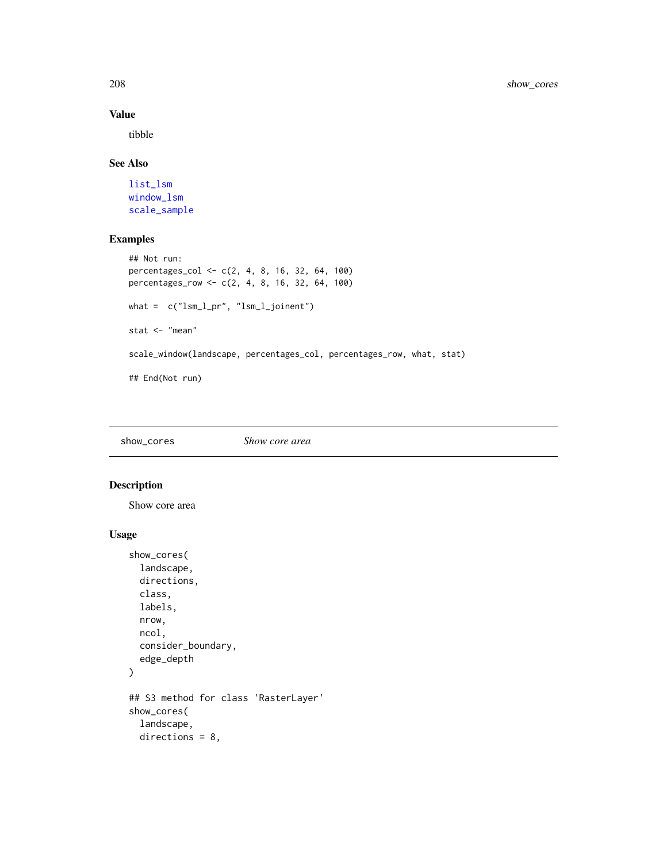## Value

tibble

## See Also

[list\\_lsm](#page-32-0) [window\\_lsm](#page-218-0) [scale\\_sample](#page-202-0)

# Examples

```
## Not run:
percentages_col <- c(2, 4, 8, 16, 32, 64, 100)
percentages_row <- c(2, 4, 8, 16, 32, 64, 100)
what = c("lsm_l_pr", "lsm_l_joinent")
stat <- "mean"
scale_window(landscape, percentages_col, percentages_row, what, stat)
## End(Not run)
```
show\_cores *Show core area*

# Description

Show core area

```
show_cores(
  landscape,
  directions,
 class,
 labels,
  nrow,
 ncol,
  consider_boundary,
  edge_depth
\mathcal{L}## S3 method for class 'RasterLayer'
show_cores(
  landscape,
  directions = 8,
```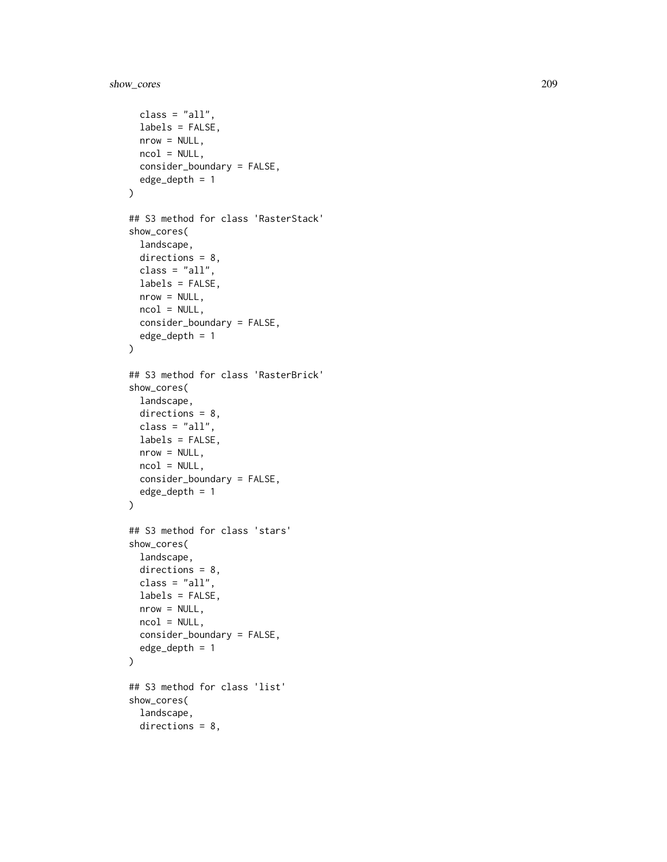```
class = "all",labels = FALSE,
 nrow = NULL,ncol = NULL,consider_boundary = FALSE,
  edge_depth = 1
\mathcal{L}## S3 method for class 'RasterStack'
show_cores(
  landscape,
 directions = 8,
 class = "all",
 labels = FALSE,
 nrow = NULL,ncol = NULL,consider_boundary = FALSE,
  edge_depth = 1
\lambda## S3 method for class 'RasterBrick'
show_cores(
 landscape,
 directions = 8,
 class = "all",labels = FALSE,
 nrow = NULL,ncol = NULL,
 consider_boundary = FALSE,
 edge_depth = 1
\mathcal{L}## S3 method for class 'stars'
show_cores(
 landscape,
 directions = 8,
 class = "all",labels = FALSE,
  nrow = NULL,ncol = NULL,consider_boundary = FALSE,
  edge_depth = 1
\mathcal{L}## S3 method for class 'list'
show_cores(
  landscape,
  directions = 8,
```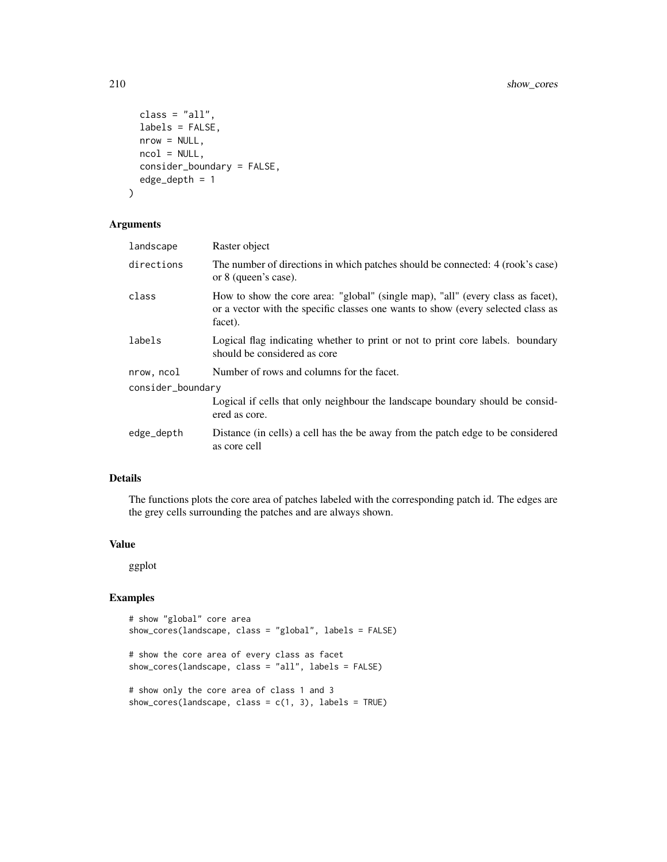```
class = "all",labels = FALSE,
 nrow = NULL,
 ncol = NULL,consider_boundary = FALSE,
 edge_depth = 1
)
```
### Arguments

| landscape         | Raster object                                                                                                                                                                  |
|-------------------|--------------------------------------------------------------------------------------------------------------------------------------------------------------------------------|
| directions        | The number of directions in which patches should be connected: 4 (rook's case)<br>or 8 (queen's case).                                                                         |
| class             | How to show the core area: "global" (single map), "all" (every class as facet),<br>or a vector with the specific classes one wants to show (every selected class as<br>facet). |
| labels            | Logical flag indicating whether to print or not to print core labels. boundary<br>should be considered as core                                                                 |
| nrow, ncol        | Number of rows and columns for the facet.                                                                                                                                      |
| consider_boundary |                                                                                                                                                                                |
|                   | Logical if cells that only neighbour the landscape boundary should be considered<br>ered as core.                                                                              |
| edge_depth        | Distance (in cells) a cell has the be away from the patch edge to be considered<br>as core cell                                                                                |
|                   |                                                                                                                                                                                |

## Details

The functions plots the core area of patches labeled with the corresponding patch id. The edges are the grey cells surrounding the patches and are always shown.

## Value

ggplot

## Examples

```
# show "global" core area
show_cores(landscape, class = "global", labels = FALSE)
# show the core area of every class as facet
show_cores(landscape, class = "all", labels = FALSE)
# show only the core area of class 1 and 3
show_cores(landscape, class = c(1, 3), labels = TRUE)
```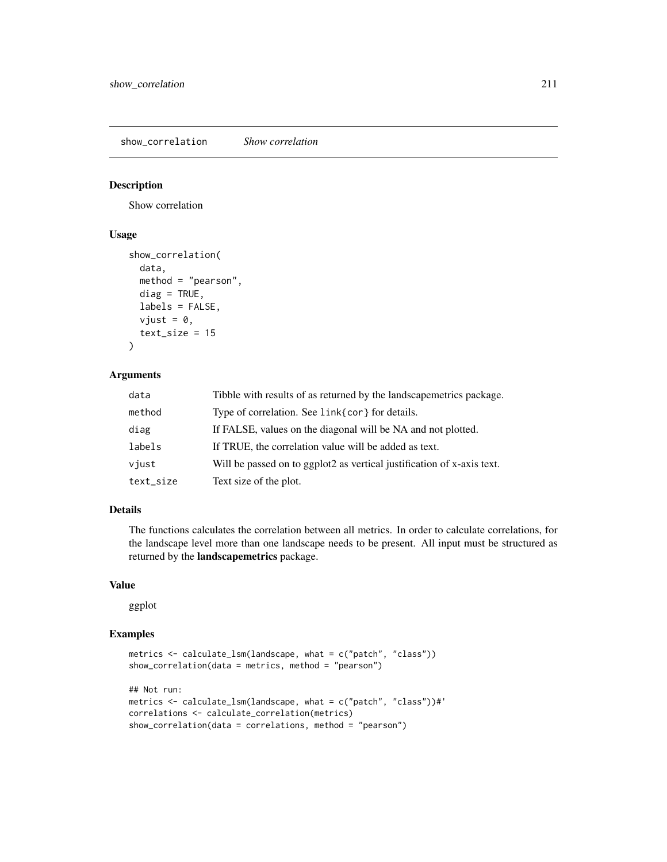show\_correlation *Show correlation*

## Description

Show correlation

# Usage

```
show_correlation(
  data,
 method = "pearson",
 diag = TRUE,labels = FALSE,
 vjust = 0,
  text\_size = 15)
```
# Arguments

| data      | Tibble with results of as returned by the landscapemetrics package.    |
|-----------|------------------------------------------------------------------------|
| method    | Type of correlation. See link{cor} for details.                        |
| diag      | If FALSE, values on the diagonal will be NA and not plotted.           |
| labels    | If TRUE, the correlation value will be added as text.                  |
| viust     | Will be passed on to ggplot2 as vertical justification of x-axis text. |
| text_size | Text size of the plot.                                                 |

# Details

The functions calculates the correlation between all metrics. In order to calculate correlations, for the landscape level more than one landscape needs to be present. All input must be structured as returned by the landscapemetrics package.

## Value

ggplot

# Examples

```
metrics <- calculate_lsm(landscape, what = c("patch", "class"))
show_correlation(data = metrics, method = "pearson")
## Not run:
metrics <- calculate_lsm(landscape, what = c("patch", "class"))#'
correlations <- calculate_correlation(metrics)
show_correlation(data = correlations, method = "pearson")
```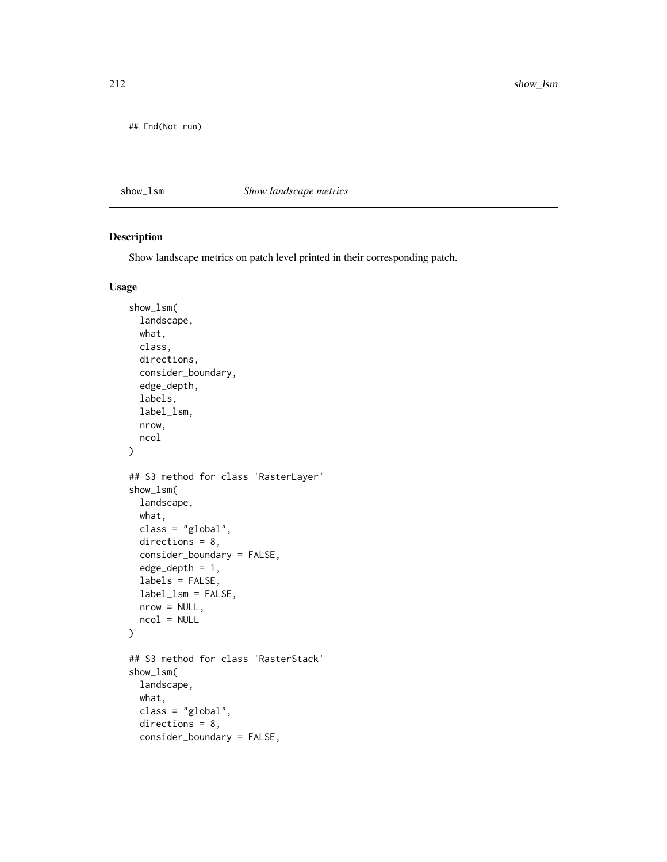212 show\_lsm

## End(Not run)

## show\_lsm *Show landscape metrics*

## Description

Show landscape metrics on patch level printed in their corresponding patch.

```
show_lsm(
  landscape,
 what,
 class,
 directions,
  consider_boundary,
  edge_depth,
  labels,
  label_lsm,
 nrow,
 ncol
)
## S3 method for class 'RasterLayer'
show_lsm(
 landscape,
 what,
 class = "global",
 directions = 8,consider_boundary = FALSE,
  edge_depth = 1,
 labels = FALSE,
  label_lsm = FALSE,
 nrow = NULL,ncol = NULL
)
## S3 method for class 'RasterStack'
show_lsm(
 landscape,
 what,
 class = "global",
 directions = 8,
 consider_boundary = FALSE,
```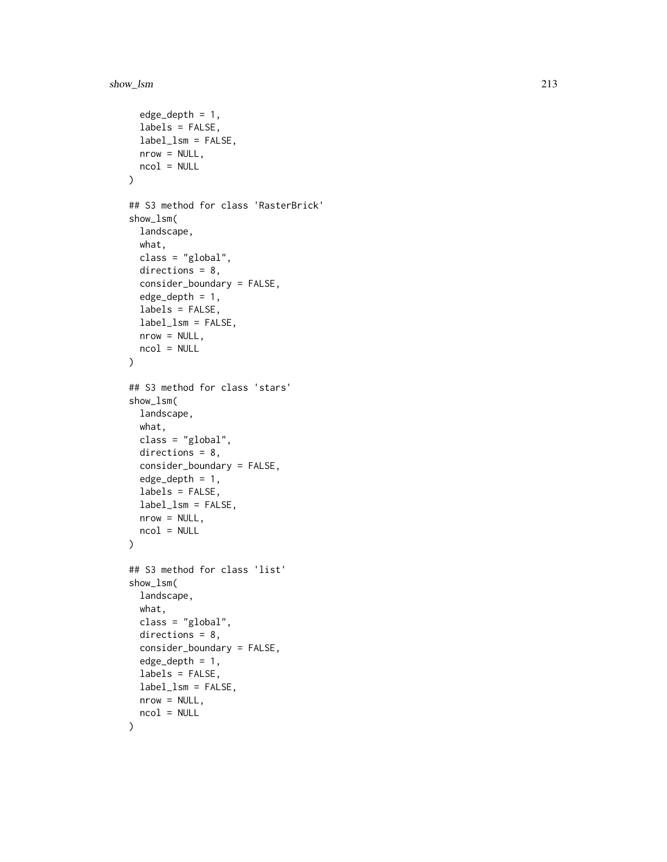#### show\_lsm 213

```
edge\_depth = 1,
  labels = FALSE,
 label_lsm = FALSE,
 nrow = NULL,
 ncol = NULL
)
## S3 method for class 'RasterBrick'
show_lsm(
 landscape,
 what,
 class = "global",
 directions = 8,
  consider_boundary = FALSE,
  edge_depth = 1,
  labels = FALSE,
  label_lsm = FALSE,
 nrow = NULL,ncol = NULL
\lambda## S3 method for class 'stars'
show_lsm(
 landscape,
 what,
 class = "global",
 directions = 8,
  consider_boundary = FALSE,
  edge\_depth = 1,
 labels = FALSE,
  label_lsm = FALSE,
 nrow = NULL,ncol = NULL
\mathcal{L}## S3 method for class 'list'
show_lsm(
 landscape,
 what,
 class = "global",
 directions = 8,
  consider_boundary = FALSE,
  edge\_depth = 1,
  labels = FALSE,
 label_lsm = FALSE,
 nrow = NULL,
 ncol = NULL
\mathcal{L}
```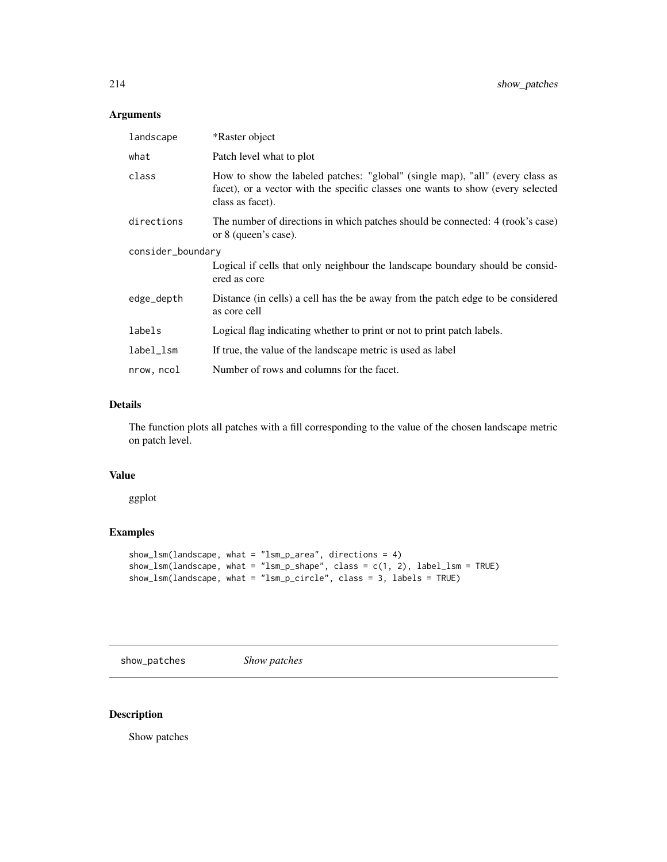# Arguments

| landscape         | *Raster object                                                                                                                                                                       |
|-------------------|--------------------------------------------------------------------------------------------------------------------------------------------------------------------------------------|
| what              | Patch level what to plot                                                                                                                                                             |
| class             | How to show the labeled patches: "global" (single map), "all" (every class as<br>facet), or a vector with the specific classes one wants to show (every selected<br>class as facet). |
| directions        | The number of directions in which patches should be connected: 4 (rook's case)<br>or 8 (queen's case).                                                                               |
| consider_boundary |                                                                                                                                                                                      |
|                   | Logical if cells that only neighbour the landscape boundary should be considered<br>ered as core                                                                                     |
| edge_depth        | Distance (in cells) a cell has the be away from the patch edge to be considered<br>as core cell                                                                                      |
| labels            | Logical flag indicating whether to print or not to print patch labels.                                                                                                               |
| label_lsm         | If true, the value of the landscape metric is used as label                                                                                                                          |
| nrow, ncol        | Number of rows and columns for the facet.                                                                                                                                            |

## Details

The function plots all patches with a fill corresponding to the value of the chosen landscape metric on patch level.

### Value

ggplot

# Examples

```
show_lsm(landscape, what = "lsm_p_area", directions = 4)
show_lsm(landscape, what = "lsm_p_shape", class = c(1, 2), label_lsm = TRUE)
show_lsm(landscape, what = "lsm_p_circle", class = 3, labels = TRUE)
```
show\_patches *Show patches*

# Description

Show patches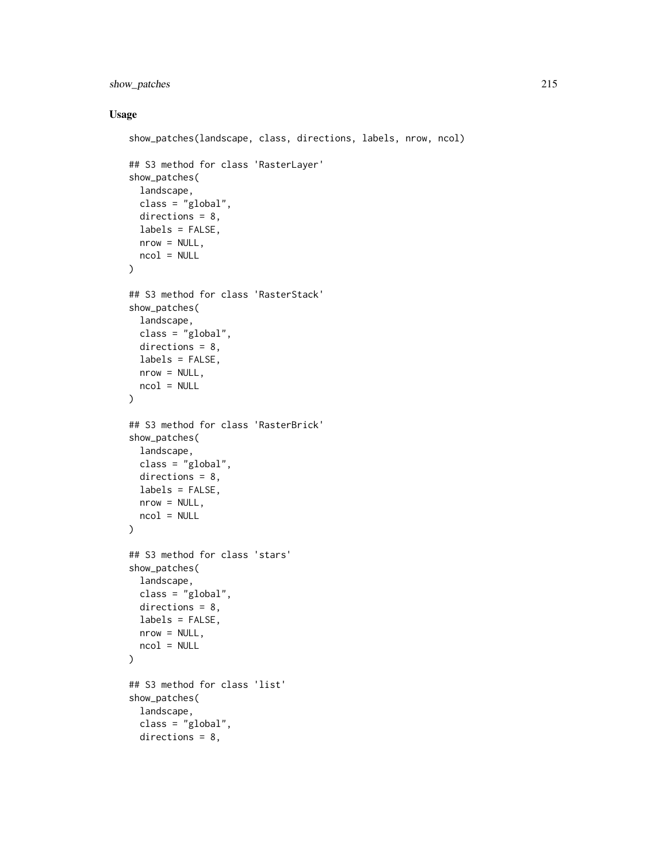## show\_patches 215

```
show_patches(landscape, class, directions, labels, nrow, ncol)
## S3 method for class 'RasterLayer'
show_patches(
  landscape,
  class = "global",
  directions = 8,
  labels = FALSE,
 nrow = NULL,
 ncol = NULL
\mathcal{L}## S3 method for class 'RasterStack'
show_patches(
  landscape,
  class = "global",
 directions = 8,
 labels = FALSE,
 nrow = NULL,
 ncol = NULL
)
## S3 method for class 'RasterBrick'
show_patches(
 landscape,
 class = "global",
  directions = 8,
 labels = FALSE,
 nrow = NULL,ncol = NULL
)
## S3 method for class 'stars'
show_patches(
  landscape,
  class = "global",
  directions = 8,
  labels = FALSE,
 nrow = NULL,
  ncol = NULL\mathcal{L}## S3 method for class 'list'
show_patches(
  landscape,
  class = "global",
  directions = 8,
```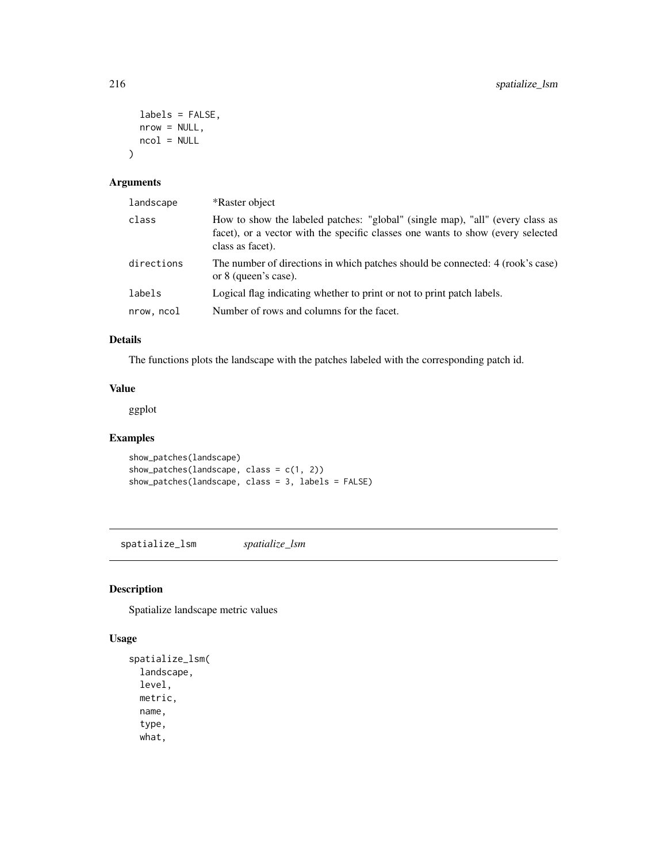```
labels = FALSE,
  nrow = NULL,ncol = NULL
\mathcal{L}
```
## Arguments

| *Raster object                                                                                                                                                                       |
|--------------------------------------------------------------------------------------------------------------------------------------------------------------------------------------|
| How to show the labeled patches: "global" (single map), "all" (every class as<br>facet), or a vector with the specific classes one wants to show (every selected<br>class as facet). |
| The number of directions in which patches should be connected: 4 (rook's case)<br>or 8 (queen's case).                                                                               |
| Logical flag indicating whether to print or not to print patch labels.                                                                                                               |
| Number of rows and columns for the facet.                                                                                                                                            |
|                                                                                                                                                                                      |

## Details

The functions plots the landscape with the patches labeled with the corresponding patch id.

# Value

ggplot

## Examples

show\_patches(landscape) show\_patches(landscape, class = c(1, 2)) show\_patches(landscape, class = 3, labels = FALSE)

spatialize\_lsm *spatialize\_lsm*

# Description

Spatialize landscape metric values

```
spatialize_lsm(
  landscape,
 level,
 metric,
 name,
  type,
  what,
```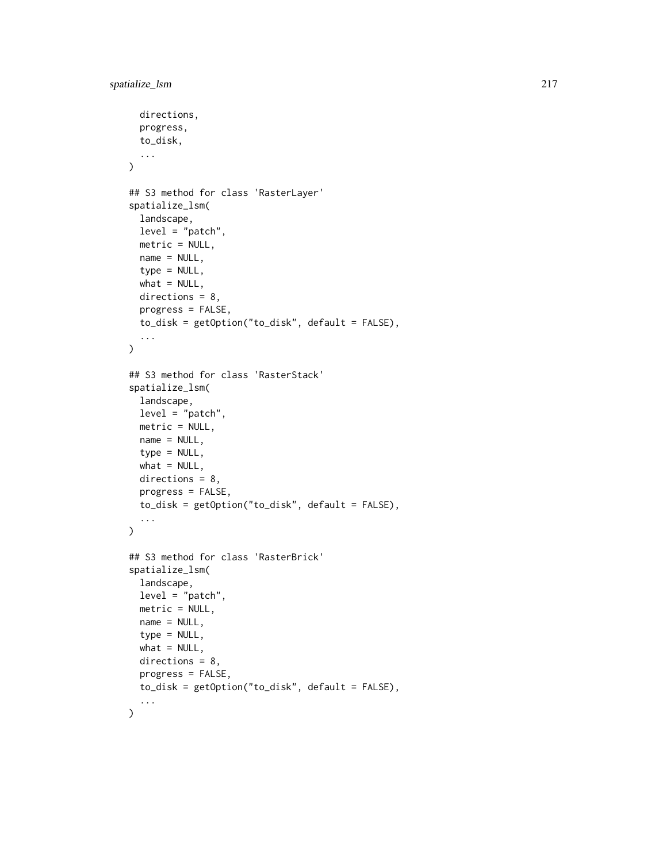```
directions,
 progress,
  to_disk,
  ...
\mathcal{L}## S3 method for class 'RasterLayer'
spatialize_lsm(
  landscape,
  level = "patch",metric = NULL,
 name = NULL,type = NULL,
 what = NULL,
 directions = 8,
 progress = FALSE,
  to_disk = getOption("to_disk", default = FALSE),
  ...
\lambda## S3 method for class 'RasterStack'
spatialize_lsm(
 landscape,
  level = "patch",metric = NULL,
 name = NULL,
  type = NULL,
 what = NULL,directions = 8,
 progress = FALSE,
  to_disk = getOption("to_disk", default = FALSE),
  ...
\lambda## S3 method for class 'RasterBrick'
spatialize_lsm(
 landscape,
 level = "patch",
 metric = NULL,
 name = NULL,type = NULL,
 what = NULL,directions = 8,
 progress = FALSE,
 to_disk = getOption("to_disk", default = FALSE),
  ...
)
```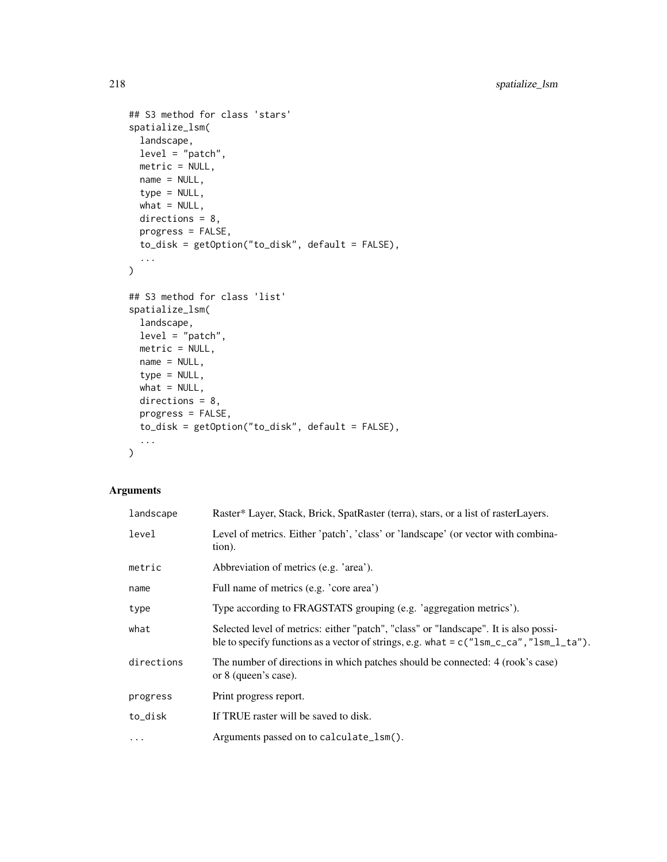```
## S3 method for class 'stars'
spatialize_lsm(
 landscape,
 level = "patch",
 metric = NULL,
 name = NULL,type = NULL,
 what = NULL,directions = 8,
 progress = FALSE,
  to_disk = getOption("to_disk", default = FALSE),
  ...
\mathcal{L}## S3 method for class 'list'
spatialize_lsm(
 landscape,
 level = "patch",
 metric = NULL,
 name = NULL,type = NULL,
 what = NULL,
 directions = 8,
 progress = FALSE,
 to_disk = getOption("to_disk", default = FALSE),
  ...
\mathcal{L}
```
## Arguments

| landscape  | Raster* Layer, Stack, Brick, SpatRaster (terra), stars, or a list of rasterLayers.                                                                                                |
|------------|-----------------------------------------------------------------------------------------------------------------------------------------------------------------------------------|
| level      | Level of metrics. Either 'patch', 'class' or 'landscape' (or vector with combina-<br>tion).                                                                                       |
| metric     | Abbreviation of metrics (e.g. 'area').                                                                                                                                            |
| name       | Full name of metrics (e.g. 'core area')                                                                                                                                           |
| type       | Type according to FRAGSTATS grouping (e.g. 'aggregation metrics').                                                                                                                |
| what       | Selected level of metrics: either "patch", "class" or "landscape". It is also possi-<br>ble to specify functions as a vector of strings, e.g. what = $c("lsm_cca", "lsm_l_t'a").$ |
| directions | The number of directions in which patches should be connected: 4 (rook's case)<br>or 8 (queen's case).                                                                            |
| progress   | Print progress report.                                                                                                                                                            |
| to_disk    | If TRUE raster will be saved to disk.                                                                                                                                             |
| $\cdots$   | Arguments passed on to calculate_lsm().                                                                                                                                           |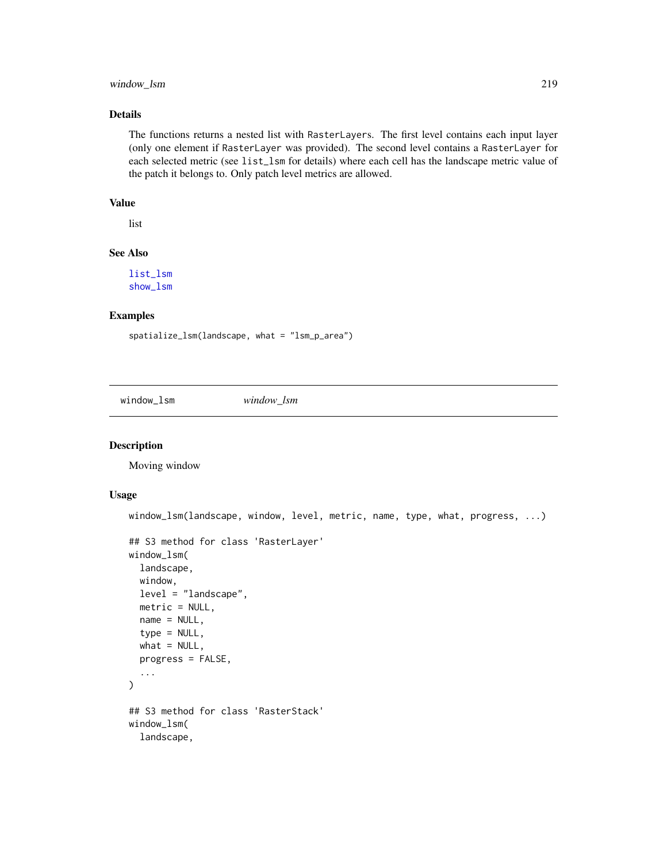## <span id="page-218-0"></span>window\_lsm 219

## Details

The functions returns a nested list with RasterLayers. The first level contains each input layer (only one element if RasterLayer was provided). The second level contains a RasterLayer for each selected metric (see list\_lsm for details) where each cell has the landscape metric value of the patch it belongs to. Only patch level metrics are allowed.

## Value

list

### See Also

[list\\_lsm](#page-32-0) [show\\_lsm](#page-211-0)

#### Examples

```
spatialize_lsm(landscape, what = "lsm_p_area")
```
window\_lsm *window\_lsm*

#### Description

Moving window

#### Usage

```
window_lsm(landscape, window, level, metric, name, type, what, progress, ...)
## S3 method for class 'RasterLayer'
window_lsm(
  landscape,
 window,
 level = "landscape",
 metric = NULL,
 name = NULL,
  type = NULL,
 what = NULL,progress = FALSE,
  ...
\mathcal{L}## S3 method for class 'RasterStack'
window_lsm(
  landscape,
```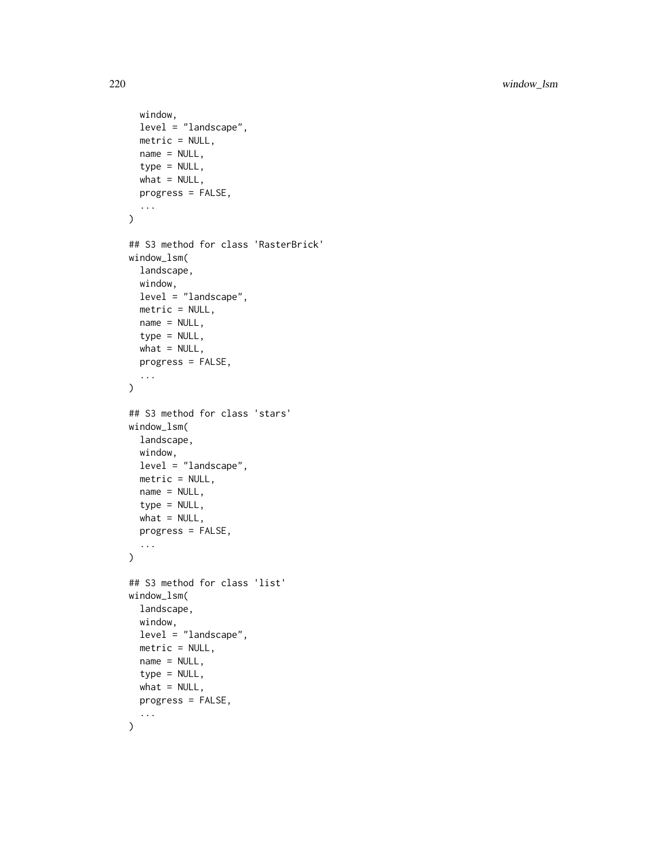```
window,
  level = "landscape",
  metric = NULL,name = NULL,type = NULL,
  what = NULL,progress = FALSE,
  ...
\mathcal{L}## S3 method for class 'RasterBrick'
window_lsm(
  landscape,
  window,
  level = "landscape",
  metric = NULL,
  name = NULL,type = NULL,
  what = NULL,progress = FALSE,
  ...
\mathcal{L}## S3 method for class 'stars'
window_lsm(
  landscape,
  window,
  level = "landscape",
  metric = NULL,
  name = NULL,type = NULL,
  what = NULL,progress = FALSE,
  ...
\mathcal{L}## S3 method for class 'list'
window_lsm(
  landscape,
  window,
  level = "landscape",
  metric = NULL,
  name = NULL,
  type = NULL,
  what = NULL,
  progress = FALSE,
  ...
\mathcal{L}
```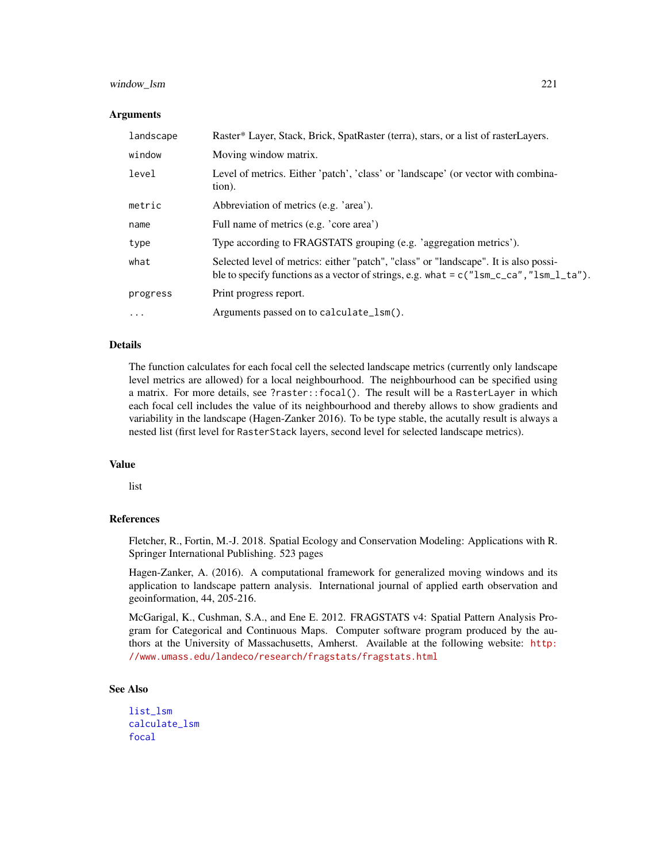#### <span id="page-220-0"></span>window\_lsm 221

#### Arguments

| landscape | Raster* Layer, Stack, Brick, SpatRaster (terra), stars, or a list of rasterLayers.                                                                                                |
|-----------|-----------------------------------------------------------------------------------------------------------------------------------------------------------------------------------|
| window    | Moving window matrix.                                                                                                                                                             |
| level     | Level of metrics. Either 'patch', 'class' or 'landscape' (or vector with combina-<br>tion).                                                                                       |
| metric    | Abbreviation of metrics (e.g. 'area').                                                                                                                                            |
| name      | Full name of metrics (e.g. 'core area')                                                                                                                                           |
| type      | Type according to FRAGSTATS grouping (e.g. 'aggregation metrics').                                                                                                                |
| what      | Selected level of metrics: either "patch", "class" or "landscape". It is also possi-<br>ble to specify functions as a vector of strings, e.g. what = $c("lsm_cca", "lsm_l_t'a").$ |
| progress  | Print progress report.                                                                                                                                                            |
| $\cdots$  | Arguments passed on to calculate_lsm().                                                                                                                                           |

#### Details

The function calculates for each focal cell the selected landscape metrics (currently only landscape level metrics are allowed) for a local neighbourhood. The neighbourhood can be specified using a matrix. For more details, see ?raster::focal(). The result will be a RasterLayer in which each focal cell includes the value of its neighbourhood and thereby allows to show gradients and variability in the landscape (Hagen-Zanker 2016). To be type stable, the acutally result is always a nested list (first level for RasterStack layers, second level for selected landscape metrics).

#### Value

list

## References

Fletcher, R., Fortin, M.-J. 2018. Spatial Ecology and Conservation Modeling: Applications with R. Springer International Publishing. 523 pages

Hagen-Zanker, A. (2016). A computational framework for generalized moving windows and its application to landscape pattern analysis. International journal of applied earth observation and geoinformation, 44, 205-216.

McGarigal, K., Cushman, S.A., and Ene E. 2012. FRAGSTATS v4: Spatial Pattern Analysis Program for Categorical and Continuous Maps. Computer software program produced by the authors at the University of Massachusetts, Amherst. Available at the following website: [http:](http://www.umass.edu/landeco/research/fragstats/fragstats.html) [//www.umass.edu/landeco/research/fragstats/fragstats.html](http://www.umass.edu/landeco/research/fragstats/fragstats.html)

#### See Also

[list\\_lsm](#page-32-0) [calculate\\_lsm](#page-6-0) [focal](#page-0-0)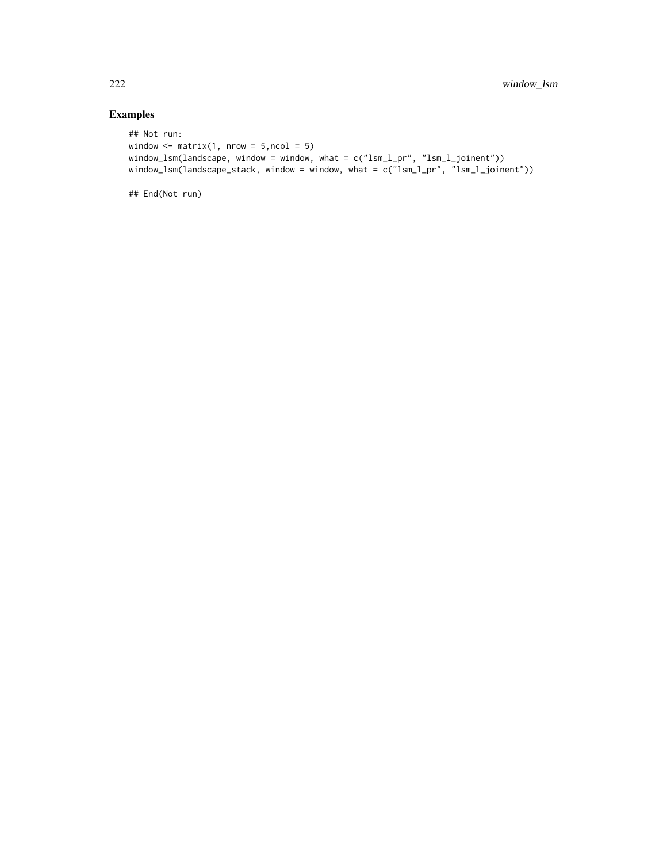# Examples

```
## Not run:
window \leq matrix(1, nrow = 5,ncol = 5)
window_lsm(landscape, window = window, what = c("lsm_l_pr", "lsm_l_joinent"))
window_lsm(landscape_stack, window = window, what = c("lsm_l_pr", "lsm_l_joinent"))
```
## End(Not run)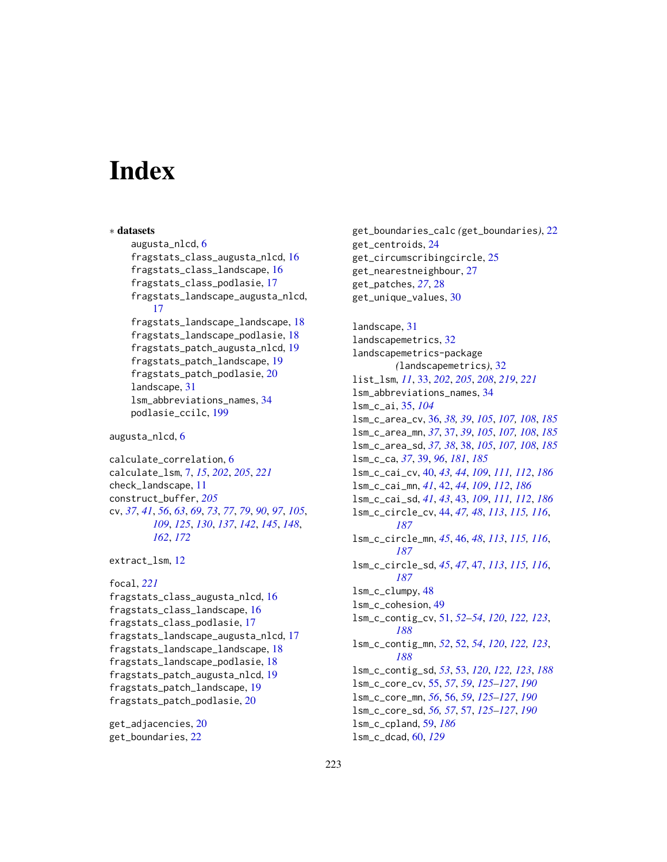# **Index**

∗ datasets augusta\_nlcd, [6](#page-5-0) fragstats\_class\_augusta\_nlcd, [16](#page-15-0) fragstats\_class\_landscape, [16](#page-15-0) fragstats\_class\_podlasie, [17](#page-16-0) fragstats\_landscape\_augusta\_nlcd, [17](#page-16-0) fragstats\_landscape\_landscape, [18](#page-17-0) fragstats\_landscape\_podlasie, [18](#page-17-0) fragstats\_patch\_augusta\_nlcd, [19](#page-18-0) fragstats\_patch\_landscape, [19](#page-18-0) fragstats\_patch\_podlasie, [20](#page-19-0) landscape, [31](#page-30-0) lsm\_abbreviations\_names, [34](#page-33-0) podlasie\_ccilc, [199](#page-198-0)

```
augusta_nlcd, 6
```
calculate\_correlation, [6](#page-5-0) calculate\_lsm, [7,](#page-6-1) *[15](#page-14-0)*, *[202](#page-201-0)*, *[205](#page-204-0)*, *[221](#page-220-0)* check\_landscape, [11](#page-10-0) construct\_buffer, *[205](#page-204-0)* cv, *[37](#page-36-0)*, *[41](#page-40-0)*, *[56](#page-55-0)*, *[63](#page-62-0)*, *[69](#page-68-0)*, *[73](#page-72-0)*, *[77](#page-76-0)*, *[79](#page-78-0)*, *[90](#page-89-0)*, *[97](#page-96-0)*, *[105](#page-104-0)*, *[109](#page-108-0)*, *[125](#page-124-0)*, *[130](#page-129-0)*, *[137](#page-136-0)*, *[142](#page-141-0)*, *[145](#page-144-0)*, *[148](#page-147-0)*, *[162](#page-161-0)*, *[172](#page-171-0)*

```
12
```

```
focal, 221
fragstats_class_augusta_nlcd, 16
fragstats_class_landscape, 16
fragstats_class_podlasie, 17
fragstats_landscape_augusta_nlcd, 17
fragstats_landscape_landscape, 18
fragstats_landscape_podlasie, 18
fragstats_patch_augusta_nlcd, 19
fragstats_patch_landscape, 19
fragstats_patch_podlasie, 20
```
get\_adjacencies, [20](#page-19-0) get\_boundaries, [22](#page-21-0)

get\_boundaries\_calc *(*get\_boundaries*)*, [22](#page-21-0) get\_centroids, [24](#page-23-0) get\_circumscribingcircle, [25](#page-24-0) get\_nearestneighbour, [27](#page-26-0) get\_patches, *[27](#page-26-0)*, [28](#page-27-0) get\_unique\_values, [30](#page-29-0) landscape, [31](#page-30-0) landscapemetrics, [32](#page-31-0) landscapemetrics-package *(*landscapemetrics*)*, [32](#page-31-0)

list\_lsm, *[11](#page-10-0)*, [33,](#page-32-1) *[202](#page-201-0)*, *[205](#page-204-0)*, *[208](#page-207-0)*, *[219](#page-218-0)*, *[221](#page-220-0)* lsm\_abbreviations\_names, [34](#page-33-0) lsm\_c\_ai, [35,](#page-34-0) *[104](#page-103-0)* lsm\_c\_area\_cv, [36,](#page-35-0) *[38,](#page-37-0) [39](#page-38-0)*, *[105](#page-104-0)*, *[107,](#page-106-0) [108](#page-107-0)*, *[185](#page-184-0)* lsm\_c\_area\_mn, *[37](#page-36-0)*, [37,](#page-36-0) *[39](#page-38-0)*, *[105](#page-104-0)*, *[107,](#page-106-0) [108](#page-107-0)*, *[185](#page-184-0)* lsm\_c\_area\_sd, *[37,](#page-36-0) [38](#page-37-0)*, [38,](#page-37-0) *[105](#page-104-0)*, *[107,](#page-106-0) [108](#page-107-0)*, *[185](#page-184-0)* lsm\_c\_ca, *[37](#page-36-0)*, [39,](#page-38-0) *[96](#page-95-0)*, *[181](#page-180-0)*, *[185](#page-184-0)* lsm\_c\_cai\_cv, [40,](#page-39-0) *[43,](#page-42-0) [44](#page-43-0)*, *[109](#page-108-0)*, *[111,](#page-110-0) [112](#page-111-0)*, *[186](#page-185-0)* lsm\_c\_cai\_mn, *[41](#page-40-0)*, [42,](#page-41-0) *[44](#page-43-0)*, *[109](#page-108-0)*, *[112](#page-111-0)*, *[186](#page-185-0)* lsm\_c\_cai\_sd, *[41](#page-40-0)*, *[43](#page-42-0)*, [43,](#page-42-0) *[109](#page-108-0)*, *[111,](#page-110-0) [112](#page-111-0)*, *[186](#page-185-0)* lsm\_c\_circle\_cv, [44,](#page-43-0) *[47,](#page-46-0) [48](#page-47-0)*, *[113](#page-112-0)*, *[115,](#page-114-0) [116](#page-115-0)*, *[187](#page-186-0)* lsm\_c\_circle\_mn, *[45](#page-44-0)*, [46,](#page-45-0) *[48](#page-47-0)*, *[113](#page-112-0)*, *[115,](#page-114-0) [116](#page-115-0)*, *[187](#page-186-0)* lsm\_c\_circle\_sd, *[45](#page-44-0)*, *[47](#page-46-0)*, [47,](#page-46-0) *[113](#page-112-0)*, *[115,](#page-114-0) [116](#page-115-0)*, *[187](#page-186-0)* lsm\_c\_clumpy, [48](#page-47-0) lsm\_c\_cohesion, [49](#page-48-0) lsm\_c\_contig\_cv, [51,](#page-50-0) *[52](#page-51-0)[–54](#page-53-0)*, *[120](#page-119-0)*, *[122,](#page-121-0) [123](#page-122-0)*, *[188](#page-187-0)* lsm\_c\_contig\_mn, *[52](#page-51-0)*, [52,](#page-51-0) *[54](#page-53-0)*, *[120](#page-119-0)*, *[122,](#page-121-0) [123](#page-122-0)*, *[188](#page-187-0)* lsm\_c\_contig\_sd, *[53](#page-52-0)*, [53,](#page-52-0) *[120](#page-119-0)*, *[122,](#page-121-0) [123](#page-122-0)*, *[188](#page-187-0)* lsm\_c\_core\_cv, [55,](#page-54-0) *[57](#page-56-0)*, *[59](#page-58-0)*, *[125](#page-124-0)[–127](#page-126-0)*, *[190](#page-189-0)* lsm\_c\_core\_mn, *[56](#page-55-0)*, [56,](#page-55-0) *[59](#page-58-0)*, *[125](#page-124-0)[–127](#page-126-0)*, *[190](#page-189-0)* lsm\_c\_core\_sd, *[56,](#page-55-0) [57](#page-56-0)*, [57,](#page-56-0) *[125](#page-124-0)[–127](#page-126-0)*, *[190](#page-189-0)* lsm\_c\_cpland, [59,](#page-58-0) *[186](#page-185-0)* lsm\_c\_dcad, [60,](#page-59-0) *[129](#page-128-0)*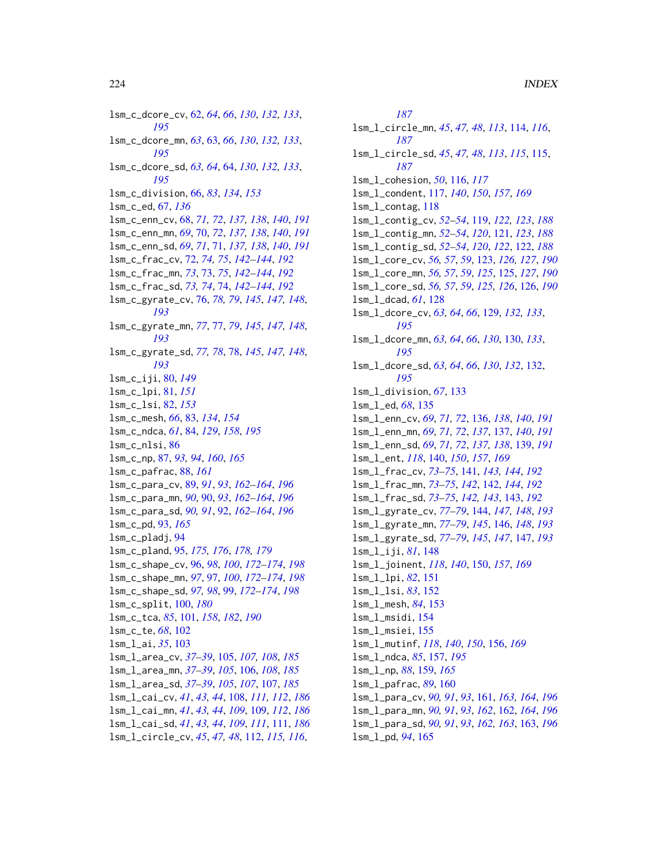lsm\_c\_dcore\_cv, [62,](#page-61-0) *[64](#page-63-0)*, *[66](#page-65-0)*, *[130](#page-129-0)*, *[132,](#page-131-0) [133](#page-132-0)*, *[195](#page-194-0)* lsm\_c\_dcore\_mn, *[63](#page-62-0)*, [63,](#page-62-0) *[66](#page-65-0)*, *[130](#page-129-0)*, *[132,](#page-131-0) [133](#page-132-0)*, *[195](#page-194-0)* lsm\_c\_dcore\_sd, *[63,](#page-62-0) [64](#page-63-0)*, [64,](#page-63-0) *[130](#page-129-0)*, *[132,](#page-131-0) [133](#page-132-0)*, *[195](#page-194-0)* lsm\_c\_division, [66,](#page-65-0) *[83](#page-82-0)*, *[134](#page-133-0)*, *[153](#page-152-0)* lsm\_c\_ed, [67,](#page-66-0) *[136](#page-135-0)* lsm\_c\_enn\_cv, [68,](#page-67-0) *[71,](#page-70-0) [72](#page-71-0)*, *[137,](#page-136-0) [138](#page-137-0)*, *[140](#page-139-0)*, *[191](#page-190-0)* lsm\_c\_enn\_mn, *[69](#page-68-0)*, [70,](#page-69-0) *[72](#page-71-0)*, *[137,](#page-136-0) [138](#page-137-0)*, *[140](#page-139-0)*, *[191](#page-190-0)* lsm\_c\_enn\_sd, *[69](#page-68-0)*, *[71](#page-70-0)*, [71,](#page-70-0) *[137,](#page-136-0) [138](#page-137-0)*, *[140](#page-139-0)*, *[191](#page-190-0)* lsm\_c\_frac\_cv, [72,](#page-71-0) *[74,](#page-73-0) [75](#page-74-0)*, *[142–](#page-141-0)[144](#page-143-0)*, *[192](#page-191-0)* lsm\_c\_frac\_mn, *[73](#page-72-0)*, [73,](#page-72-0) *[75](#page-74-0)*, *[142–](#page-141-0)[144](#page-143-0)*, *[192](#page-191-0)* lsm\_c\_frac\_sd, *[73,](#page-72-0) [74](#page-73-0)*, [74,](#page-73-0) *[142–](#page-141-0)[144](#page-143-0)*, *[192](#page-191-0)* lsm\_c\_gyrate\_cv, [76,](#page-75-0) *[78,](#page-77-0) [79](#page-78-0)*, *[145](#page-144-0)*, *[147,](#page-146-0) [148](#page-147-0)*, *[193](#page-192-0)* lsm\_c\_gyrate\_mn, *[77](#page-76-0)*, [77,](#page-76-0) *[79](#page-78-0)*, *[145](#page-144-0)*, *[147,](#page-146-0) [148](#page-147-0)*, *[193](#page-192-0)* lsm\_c\_gyrate\_sd, *[77,](#page-76-0) [78](#page-77-0)*, [78,](#page-77-0) *[145](#page-144-0)*, *[147,](#page-146-0) [148](#page-147-0)*, *[193](#page-192-0)* lsm\_c\_iji, [80,](#page-79-0) *[149](#page-148-0)* lsm\_c\_lpi, [81,](#page-80-0) *[151](#page-150-0)* lsm\_c\_lsi, [82,](#page-81-0) *[153](#page-152-0)* lsm\_c\_mesh, *[66](#page-65-0)*, [83,](#page-82-0) *[134](#page-133-0)*, *[154](#page-153-0)* lsm\_c\_ndca, *[61](#page-60-0)*, [84,](#page-83-0) *[129](#page-128-0)*, *[158](#page-157-0)*, *[195](#page-194-0)* lsm\_c\_nlsi, [86](#page-85-0) lsm\_c\_np, [87,](#page-86-0) *[93,](#page-92-0) [94](#page-93-0)*, *[160](#page-159-0)*, *[165](#page-164-0)* lsm\_c\_pafrac, [88,](#page-87-0) *[161](#page-160-0)* lsm\_c\_para\_cv, [89,](#page-88-0) *[91](#page-90-0)*, *[93](#page-92-0)*, *[162–](#page-161-0)[164](#page-163-0)*, *[196](#page-195-0)* lsm\_c\_para\_mn, *[90](#page-89-0)*, [90,](#page-89-0) *[93](#page-92-0)*, *[162–](#page-161-0)[164](#page-163-0)*, *[196](#page-195-0)* lsm\_c\_para\_sd, *[90,](#page-89-0) [91](#page-90-0)*, [92,](#page-91-0) *[162–](#page-161-0)[164](#page-163-0)*, *[196](#page-195-0)* lsm\_c\_pd, [93,](#page-92-0) *[165](#page-164-0)* lsm\_c\_pladj, [94](#page-93-0) lsm\_c\_pland, [95,](#page-94-0) *[175,](#page-174-0) [176](#page-175-0)*, *[178,](#page-177-0) [179](#page-178-0)* lsm\_c\_shape\_cv, [96,](#page-95-0) *[98](#page-97-0)*, *[100](#page-99-0)*, *[172–](#page-171-0)[174](#page-173-0)*, *[198](#page-197-0)* lsm\_c\_shape\_mn, *[97](#page-96-0)*, [97,](#page-96-0) *[100](#page-99-0)*, *[172–](#page-171-0)[174](#page-173-0)*, *[198](#page-197-0)* lsm\_c\_shape\_sd, *[97,](#page-96-0) [98](#page-97-0)*, [99,](#page-98-0) *[172–](#page-171-0)[174](#page-173-0)*, *[198](#page-197-0)* lsm\_c\_split, [100,](#page-99-0) *[180](#page-179-0)* lsm\_c\_tca, *[85](#page-84-0)*, [101,](#page-100-0) *[158](#page-157-0)*, *[182](#page-181-0)*, *[190](#page-189-0)* lsm\_c\_te, *[68](#page-67-0)*, [102](#page-101-0) lsm\_l\_ai, *[35](#page-34-0)*, [103](#page-102-0) lsm\_l\_area\_cv, *[37](#page-36-0)[–39](#page-38-0)*, [105,](#page-104-0) *[107,](#page-106-0) [108](#page-107-0)*, *[185](#page-184-0)* lsm\_l\_area\_mn, *[37](#page-36-0)[–39](#page-38-0)*, *[105](#page-104-0)*, [106,](#page-105-0) *[108](#page-107-0)*, *[185](#page-184-0)* lsm\_l\_area\_sd, *[37](#page-36-0)[–39](#page-38-0)*, *[105](#page-104-0)*, *[107](#page-106-0)*, [107,](#page-106-0) *[185](#page-184-0)* lsm\_l\_cai\_cv, *[41](#page-40-0)*, *[43,](#page-42-0) [44](#page-43-0)*, [108,](#page-107-0) *[111,](#page-110-0) [112](#page-111-0)*, *[186](#page-185-0)* lsm\_l\_cai\_mn, *[41](#page-40-0)*, *[43,](#page-42-0) [44](#page-43-0)*, *[109](#page-108-0)*, [109,](#page-108-0) *[112](#page-111-0)*, *[186](#page-185-0)* lsm\_l\_cai\_sd, *[41](#page-40-0)*, *[43,](#page-42-0) [44](#page-43-0)*, *[109](#page-108-0)*, *[111](#page-110-0)*, [111,](#page-110-0) *[186](#page-185-0)* lsm\_l\_circle\_cv, *[45](#page-44-0)*, *[47,](#page-46-0) [48](#page-47-0)*, [112,](#page-111-0) *[115,](#page-114-0) [116](#page-115-0)*,

*[187](#page-186-0)* lsm\_l\_circle\_mn, *[45](#page-44-0)*, *[47,](#page-46-0) [48](#page-47-0)*, *[113](#page-112-0)*, [114,](#page-113-0) *[116](#page-115-0)*, *[187](#page-186-0)* lsm\_l\_circle\_sd, *[45](#page-44-0)*, *[47,](#page-46-0) [48](#page-47-0)*, *[113](#page-112-0)*, *[115](#page-114-0)*, [115,](#page-114-0) *[187](#page-186-0)* lsm\_l\_cohesion, *[50](#page-49-0)*, [116,](#page-115-0) *[117](#page-116-0)* lsm\_l\_condent, [117,](#page-116-0) *[140](#page-139-0)*, *[150](#page-149-0)*, *[157](#page-156-0)*, *[169](#page-168-0)* lsm\_l\_contag, [118](#page-117-0) lsm\_l\_contig\_cv, *[52](#page-51-0)[–54](#page-53-0)*, [119,](#page-118-0) *[122,](#page-121-0) [123](#page-122-0)*, *[188](#page-187-0)* lsm\_l\_contig\_mn, *[52](#page-51-0)[–54](#page-53-0)*, *[120](#page-119-0)*, [121,](#page-120-0) *[123](#page-122-0)*, *[188](#page-187-0)* lsm\_l\_contig\_sd, *[52](#page-51-0)[–54](#page-53-0)*, *[120](#page-119-0)*, *[122](#page-121-0)*, [122,](#page-121-0) *[188](#page-187-0)* lsm\_l\_core\_cv, *[56,](#page-55-0) [57](#page-56-0)*, *[59](#page-58-0)*, [123,](#page-122-0) *[126,](#page-125-0) [127](#page-126-0)*, *[190](#page-189-0)* lsm\_l\_core\_mn, *[56,](#page-55-0) [57](#page-56-0)*, *[59](#page-58-0)*, *[125](#page-124-0)*, [125,](#page-124-0) *[127](#page-126-0)*, *[190](#page-189-0)* lsm\_l\_core\_sd, *[56,](#page-55-0) [57](#page-56-0)*, *[59](#page-58-0)*, *[125,](#page-124-0) [126](#page-125-0)*, [126,](#page-125-0) *[190](#page-189-0)* lsm\_l\_dcad, *[61](#page-60-0)*, [128](#page-127-0) lsm\_l\_dcore\_cv, *[63,](#page-62-0) [64](#page-63-0)*, *[66](#page-65-0)*, [129,](#page-128-0) *[132,](#page-131-0) [133](#page-132-0)*, *[195](#page-194-0)* lsm\_l\_dcore\_mn, *[63,](#page-62-0) [64](#page-63-0)*, *[66](#page-65-0)*, *[130](#page-129-0)*, [130,](#page-129-0) *[133](#page-132-0)*, *[195](#page-194-0)* lsm\_l\_dcore\_sd, *[63,](#page-62-0) [64](#page-63-0)*, *[66](#page-65-0)*, *[130](#page-129-0)*, *[132](#page-131-0)*, [132,](#page-131-0) *[195](#page-194-0)* lsm\_l\_division, *[67](#page-66-0)*, [133](#page-132-0) lsm\_l\_ed, *[68](#page-67-0)*, [135](#page-134-0) lsm\_l\_enn\_cv, *[69](#page-68-0)*, *[71,](#page-70-0) [72](#page-71-0)*, [136,](#page-135-0) *[138](#page-137-0)*, *[140](#page-139-0)*, *[191](#page-190-0)* lsm\_l\_enn\_mn, *[69](#page-68-0)*, *[71,](#page-70-0) [72](#page-71-0)*, *[137](#page-136-0)*, [137,](#page-136-0) *[140](#page-139-0)*, *[191](#page-190-0)* lsm\_l\_enn\_sd, *[69](#page-68-0)*, *[71,](#page-70-0) [72](#page-71-0)*, *[137,](#page-136-0) [138](#page-137-0)*, [139,](#page-138-0) *[191](#page-190-0)* lsm\_l\_ent, *[118](#page-117-0)*, [140,](#page-139-0) *[150](#page-149-0)*, *[157](#page-156-0)*, *[169](#page-168-0)* lsm\_l\_frac\_cv, *[73](#page-72-0)[–75](#page-74-0)*, [141,](#page-140-0) *[143,](#page-142-0) [144](#page-143-0)*, *[192](#page-191-0)* lsm\_l\_frac\_mn, *[73](#page-72-0)[–75](#page-74-0)*, *[142](#page-141-0)*, [142,](#page-141-0) *[144](#page-143-0)*, *[192](#page-191-0)* lsm\_l\_frac\_sd, *[73](#page-72-0)[–75](#page-74-0)*, *[142,](#page-141-0) [143](#page-142-0)*, [143,](#page-142-0) *[192](#page-191-0)* lsm\_l\_gyrate\_cv, *[77](#page-76-0)[–79](#page-78-0)*, [144,](#page-143-0) *[147,](#page-146-0) [148](#page-147-0)*, *[193](#page-192-0)* lsm\_l\_gyrate\_mn, *[77](#page-76-0)[–79](#page-78-0)*, *[145](#page-144-0)*, [146,](#page-145-0) *[148](#page-147-0)*, *[193](#page-192-0)* lsm\_l\_gyrate\_sd, *[77](#page-76-0)[–79](#page-78-0)*, *[145](#page-144-0)*, *[147](#page-146-0)*, [147,](#page-146-0) *[193](#page-192-0)* lsm\_l\_iji, *[81](#page-80-0)*, [148](#page-147-0) lsm\_l\_joinent, *[118](#page-117-0)*, *[140](#page-139-0)*, [150,](#page-149-0) *[157](#page-156-0)*, *[169](#page-168-0)* lsm\_l\_lpi, *[82](#page-81-0)*, [151](#page-150-0) lsm\_l\_lsi, *[83](#page-82-0)*, [152](#page-151-0) lsm\_l\_mesh, *[84](#page-83-0)*, [153](#page-152-0) lsm\_l\_msidi, [154](#page-153-0) lsm\_l\_msiei, [155](#page-154-0) lsm\_l\_mutinf, *[118](#page-117-0)*, *[140](#page-139-0)*, *[150](#page-149-0)*, [156,](#page-155-0) *[169](#page-168-0)* lsm\_l\_ndca, *[85](#page-84-0)*, [157,](#page-156-0) *[195](#page-194-0)* lsm\_l\_np, *[88](#page-87-0)*, [159,](#page-158-0) *[165](#page-164-0)* lsm\_l\_pafrac, *[89](#page-88-0)*, [160](#page-159-0) lsm\_l\_para\_cv, *[90,](#page-89-0) [91](#page-90-0)*, *[93](#page-92-0)*, [161,](#page-160-0) *[163,](#page-162-0) [164](#page-163-0)*, *[196](#page-195-0)* lsm\_l\_para\_mn, *[90,](#page-89-0) [91](#page-90-0)*, *[93](#page-92-0)*, *[162](#page-161-0)*, [162,](#page-161-0) *[164](#page-163-0)*, *[196](#page-195-0)* lsm\_l\_para\_sd, *[90,](#page-89-0) [91](#page-90-0)*, *[93](#page-92-0)*, *[162,](#page-161-0) [163](#page-162-0)*, [163,](#page-162-0) *[196](#page-195-0)* lsm\_l\_pd, *[94](#page-93-0)*, [165](#page-164-0)